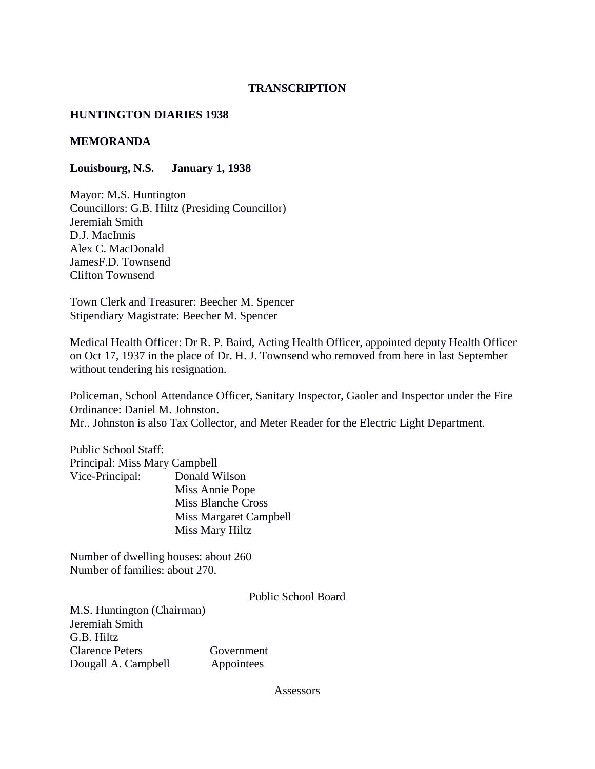## **TRANSCRIPTION**

## **HUNTINGTON DIARIES 1938**

### **MEMORANDA**

## **Louisbourg, N.S. January 1, 1938**

Mayor: M.S. Huntington Councillors: G.B. Hiltz (Presiding Councillor) Jeremiah Smith D.J. MacInnis Alex C. MacDonald JamesF.D. Townsend Clifton Townsend

Town Clerk and Treasurer: Beecher M. Spencer Stipendiary Magistrate: Beecher M. Spencer

Medical Health Officer: Dr R. P. Baird, Acting Health Officer, appointed deputy Health Officer on Oct 17, 1937 in the place of Dr. H. J. Townsend who removed from here in last September without tendering his resignation.

Policeman, School Attendance Officer, Sanitary Inspector, Gaoler and Inspector under the Fire Ordinance: Daniel M. Johnston. Mr.. Johnston is also Tax Collector, and Meter Reader for the Electric Light Department.

Public School Staff: Principal: Miss Mary Campbell Vice-Principal: Donald Wilson Miss Annie Pope Miss Blanche Cross Miss Margaret Campbell Miss Mary Hiltz

Number of dwelling houses: about 260 Number of families: about 270.

Public School Board

M.S. Huntington (Chairman) Jeremiah Smith G.B. Hiltz Clarence Peters Government Dougall A. Campbell Appointees

Assessors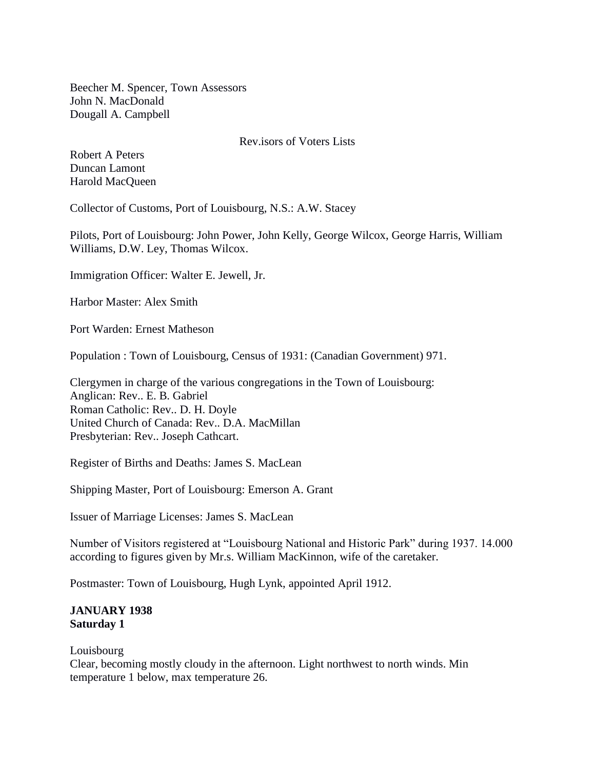Beecher M. Spencer, Town Assessors John N. MacDonald Dougall A. Campbell

## Rev.isors of Voters Lists

Robert A Peters Duncan Lamont Harold MacQueen

Collector of Customs, Port of Louisbourg, N.S.: A.W. Stacey

Pilots, Port of Louisbourg: John Power, John Kelly, George Wilcox, George Harris, William Williams, D.W. Ley, Thomas Wilcox.

Immigration Officer: Walter E. Jewell, Jr.

Harbor Master: Alex Smith

Port Warden: Ernest Matheson

Population : Town of Louisbourg, Census of 1931: (Canadian Government) 971.

Clergymen in charge of the various congregations in the Town of Louisbourg: Anglican: Rev.. E. B. Gabriel Roman Catholic: Rev.. D. H. Doyle United Church of Canada: Rev.. D.A. MacMillan Presbyterian: Rev.. Joseph Cathcart.

Register of Births and Deaths: James S. MacLean

Shipping Master, Port of Louisbourg: Emerson A. Grant

Issuer of Marriage Licenses: James S. MacLean

Number of Visitors registered at "Louisbourg National and Historic Park" during 1937. 14.000 according to figures given by Mr.s. William MacKinnon, wife of the caretaker.

Postmaster: Town of Louisbourg, Hugh Lynk, appointed April 1912.

# **JANUARY 1938 Saturday 1**

### Louisbourg

Clear, becoming mostly cloudy in the afternoon. Light northwest to north winds. Min temperature 1 below, max temperature 26.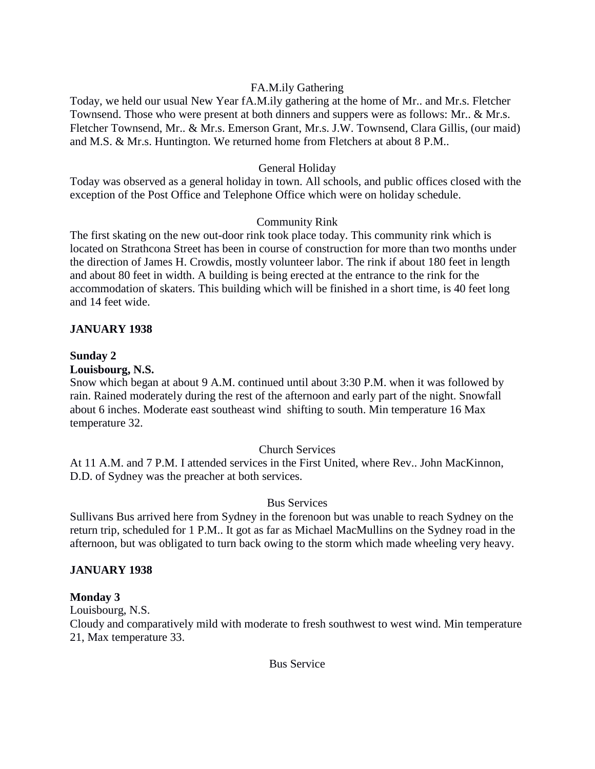# FA.M.ily Gathering

Today, we held our usual New Year fA.M.ily gathering at the home of Mr.. and Mr.s. Fletcher Townsend. Those who were present at both dinners and suppers were as follows: Mr.. & Mr.s. Fletcher Townsend, Mr.. & Mr.s. Emerson Grant, Mr.s. J.W. Townsend, Clara Gillis, (our maid) and M.S. & Mr.s. Huntington. We returned home from Fletchers at about 8 P.M..

# General Holiday

Today was observed as a general holiday in town. All schools, and public offices closed with the exception of the Post Office and Telephone Office which were on holiday schedule.

# Community Rink

The first skating on the new out-door rink took place today. This community rink which is located on Strathcona Street has been in course of construction for more than two months under the direction of James H. Crowdis, mostly volunteer labor. The rink if about 180 feet in length and about 80 feet in width. A building is being erected at the entrance to the rink for the accommodation of skaters. This building which will be finished in a short time, is 40 feet long and 14 feet wide.

# **JANUARY 1938**

# **Sunday 2**

## **Louisbourg, N.S.**

Snow which began at about 9 A.M. continued until about 3:30 P.M. when it was followed by rain. Rained moderately during the rest of the afternoon and early part of the night. Snowfall about 6 inches. Moderate east southeast wind shifting to south. Min temperature 16 Max temperature 32.

# Church Services

At 11 A.M. and 7 P.M. I attended services in the First United, where Rev.. John MacKinnon, D.D. of Sydney was the preacher at both services.

# Bus Services

Sullivans Bus arrived here from Sydney in the forenoon but was unable to reach Sydney on the return trip, scheduled for 1 P.M.. It got as far as Michael MacMullins on the Sydney road in the afternoon, but was obligated to turn back owing to the storm which made wheeling very heavy.

# **JANUARY 1938**

# **Monday 3**

Louisbourg, N.S.

Cloudy and comparatively mild with moderate to fresh southwest to west wind. Min temperature 21, Max temperature 33.

Bus Service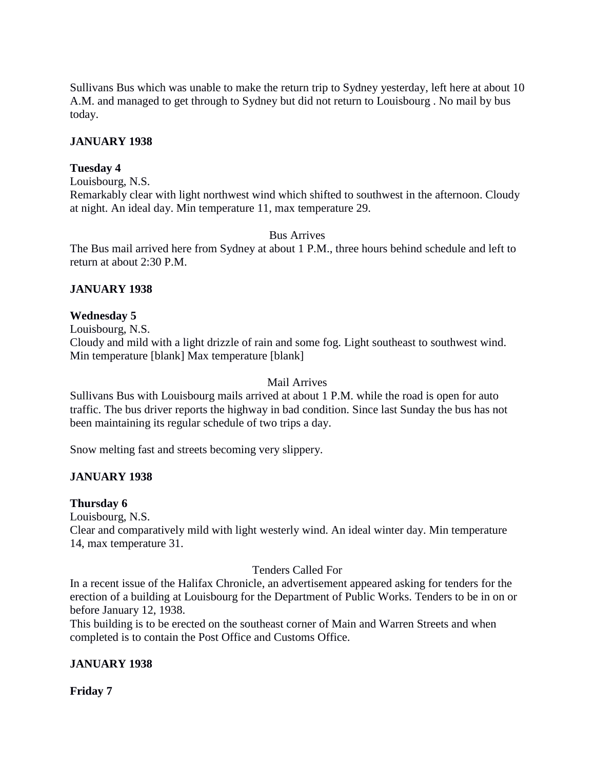Sullivans Bus which was unable to make the return trip to Sydney yesterday, left here at about 10 A.M. and managed to get through to Sydney but did not return to Louisbourg . No mail by bus today.

# **JANUARY 1938**

# **Tuesday 4**

Louisbourg, N.S.

Remarkably clear with light northwest wind which shifted to southwest in the afternoon. Cloudy at night. An ideal day. Min temperature 11, max temperature 29.

## Bus Arrives

The Bus mail arrived here from Sydney at about 1 P.M., three hours behind schedule and left to return at about 2:30 P.M.

## **JANUARY 1938**

## **Wednesday 5**

Louisbourg, N.S. Cloudy and mild with a light drizzle of rain and some fog. Light southeast to southwest wind. Min temperature [blank] Max temperature [blank]

### Mail Arrives

Sullivans Bus with Louisbourg mails arrived at about 1 P.M. while the road is open for auto traffic. The bus driver reports the highway in bad condition. Since last Sunday the bus has not been maintaining its regular schedule of two trips a day.

Snow melting fast and streets becoming very slippery.

# **JANUARY 1938**

# **Thursday 6**

Louisbourg, N.S.

Clear and comparatively mild with light westerly wind. An ideal winter day. Min temperature 14, max temperature 31.

### Tenders Called For

In a recent issue of the Halifax Chronicle, an advertisement appeared asking for tenders for the erection of a building at Louisbourg for the Department of Public Works. Tenders to be in on or before January 12, 1938.

This building is to be erected on the southeast corner of Main and Warren Streets and when completed is to contain the Post Office and Customs Office.

# **JANUARY 1938**

**Friday 7**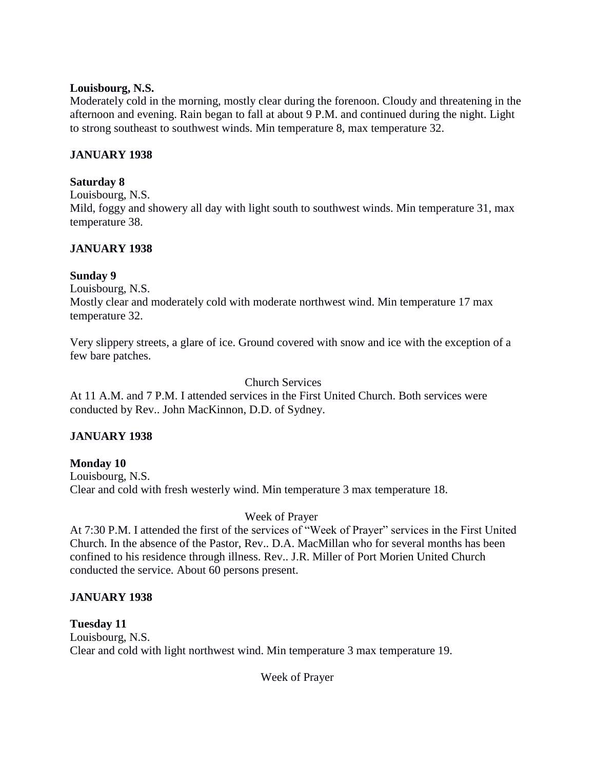# **Louisbourg, N.S.**

Moderately cold in the morning, mostly clear during the forenoon. Cloudy and threatening in the afternoon and evening. Rain began to fall at about 9 P.M. and continued during the night. Light to strong southeast to southwest winds. Min temperature 8, max temperature 32.

# **JANUARY 1938**

# **Saturday 8**

Louisbourg, N.S. Mild, foggy and showery all day with light south to southwest winds. Min temperature 31, max temperature 38.

# **JANUARY 1938**

# **Sunday 9**

Louisbourg, N.S.

Mostly clear and moderately cold with moderate northwest wind. Min temperature 17 max temperature 32.

Very slippery streets, a glare of ice. Ground covered with snow and ice with the exception of a few bare patches.

## Church Services

At 11 A.M. and 7 P.M. I attended services in the First United Church. Both services were conducted by Rev.. John MacKinnon, D.D. of Sydney.

# **JANUARY 1938**

**Monday 10** Louisbourg, N.S. Clear and cold with fresh westerly wind. Min temperature 3 max temperature 18.

# Week of Prayer

At 7:30 P.M. I attended the first of the services of "Week of Prayer" services in the First United Church. In the absence of the Pastor, Rev.. D.A. MacMillan who for several months has been confined to his residence through illness. Rev.. J.R. Miller of Port Morien United Church conducted the service. About 60 persons present.

# **JANUARY 1938**

**Tuesday 11** Louisbourg, N.S. Clear and cold with light northwest wind. Min temperature 3 max temperature 19.

Week of Prayer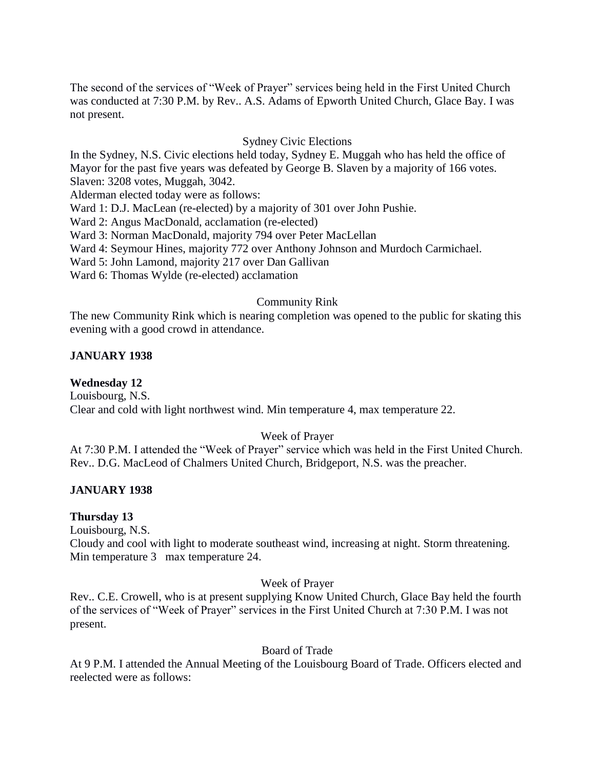The second of the services of "Week of Prayer" services being held in the First United Church was conducted at 7:30 P.M. by Rev.. A.S. Adams of Epworth United Church, Glace Bay. I was not present.

## Sydney Civic Elections

In the Sydney, N.S. Civic elections held today, Sydney E. Muggah who has held the office of Mayor for the past five years was defeated by George B. Slaven by a majority of 166 votes. Slaven: 3208 votes, Muggah, 3042.

Alderman elected today were as follows:

Ward 1: D.J. MacLean (re-elected) by a majority of 301 over John Pushie.

Ward 2: Angus MacDonald, acclamation (re-elected)

Ward 3: Norman MacDonald, majority 794 over Peter MacLellan

Ward 4: Seymour Hines, majority 772 over Anthony Johnson and Murdoch Carmichael.

Ward 5: John Lamond, majority 217 over Dan Gallivan

Ward 6: Thomas Wylde (re-elected) acclamation

#### Community Rink

The new Community Rink which is nearing completion was opened to the public for skating this evening with a good crowd in attendance.

#### **JANUARY 1938**

**Wednesday 12**

Louisbourg, N.S.

Clear and cold with light northwest wind. Min temperature 4, max temperature 22.

### Week of Prayer

At 7:30 P.M. I attended the "Week of Prayer" service which was held in the First United Church. Rev.. D.G. MacLeod of Chalmers United Church, Bridgeport, N.S. was the preacher.

### **JANUARY 1938**

#### **Thursday 13**

Louisbourg, N.S.

Cloudy and cool with light to moderate southeast wind, increasing at night. Storm threatening. Min temperature 3 max temperature 24.

### Week of Prayer

Rev.. C.E. Crowell, who is at present supplying Know United Church, Glace Bay held the fourth of the services of "Week of Prayer" services in the First United Church at 7:30 P.M. I was not present.

### Board of Trade

At 9 P.M. I attended the Annual Meeting of the Louisbourg Board of Trade. Officers elected and reelected were as follows: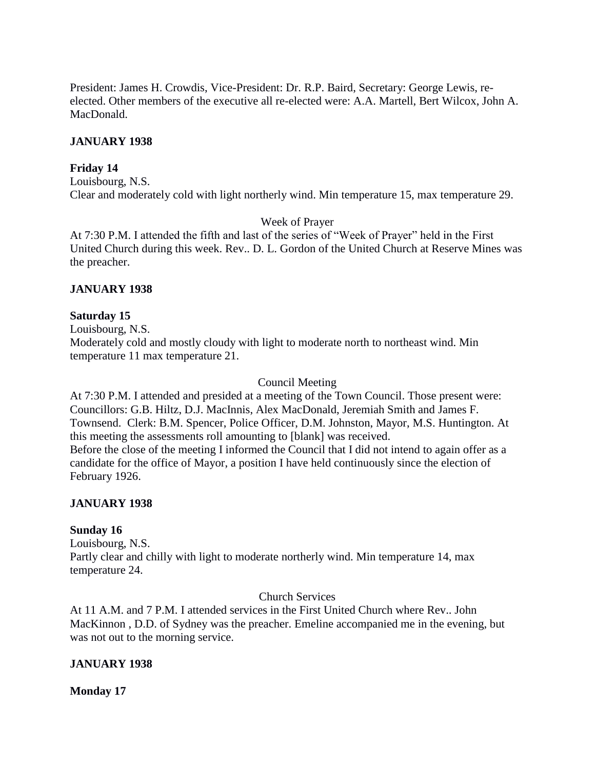President: James H. Crowdis, Vice-President: Dr. R.P. Baird, Secretary: George Lewis, reelected. Other members of the executive all re-elected were: A.A. Martell, Bert Wilcox, John A. MacDonald.

# **JANUARY 1938**

# **Friday 14**

Louisbourg, N.S. Clear and moderately cold with light northerly wind. Min temperature 15, max temperature 29.

# Week of Prayer

At 7:30 P.M. I attended the fifth and last of the series of "Week of Prayer" held in the First United Church during this week. Rev.. D. L. Gordon of the United Church at Reserve Mines was the preacher.

# **JANUARY 1938**

# **Saturday 15**

Louisbourg, N.S.

Moderately cold and mostly cloudy with light to moderate north to northeast wind. Min temperature 11 max temperature 21.

# Council Meeting

At 7:30 P.M. I attended and presided at a meeting of the Town Council. Those present were: Councillors: G.B. Hiltz, D.J. MacInnis, Alex MacDonald, Jeremiah Smith and James F. Townsend. Clerk: B.M. Spencer, Police Officer, D.M. Johnston, Mayor, M.S. Huntington. At this meeting the assessments roll amounting to [blank] was received. Before the close of the meeting I informed the Council that I did not intend to again offer as a candidate for the office of Mayor, a position I have held continuously since the election of February 1926.

# **JANUARY 1938**

# **Sunday 16**

Louisbourg, N.S. Partly clear and chilly with light to moderate northerly wind. Min temperature 14, max temperature 24.

# Church Services

At 11 A.M. and 7 P.M. I attended services in the First United Church where Rev.. John MacKinnon , D.D. of Sydney was the preacher. Emeline accompanied me in the evening, but was not out to the morning service.

# **JANUARY 1938**

# **Monday 17**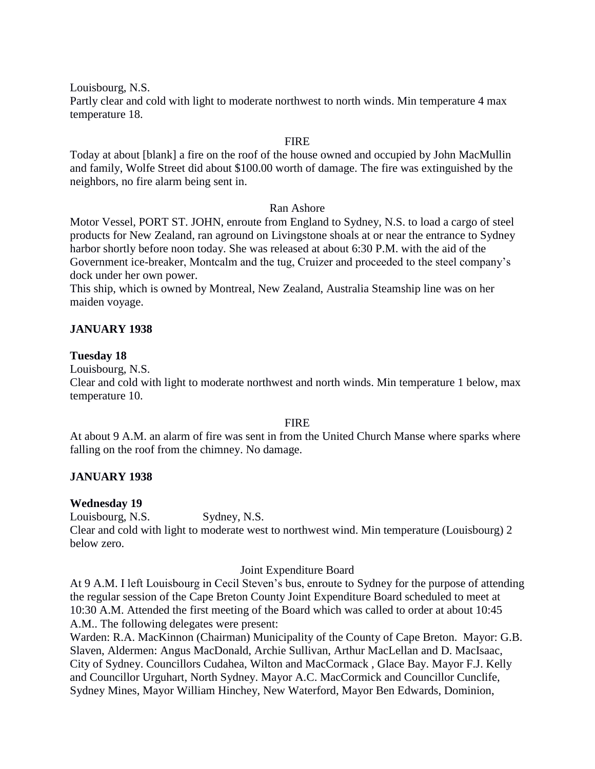Louisbourg, N.S.

Partly clear and cold with light to moderate northwest to north winds. Min temperature 4 max temperature 18.

## **FIRE**

Today at about [blank] a fire on the roof of the house owned and occupied by John MacMullin and family, Wolfe Street did about \$100.00 worth of damage. The fire was extinguished by the neighbors, no fire alarm being sent in.

## Ran Ashore

Motor Vessel, PORT ST. JOHN, enroute from England to Sydney, N.S. to load a cargo of steel products for New Zealand, ran aground on Livingstone shoals at or near the entrance to Sydney harbor shortly before noon today. She was released at about 6:30 P.M. with the aid of the Government ice-breaker, Montcalm and the tug, Cruizer and proceeded to the steel company's dock under her own power.

This ship, which is owned by Montreal, New Zealand, Australia Steamship line was on her maiden voyage.

# **JANUARY 1938**

### **Tuesday 18**

Louisbourg, N.S.

Clear and cold with light to moderate northwest and north winds. Min temperature 1 below, max temperature 10.

### FIRE

At about 9 A.M. an alarm of fire was sent in from the United Church Manse where sparks where falling on the roof from the chimney. No damage.

# **JANUARY 1938**

# **Wednesday 19**

Louisbourg, N.S. Sydney, N.S.

Clear and cold with light to moderate west to northwest wind. Min temperature (Louisbourg) 2 below zero.

### Joint Expenditure Board

At 9 A.M. I left Louisbourg in Cecil Steven's bus, enroute to Sydney for the purpose of attending the regular session of the Cape Breton County Joint Expenditure Board scheduled to meet at 10:30 A.M. Attended the first meeting of the Board which was called to order at about 10:45 A.M.. The following delegates were present:

Warden: R.A. MacKinnon (Chairman) Municipality of the County of Cape Breton. Mayor: G.B. Slaven, Aldermen: Angus MacDonald, Archie Sullivan, Arthur MacLellan and D. MacIsaac, City of Sydney. Councillors Cudahea, Wilton and MacCormack , Glace Bay. Mayor F.J. Kelly and Councillor Urguhart, North Sydney. Mayor A.C. MacCormick and Councillor Cunclife, Sydney Mines, Mayor William Hinchey, New Waterford, Mayor Ben Edwards, Dominion,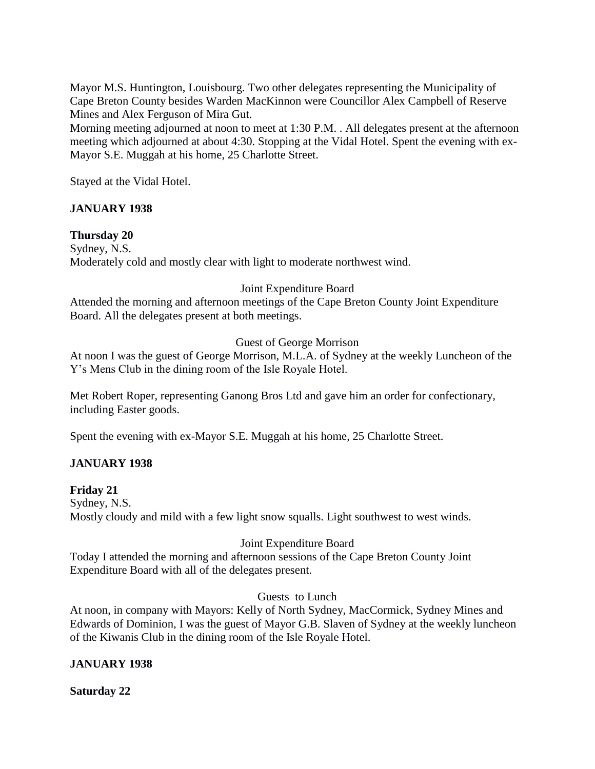Mayor M.S. Huntington, Louisbourg. Two other delegates representing the Municipality of Cape Breton County besides Warden MacKinnon were Councillor Alex Campbell of Reserve Mines and Alex Ferguson of Mira Gut.

Morning meeting adjourned at noon to meet at 1:30 P.M. . All delegates present at the afternoon meeting which adjourned at about 4:30. Stopping at the Vidal Hotel. Spent the evening with ex-Mayor S.E. Muggah at his home, 25 Charlotte Street.

Stayed at the Vidal Hotel.

# **JANUARY 1938**

# **Thursday 20**

Sydney, N.S. Moderately cold and mostly clear with light to moderate northwest wind.

# Joint Expenditure Board

Attended the morning and afternoon meetings of the Cape Breton County Joint Expenditure Board. All the delegates present at both meetings.

# Guest of George Morrison

At noon I was the guest of George Morrison, M.L.A. of Sydney at the weekly Luncheon of the Y's Mens Club in the dining room of the Isle Royale Hotel.

Met Robert Roper, representing Ganong Bros Ltd and gave him an order for confectionary, including Easter goods.

Spent the evening with ex-Mayor S.E. Muggah at his home, 25 Charlotte Street.

# **JANUARY 1938**

# **Friday 21**

Sydney, N.S. Mostly cloudy and mild with a few light snow squalls. Light southwest to west winds.

# Joint Expenditure Board

Today I attended the morning and afternoon sessions of the Cape Breton County Joint Expenditure Board with all of the delegates present.

Guests to Lunch

At noon, in company with Mayors: Kelly of North Sydney, MacCormick, Sydney Mines and Edwards of Dominion, I was the guest of Mayor G.B. Slaven of Sydney at the weekly luncheon of the Kiwanis Club in the dining room of the Isle Royale Hotel.

# **JANUARY 1938**

# **Saturday 22**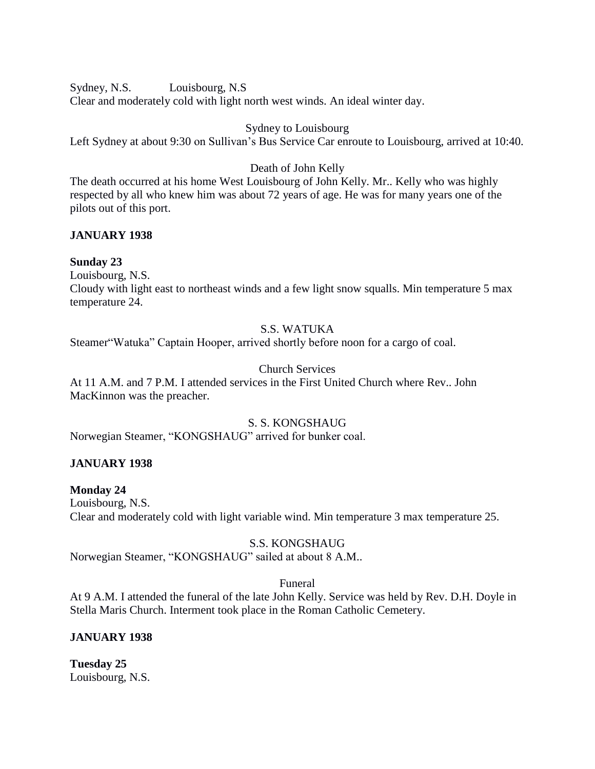Sydney, N.S. Louisbourg, N.S Clear and moderately cold with light north west winds. An ideal winter day.

# Sydney to Louisbourg

Left Sydney at about 9:30 on Sullivan's Bus Service Car enroute to Louisbourg, arrived at 10:40.

# Death of John Kelly

The death occurred at his home West Louisbourg of John Kelly. Mr.. Kelly who was highly respected by all who knew him was about 72 years of age. He was for many years one of the pilots out of this port.

# **JANUARY 1938**

# **Sunday 23**

Louisbourg, N.S.

Cloudy with light east to northeast winds and a few light snow squalls. Min temperature 5 max temperature 24.

# S.S. WATUKA

Steamer"Watuka" Captain Hooper, arrived shortly before noon for a cargo of coal.

# Church Services

At 11 A.M. and 7 P.M. I attended services in the First United Church where Rev.. John MacKinnon was the preacher.

# S. S. KONGSHAUG

Norwegian Steamer, "KONGSHAUG" arrived for bunker coal.

# **JANUARY 1938**

# **Monday 24**

Louisbourg, N.S. Clear and moderately cold with light variable wind. Min temperature 3 max temperature 25.

# S.S. KONGSHAUG

Norwegian Steamer, "KONGSHAUG" sailed at about 8 A.M..

# Funeral

At 9 A.M. I attended the funeral of the late John Kelly. Service was held by Rev. D.H. Doyle in Stella Maris Church. Interment took place in the Roman Catholic Cemetery.

# **JANUARY 1938**

**Tuesday 25** Louisbourg, N.S.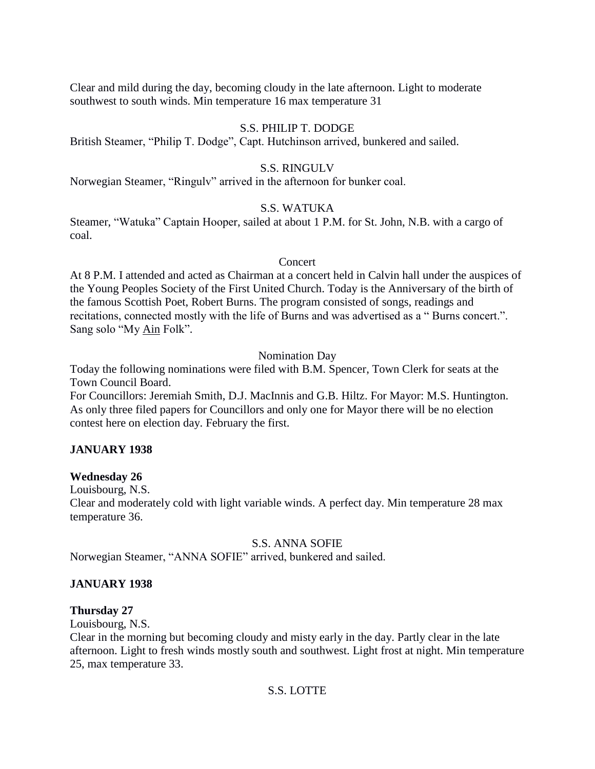Clear and mild during the day, becoming cloudy in the late afternoon. Light to moderate southwest to south winds. Min temperature 16 max temperature 31

# S.S. PHILIP T. DODGE

British Steamer, "Philip T. Dodge", Capt. Hutchinson arrived, bunkered and sailed.

# S.S. RINGULV

Norwegian Steamer, "Ringulv" arrived in the afternoon for bunker coal.

# S.S. WATUKA

Steamer, "Watuka" Captain Hooper, sailed at about 1 P.M. for St. John, N.B. with a cargo of coal.

# Concert

At 8 P.M. I attended and acted as Chairman at a concert held in Calvin hall under the auspices of the Young Peoples Society of the First United Church. Today is the Anniversary of the birth of the famous Scottish Poet, Robert Burns. The program consisted of songs, readings and recitations, connected mostly with the life of Burns and was advertised as a " Burns concert.". Sang solo "My Ain Folk".

Nomination Day

Today the following nominations were filed with B.M. Spencer, Town Clerk for seats at the Town Council Board.

For Councillors: Jeremiah Smith, D.J. MacInnis and G.B. Hiltz. For Mayor: M.S. Huntington. As only three filed papers for Councillors and only one for Mayor there will be no election contest here on election day. February the first.

# **JANUARY 1938**

# **Wednesday 26**

Louisbourg, N.S.

Clear and moderately cold with light variable winds. A perfect day. Min temperature 28 max temperature 36.

# S.S. ANNA SOFIE

Norwegian Steamer, "ANNA SOFIE" arrived, bunkered and sailed.

# **JANUARY 1938**

# **Thursday 27**

Louisbourg, N.S.

Clear in the morning but becoming cloudy and misty early in the day. Partly clear in the late afternoon. Light to fresh winds mostly south and southwest. Light frost at night. Min temperature 25, max temperature 33.

# S.S. LOTTE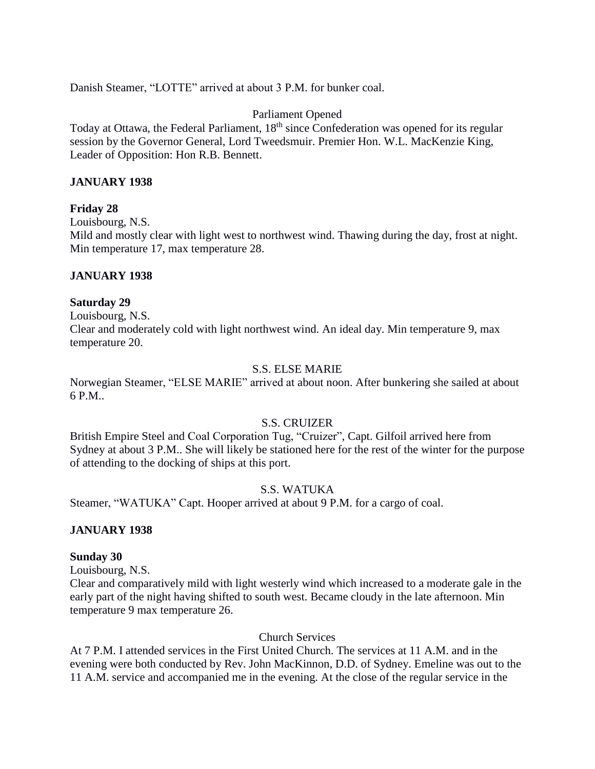Danish Steamer, "LOTTE" arrived at about 3 P.M. for bunker coal.

# Parliament Opened

Today at Ottawa, the Federal Parliament, 18<sup>th</sup> since Confederation was opened for its regular session by the Governor General, Lord Tweedsmuir. Premier Hon. W.L. MacKenzie King, Leader of Opposition: Hon R.B. Bennett.

# **JANUARY 1938**

# **Friday 28**

Louisbourg, N.S.

Mild and mostly clear with light west to northwest wind. Thawing during the day, frost at night. Min temperature 17, max temperature 28.

# **JANUARY 1938**

# **Saturday 29**

Louisbourg, N.S. Clear and moderately cold with light northwest wind. An ideal day. Min temperature 9, max temperature 20.

# S.S. ELSE MARIE

Norwegian Steamer, "ELSE MARIE" arrived at about noon. After bunkering she sailed at about 6 P.M..

# S.S. CRUIZER

British Empire Steel and Coal Corporation Tug, "Cruizer", Capt. Gilfoil arrived here from Sydney at about 3 P.M.. She will likely be stationed here for the rest of the winter for the purpose of attending to the docking of ships at this port.

# S.S. WATUKA

Steamer, "WATUKA" Capt. Hooper arrived at about 9 P.M. for a cargo of coal.

# **JANUARY 1938**

# **Sunday 30**

Louisbourg, N.S.

Clear and comparatively mild with light westerly wind which increased to a moderate gale in the early part of the night having shifted to south west. Became cloudy in the late afternoon. Min temperature 9 max temperature 26.

Church Services

At 7 P.M. I attended services in the First United Church. The services at 11 A.M. and in the evening were both conducted by Rev. John MacKinnon, D.D. of Sydney. Emeline was out to the 11 A.M. service and accompanied me in the evening. At the close of the regular service in the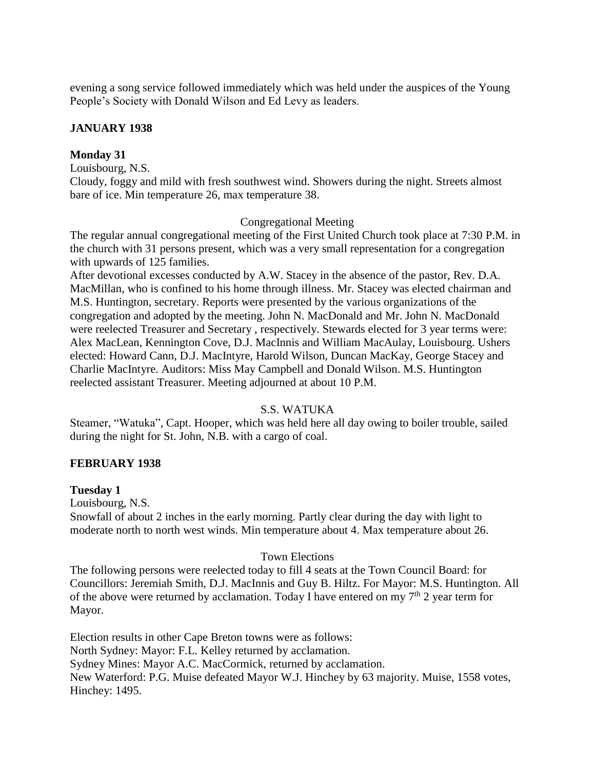evening a song service followed immediately which was held under the auspices of the Young People's Society with Donald Wilson and Ed Levy as leaders.

# **JANUARY 1938**

# **Monday 31**

Louisbourg, N.S.

Cloudy, foggy and mild with fresh southwest wind. Showers during the night. Streets almost bare of ice. Min temperature 26, max temperature 38.

## Congregational Meeting

The regular annual congregational meeting of the First United Church took place at 7:30 P.M. in the church with 31 persons present, which was a very small representation for a congregation with upwards of 125 families.

After devotional excesses conducted by A.W. Stacey in the absence of the pastor, Rev. D.A. MacMillan, who is confined to his home through illness. Mr. Stacey was elected chairman and M.S. Huntington, secretary. Reports were presented by the various organizations of the congregation and adopted by the meeting. John N. MacDonald and Mr. John N. MacDonald were reelected Treasurer and Secretary , respectively. Stewards elected for 3 year terms were: Alex MacLean, Kennington Cove, D.J. MacInnis and William MacAulay, Louisbourg. Ushers elected: Howard Cann, D.J. MacIntyre, Harold Wilson, Duncan MacKay, George Stacey and Charlie MacIntyre. Auditors: Miss May Campbell and Donald Wilson. M.S. Huntington reelected assistant Treasurer. Meeting adjourned at about 10 P.M.

### S.S. WATUKA

Steamer, "Watuka", Capt. Hooper, which was held here all day owing to boiler trouble, sailed during the night for St. John, N.B. with a cargo of coal.

### **FEBRUARY 1938**

#### **Tuesday 1**

Louisbourg, N.S.

Snowfall of about 2 inches in the early morning. Partly clear during the day with light to moderate north to north west winds. Min temperature about 4. Max temperature about 26.

#### Town Elections

The following persons were reelected today to fill 4 seats at the Town Council Board: for Councillors: Jeremiah Smith, D.J. MacInnis and Guy B. Hiltz. For Mayor: M.S. Huntington. All of the above were returned by acclamation. Today I have entered on my  $7<sup>th</sup>$  2 year term for Mayor.

Election results in other Cape Breton towns were as follows: North Sydney: Mayor: F.L. Kelley returned by acclamation. Sydney Mines: Mayor A.C. MacCormick, returned by acclamation. New Waterford: P.G. Muise defeated Mayor W.J. Hinchey by 63 majority. Muise, 1558 votes, Hinchey: 1495.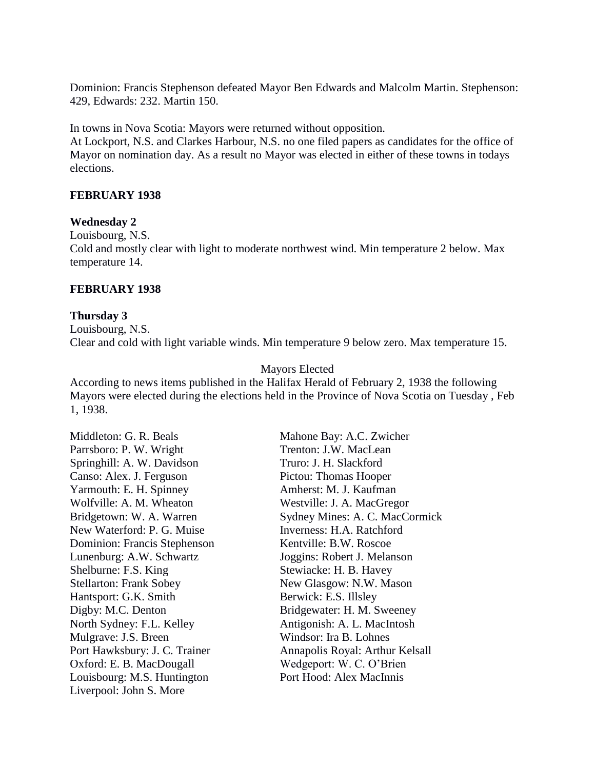Dominion: Francis Stephenson defeated Mayor Ben Edwards and Malcolm Martin. Stephenson: 429, Edwards: 232. Martin 150.

In towns in Nova Scotia: Mayors were returned without opposition.

At Lockport, N.S. and Clarkes Harbour, N.S. no one filed papers as candidates for the office of Mayor on nomination day. As a result no Mayor was elected in either of these towns in todays elections.

# **FEBRUARY 1938**

## **Wednesday 2**

Louisbourg, N.S. Cold and mostly clear with light to moderate northwest wind. Min temperature 2 below. Max temperature 14.

# **FEBRUARY 1938**

# **Thursday 3** Louisbourg, N.S. Clear and cold with light variable winds. Min temperature 9 below zero. Max temperature 15.

# Mayors Elected

According to news items published in the Halifax Herald of February 2, 1938 the following Mayors were elected during the elections held in the Province of Nova Scotia on Tuesday , Feb 1, 1938.

Middleton: G. R. Beals Mahone Bay: A.C. Zwicher Parrsboro: P. W. Wright Trenton: J.W. MacLean Springhill: A. W. Davidson Truro: J. H. Slackford Canso: Alex. J. Ferguson Pictou: Thomas Hooper Yarmouth: E. H. Spinney **Amherst: M. J. Kaufman** Wolfville: A. M. Wheaton Westville: J. A. MacGregor New Waterford: P. G. Muise Inverness: H.A. Ratchford Dominion: Francis Stephenson Kentville: B.W. Roscoe Lunenburg: A.W. Schwartz Joggins: Robert J. Melanson Shelburne: F.S. King Stewiacke: H. B. Havey Stellarton: Frank Sobey New Glasgow: N.W. Mason Hantsport: G.K. Smith Berwick: E.S. Illsley Digby: M.C. Denton Bridgewater: H. M. Sweeney North Sydney: F.L. Kelley **Antigonish: A. L. MacIntosh** Mulgrave: J.S. Breen Windsor: Ira B. Lohnes Oxford: E. B. MacDougall Wedgeport: W. C. O'Brien Louisbourg: M.S. Huntington Port Hood: Alex MacInnis Liverpool: John S. More

Bridgetown: W. A. Warren Sydney Mines: A. C. MacCormick Port Hawksbury: J. C. Trainer Annapolis Royal: Arthur Kelsall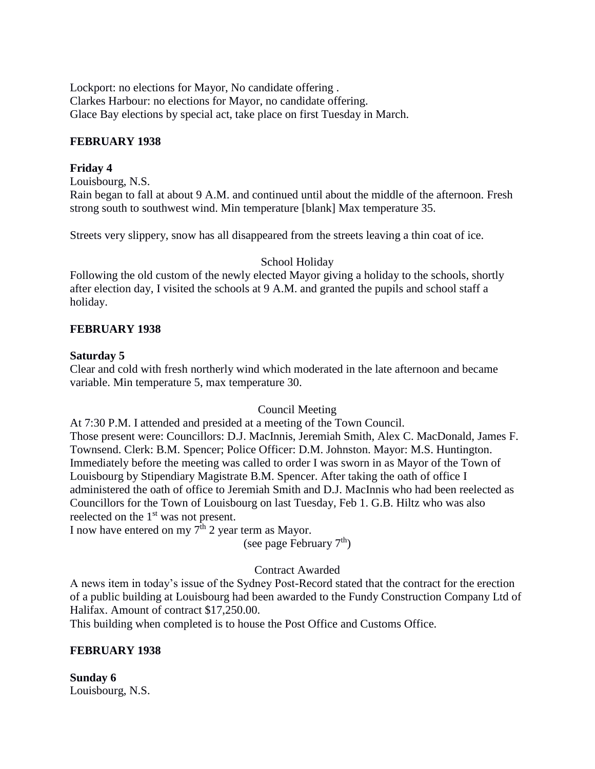Lockport: no elections for Mayor, No candidate offering . Clarkes Harbour: no elections for Mayor, no candidate offering. Glace Bay elections by special act, take place on first Tuesday in March.

# **FEBRUARY 1938**

# **Friday 4**

Louisbourg, N.S. Rain began to fall at about 9 A.M. and continued until about the middle of the afternoon. Fresh strong south to southwest wind. Min temperature [blank] Max temperature 35.

Streets very slippery, snow has all disappeared from the streets leaving a thin coat of ice.

# School Holiday

Following the old custom of the newly elected Mayor giving a holiday to the schools, shortly after election day, I visited the schools at 9 A.M. and granted the pupils and school staff a holiday.

# **FEBRUARY 1938**

# **Saturday 5**

Clear and cold with fresh northerly wind which moderated in the late afternoon and became variable. Min temperature 5, max temperature 30.

# Council Meeting

At 7:30 P.M. I attended and presided at a meeting of the Town Council. Those present were: Councillors: D.J. MacInnis, Jeremiah Smith, Alex C. MacDonald, James F. Townsend. Clerk: B.M. Spencer; Police Officer: D.M. Johnston. Mayor: M.S. Huntington. Immediately before the meeting was called to order I was sworn in as Mayor of the Town of Louisbourg by Stipendiary Magistrate B.M. Spencer. After taking the oath of office I administered the oath of office to Jeremiah Smith and D.J. MacInnis who had been reelected as Councillors for the Town of Louisbourg on last Tuesday, Feb 1. G.B. Hiltz who was also reelected on the 1<sup>st</sup> was not present.

I now have entered on my  $7<sup>th</sup>$  2 year term as Mayor.

(see page February  $7<sup>th</sup>$ )

# Contract Awarded

A news item in today's issue of the Sydney Post-Record stated that the contract for the erection of a public building at Louisbourg had been awarded to the Fundy Construction Company Ltd of Halifax. Amount of contract \$17,250.00.

This building when completed is to house the Post Office and Customs Office.

# **FEBRUARY 1938**

**Sunday 6** Louisbourg, N.S.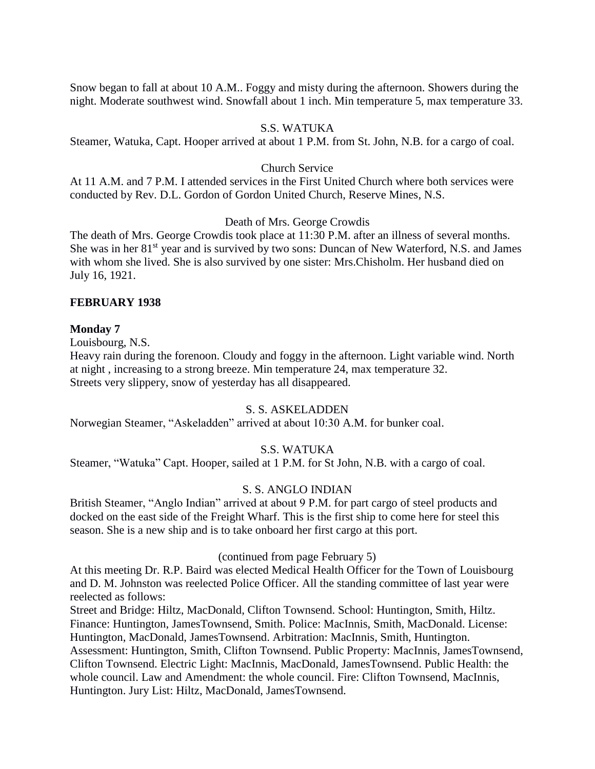Snow began to fall at about 10 A.M.. Foggy and misty during the afternoon. Showers during the night. Moderate southwest wind. Snowfall about 1 inch. Min temperature 5, max temperature 33.

# S.S. WATUKA

Steamer, Watuka, Capt. Hooper arrived at about 1 P.M. from St. John, N.B. for a cargo of coal.

## Church Service

At 11 A.M. and 7 P.M. I attended services in the First United Church where both services were conducted by Rev. D.L. Gordon of Gordon United Church, Reserve Mines, N.S.

### Death of Mrs. George Crowdis

The death of Mrs. George Crowdis took place at 11:30 P.M. after an illness of several months. She was in her 81<sup>st</sup> year and is survived by two sons: Duncan of New Waterford, N.S. and James with whom she lived. She is also survived by one sister: Mrs.Chisholm. Her husband died on July 16, 1921.

### **FEBRUARY 1938**

#### **Monday 7**

Louisbourg, N.S.

Heavy rain during the forenoon. Cloudy and foggy in the afternoon. Light variable wind. North at night , increasing to a strong breeze. Min temperature 24, max temperature 32. Streets very slippery, snow of yesterday has all disappeared.

### S. S. ASKELADDEN

Norwegian Steamer, "Askeladden" arrived at about 10:30 A.M. for bunker coal.

## S.S. WATUKA

Steamer, "Watuka" Capt. Hooper, sailed at 1 P.M. for St John, N.B. with a cargo of coal.

### S. S. ANGLO INDIAN

British Steamer, "Anglo Indian" arrived at about 9 P.M. for part cargo of steel products and docked on the east side of the Freight Wharf. This is the first ship to come here for steel this season. She is a new ship and is to take onboard her first cargo at this port.

### (continued from page February 5)

At this meeting Dr. R.P. Baird was elected Medical Health Officer for the Town of Louisbourg and D. M. Johnston was reelected Police Officer. All the standing committee of last year were reelected as follows:

Street and Bridge: Hiltz, MacDonald, Clifton Townsend. School: Huntington, Smith, Hiltz. Finance: Huntington, JamesTownsend, Smith. Police: MacInnis, Smith, MacDonald. License: Huntington, MacDonald, JamesTownsend. Arbitration: MacInnis, Smith, Huntington. Assessment: Huntington, Smith, Clifton Townsend. Public Property: MacInnis, JamesTownsend, Clifton Townsend. Electric Light: MacInnis, MacDonald, JamesTownsend. Public Health: the whole council. Law and Amendment: the whole council. Fire: Clifton Townsend, MacInnis, Huntington. Jury List: Hiltz, MacDonald, JamesTownsend.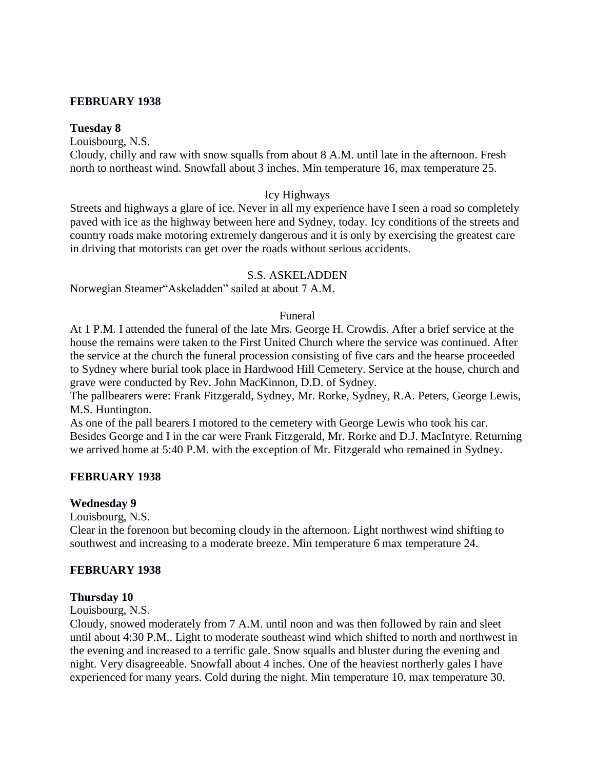# **FEBRUARY 1938**

# **Tuesday 8**

Louisbourg, N.S.

Cloudy, chilly and raw with snow squalls from about 8 A.M. until late in the afternoon. Fresh north to northeast wind. Snowfall about 3 inches. Min temperature 16, max temperature 25.

# Icy Highways

Streets and highways a glare of ice. Never in all my experience have I seen a road so completely paved with ice as the highway between here and Sydney, today. Icy conditions of the streets and country roads make motoring extremely dangerous and it is only by exercising the greatest care in driving that motorists can get over the roads without serious accidents.

## S.S. ASKELADDEN

Norwegian Steamer"Askeladden" sailed at about 7 A.M.

### Funeral

At 1 P.M. I attended the funeral of the late Mrs. George H. Crowdis. After a brief service at the house the remains were taken to the First United Church where the service was continued. After the service at the church the funeral procession consisting of five cars and the hearse proceeded to Sydney where burial took place in Hardwood Hill Cemetery. Service at the house, church and grave were conducted by Rev. John MacKinnon, D.D. of Sydney.

The pallbearers were: Frank Fitzgerald, Sydney, Mr. Rorke, Sydney, R.A. Peters, George Lewis, M.S. Huntington.

As one of the pall bearers I motored to the cemetery with George Lewis who took his car. Besides George and I in the car were Frank Fitzgerald, Mr. Rorke and D.J. MacIntyre. Returning we arrived home at 5:40 P.M. with the exception of Mr. Fitzgerald who remained in Sydney.

# **FEBRUARY 1938**

### **Wednesday 9**

Louisbourg, N.S.

Clear in the forenoon but becoming cloudy in the afternoon. Light northwest wind shifting to southwest and increasing to a moderate breeze. Min temperature 6 max temperature 24.

# **FEBRUARY 1938**

### **Thursday 10**

Louisbourg, N.S.

Cloudy, snowed moderately from 7 A.M. until noon and was then followed by rain and sleet until about 4:30 P.M.. Light to moderate southeast wind which shifted to north and northwest in the evening and increased to a terrific gale. Snow squalls and bluster during the evening and night. Very disagreeable. Snowfall about 4 inches. One of the heaviest northerly gales I have experienced for many years. Cold during the night. Min temperature 10, max temperature 30.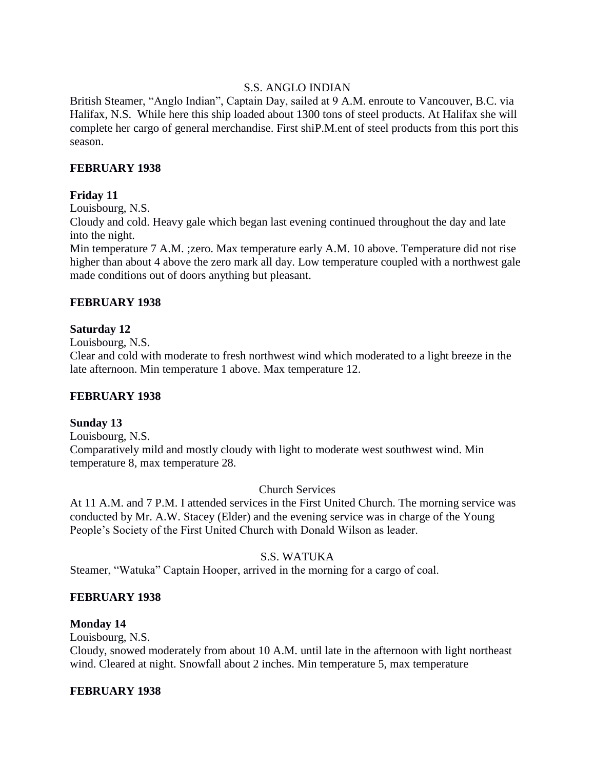# S.S. ANGLO INDIAN

British Steamer, "Anglo Indian", Captain Day, sailed at 9 A.M. enroute to Vancouver, B.C. via Halifax, N.S. While here this ship loaded about 1300 tons of steel products. At Halifax she will complete her cargo of general merchandise. First shiP.M.ent of steel products from this port this season.

# **FEBRUARY 1938**

# **Friday 11**

Louisbourg, N.S.

Cloudy and cold. Heavy gale which began last evening continued throughout the day and late into the night.

Min temperature 7 A.M. ;zero. Max temperature early A.M. 10 above. Temperature did not rise higher than about 4 above the zero mark all day. Low temperature coupled with a northwest gale made conditions out of doors anything but pleasant.

# **FEBRUARY 1938**

# **Saturday 12**

Louisbourg, N.S.

Clear and cold with moderate to fresh northwest wind which moderated to a light breeze in the late afternoon. Min temperature 1 above. Max temperature 12.

# **FEBRUARY 1938**

# **Sunday 13**

Louisbourg, N.S. Comparatively mild and mostly cloudy with light to moderate west southwest wind. Min temperature 8, max temperature 28.

# Church Services

At 11 A.M. and 7 P.M. I attended services in the First United Church. The morning service was conducted by Mr. A.W. Stacey (Elder) and the evening service was in charge of the Young People's Society of the First United Church with Donald Wilson as leader.

# S.S. WATUKA

Steamer, "Watuka" Captain Hooper, arrived in the morning for a cargo of coal.

# **FEBRUARY 1938**

# **Monday 14**

Louisbourg, N.S.

Cloudy, snowed moderately from about 10 A.M. until late in the afternoon with light northeast wind. Cleared at night. Snowfall about 2 inches. Min temperature 5, max temperature

# **FEBRUARY 1938**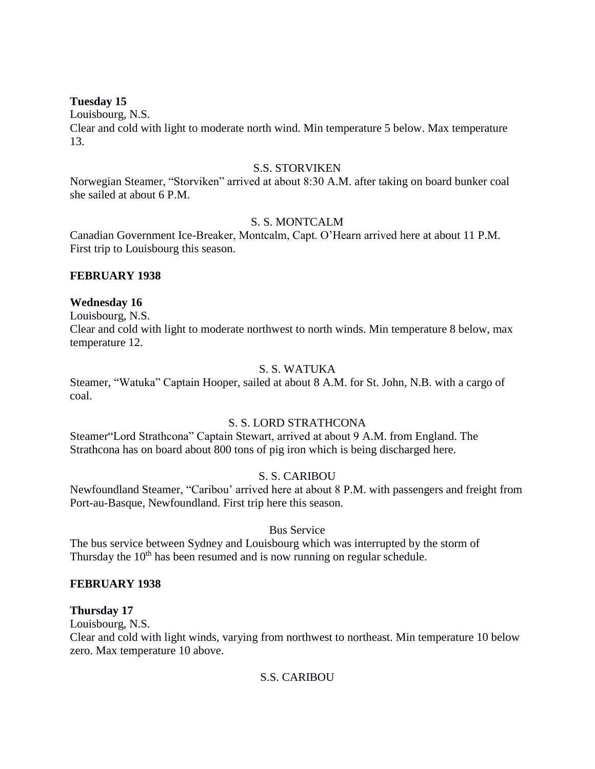# **Tuesday 15**

Louisbourg, N.S. Clear and cold with light to moderate north wind. Min temperature 5 below. Max temperature 13.

# S.S. STORVIKEN

Norwegian Steamer, "Storviken" arrived at about 8:30 A.M. after taking on board bunker coal she sailed at about 6 P.M.

# S. S. MONTCALM

Canadian Government Ice-Breaker, Montcalm, Capt. O'Hearn arrived here at about 11 P.M. First trip to Louisbourg this season.

## **FEBRUARY 1938**

## **Wednesday 16**

Louisbourg, N.S.

Clear and cold with light to moderate northwest to north winds. Min temperature 8 below, max temperature 12.

# S. S. WATUKA

Steamer, "Watuka" Captain Hooper, sailed at about 8 A.M. for St. John, N.B. with a cargo of coal.

# S. S. LORD STRATHCONA

Steamer"Lord Strathcona" Captain Stewart, arrived at about 9 A.M. from England. The Strathcona has on board about 800 tons of pig iron which is being discharged here.

# S. S. CARIBOU

Newfoundland Steamer, "Caribou' arrived here at about 8 P.M. with passengers and freight from Port-au-Basque, Newfoundland. First trip here this season.

# Bus Service

The bus service between Sydney and Louisbourg which was interrupted by the storm of Thursday the 10<sup>th</sup> has been resumed and is now running on regular schedule.

# **FEBRUARY 1938**

# **Thursday 17**

Louisbourg, N.S.

Clear and cold with light winds, varying from northwest to northeast. Min temperature 10 below zero. Max temperature 10 above.

### S.S. CARIBOU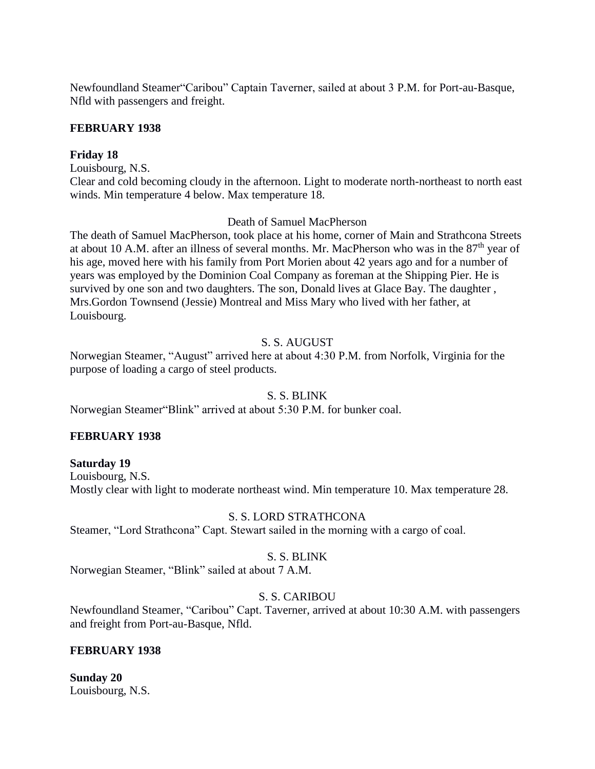Newfoundland Steamer"Caribou" Captain Taverner, sailed at about 3 P.M. for Port-au-Basque, Nfld with passengers and freight.

# **FEBRUARY 1938**

# **Friday 18**

Louisbourg, N.S.

Clear and cold becoming cloudy in the afternoon. Light to moderate north-northeast to north east winds. Min temperature 4 below. Max temperature 18.

# Death of Samuel MacPherson

The death of Samuel MacPherson, took place at his home, corner of Main and Strathcona Streets at about 10 A.M. after an illness of several months. Mr. MacPherson who was in the 87th year of his age, moved here with his family from Port Morien about 42 years ago and for a number of years was employed by the Dominion Coal Company as foreman at the Shipping Pier. He is survived by one son and two daughters. The son, Donald lives at Glace Bay. The daughter , Mrs.Gordon Townsend (Jessie) Montreal and Miss Mary who lived with her father, at Louisbourg.

# S. S. AUGUST

Norwegian Steamer, "August" arrived here at about 4:30 P.M. from Norfolk, Virginia for the purpose of loading a cargo of steel products.

# S. S. BLINK

Norwegian Steamer"Blink" arrived at about 5:30 P.M. for bunker coal.

# **FEBRUARY 1938**

**Saturday 19** Louisbourg, N.S. Mostly clear with light to moderate northeast wind. Min temperature 10. Max temperature 28.

# S. S. LORD STRATHCONA

Steamer, "Lord Strathcona" Capt. Stewart sailed in the morning with a cargo of coal.

# S. S. BLINK

Norwegian Steamer, "Blink" sailed at about 7 A.M.

# S. S. CARIBOU

Newfoundland Steamer, "Caribou" Capt. Taverner, arrived at about 10:30 A.M. with passengers and freight from Port-au-Basque, Nfld.

# **FEBRUARY 1938**

**Sunday 20** Louisbourg, N.S.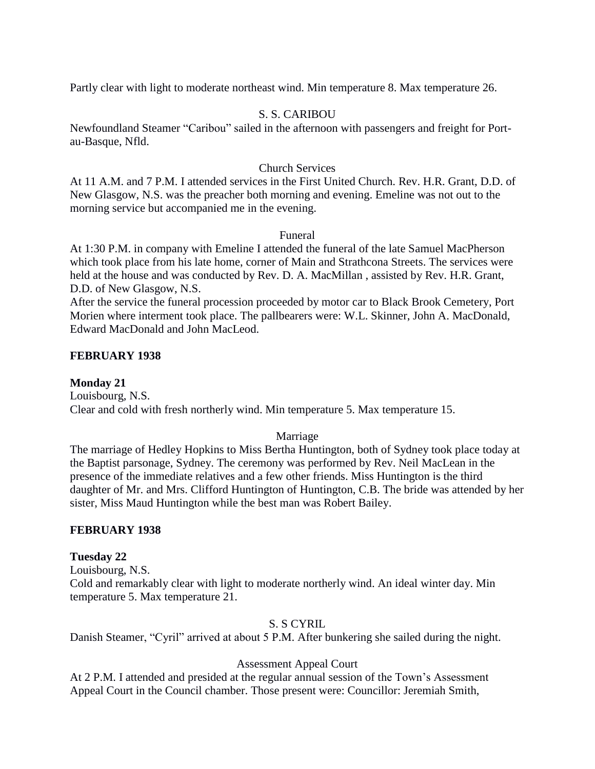Partly clear with light to moderate northeast wind. Min temperature 8. Max temperature 26.

# S. S. CARIBOU

Newfoundland Steamer "Caribou" sailed in the afternoon with passengers and freight for Portau-Basque, Nfld.

# Church Services

At 11 A.M. and 7 P.M. I attended services in the First United Church. Rev. H.R. Grant, D.D. of New Glasgow, N.S. was the preacher both morning and evening. Emeline was not out to the morning service but accompanied me in the evening.

# Funeral

At 1:30 P.M. in company with Emeline I attended the funeral of the late Samuel MacPherson which took place from his late home, corner of Main and Strathcona Streets. The services were held at the house and was conducted by Rev. D. A. MacMillan , assisted by Rev. H.R. Grant, D.D. of New Glasgow, N.S.

After the service the funeral procession proceeded by motor car to Black Brook Cemetery, Port Morien where interment took place. The pallbearers were: W.L. Skinner, John A. MacDonald, Edward MacDonald and John MacLeod.

# **FEBRUARY 1938**

**Monday 21** Louisbourg, N.S. Clear and cold with fresh northerly wind. Min temperature 5. Max temperature 15.

# Marriage

The marriage of Hedley Hopkins to Miss Bertha Huntington, both of Sydney took place today at the Baptist parsonage, Sydney. The ceremony was performed by Rev. Neil MacLean in the presence of the immediate relatives and a few other friends. Miss Huntington is the third daughter of Mr. and Mrs. Clifford Huntington of Huntington, C.B. The bride was attended by her sister, Miss Maud Huntington while the best man was Robert Bailey.

# **FEBRUARY 1938**

# **Tuesday 22**

Louisbourg, N.S. Cold and remarkably clear with light to moderate northerly wind. An ideal winter day. Min temperature 5. Max temperature 21.

# S. S CYRIL

Danish Steamer, "Cyril" arrived at about 5 P.M. After bunkering she sailed during the night.

# Assessment Appeal Court

At 2 P.M. I attended and presided at the regular annual session of the Town's Assessment Appeal Court in the Council chamber. Those present were: Councillor: Jeremiah Smith,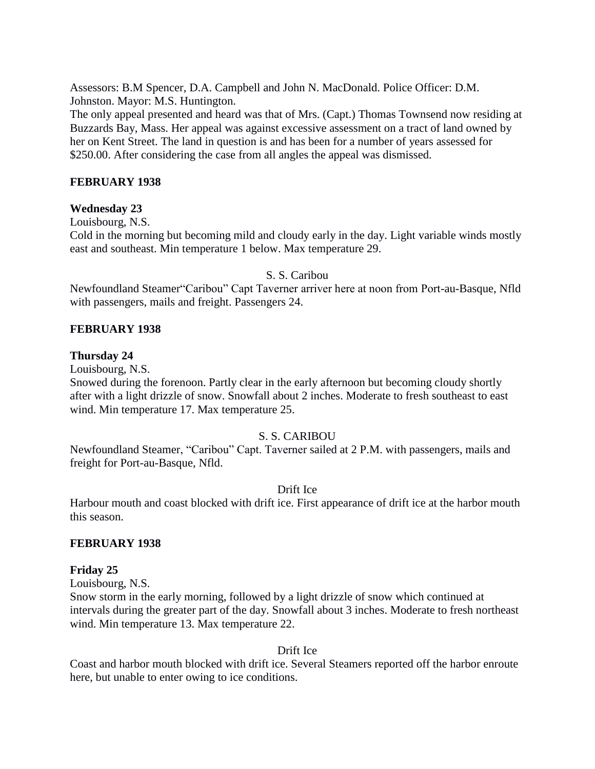Assessors: B.M Spencer, D.A. Campbell and John N. MacDonald. Police Officer: D.M. Johnston. Mayor: M.S. Huntington.

The only appeal presented and heard was that of Mrs. (Capt.) Thomas Townsend now residing at Buzzards Bay, Mass. Her appeal was against excessive assessment on a tract of land owned by her on Kent Street. The land in question is and has been for a number of years assessed for \$250.00. After considering the case from all angles the appeal was dismissed.

# **FEBRUARY 1938**

# **Wednesday 23**

Louisbourg, N.S.

Cold in the morning but becoming mild and cloudy early in the day. Light variable winds mostly east and southeast. Min temperature 1 below. Max temperature 29.

### S. S. Caribou

Newfoundland Steamer"Caribou" Capt Taverner arriver here at noon from Port-au-Basque, Nfld with passengers, mails and freight. Passengers 24.

## **FEBRUARY 1938**

### **Thursday 24**

Louisbourg, N.S.

Snowed during the forenoon. Partly clear in the early afternoon but becoming cloudy shortly after with a light drizzle of snow. Snowfall about 2 inches. Moderate to fresh southeast to east wind. Min temperature 17. Max temperature 25.

### S. S. CARIBOU

Newfoundland Steamer, "Caribou" Capt. Taverner sailed at 2 P.M. with passengers, mails and freight for Port-au-Basque, Nfld.

### Drift Ice

Harbour mouth and coast blocked with drift ice. First appearance of drift ice at the harbor mouth this season.

### **FEBRUARY 1938**

### **Friday 25**

Louisbourg, N.S.

Snow storm in the early morning, followed by a light drizzle of snow which continued at intervals during the greater part of the day. Snowfall about 3 inches. Moderate to fresh northeast wind. Min temperature 13. Max temperature 22.

Drift Ice

Coast and harbor mouth blocked with drift ice. Several Steamers reported off the harbor enroute here, but unable to enter owing to ice conditions.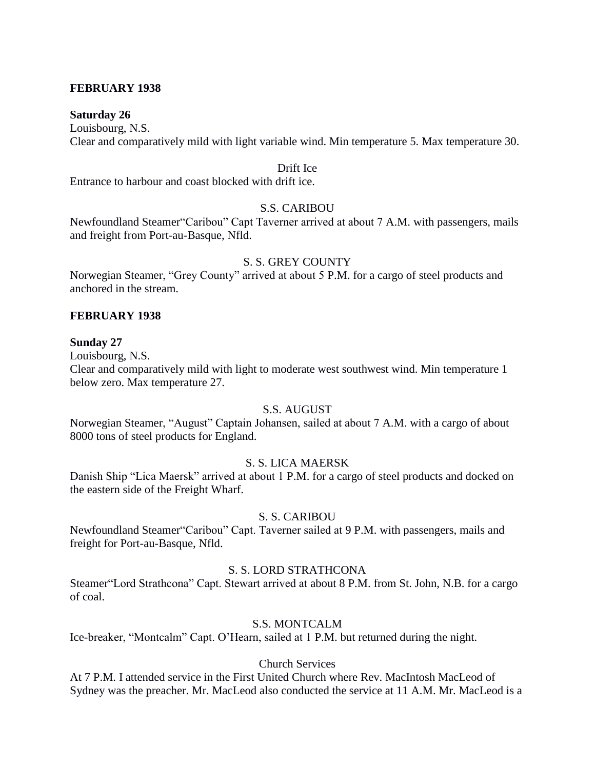# **FEBRUARY 1938**

### **Saturday 26**

Louisbourg, N.S. Clear and comparatively mild with light variable wind. Min temperature 5. Max temperature 30.

#### Drift Ice

Entrance to harbour and coast blocked with drift ice.

# S.S. CARIBOU

Newfoundland Steamer"Caribou" Capt Taverner arrived at about 7 A.M. with passengers, mails and freight from Port-au-Basque, Nfld.

## S. S. GREY COUNTY

Norwegian Steamer, "Grey County" arrived at about 5 P.M. for a cargo of steel products and anchored in the stream.

## **FEBRUARY 1938**

### **Sunday 27**

Louisbourg, N.S.

Clear and comparatively mild with light to moderate west southwest wind. Min temperature 1 below zero. Max temperature 27.

### S.S. AUGUST

Norwegian Steamer, "August" Captain Johansen, sailed at about 7 A.M. with a cargo of about 8000 tons of steel products for England.

### S. S. LICA MAERSK

Danish Ship "Lica Maersk" arrived at about 1 P.M. for a cargo of steel products and docked on the eastern side of the Freight Wharf.

### S. S. CARIBOU

Newfoundland Steamer"Caribou" Capt. Taverner sailed at 9 P.M. with passengers, mails and freight for Port-au-Basque, Nfld.

## S. S. LORD STRATHCONA

Steamer"Lord Strathcona" Capt. Stewart arrived at about 8 P.M. from St. John, N.B. for a cargo of coal.

### S.S. MONTCALM

Ice-breaker, "Montcalm" Capt. O'Hearn, sailed at 1 P.M. but returned during the night.

# Church Services

At 7 P.M. I attended service in the First United Church where Rev. MacIntosh MacLeod of Sydney was the preacher. Mr. MacLeod also conducted the service at 11 A.M. Mr. MacLeod is a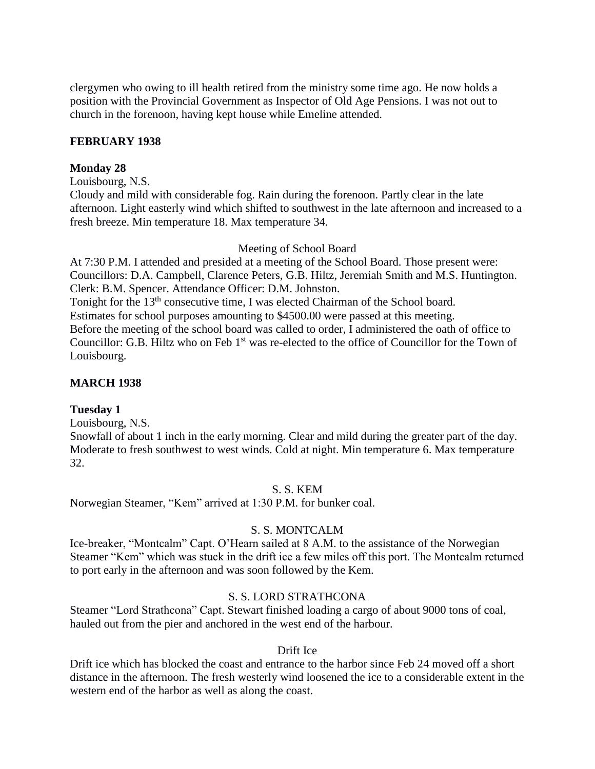clergymen who owing to ill health retired from the ministry some time ago. He now holds a position with the Provincial Government as Inspector of Old Age Pensions. I was not out to church in the forenoon, having kept house while Emeline attended.

# **FEBRUARY 1938**

# **Monday 28**

Louisbourg, N.S.

Cloudy and mild with considerable fog. Rain during the forenoon. Partly clear in the late afternoon. Light easterly wind which shifted to southwest in the late afternoon and increased to a fresh breeze. Min temperature 18. Max temperature 34.

# Meeting of School Board

At 7:30 P.M. I attended and presided at a meeting of the School Board. Those present were: Councillors: D.A. Campbell, Clarence Peters, G.B. Hiltz, Jeremiah Smith and M.S. Huntington. Clerk: B.M. Spencer. Attendance Officer: D.M. Johnston. Tonight for the 13<sup>th</sup> consecutive time, I was elected Chairman of the School board.

Estimates for school purposes amounting to \$4500.00 were passed at this meeting. Before the meeting of the school board was called to order, I administered the oath of office to Councillor: G.B. Hiltz who on Feb 1<sup>st</sup> was re-elected to the office of Councillor for the Town of Louisbourg.

# **MARCH 1938**

# **Tuesday 1**

Louisbourg, N.S.

Snowfall of about 1 inch in the early morning. Clear and mild during the greater part of the day. Moderate to fresh southwest to west winds. Cold at night. Min temperature 6. Max temperature 32.

# S. S. KEM

Norwegian Steamer, "Kem" arrived at 1:30 P.M. for bunker coal.

# S. S. MONTCALM

Ice-breaker, "Montcalm" Capt. O'Hearn sailed at 8 A.M. to the assistance of the Norwegian Steamer "Kem" which was stuck in the drift ice a few miles off this port. The Montcalm returned to port early in the afternoon and was soon followed by the Kem.

# S. S. LORD STRATHCONA

Steamer "Lord Strathcona" Capt. Stewart finished loading a cargo of about 9000 tons of coal, hauled out from the pier and anchored in the west end of the harbour.

### Drift Ice

Drift ice which has blocked the coast and entrance to the harbor since Feb 24 moved off a short distance in the afternoon. The fresh westerly wind loosened the ice to a considerable extent in the western end of the harbor as well as along the coast.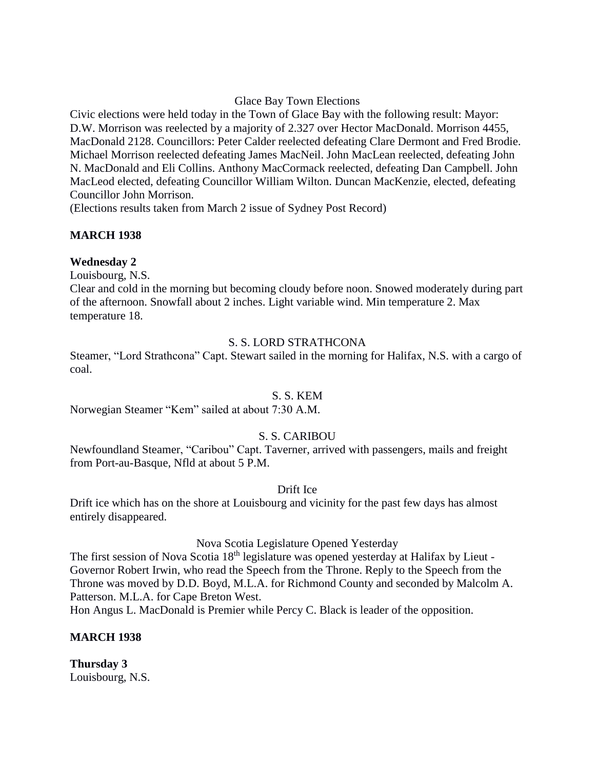# Glace Bay Town Elections

Civic elections were held today in the Town of Glace Bay with the following result: Mayor: D.W. Morrison was reelected by a majority of 2.327 over Hector MacDonald. Morrison 4455, MacDonald 2128. Councillors: Peter Calder reelected defeating Clare Dermont and Fred Brodie. Michael Morrison reelected defeating James MacNeil. John MacLean reelected, defeating John N. MacDonald and Eli Collins. Anthony MacCormack reelected, defeating Dan Campbell. John MacLeod elected, defeating Councillor William Wilton. Duncan MacKenzie, elected, defeating Councillor John Morrison.

(Elections results taken from March 2 issue of Sydney Post Record)

# **MARCH 1938**

# **Wednesday 2**

Louisbourg, N.S.

Clear and cold in the morning but becoming cloudy before noon. Snowed moderately during part of the afternoon. Snowfall about 2 inches. Light variable wind. Min temperature 2. Max temperature 18.

# S. S. LORD STRATHCONA

Steamer, "Lord Strathcona" Capt. Stewart sailed in the morning for Halifax, N.S. with a cargo of coal.

# S. S. KEM

Norwegian Steamer "Kem" sailed at about 7:30 A.M.

# S. S. CARIBOU

Newfoundland Steamer, "Caribou" Capt. Taverner, arrived with passengers, mails and freight from Port-au-Basque, Nfld at about 5 P.M.

# Drift Ice

Drift ice which has on the shore at Louisbourg and vicinity for the past few days has almost entirely disappeared.

# Nova Scotia Legislature Opened Yesterday

The first session of Nova Scotia 18<sup>th</sup> legislature was opened yesterday at Halifax by Lieut -Governor Robert Irwin, who read the Speech from the Throne. Reply to the Speech from the Throne was moved by D.D. Boyd, M.L.A. for Richmond County and seconded by Malcolm A. Patterson. M.L.A. for Cape Breton West.

Hon Angus L. MacDonald is Premier while Percy C. Black is leader of the opposition.

# **MARCH 1938**

**Thursday 3** Louisbourg, N.S.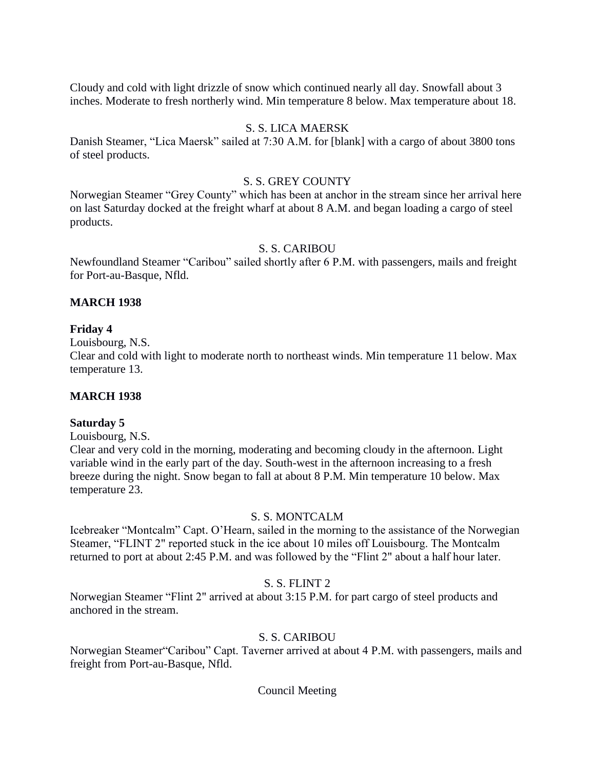Cloudy and cold with light drizzle of snow which continued nearly all day. Snowfall about 3 inches. Moderate to fresh northerly wind. Min temperature 8 below. Max temperature about 18.

# S. S. LICA MAERSK

Danish Steamer, "Lica Maersk" sailed at 7:30 A.M. for [blank] with a cargo of about 3800 tons of steel products.

## S. S. GREY COUNTY

Norwegian Steamer "Grey County" which has been at anchor in the stream since her arrival here on last Saturday docked at the freight wharf at about 8 A.M. and began loading a cargo of steel products.

# S. S. CARIBOU

Newfoundland Steamer "Caribou" sailed shortly after 6 P.M. with passengers, mails and freight for Port-au-Basque, Nfld.

## **MARCH 1938**

## **Friday 4**

Louisbourg, N.S.

Clear and cold with light to moderate north to northeast winds. Min temperature 11 below. Max temperature 13.

# **MARCH 1938**

### **Saturday 5**

Louisbourg, N.S.

Clear and very cold in the morning, moderating and becoming cloudy in the afternoon. Light variable wind in the early part of the day. South-west in the afternoon increasing to a fresh breeze during the night. Snow began to fall at about 8 P.M. Min temperature 10 below. Max temperature 23.

### S. S. MONTCALM

Icebreaker "Montcalm" Capt. O'Hearn, sailed in the morning to the assistance of the Norwegian Steamer, "FLINT 2" reported stuck in the ice about 10 miles off Louisbourg. The Montcalm returned to port at about 2:45 P.M. and was followed by the "Flint 2" about a half hour later.

# S. S. FLINT 2

Norwegian Steamer "Flint 2" arrived at about 3:15 P.M. for part cargo of steel products and anchored in the stream.

# S. S. CARIBOU

Norwegian Steamer"Caribou" Capt. Taverner arrived at about 4 P.M. with passengers, mails and freight from Port-au-Basque, Nfld.

### Council Meeting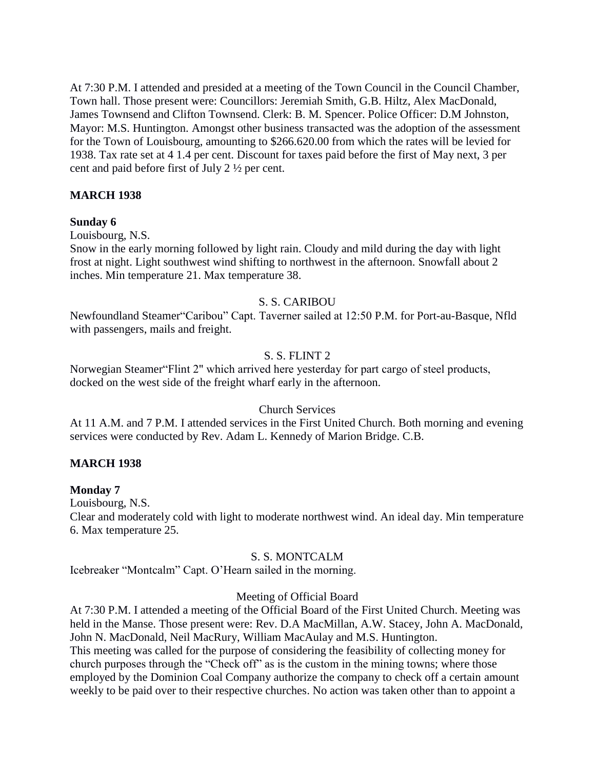At 7:30 P.M. I attended and presided at a meeting of the Town Council in the Council Chamber, Town hall. Those present were: Councillors: Jeremiah Smith, G.B. Hiltz, Alex MacDonald, James Townsend and Clifton Townsend. Clerk: B. M. Spencer. Police Officer: D.M Johnston, Mayor: M.S. Huntington. Amongst other business transacted was the adoption of the assessment for the Town of Louisbourg, amounting to \$266.620.00 from which the rates will be levied for 1938. Tax rate set at 4 1.4 per cent. Discount for taxes paid before the first of May next, 3 per cent and paid before first of July 2 ½ per cent.

# **MARCH 1938**

# **Sunday 6**

Louisbourg, N.S.

Snow in the early morning followed by light rain. Cloudy and mild during the day with light frost at night. Light southwest wind shifting to northwest in the afternoon. Snowfall about 2 inches. Min temperature 21. Max temperature 38.

# S. S. CARIBOU

Newfoundland Steamer"Caribou" Capt. Taverner sailed at 12:50 P.M. for Port-au-Basque, Nfld with passengers, mails and freight.

# S. S. FLINT 2

Norwegian Steamer"Flint 2" which arrived here yesterday for part cargo of steel products, docked on the west side of the freight wharf early in the afternoon.

# Church Services

At 11 A.M. and 7 P.M. I attended services in the First United Church. Both morning and evening services were conducted by Rev. Adam L. Kennedy of Marion Bridge. C.B.

# **MARCH 1938**

# **Monday 7**

Louisbourg, N.S.

Clear and moderately cold with light to moderate northwest wind. An ideal day. Min temperature 6. Max temperature 25.

# S. S. MONTCALM

Icebreaker "Montcalm" Capt. O'Hearn sailed in the morning.

# Meeting of Official Board

At 7:30 P.M. I attended a meeting of the Official Board of the First United Church. Meeting was held in the Manse. Those present were: Rev. D.A MacMillan, A.W. Stacey, John A. MacDonald, John N. MacDonald, Neil MacRury, William MacAulay and M.S. Huntington. This meeting was called for the purpose of considering the feasibility of collecting money for church purposes through the "Check off" as is the custom in the mining towns; where those employed by the Dominion Coal Company authorize the company to check off a certain amount weekly to be paid over to their respective churches. No action was taken other than to appoint a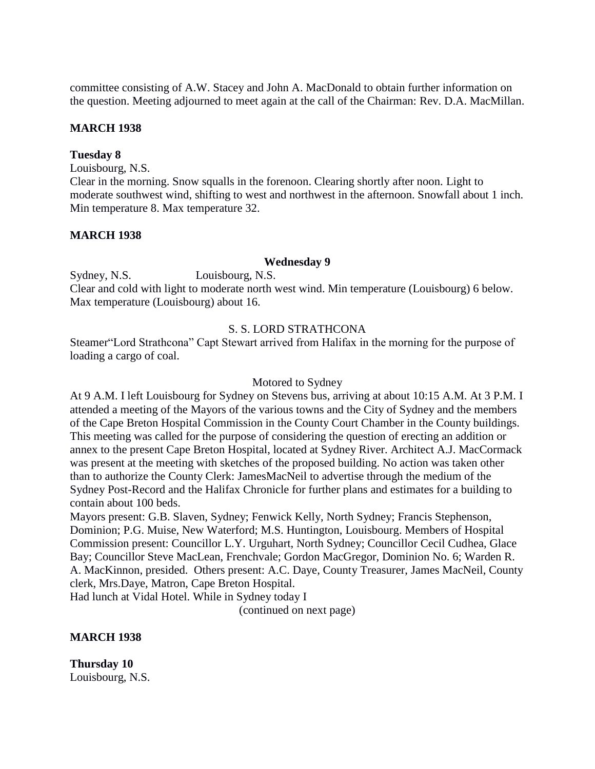committee consisting of A.W. Stacey and John A. MacDonald to obtain further information on the question. Meeting adjourned to meet again at the call of the Chairman: Rev. D.A. MacMillan.

# **MARCH 1938**

### **Tuesday 8**

Louisbourg, N.S.

Clear in the morning. Snow squalls in the forenoon. Clearing shortly after noon. Light to moderate southwest wind, shifting to west and northwest in the afternoon. Snowfall about 1 inch. Min temperature 8. Max temperature 32.

## **MARCH 1938**

### **Wednesday 9**

Sydney, N.S. Louisbourg, N.S. Clear and cold with light to moderate north west wind. Min temperature (Louisbourg) 6 below. Max temperature (Louisbourg) about 16.

## S. S. LORD STRATHCONA

Steamer"Lord Strathcona" Capt Stewart arrived from Halifax in the morning for the purpose of loading a cargo of coal.

#### Motored to Sydney

At 9 A.M. I left Louisbourg for Sydney on Stevens bus, arriving at about 10:15 A.M. At 3 P.M. I attended a meeting of the Mayors of the various towns and the City of Sydney and the members of the Cape Breton Hospital Commission in the County Court Chamber in the County buildings. This meeting was called for the purpose of considering the question of erecting an addition or annex to the present Cape Breton Hospital, located at Sydney River. Architect A.J. MacCormack was present at the meeting with sketches of the proposed building. No action was taken other than to authorize the County Clerk: JamesMacNeil to advertise through the medium of the Sydney Post-Record and the Halifax Chronicle for further plans and estimates for a building to contain about 100 beds.

Mayors present: G.B. Slaven, Sydney; Fenwick Kelly, North Sydney; Francis Stephenson, Dominion; P.G. Muise, New Waterford; M.S. Huntington, Louisbourg. Members of Hospital Commission present: Councillor L.Y. Urguhart, North Sydney; Councillor Cecil Cudhea, Glace Bay; Councillor Steve MacLean, Frenchvale; Gordon MacGregor, Dominion No. 6; Warden R. A. MacKinnon, presided. Others present: A.C. Daye, County Treasurer, James MacNeil, County clerk, Mrs.Daye, Matron, Cape Breton Hospital.

Had lunch at Vidal Hotel. While in Sydney today I

(continued on next page)

# **MARCH 1938**

**Thursday 10** Louisbourg, N.S.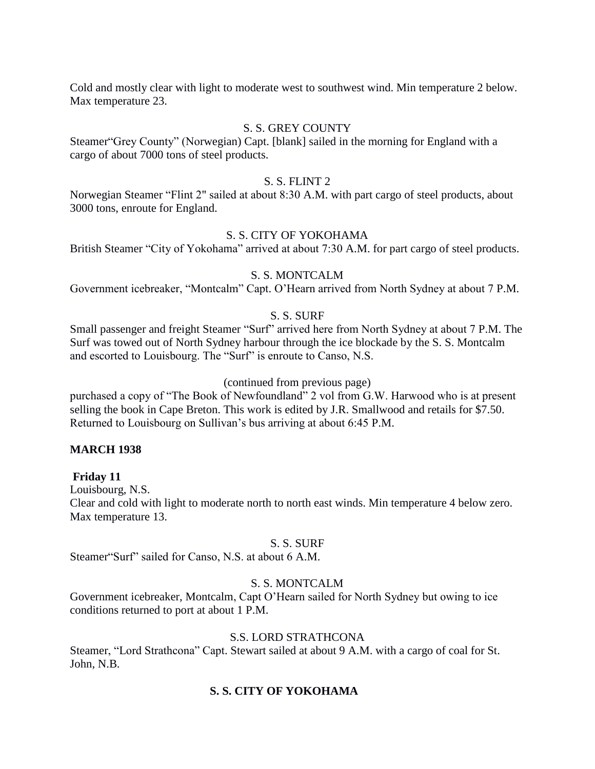Cold and mostly clear with light to moderate west to southwest wind. Min temperature 2 below. Max temperature 23.

# S. S. GREY COUNTY

Steamer"Grey County" (Norwegian) Capt. [blank] sailed in the morning for England with a cargo of about 7000 tons of steel products.

### S. S. FLINT 2

Norwegian Steamer "Flint 2" sailed at about 8:30 A.M. with part cargo of steel products, about 3000 tons, enroute for England.

## S. S. CITY OF YOKOHAMA

British Steamer "City of Yokohama" arrived at about 7:30 A.M. for part cargo of steel products.

## S. S. MONTCALM

Government icebreaker, "Montcalm" Capt. O'Hearn arrived from North Sydney at about 7 P.M.

# S. S. SURF

Small passenger and freight Steamer "Surf" arrived here from North Sydney at about 7 P.M. The Surf was towed out of North Sydney harbour through the ice blockade by the S. S. Montcalm and escorted to Louisbourg. The "Surf" is enroute to Canso, N.S.

#### (continued from previous page)

purchased a copy of "The Book of Newfoundland" 2 vol from G.W. Harwood who is at present selling the book in Cape Breton. This work is edited by J.R. Smallwood and retails for \$7.50. Returned to Louisbourg on Sullivan's bus arriving at about 6:45 P.M.

### **MARCH 1938**

### **Friday 11**

Louisbourg, N.S.

Clear and cold with light to moderate north to north east winds. Min temperature 4 below zero. Max temperature 13.

### S. S. SURF

Steamer"Surf" sailed for Canso, N.S. at about 6 A.M.

# S. S. MONTCALM

Government icebreaker, Montcalm, Capt O'Hearn sailed for North Sydney but owing to ice conditions returned to port at about 1 P.M.

# S.S. LORD STRATHCONA

Steamer, "Lord Strathcona" Capt. Stewart sailed at about 9 A.M. with a cargo of coal for St. John, N.B.

# **S. S. CITY OF YOKOHAMA**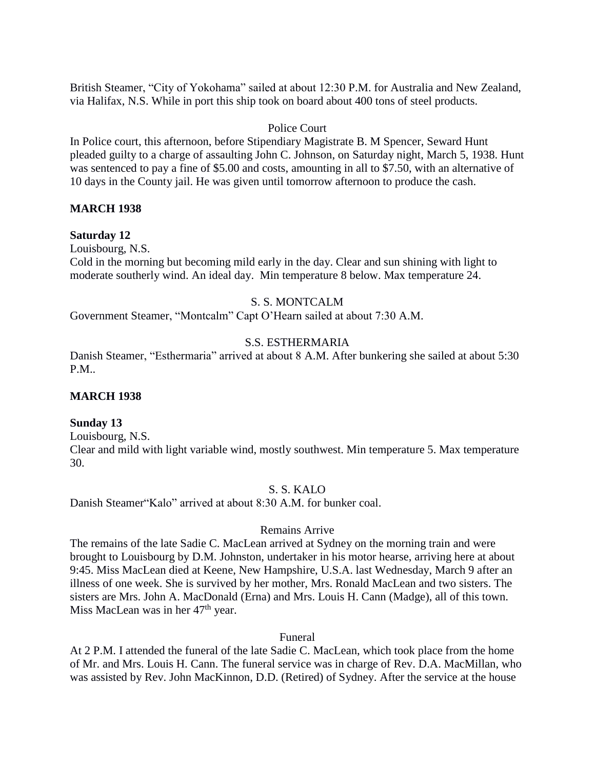British Steamer, "City of Yokohama" sailed at about 12:30 P.M. for Australia and New Zealand, via Halifax, N.S. While in port this ship took on board about 400 tons of steel products.

# Police Court

In Police court, this afternoon, before Stipendiary Magistrate B. M Spencer, Seward Hunt pleaded guilty to a charge of assaulting John C. Johnson, on Saturday night, March 5, 1938. Hunt was sentenced to pay a fine of \$5.00 and costs, amounting in all to \$7.50, with an alternative of 10 days in the County jail. He was given until tomorrow afternoon to produce the cash.

# **MARCH 1938**

### **Saturday 12**

Louisbourg, N.S.

Cold in the morning but becoming mild early in the day. Clear and sun shining with light to moderate southerly wind. An ideal day. Min temperature 8 below. Max temperature 24.

## S. S. MONTCALM

Government Steamer, "Montcalm" Capt O'Hearn sailed at about 7:30 A.M.

## S.S. ESTHERMARIA

Danish Steamer, "Esthermaria" arrived at about 8 A.M. After bunkering she sailed at about 5:30 P.M..

# **MARCH 1938**

### **Sunday 13**

Louisbourg, N.S. Clear and mild with light variable wind, mostly southwest. Min temperature 5. Max temperature 30.

### S. S. KALO

Danish Steamer"Kalo" arrived at about 8:30 A.M. for bunker coal.

### Remains Arrive

The remains of the late Sadie C. MacLean arrived at Sydney on the morning train and were brought to Louisbourg by D.M. Johnston, undertaker in his motor hearse, arriving here at about 9:45. Miss MacLean died at Keene, New Hampshire, U.S.A. last Wednesday, March 9 after an illness of one week. She is survived by her mother, Mrs. Ronald MacLean and two sisters. The sisters are Mrs. John A. MacDonald (Erna) and Mrs. Louis H. Cann (Madge), all of this town. Miss MacLean was in her  $47<sup>th</sup>$  year.

### Funeral

At 2 P.M. I attended the funeral of the late Sadie C. MacLean, which took place from the home of Mr. and Mrs. Louis H. Cann. The funeral service was in charge of Rev. D.A. MacMillan, who was assisted by Rev. John MacKinnon, D.D. (Retired) of Sydney. After the service at the house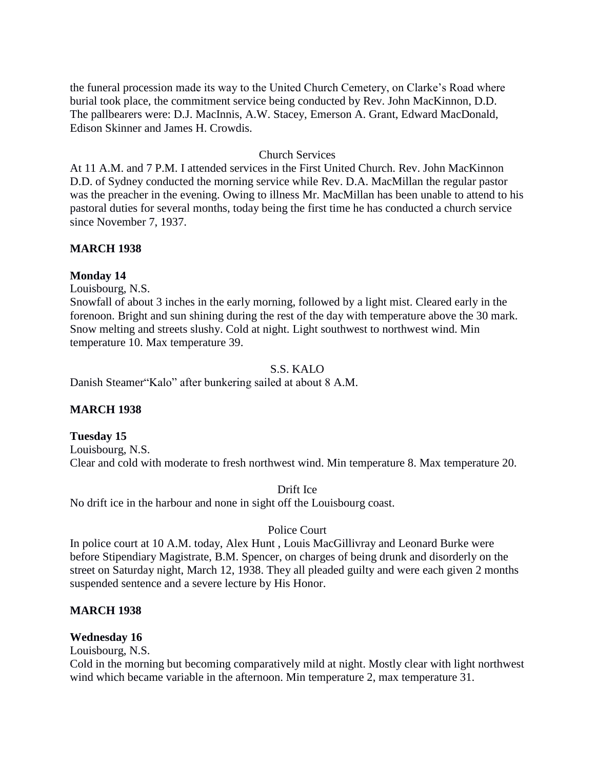the funeral procession made its way to the United Church Cemetery, on Clarke's Road where burial took place, the commitment service being conducted by Rev. John MacKinnon, D.D. The pallbearers were: D.J. MacInnis, A.W. Stacey, Emerson A. Grant, Edward MacDonald, Edison Skinner and James H. Crowdis.

## Church Services

At 11 A.M. and 7 P.M. I attended services in the First United Church. Rev. John MacKinnon D.D. of Sydney conducted the morning service while Rev. D.A. MacMillan the regular pastor was the preacher in the evening. Owing to illness Mr. MacMillan has been unable to attend to his pastoral duties for several months, today being the first time he has conducted a church service since November 7, 1937.

## **MARCH 1938**

### **Monday 14**

Louisbourg, N.S.

Snowfall of about 3 inches in the early morning, followed by a light mist. Cleared early in the forenoon. Bright and sun shining during the rest of the day with temperature above the 30 mark. Snow melting and streets slushy. Cold at night. Light southwest to northwest wind. Min temperature 10. Max temperature 39.

# S.S. KALO

Danish Steamer"Kalo" after bunkering sailed at about 8 A.M.

### **MARCH 1938**

#### **Tuesday 15**

Louisbourg, N.S. Clear and cold with moderate to fresh northwest wind. Min temperature 8. Max temperature 20.

#### Drift Ice

No drift ice in the harbour and none in sight off the Louisbourg coast.

### Police Court

In police court at 10 A.M. today, Alex Hunt , Louis MacGillivray and Leonard Burke were before Stipendiary Magistrate, B.M. Spencer, on charges of being drunk and disorderly on the street on Saturday night, March 12, 1938. They all pleaded guilty and were each given 2 months suspended sentence and a severe lecture by His Honor.

### **MARCH 1938**

## **Wednesday 16**

Louisbourg, N.S.

Cold in the morning but becoming comparatively mild at night. Mostly clear with light northwest wind which became variable in the afternoon. Min temperature 2, max temperature 31.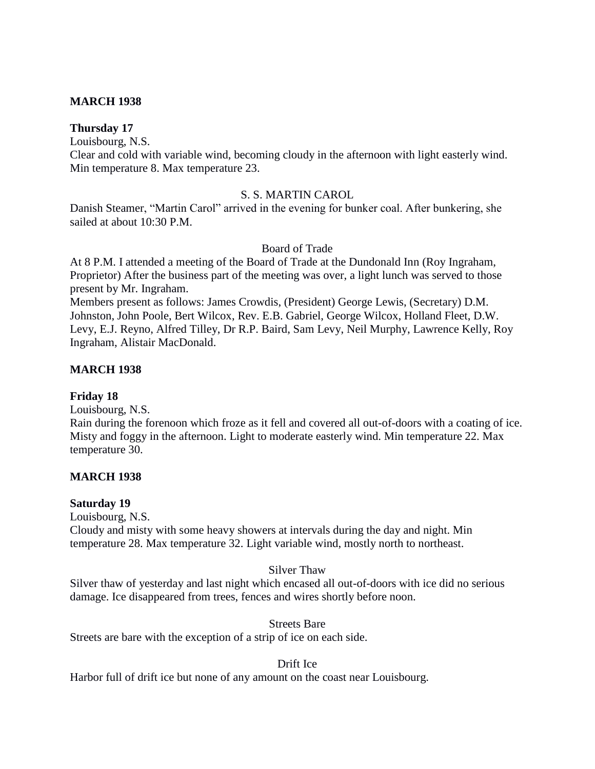# **MARCH 1938**

**Thursday 17**

Louisbourg, N.S.

Clear and cold with variable wind, becoming cloudy in the afternoon with light easterly wind. Min temperature 8. Max temperature 23.

# S. S. MARTIN CAROL

Danish Steamer, "Martin Carol" arrived in the evening for bunker coal. After bunkering, she sailed at about 10:30 P.M.

# Board of Trade

At 8 P.M. I attended a meeting of the Board of Trade at the Dundonald Inn (Roy Ingraham, Proprietor) After the business part of the meeting was over, a light lunch was served to those present by Mr. Ingraham.

Members present as follows: James Crowdis, (President) George Lewis, (Secretary) D.M. Johnston, John Poole, Bert Wilcox, Rev. E.B. Gabriel, George Wilcox, Holland Fleet, D.W. Levy, E.J. Reyno, Alfred Tilley, Dr R.P. Baird, Sam Levy, Neil Murphy, Lawrence Kelly, Roy Ingraham, Alistair MacDonald.

# **MARCH 1938**

# **Friday 18**

Louisbourg, N.S.

Rain during the forenoon which froze as it fell and covered all out-of-doors with a coating of ice. Misty and foggy in the afternoon. Light to moderate easterly wind. Min temperature 22. Max temperature 30.

# **MARCH 1938**

# **Saturday 19**

Louisbourg, N.S.

Cloudy and misty with some heavy showers at intervals during the day and night. Min temperature 28. Max temperature 32. Light variable wind, mostly north to northeast.

# Silver Thaw

Silver thaw of yesterday and last night which encased all out-of-doors with ice did no serious damage. Ice disappeared from trees, fences and wires shortly before noon.

# Streets Bare

Streets are bare with the exception of a strip of ice on each side.

# Drift Ice

Harbor full of drift ice but none of any amount on the coast near Louisbourg.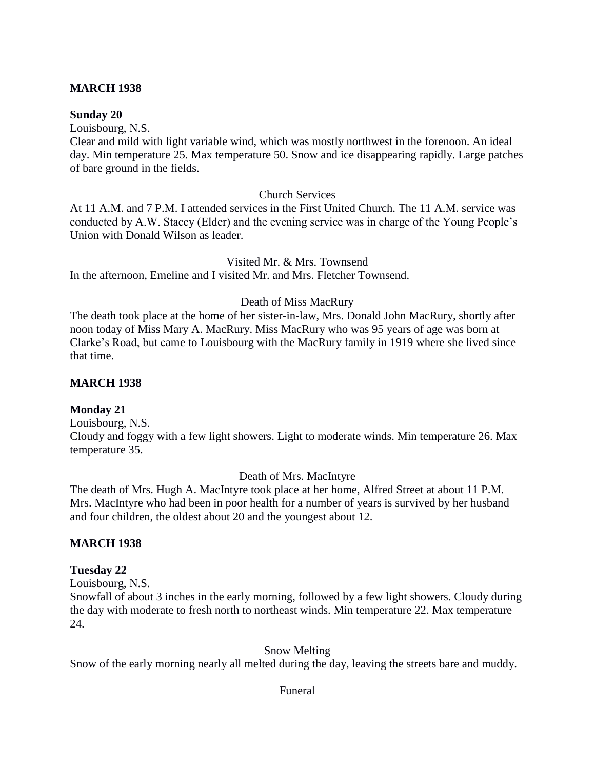# **MARCH 1938**

# **Sunday 20**

Louisbourg, N.S.

Clear and mild with light variable wind, which was mostly northwest in the forenoon. An ideal day. Min temperature 25. Max temperature 50. Snow and ice disappearing rapidly. Large patches of bare ground in the fields.

# Church Services

At 11 A.M. and 7 P.M. I attended services in the First United Church. The 11 A.M. service was conducted by A.W. Stacey (Elder) and the evening service was in charge of the Young People's Union with Donald Wilson as leader.

Visited Mr. & Mrs. Townsend

In the afternoon, Emeline and I visited Mr. and Mrs. Fletcher Townsend.

# Death of Miss MacRury

The death took place at the home of her sister-in-law, Mrs. Donald John MacRury, shortly after noon today of Miss Mary A. MacRury. Miss MacRury who was 95 years of age was born at Clarke's Road, but came to Louisbourg with the MacRury family in 1919 where she lived since that time.

## **MARCH 1938**

# **Monday 21**

Louisbourg, N.S.

Cloudy and foggy with a few light showers. Light to moderate winds. Min temperature 26. Max temperature 35.

### Death of Mrs. MacIntyre

The death of Mrs. Hugh A. MacIntyre took place at her home, Alfred Street at about 11 P.M. Mrs. MacIntyre who had been in poor health for a number of years is survived by her husband and four children, the oldest about 20 and the youngest about 12.

### **MARCH 1938**

### **Tuesday 22**

Louisbourg, N.S.

Snowfall of about 3 inches in the early morning, followed by a few light showers. Cloudy during the day with moderate to fresh north to northeast winds. Min temperature 22. Max temperature 24.

Snow Melting

Snow of the early morning nearly all melted during the day, leaving the streets bare and muddy.

### Funeral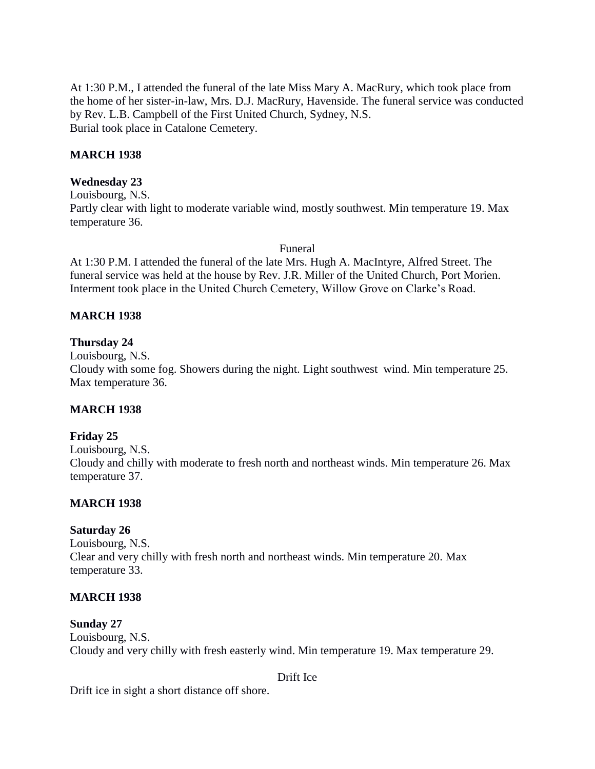At 1:30 P.M., I attended the funeral of the late Miss Mary A. MacRury, which took place from the home of her sister-in-law, Mrs. D.J. MacRury, Havenside. The funeral service was conducted by Rev. L.B. Campbell of the First United Church, Sydney, N.S. Burial took place in Catalone Cemetery.

# **MARCH 1938**

## **Wednesday 23**

Louisbourg, N.S. Partly clear with light to moderate variable wind, mostly southwest. Min temperature 19. Max temperature 36.

Funeral

At 1:30 P.M. I attended the funeral of the late Mrs. Hugh A. MacIntyre, Alfred Street. The funeral service was held at the house by Rev. J.R. Miller of the United Church, Port Morien. Interment took place in the United Church Cemetery, Willow Grove on Clarke's Road.

# **MARCH 1938**

## **Thursday 24**

Louisbourg, N.S.

Cloudy with some fog. Showers during the night. Light southwest wind. Min temperature 25. Max temperature 36.

### **MARCH 1938**

### **Friday 25**

Louisbourg, N.S. Cloudy and chilly with moderate to fresh north and northeast winds. Min temperature 26. Max temperature 37.

## **MARCH 1938**

### **Saturday 26**

Louisbourg, N.S. Clear and very chilly with fresh north and northeast winds. Min temperature 20. Max temperature 33.

### **MARCH 1938**

### **Sunday 27**

Louisbourg, N.S. Cloudy and very chilly with fresh easterly wind. Min temperature 19. Max temperature 29.

Drift Ice

Drift ice in sight a short distance off shore.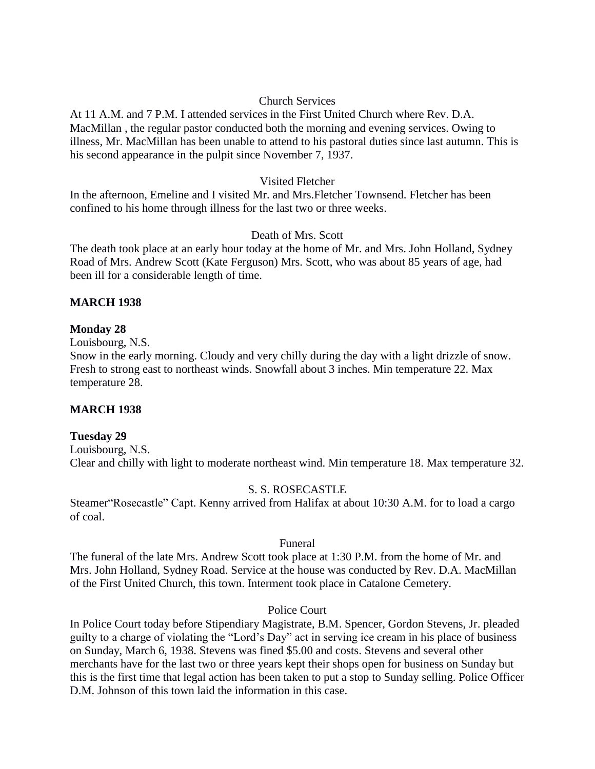# Church Services

At 11 A.M. and 7 P.M. I attended services in the First United Church where Rev. D.A. MacMillan , the regular pastor conducted both the morning and evening services. Owing to illness, Mr. MacMillan has been unable to attend to his pastoral duties since last autumn. This is his second appearance in the pulpit since November 7, 1937.

# Visited Fletcher

In the afternoon, Emeline and I visited Mr. and Mrs.Fletcher Townsend. Fletcher has been confined to his home through illness for the last two or three weeks.

# Death of Mrs. Scott

The death took place at an early hour today at the home of Mr. and Mrs. John Holland, Sydney Road of Mrs. Andrew Scott (Kate Ferguson) Mrs. Scott, who was about 85 years of age, had been ill for a considerable length of time.

# **MARCH 1938**

# **Monday 28**

Louisbourg, N.S.

Snow in the early morning. Cloudy and very chilly during the day with a light drizzle of snow. Fresh to strong east to northeast winds. Snowfall about 3 inches. Min temperature 22. Max temperature 28.

# **MARCH 1938**

# **Tuesday 29**

Louisbourg, N.S. Clear and chilly with light to moderate northeast wind. Min temperature 18. Max temperature 32.

# S. S. ROSECASTLE

Steamer"Rosecastle" Capt. Kenny arrived from Halifax at about 10:30 A.M. for to load a cargo of coal.

# Funeral

The funeral of the late Mrs. Andrew Scott took place at 1:30 P.M. from the home of Mr. and Mrs. John Holland, Sydney Road. Service at the house was conducted by Rev. D.A. MacMillan of the First United Church, this town. Interment took place in Catalone Cemetery.

# Police Court

In Police Court today before Stipendiary Magistrate, B.M. Spencer, Gordon Stevens, Jr. pleaded guilty to a charge of violating the "Lord's Day" act in serving ice cream in his place of business on Sunday, March 6, 1938. Stevens was fined \$5.00 and costs. Stevens and several other merchants have for the last two or three years kept their shops open for business on Sunday but this is the first time that legal action has been taken to put a stop to Sunday selling. Police Officer D.M. Johnson of this town laid the information in this case.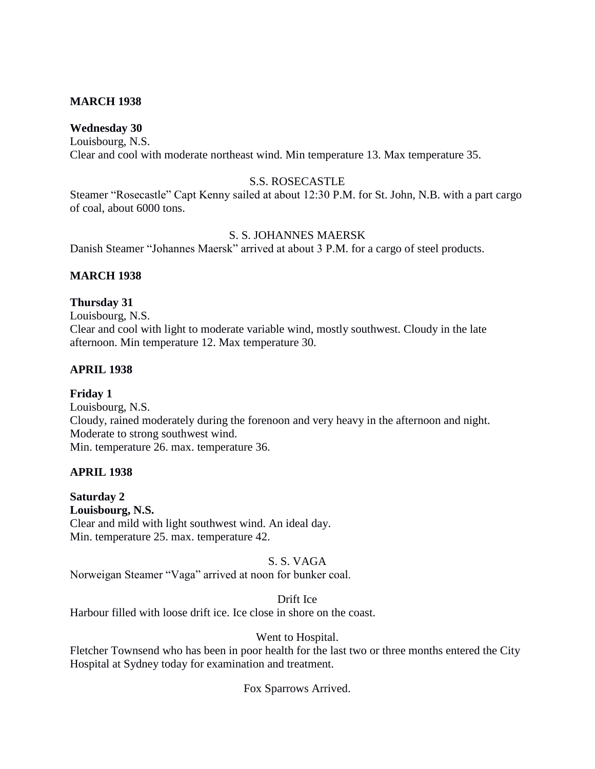# **MARCH 1938**

# **Wednesday 30**

Louisbourg, N.S. Clear and cool with moderate northeast wind. Min temperature 13. Max temperature 35.

# S.S. ROSECASTLE

Steamer "Rosecastle" Capt Kenny sailed at about 12:30 P.M. for St. John, N.B. with a part cargo of coal, about 6000 tons.

# S. S. JOHANNES MAERSK

Danish Steamer "Johannes Maersk" arrived at about 3 P.M. for a cargo of steel products.

# **MARCH 1938**

# **Thursday 31**

Louisbourg, N.S. Clear and cool with light to moderate variable wind, mostly southwest. Cloudy in the late afternoon. Min temperature 12. Max temperature 30.

# **APRIL 1938**

# **Friday 1**

Louisbourg, N.S. Cloudy, rained moderately during the forenoon and very heavy in the afternoon and night. Moderate to strong southwest wind. Min. temperature 26. max. temperature 36.

# **APRIL 1938**

**Saturday 2 Louisbourg, N.S.** Clear and mild with light southwest wind. An ideal day. Min. temperature 25. max. temperature 42.

## S. S. VAGA

Norweigan Steamer "Vaga" arrived at noon for bunker coal.

Drift Ice

Harbour filled with loose drift ice. Ice close in shore on the coast.

### Went to Hospital.

Fletcher Townsend who has been in poor health for the last two or three months entered the City Hospital at Sydney today for examination and treatment.

# Fox Sparrows Arrived.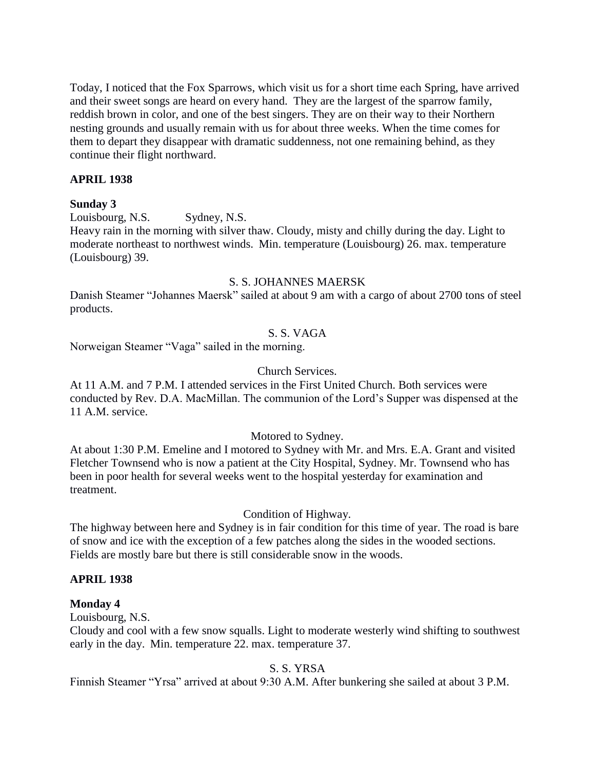Today, I noticed that the Fox Sparrows, which visit us for a short time each Spring, have arrived and their sweet songs are heard on every hand. They are the largest of the sparrow family, reddish brown in color, and one of the best singers. They are on their way to their Northern nesting grounds and usually remain with us for about three weeks. When the time comes for them to depart they disappear with dramatic suddenness, not one remaining behind, as they continue their flight northward.

## **APRIL 1938**

## **Sunday 3**

Louisbourg, N.S. Sydney, N.S.

Heavy rain in the morning with silver thaw. Cloudy, misty and chilly during the day. Light to moderate northeast to northwest winds. Min. temperature (Louisbourg) 26. max. temperature (Louisbourg) 39.

#### S. S. JOHANNES MAERSK

Danish Steamer "Johannes Maersk" sailed at about 9 am with a cargo of about 2700 tons of steel products.

## S. S. VAGA

Norweigan Steamer "Vaga" sailed in the morning.

#### Church Services.

At 11 A.M. and 7 P.M. I attended services in the First United Church. Both services were conducted by Rev. D.A. MacMillan. The communion of the Lord's Supper was dispensed at the 11 A.M. service.

## Motored to Sydney.

At about 1:30 P.M. Emeline and I motored to Sydney with Mr. and Mrs. E.A. Grant and visited Fletcher Townsend who is now a patient at the City Hospital, Sydney. Mr. Townsend who has been in poor health for several weeks went to the hospital yesterday for examination and treatment.

#### Condition of Highway.

The highway between here and Sydney is in fair condition for this time of year. The road is bare of snow and ice with the exception of a few patches along the sides in the wooded sections. Fields are mostly bare but there is still considerable snow in the woods.

## **APRIL 1938**

## **Monday 4**

Louisbourg, N.S.

Cloudy and cool with a few snow squalls. Light to moderate westerly wind shifting to southwest early in the day. Min. temperature 22. max. temperature 37.

## S. S. YRSA

Finnish Steamer "Yrsa" arrived at about 9:30 A.M. After bunkering she sailed at about 3 P.M.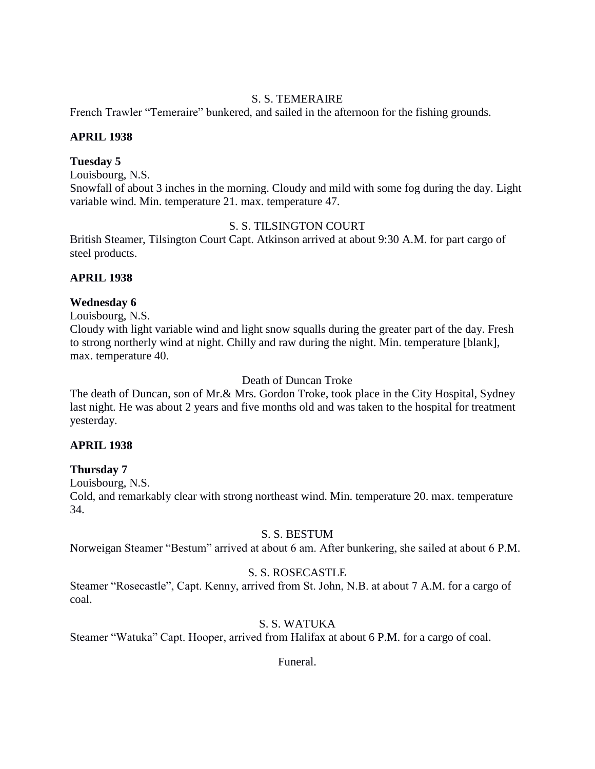# S. S. TEMERAIRE

French Trawler "Temeraire" bunkered, and sailed in the afternoon for the fishing grounds.

# **APRIL 1938**

## **Tuesday 5**

Louisbourg, N.S.

Snowfall of about 3 inches in the morning. Cloudy and mild with some fog during the day. Light variable wind. Min. temperature 21. max. temperature 47.

# S. S. TILSINGTON COURT

British Steamer, Tilsington Court Capt. Atkinson arrived at about 9:30 A.M. for part cargo of steel products.

# **APRIL 1938**

# **Wednesday 6**

Louisbourg, N.S.

Cloudy with light variable wind and light snow squalls during the greater part of the day. Fresh to strong northerly wind at night. Chilly and raw during the night. Min. temperature [blank], max. temperature 40.

# Death of Duncan Troke

The death of Duncan, son of Mr.& Mrs. Gordon Troke, took place in the City Hospital, Sydney last night. He was about 2 years and five months old and was taken to the hospital for treatment yesterday.

## **APRIL 1938**

## **Thursday 7**

Louisbourg, N.S.

Cold, and remarkably clear with strong northeast wind. Min. temperature 20. max. temperature 34.

## S. S. BESTUM

Norweigan Steamer "Bestum" arrived at about 6 am. After bunkering, she sailed at about 6 P.M.

# S. S. ROSECASTLE

Steamer "Rosecastle", Capt. Kenny, arrived from St. John, N.B. at about 7 A.M. for a cargo of coal.

# S. S. WATUKA

Steamer "Watuka" Capt. Hooper, arrived from Halifax at about 6 P.M. for a cargo of coal.

Funeral.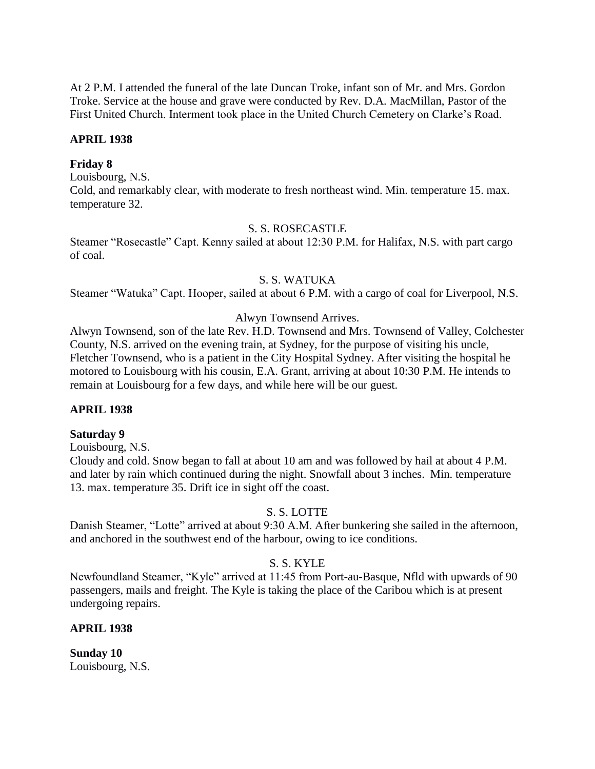At 2 P.M. I attended the funeral of the late Duncan Troke, infant son of Mr. and Mrs. Gordon Troke. Service at the house and grave were conducted by Rev. D.A. MacMillan, Pastor of the First United Church. Interment took place in the United Church Cemetery on Clarke's Road.

#### **APRIL 1938**

#### **Friday 8**

Louisbourg, N.S.

Cold, and remarkably clear, with moderate to fresh northeast wind. Min. temperature 15. max. temperature 32.

#### S. S. ROSECASTLE

Steamer "Rosecastle" Capt. Kenny sailed at about 12:30 P.M. for Halifax, N.S. with part cargo of coal.

#### S. S. WATUKA

Steamer "Watuka" Capt. Hooper, sailed at about 6 P.M. with a cargo of coal for Liverpool, N.S.

#### Alwyn Townsend Arrives.

Alwyn Townsend, son of the late Rev. H.D. Townsend and Mrs. Townsend of Valley, Colchester County, N.S. arrived on the evening train, at Sydney, for the purpose of visiting his uncle, Fletcher Townsend, who is a patient in the City Hospital Sydney. After visiting the hospital he motored to Louisbourg with his cousin, E.A. Grant, arriving at about 10:30 P.M. He intends to remain at Louisbourg for a few days, and while here will be our guest.

#### **APRIL 1938**

#### **Saturday 9**

Louisbourg, N.S.

Cloudy and cold. Snow began to fall at about 10 am and was followed by hail at about 4 P.M. and later by rain which continued during the night. Snowfall about 3 inches. Min. temperature 13. max. temperature 35. Drift ice in sight off the coast.

#### S. S. LOTTE

Danish Steamer, "Lotte" arrived at about 9:30 A.M. After bunkering she sailed in the afternoon, and anchored in the southwest end of the harbour, owing to ice conditions.

#### S. S. KYLE

Newfoundland Steamer, "Kyle" arrived at 11:45 from Port-au-Basque, Nfld with upwards of 90 passengers, mails and freight. The Kyle is taking the place of the Caribou which is at present undergoing repairs.

#### **APRIL 1938**

**Sunday 10** Louisbourg, N.S.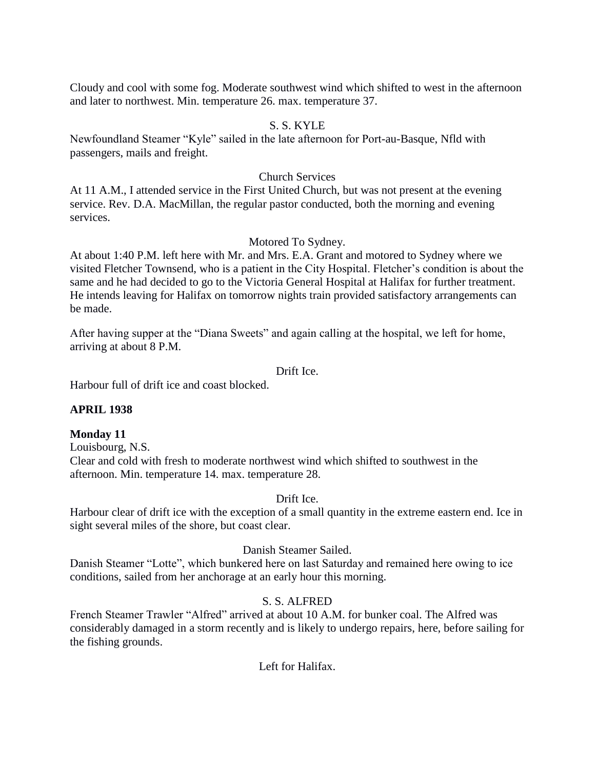Cloudy and cool with some fog. Moderate southwest wind which shifted to west in the afternoon and later to northwest. Min. temperature 26. max. temperature 37.

#### S. S. KYLE

Newfoundland Steamer "Kyle" sailed in the late afternoon for Port-au-Basque, Nfld with passengers, mails and freight.

#### Church Services

At 11 A.M., I attended service in the First United Church, but was not present at the evening service. Rev. D.A. MacMillan, the regular pastor conducted, both the morning and evening services.

#### Motored To Sydney.

At about 1:40 P.M. left here with Mr. and Mrs. E.A. Grant and motored to Sydney where we visited Fletcher Townsend, who is a patient in the City Hospital. Fletcher's condition is about the same and he had decided to go to the Victoria General Hospital at Halifax for further treatment. He intends leaving for Halifax on tomorrow nights train provided satisfactory arrangements can be made.

After having supper at the "Diana Sweets" and again calling at the hospital, we left for home, arriving at about 8 P.M.

Drift Ice.

Harbour full of drift ice and coast blocked.

## **APRIL 1938**

#### **Monday 11**

Louisbourg, N.S. Clear and cold with fresh to moderate northwest wind which shifted to southwest in the afternoon. Min. temperature 14. max. temperature 28.

#### Drift Ice.

Harbour clear of drift ice with the exception of a small quantity in the extreme eastern end. Ice in sight several miles of the shore, but coast clear.

## Danish Steamer Sailed.

Danish Steamer "Lotte", which bunkered here on last Saturday and remained here owing to ice conditions, sailed from her anchorage at an early hour this morning.

## S. S. ALFRED

French Steamer Trawler "Alfred" arrived at about 10 A.M. for bunker coal. The Alfred was considerably damaged in a storm recently and is likely to undergo repairs, here, before sailing for the fishing grounds.

Left for Halifax.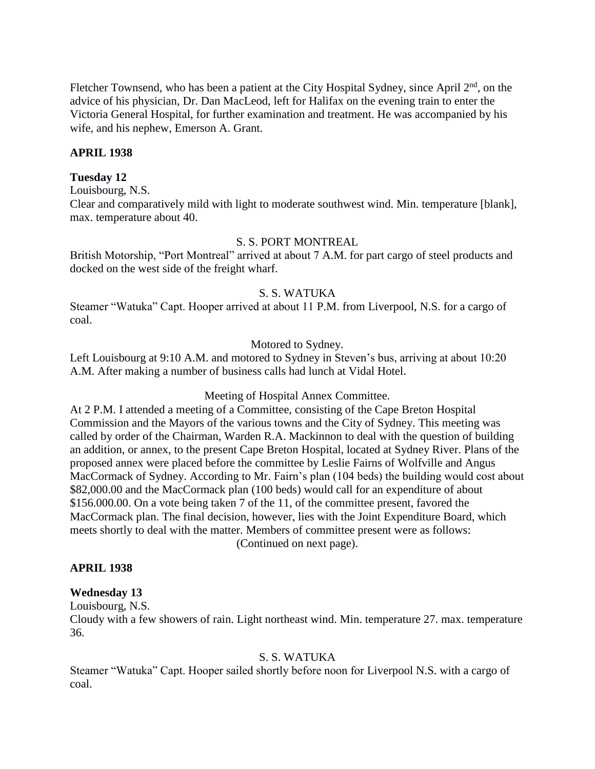Fletcher Townsend, who has been a patient at the City Hospital Sydney, since April  $2<sup>nd</sup>$ , on the advice of his physician, Dr. Dan MacLeod, left for Halifax on the evening train to enter the Victoria General Hospital, for further examination and treatment. He was accompanied by his wife, and his nephew, Emerson A. Grant.

## **APRIL 1938**

#### **Tuesday 12**

Louisbourg, N.S.

Clear and comparatively mild with light to moderate southwest wind. Min. temperature [blank], max. temperature about 40.

#### S. S. PORT MONTREAL

British Motorship, "Port Montreal" arrived at about 7 A.M. for part cargo of steel products and docked on the west side of the freight wharf.

## S. S. WATUKA

Steamer "Watuka" Capt. Hooper arrived at about 11 P.M. from Liverpool, N.S. for a cargo of coal.

#### Motored to Sydney.

Left Louisbourg at 9:10 A.M. and motored to Sydney in Steven's bus, arriving at about 10:20 A.M. After making a number of business calls had lunch at Vidal Hotel.

Meeting of Hospital Annex Committee.

At 2 P.M. I attended a meeting of a Committee, consisting of the Cape Breton Hospital Commission and the Mayors of the various towns and the City of Sydney. This meeting was called by order of the Chairman, Warden R.A. Mackinnon to deal with the question of building an addition, or annex, to the present Cape Breton Hospital, located at Sydney River. Plans of the proposed annex were placed before the committee by Leslie Fairns of Wolfville and Angus MacCormack of Sydney. According to Mr. Fairn's plan (104 beds) the building would cost about \$82,000.00 and the MacCormack plan (100 beds) would call for an expenditure of about \$156.000.00. On a vote being taken 7 of the 11, of the committee present, favored the MacCormack plan. The final decision, however, lies with the Joint Expenditure Board, which meets shortly to deal with the matter. Members of committee present were as follows: (Continued on next page).

#### **APRIL 1938**

## **Wednesday 13**

Louisbourg, N.S.

Cloudy with a few showers of rain. Light northeast wind. Min. temperature 27. max. temperature 36.

## S. S. WATUKA

Steamer "Watuka" Capt. Hooper sailed shortly before noon for Liverpool N.S. with a cargo of coal.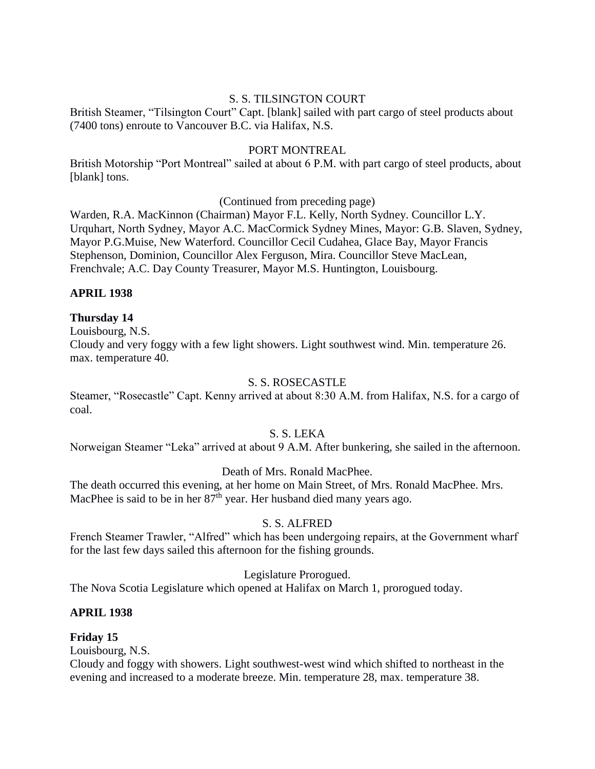# S. S. TILSINGTON COURT

British Steamer, "Tilsington Court" Capt. [blank] sailed with part cargo of steel products about (7400 tons) enroute to Vancouver B.C. via Halifax, N.S.

## PORT MONTREAL

British Motorship "Port Montreal" sailed at about 6 P.M. with part cargo of steel products, about [blank] tons.

(Continued from preceding page)

Warden, R.A. MacKinnon (Chairman) Mayor F.L. Kelly, North Sydney. Councillor L.Y. Urquhart, North Sydney, Mayor A.C. MacCormick Sydney Mines, Mayor: G.B. Slaven, Sydney, Mayor P.G.Muise, New Waterford. Councillor Cecil Cudahea, Glace Bay, Mayor Francis Stephenson, Dominion, Councillor Alex Ferguson, Mira. Councillor Steve MacLean, Frenchvale; A.C. Day County Treasurer, Mayor M.S. Huntington, Louisbourg.

# **APRIL 1938**

# **Thursday 14**

Louisbourg, N.S.

Cloudy and very foggy with a few light showers. Light southwest wind. Min. temperature 26. max. temperature 40.

## S. S. ROSECASTLE

Steamer, "Rosecastle" Capt. Kenny arrived at about 8:30 A.M. from Halifax, N.S. for a cargo of coal.

## S. S. LEKA

Norweigan Steamer "Leka" arrived at about 9 A.M. After bunkering, she sailed in the afternoon.

## Death of Mrs. Ronald MacPhee.

The death occurred this evening, at her home on Main Street, of Mrs. Ronald MacPhee. Mrs. MacPhee is said to be in her 87<sup>th</sup> year. Her husband died many years ago.

# S. S. ALFRED

French Steamer Trawler, "Alfred" which has been undergoing repairs, at the Government wharf for the last few days sailed this afternoon for the fishing grounds.

## Legislature Prorogued.

The Nova Scotia Legislature which opened at Halifax on March 1, prorogued today.

## **APRIL 1938**

# **Friday 15**

Louisbourg, N.S.

Cloudy and foggy with showers. Light southwest-west wind which shifted to northeast in the evening and increased to a moderate breeze. Min. temperature 28, max. temperature 38.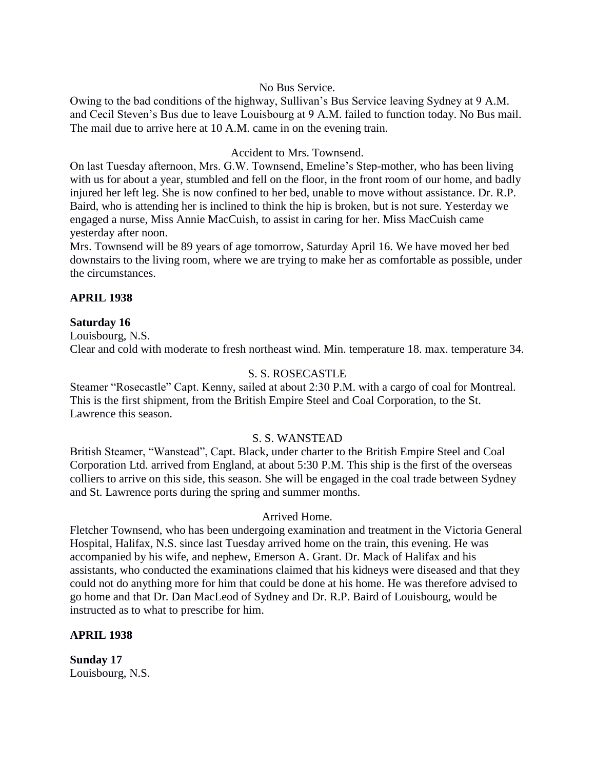## No Bus Service.

Owing to the bad conditions of the highway, Sullivan's Bus Service leaving Sydney at 9 A.M. and Cecil Steven's Bus due to leave Louisbourg at 9 A.M. failed to function today. No Bus mail. The mail due to arrive here at 10 A.M. came in on the evening train.

## Accident to Mrs. Townsend.

On last Tuesday afternoon, Mrs. G.W. Townsend, Emeline's Step-mother, who has been living with us for about a year, stumbled and fell on the floor, in the front room of our home, and badly injured her left leg. She is now confined to her bed, unable to move without assistance. Dr. R.P. Baird, who is attending her is inclined to think the hip is broken, but is not sure. Yesterday we engaged a nurse, Miss Annie MacCuish, to assist in caring for her. Miss MacCuish came yesterday after noon.

Mrs. Townsend will be 89 years of age tomorrow, Saturday April 16. We have moved her bed downstairs to the living room, where we are trying to make her as comfortable as possible, under the circumstances.

## **APRIL 1938**

## **Saturday 16**

Louisbourg, N.S. Clear and cold with moderate to fresh northeast wind. Min. temperature 18. max. temperature 34.

## S. S. ROSECASTLE

Steamer "Rosecastle" Capt. Kenny, sailed at about 2:30 P.M. with a cargo of coal for Montreal. This is the first shipment, from the British Empire Steel and Coal Corporation, to the St. Lawrence this season.

## S. S. WANSTEAD

British Steamer, "Wanstead", Capt. Black, under charter to the British Empire Steel and Coal Corporation Ltd. arrived from England, at about 5:30 P.M. This ship is the first of the overseas colliers to arrive on this side, this season. She will be engaged in the coal trade between Sydney and St. Lawrence ports during the spring and summer months.

## Arrived Home.

Fletcher Townsend, who has been undergoing examination and treatment in the Victoria General Hospital, Halifax, N.S. since last Tuesday arrived home on the train, this evening. He was accompanied by his wife, and nephew, Emerson A. Grant. Dr. Mack of Halifax and his assistants, who conducted the examinations claimed that his kidneys were diseased and that they could not do anything more for him that could be done at his home. He was therefore advised to go home and that Dr. Dan MacLeod of Sydney and Dr. R.P. Baird of Louisbourg, would be instructed as to what to prescribe for him.

## **APRIL 1938**

**Sunday 17** Louisbourg, N.S.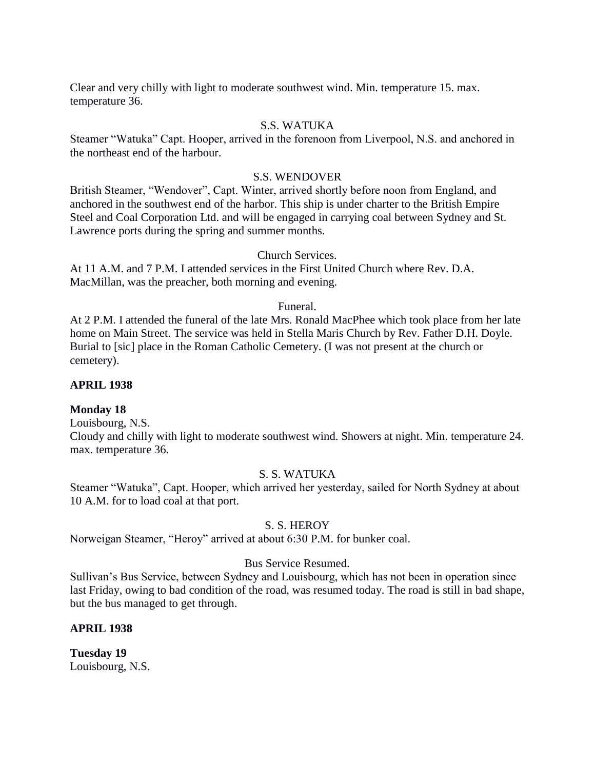Clear and very chilly with light to moderate southwest wind. Min. temperature 15. max. temperature 36.

#### S.S. WATUKA

Steamer "Watuka" Capt. Hooper, arrived in the forenoon from Liverpool, N.S. and anchored in the northeast end of the harbour.

#### S.S. WENDOVER

British Steamer, "Wendover", Capt. Winter, arrived shortly before noon from England, and anchored in the southwest end of the harbor. This ship is under charter to the British Empire Steel and Coal Corporation Ltd. and will be engaged in carrying coal between Sydney and St. Lawrence ports during the spring and summer months.

#### Church Services.

At 11 A.M. and 7 P.M. I attended services in the First United Church where Rev. D.A. MacMillan, was the preacher, both morning and evening.

#### Funeral.

At 2 P.M. I attended the funeral of the late Mrs. Ronald MacPhee which took place from her late home on Main Street. The service was held in Stella Maris Church by Rev. Father D.H. Doyle. Burial to [sic] place in the Roman Catholic Cemetery. (I was not present at the church or cemetery).

#### **APRIL 1938**

## **Monday 18**

Louisbourg, N.S.

Cloudy and chilly with light to moderate southwest wind. Showers at night. Min. temperature 24. max. temperature 36.

#### S. S. WATUKA

Steamer "Watuka", Capt. Hooper, which arrived her yesterday, sailed for North Sydney at about 10 A.M. for to load coal at that port.

#### S. S. HEROY

Norweigan Steamer, "Heroy" arrived at about 6:30 P.M. for bunker coal.

## Bus Service Resumed.

Sullivan's Bus Service, between Sydney and Louisbourg, which has not been in operation since last Friday, owing to bad condition of the road, was resumed today. The road is still in bad shape, but the bus managed to get through.

## **APRIL 1938**

**Tuesday 19** Louisbourg, N.S.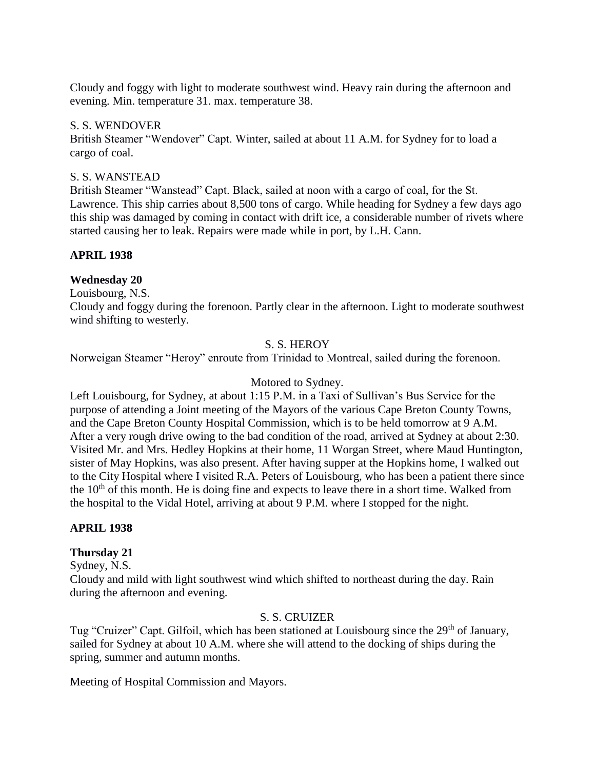Cloudy and foggy with light to moderate southwest wind. Heavy rain during the afternoon and evening. Min. temperature 31. max. temperature 38.

#### S. S. WENDOVER

British Steamer "Wendover" Capt. Winter, sailed at about 11 A.M. for Sydney for to load a cargo of coal.

## S. S. WANSTEAD

British Steamer "Wanstead" Capt. Black, sailed at noon with a cargo of coal, for the St. Lawrence. This ship carries about 8,500 tons of cargo. While heading for Sydney a few days ago this ship was damaged by coming in contact with drift ice, a considerable number of rivets where started causing her to leak. Repairs were made while in port, by L.H. Cann.

## **APRIL 1938**

## **Wednesday 20**

Louisbourg, N.S.

Cloudy and foggy during the forenoon. Partly clear in the afternoon. Light to moderate southwest wind shifting to westerly.

## S. S. HEROY

Norweigan Steamer "Heroy" enroute from Trinidad to Montreal, sailed during the forenoon.

#### Motored to Sydney.

Left Louisbourg, for Sydney, at about 1:15 P.M. in a Taxi of Sullivan's Bus Service for the purpose of attending a Joint meeting of the Mayors of the various Cape Breton County Towns, and the Cape Breton County Hospital Commission, which is to be held tomorrow at 9 A.M. After a very rough drive owing to the bad condition of the road, arrived at Sydney at about 2:30. Visited Mr. and Mrs. Hedley Hopkins at their home, 11 Worgan Street, where Maud Huntington, sister of May Hopkins, was also present. After having supper at the Hopkins home, I walked out to the City Hospital where I visited R.A. Peters of Louisbourg, who has been a patient there since the  $10<sup>th</sup>$  of this month. He is doing fine and expects to leave there in a short time. Walked from the hospital to the Vidal Hotel, arriving at about 9 P.M. where I stopped for the night.

#### **APRIL 1938**

## **Thursday 21**

Sydney, N.S.

Cloudy and mild with light southwest wind which shifted to northeast during the day. Rain during the afternoon and evening.

## S. S. CRUIZER

Tug "Cruizer" Capt. Gilfoil, which has been stationed at Louisbourg since the 29<sup>th</sup> of January, sailed for Sydney at about 10 A.M. where she will attend to the docking of ships during the spring, summer and autumn months.

Meeting of Hospital Commission and Mayors.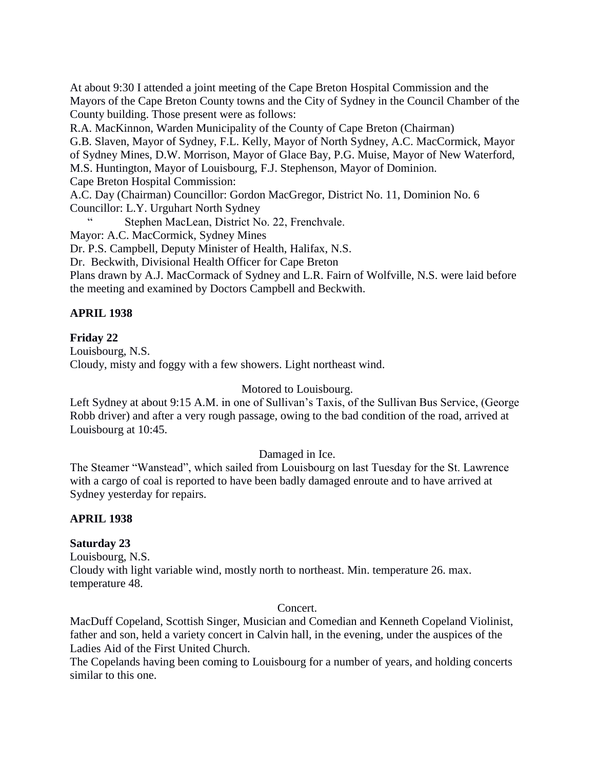At about 9:30 I attended a joint meeting of the Cape Breton Hospital Commission and the Mayors of the Cape Breton County towns and the City of Sydney in the Council Chamber of the County building. Those present were as follows:

R.A. MacKinnon, Warden Municipality of the County of Cape Breton (Chairman) G.B. Slaven, Mayor of Sydney, F.L. Kelly, Mayor of North Sydney, A.C. MacCormick, Mayor of Sydney Mines, D.W. Morrison, Mayor of Glace Bay, P.G. Muise, Mayor of New Waterford, M.S. Huntington, Mayor of Louisbourg, F.J. Stephenson, Mayor of Dominion. Cape Breton Hospital Commission:

A.C. Day (Chairman) Councillor: Gordon MacGregor, District No. 11, Dominion No. 6 Councillor: L.Y. Urguhart North Sydney

Stephen MacLean, District No. 22, Frenchvale.

Mayor: A.C. MacCormick, Sydney Mines

Dr. P.S. Campbell, Deputy Minister of Health, Halifax, N.S.

Dr. Beckwith, Divisional Health Officer for Cape Breton

Plans drawn by A.J. MacCormack of Sydney and L.R. Fairn of Wolfville, N.S. were laid before the meeting and examined by Doctors Campbell and Beckwith.

# **APRIL 1938**

# **Friday 22**

Louisbourg, N.S. Cloudy, misty and foggy with a few showers. Light northeast wind.

# Motored to Louisbourg.

Left Sydney at about 9:15 A.M. in one of Sullivan's Taxis, of the Sullivan Bus Service, (George Robb driver) and after a very rough passage, owing to the bad condition of the road, arrived at Louisbourg at 10:45.

# Damaged in Ice.

The Steamer "Wanstead", which sailed from Louisbourg on last Tuesday for the St. Lawrence with a cargo of coal is reported to have been badly damaged enroute and to have arrived at Sydney yesterday for repairs.

# **APRIL 1938**

# **Saturday 23**

Louisbourg, N.S. Cloudy with light variable wind, mostly north to northeast. Min. temperature 26. max. temperature 48.

# Concert.

MacDuff Copeland, Scottish Singer, Musician and Comedian and Kenneth Copeland Violinist, father and son, held a variety concert in Calvin hall, in the evening, under the auspices of the Ladies Aid of the First United Church.

The Copelands having been coming to Louisbourg for a number of years, and holding concerts similar to this one.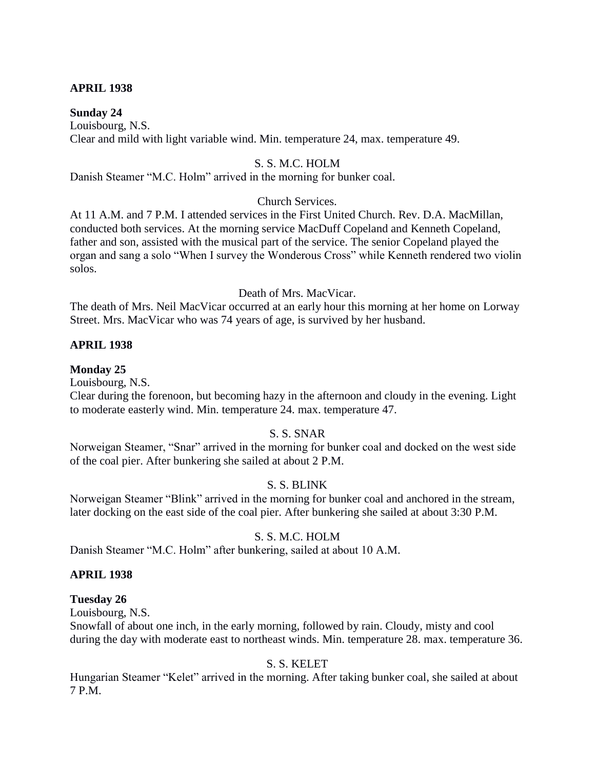## **APRIL 1938**

#### **Sunday 24**

Louisbourg, N.S. Clear and mild with light variable wind. Min. temperature 24, max. temperature 49.

## S. S. M.C. HOLM

Danish Steamer "M.C. Holm" arrived in the morning for bunker coal.

#### Church Services.

At 11 A.M. and 7 P.M. I attended services in the First United Church. Rev. D.A. MacMillan, conducted both services. At the morning service MacDuff Copeland and Kenneth Copeland, father and son, assisted with the musical part of the service. The senior Copeland played the organ and sang a solo "When I survey the Wonderous Cross" while Kenneth rendered two violin solos.

#### Death of Mrs. MacVicar.

The death of Mrs. Neil MacVicar occurred at an early hour this morning at her home on Lorway Street. Mrs. MacVicar who was 74 years of age, is survived by her husband.

## **APRIL 1938**

#### **Monday 25**

Louisbourg, N.S.

Clear during the forenoon, but becoming hazy in the afternoon and cloudy in the evening. Light to moderate easterly wind. Min. temperature 24. max. temperature 47.

#### S. S. SNAR

Norweigan Steamer, "Snar" arrived in the morning for bunker coal and docked on the west side of the coal pier. After bunkering she sailed at about 2 P.M.

#### S. S. BLINK

Norweigan Steamer "Blink" arrived in the morning for bunker coal and anchored in the stream, later docking on the east side of the coal pier. After bunkering she sailed at about 3:30 P.M.

#### S. S. M.C. HOLM

Danish Steamer "M.C. Holm" after bunkering, sailed at about 10 A.M.

#### **APRIL 1938**

#### **Tuesday 26**

Louisbourg, N.S.

Snowfall of about one inch, in the early morning, followed by rain. Cloudy, misty and cool during the day with moderate east to northeast winds. Min. temperature 28. max. temperature 36.

#### S. S. KELET

Hungarian Steamer "Kelet" arrived in the morning. After taking bunker coal, she sailed at about 7 P.M.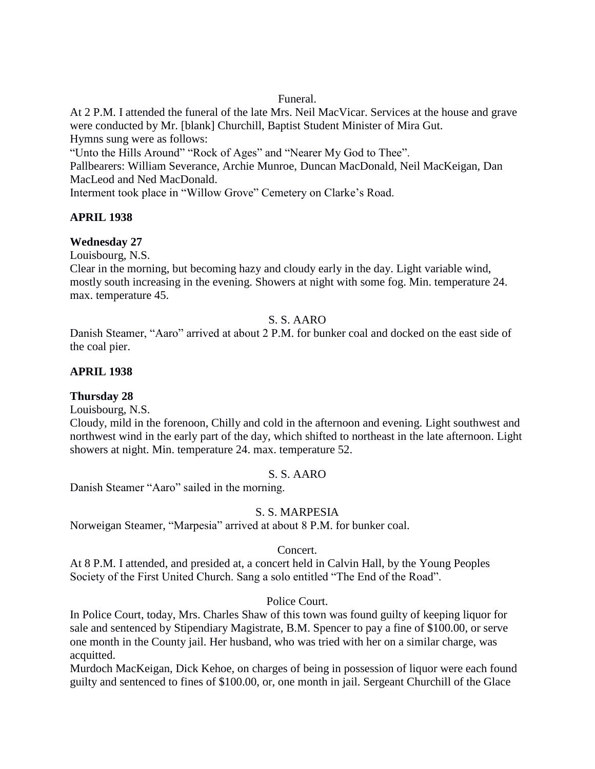# Funeral.

At 2 P.M. I attended the funeral of the late Mrs. Neil MacVicar. Services at the house and grave were conducted by Mr. [blank] Churchill, Baptist Student Minister of Mira Gut. Hymns sung were as follows:

"Unto the Hills Around" "Rock of Ages" and "Nearer My God to Thee".

Pallbearers: William Severance, Archie Munroe, Duncan MacDonald, Neil MacKeigan, Dan MacLeod and Ned MacDonald.

Interment took place in "Willow Grove" Cemetery on Clarke's Road.

# **APRIL 1938**

# **Wednesday 27**

Louisbourg, N.S.

Clear in the morning, but becoming hazy and cloudy early in the day. Light variable wind, mostly south increasing in the evening. Showers at night with some fog. Min. temperature 24. max. temperature 45.

# S. S. AARO

Danish Steamer, "Aaro" arrived at about 2 P.M. for bunker coal and docked on the east side of the coal pier.

# **APRIL 1938**

# **Thursday 28**

Louisbourg, N.S.

Cloudy, mild in the forenoon, Chilly and cold in the afternoon and evening. Light southwest and northwest wind in the early part of the day, which shifted to northeast in the late afternoon. Light showers at night. Min. temperature 24. max. temperature 52.

# S. S. AARO

Danish Steamer "Aaro" sailed in the morning.

# S. S. MARPESIA

Norweigan Steamer, "Marpesia" arrived at about 8 P.M. for bunker coal.

# Concert.

At 8 P.M. I attended, and presided at, a concert held in Calvin Hall, by the Young Peoples Society of the First United Church. Sang a solo entitled "The End of the Road".

# Police Court.

In Police Court, today, Mrs. Charles Shaw of this town was found guilty of keeping liquor for sale and sentenced by Stipendiary Magistrate, B.M. Spencer to pay a fine of \$100.00, or serve one month in the County jail. Her husband, who was tried with her on a similar charge, was acquitted.

Murdoch MacKeigan, Dick Kehoe, on charges of being in possession of liquor were each found guilty and sentenced to fines of \$100.00, or, one month in jail. Sergeant Churchill of the Glace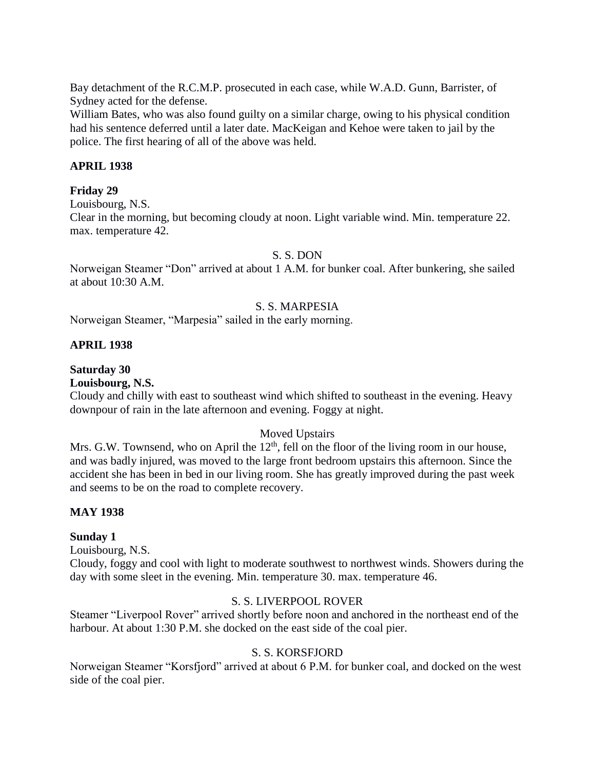Bay detachment of the R.C.M.P. prosecuted in each case, while W.A.D. Gunn, Barrister, of Sydney acted for the defense.

William Bates, who was also found guilty on a similar charge, owing to his physical condition had his sentence deferred until a later date. MacKeigan and Kehoe were taken to jail by the police. The first hearing of all of the above was held.

## **APRIL 1938**

## **Friday 29**

Louisbourg, N.S.

Clear in the morning, but becoming cloudy at noon. Light variable wind. Min. temperature 22. max. temperature 42.

#### S. S. DON

Norweigan Steamer "Don" arrived at about 1 A.M. for bunker coal. After bunkering, she sailed at about 10:30 A.M.

#### S. S. MARPESIA

Norweigan Steamer, "Marpesia" sailed in the early morning.

## **APRIL 1938**

# **Saturday 30**

**Louisbourg, N.S.**

Cloudy and chilly with east to southeast wind which shifted to southeast in the evening. Heavy downpour of rain in the late afternoon and evening. Foggy at night.

## Moved Upstairs

Mrs. G.W. Townsend, who on April the  $12<sup>th</sup>$ , fell on the floor of the living room in our house, and was badly injured, was moved to the large front bedroom upstairs this afternoon. Since the accident she has been in bed in our living room. She has greatly improved during the past week and seems to be on the road to complete recovery.

## **MAY 1938**

## **Sunday 1**

Louisbourg, N.S.

Cloudy, foggy and cool with light to moderate southwest to northwest winds. Showers during the day with some sleet in the evening. Min. temperature 30. max. temperature 46.

## S. S. LIVERPOOL ROVER

Steamer "Liverpool Rover" arrived shortly before noon and anchored in the northeast end of the harbour. At about 1:30 P.M. she docked on the east side of the coal pier.

## S. S. KORSFJORD

Norweigan Steamer "Korsfjord" arrived at about 6 P.M. for bunker coal, and docked on the west side of the coal pier.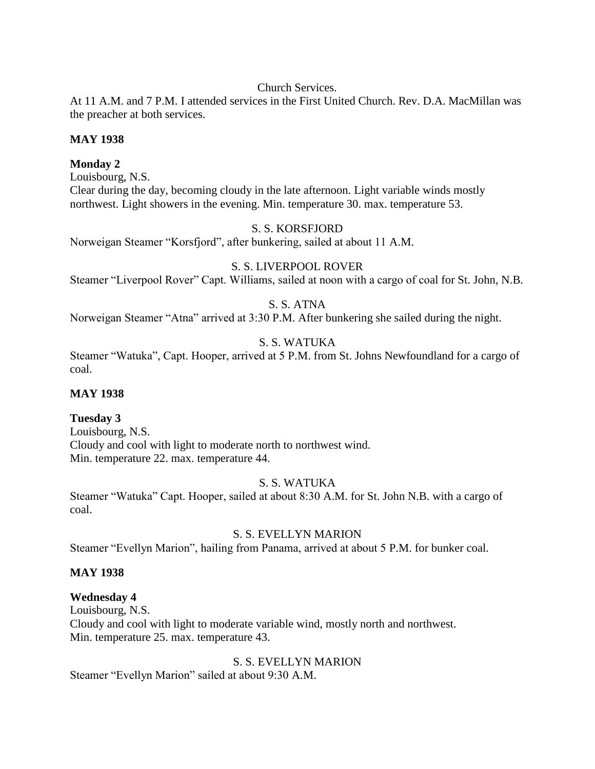Church Services.

At 11 A.M. and 7 P.M. I attended services in the First United Church. Rev. D.A. MacMillan was the preacher at both services.

# **MAY 1938**

# **Monday 2**

Louisbourg, N.S. Clear during the day, becoming cloudy in the late afternoon. Light variable winds mostly northwest. Light showers in the evening. Min. temperature 30. max. temperature 53.

# S. S. KORSFJORD

Norweigan Steamer "Korsfjord", after bunkering, sailed at about 11 A.M.

# S. S. LIVERPOOL ROVER

Steamer "Liverpool Rover" Capt. Williams, sailed at noon with a cargo of coal for St. John, N.B.

# S. S. ATNA

Norweigan Steamer "Atna" arrived at 3:30 P.M. After bunkering she sailed during the night.

# S. S. WATUKA

Steamer "Watuka", Capt. Hooper, arrived at 5 P.M. from St. Johns Newfoundland for a cargo of coal.

# **MAY 1938**

# **Tuesday 3**

Louisbourg, N.S. Cloudy and cool with light to moderate north to northwest wind. Min. temperature 22. max. temperature 44.

# S. S. WATUKA

Steamer "Watuka" Capt. Hooper, sailed at about 8:30 A.M. for St. John N.B. with a cargo of coal.

# S. S. EVELLYN MARION

Steamer "Evellyn Marion", hailing from Panama, arrived at about 5 P.M. for bunker coal.

# **MAY 1938**

# **Wednesday 4**

Louisbourg, N.S. Cloudy and cool with light to moderate variable wind, mostly north and northwest. Min. temperature 25. max. temperature 43.

S. S. EVELLYN MARION Steamer "Evellyn Marion" sailed at about 9:30 A.M.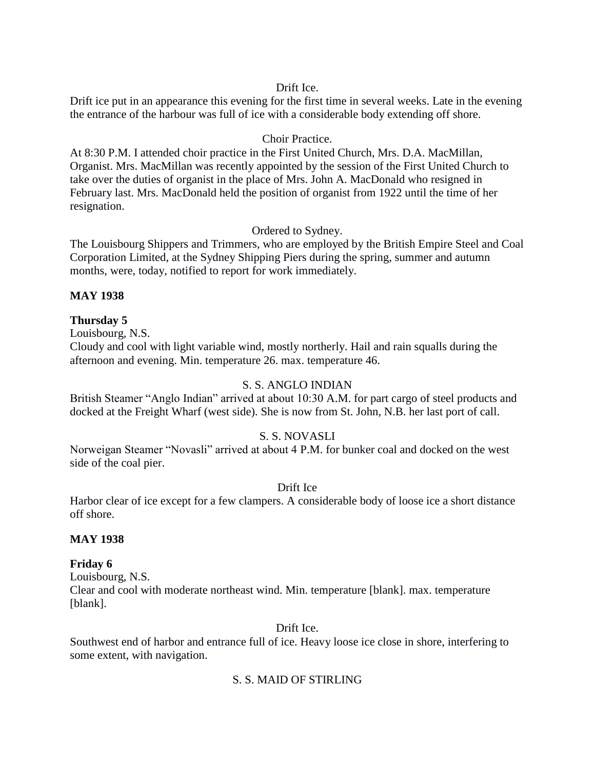# Drift Ice.

Drift ice put in an appearance this evening for the first time in several weeks. Late in the evening the entrance of the harbour was full of ice with a considerable body extending off shore.

# Choir Practice.

At 8:30 P.M. I attended choir practice in the First United Church, Mrs. D.A. MacMillan, Organist. Mrs. MacMillan was recently appointed by the session of the First United Church to take over the duties of organist in the place of Mrs. John A. MacDonald who resigned in February last. Mrs. MacDonald held the position of organist from 1922 until the time of her resignation.

# Ordered to Sydney.

The Louisbourg Shippers and Trimmers, who are employed by the British Empire Steel and Coal Corporation Limited, at the Sydney Shipping Piers during the spring, summer and autumn months, were, today, notified to report for work immediately.

# **MAY 1938**

# **Thursday 5**

Louisbourg, N.S.

Cloudy and cool with light variable wind, mostly northerly. Hail and rain squalls during the afternoon and evening. Min. temperature 26. max. temperature 46.

## S. S. ANGLO INDIAN

British Steamer "Anglo Indian" arrived at about 10:30 A.M. for part cargo of steel products and docked at the Freight Wharf (west side). She is now from St. John, N.B. her last port of call.

## S. S. NOVASLI

Norweigan Steamer "Novasli" arrived at about 4 P.M. for bunker coal and docked on the west side of the coal pier.

## Drift Ice

Harbor clear of ice except for a few clampers. A considerable body of loose ice a short distance off shore.

## **MAY 1938**

## **Friday 6**

Louisbourg, N.S. Clear and cool with moderate northeast wind. Min. temperature [blank]. max. temperature [blank].

## Drift Ice.

Southwest end of harbor and entrance full of ice. Heavy loose ice close in shore, interfering to some extent, with navigation.

# S. S. MAID OF STIRLING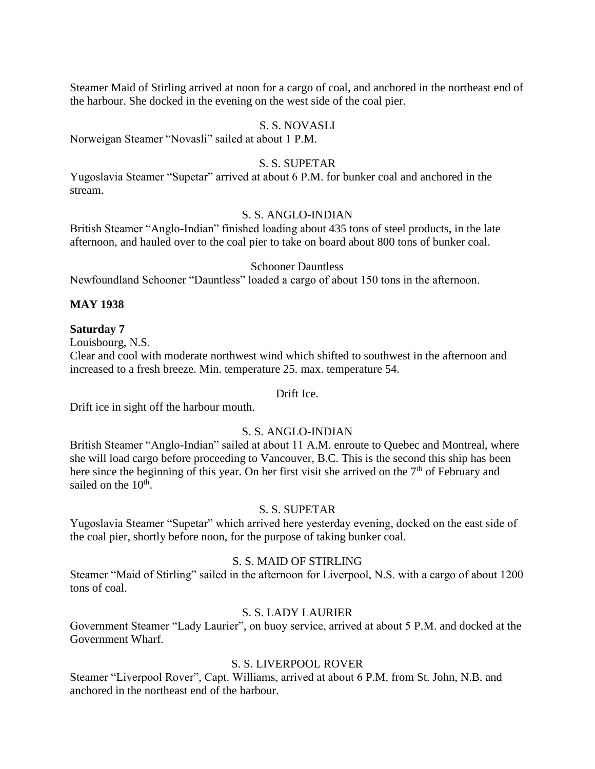Steamer Maid of Stirling arrived at noon for a cargo of coal, and anchored in the northeast end of the harbour. She docked in the evening on the west side of the coal pier.

## S. S. NOVASLI

Norweigan Steamer "Novasli" sailed at about 1 P.M.

## S. S. SUPETAR

Yugoslavia Steamer "Supetar" arrived at about 6 P.M. for bunker coal and anchored in the stream.

## S. S. ANGLO-INDIAN

British Steamer "Anglo-Indian" finished loading about 435 tons of steel products, in the late afternoon, and hauled over to the coal pier to take on board about 800 tons of bunker coal.

#### Schooner Dauntless

Newfoundland Schooner "Dauntless" loaded a cargo of about 150 tons in the afternoon.

## **MAY 1938**

#### **Saturday 7**

Louisbourg, N.S.

Clear and cool with moderate northwest wind which shifted to southwest in the afternoon and increased to a fresh breeze. Min. temperature 25. max. temperature 54.

#### Drift Ice.

Drift ice in sight off the harbour mouth.

## S. S. ANGLO-INDIAN

British Steamer "Anglo-Indian" sailed at about 11 A.M. enroute to Quebec and Montreal, where she will load cargo before proceeding to Vancouver, B.C. This is the second this ship has been here since the beginning of this year. On her first visit she arrived on the  $7<sup>th</sup>$  of February and sailed on the 10<sup>th</sup>.

## S. S. SUPETAR

Yugoslavia Steamer "Supetar" which arrived here yesterday evening, docked on the east side of the coal pier, shortly before noon, for the purpose of taking bunker coal.

#### S. S. MAID OF STIRLING

Steamer "Maid of Stirling" sailed in the afternoon for Liverpool, N.S. with a cargo of about 1200 tons of coal.

## S. S. LADY LAURIER

Government Steamer "Lady Laurier", on buoy service, arrived at about 5 P.M. and docked at the Government Wharf.

# S. S. LIVERPOOL ROVER

Steamer "Liverpool Rover", Capt. Williams, arrived at about 6 P.M. from St. John, N.B. and anchored in the northeast end of the harbour.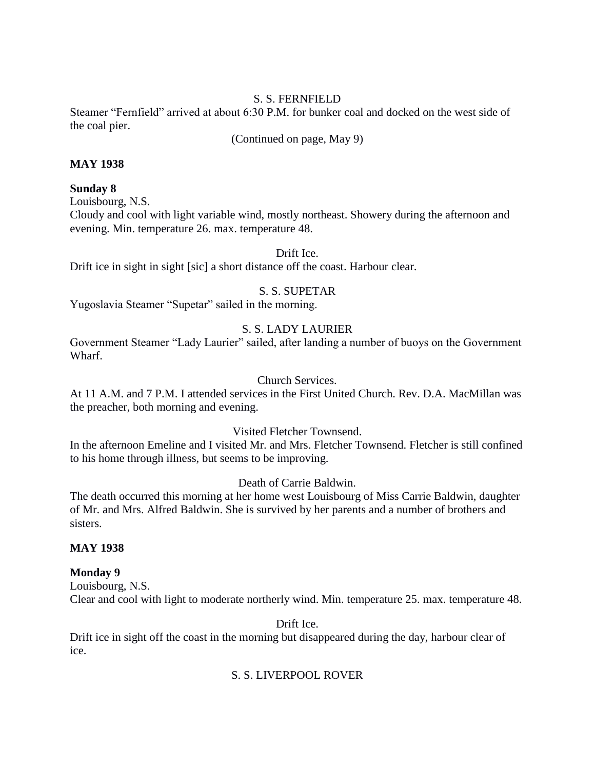# S. S. FERNFIELD

Steamer "Fernfield" arrived at about 6:30 P.M. for bunker coal and docked on the west side of the coal pier.

(Continued on page, May 9)

# **MAY 1938**

# **Sunday 8**

Louisbourg, N.S.

Cloudy and cool with light variable wind, mostly northeast. Showery during the afternoon and evening. Min. temperature 26. max. temperature 48.

Drift Ice.

Drift ice in sight in sight [sic] a short distance off the coast. Harbour clear.

# S. S. SUPETAR

Yugoslavia Steamer "Supetar" sailed in the morning.

# S. S. LADY LAURIER

Government Steamer "Lady Laurier" sailed, after landing a number of buoys on the Government Wharf.

## Church Services.

At 11 A.M. and 7 P.M. I attended services in the First United Church. Rev. D.A. MacMillan was the preacher, both morning and evening.

## Visited Fletcher Townsend.

In the afternoon Emeline and I visited Mr. and Mrs. Fletcher Townsend. Fletcher is still confined to his home through illness, but seems to be improving.

# Death of Carrie Baldwin.

The death occurred this morning at her home west Louisbourg of Miss Carrie Baldwin, daughter of Mr. and Mrs. Alfred Baldwin. She is survived by her parents and a number of brothers and sisters.

## **MAY 1938**

# **Monday 9**

Louisbourg, N.S. Clear and cool with light to moderate northerly wind. Min. temperature 25. max. temperature 48.

Drift Ice.

Drift ice in sight off the coast in the morning but disappeared during the day, harbour clear of ice.

# S. S. LIVERPOOL ROVER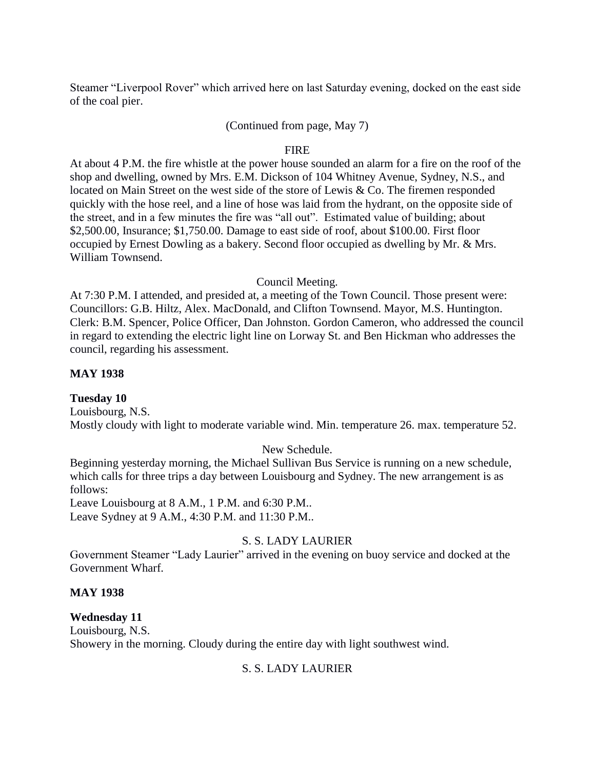Steamer "Liverpool Rover" which arrived here on last Saturday evening, docked on the east side of the coal pier.

#### (Continued from page, May 7)

#### FIRE

At about 4 P.M. the fire whistle at the power house sounded an alarm for a fire on the roof of the shop and dwelling, owned by Mrs. E.M. Dickson of 104 Whitney Avenue, Sydney, N.S., and located on Main Street on the west side of the store of Lewis & Co. The firemen responded quickly with the hose reel, and a line of hose was laid from the hydrant, on the opposite side of the street, and in a few minutes the fire was "all out". Estimated value of building; about \$2,500.00, Insurance; \$1,750.00. Damage to east side of roof, about \$100.00. First floor occupied by Ernest Dowling as a bakery. Second floor occupied as dwelling by Mr. & Mrs. William Townsend.

#### Council Meeting.

At 7:30 P.M. I attended, and presided at, a meeting of the Town Council. Those present were: Councillors: G.B. Hiltz, Alex. MacDonald, and Clifton Townsend. Mayor, M.S. Huntington. Clerk: B.M. Spencer, Police Officer, Dan Johnston. Gordon Cameron, who addressed the council in regard to extending the electric light line on Lorway St. and Ben Hickman who addresses the council, regarding his assessment.

## **MAY 1938**

#### **Tuesday 10**

Louisbourg, N.S. Mostly cloudy with light to moderate variable wind. Min. temperature 26. max. temperature 52.

#### New Schedule.

Beginning yesterday morning, the Michael Sullivan Bus Service is running on a new schedule, which calls for three trips a day between Louisbourg and Sydney. The new arrangement is as follows:

Leave Louisbourg at 8 A.M., 1 P.M. and 6:30 P.M.. Leave Sydney at 9 A.M., 4:30 P.M. and 11:30 P.M..

## S. S. LADY LAURIER

Government Steamer "Lady Laurier" arrived in the evening on buoy service and docked at the Government Wharf.

#### **MAY 1938**

## **Wednesday 11**

Louisbourg, N.S. Showery in the morning. Cloudy during the entire day with light southwest wind.

## S. S. LADY LAURIER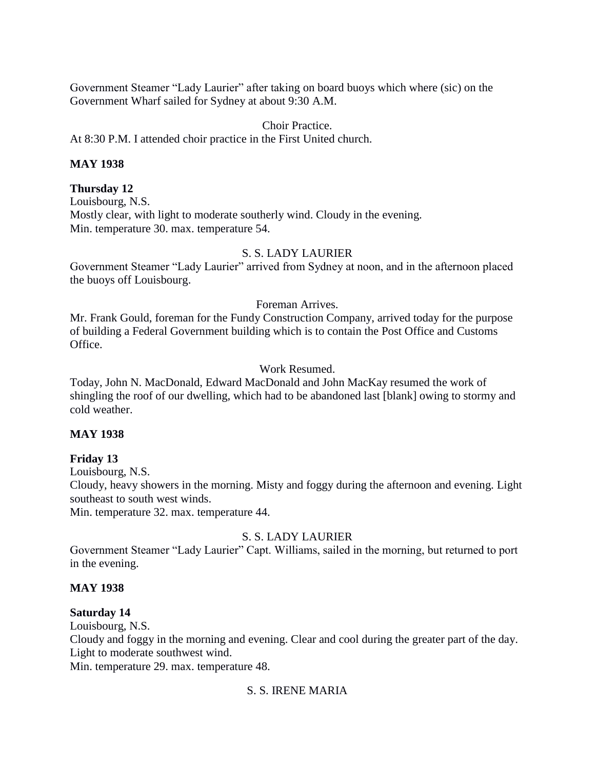Government Steamer "Lady Laurier" after taking on board buoys which where (sic) on the Government Wharf sailed for Sydney at about 9:30 A.M.

#### Choir Practice.

At 8:30 P.M. I attended choir practice in the First United church.

#### **MAY 1938**

#### **Thursday 12**

Louisbourg, N.S. Mostly clear, with light to moderate southerly wind. Cloudy in the evening. Min. temperature 30. max. temperature 54.

## S. S. LADY LAURIER

Government Steamer "Lady Laurier" arrived from Sydney at noon, and in the afternoon placed the buoys off Louisbourg.

#### Foreman Arrives.

Mr. Frank Gould, foreman for the Fundy Construction Company, arrived today for the purpose of building a Federal Government building which is to contain the Post Office and Customs Office.

#### Work Resumed.

Today, John N. MacDonald, Edward MacDonald and John MacKay resumed the work of shingling the roof of our dwelling, which had to be abandoned last [blank] owing to stormy and cold weather.

## **MAY 1938**

## **Friday 13**

Louisbourg, N.S.

Cloudy, heavy showers in the morning. Misty and foggy during the afternoon and evening. Light southeast to south west winds.

Min. temperature 32. max. temperature 44.

## S. S. LADY LAURIER

Government Steamer "Lady Laurier" Capt. Williams, sailed in the morning, but returned to port in the evening.

#### **MAY 1938**

#### **Saturday 14**

Louisbourg, N.S.

Cloudy and foggy in the morning and evening. Clear and cool during the greater part of the day. Light to moderate southwest wind.

Min. temperature 29. max. temperature 48.

# S. S. IRENE MARIA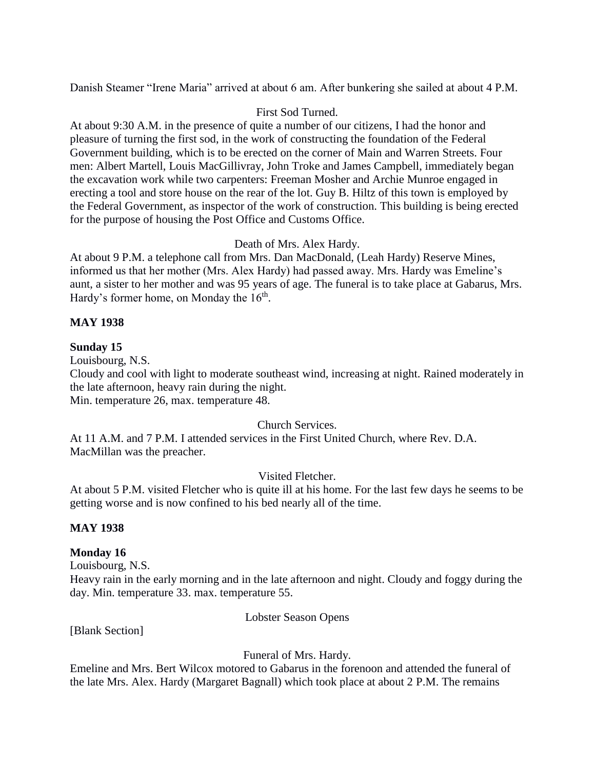Danish Steamer "Irene Maria" arrived at about 6 am. After bunkering she sailed at about 4 P.M.

# First Sod Turned.

At about 9:30 A.M. in the presence of quite a number of our citizens, I had the honor and pleasure of turning the first sod, in the work of constructing the foundation of the Federal Government building, which is to be erected on the corner of Main and Warren Streets. Four men: Albert Martell, Louis MacGillivray, John Troke and James Campbell, immediately began the excavation work while two carpenters: Freeman Mosher and Archie Munroe engaged in erecting a tool and store house on the rear of the lot. Guy B. Hiltz of this town is employed by the Federal Government, as inspector of the work of construction. This building is being erected for the purpose of housing the Post Office and Customs Office.

# Death of Mrs. Alex Hardy.

At about 9 P.M. a telephone call from Mrs. Dan MacDonald, (Leah Hardy) Reserve Mines, informed us that her mother (Mrs. Alex Hardy) had passed away. Mrs. Hardy was Emeline's aunt, a sister to her mother and was 95 years of age. The funeral is to take place at Gabarus, Mrs. Hardy's former home, on Monday the  $16<sup>th</sup>$ .

# **MAY 1938**

# **Sunday 15**

Louisbourg, N.S.

Cloudy and cool with light to moderate southeast wind, increasing at night. Rained moderately in the late afternoon, heavy rain during the night.

Min. temperature 26, max. temperature 48.

## Church Services.

At 11 A.M. and 7 P.M. I attended services in the First United Church, where Rev. D.A. MacMillan was the preacher.

Visited Fletcher.

At about 5 P.M. visited Fletcher who is quite ill at his home. For the last few days he seems to be getting worse and is now confined to his bed nearly all of the time.

## **MAY 1938**

## **Monday 16**

Louisbourg, N.S.

Heavy rain in the early morning and in the late afternoon and night. Cloudy and foggy during the day. Min. temperature 33. max. temperature 55.

Lobster Season Opens

[Blank Section]

Funeral of Mrs. Hardy.

Emeline and Mrs. Bert Wilcox motored to Gabarus in the forenoon and attended the funeral of the late Mrs. Alex. Hardy (Margaret Bagnall) which took place at about 2 P.M. The remains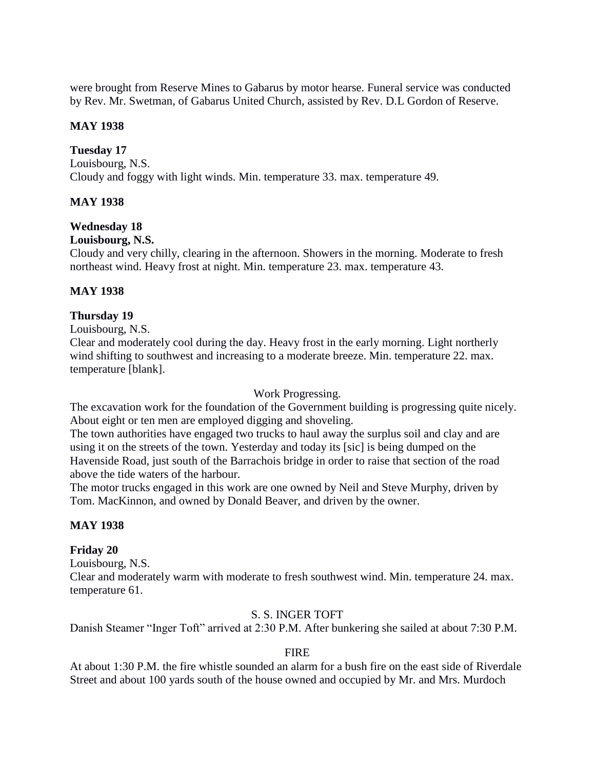were brought from Reserve Mines to Gabarus by motor hearse. Funeral service was conducted by Rev. Mr. Swetman, of Gabarus United Church, assisted by Rev. D.L Gordon of Reserve.

## **MAY 1938**

## **Tuesday 17**

Louisbourg, N.S. Cloudy and foggy with light winds. Min. temperature 33. max. temperature 49.

# **MAY 1938**

# **Wednesday 18**

#### **Louisbourg, N.S.**

Cloudy and very chilly, clearing in the afternoon. Showers in the morning. Moderate to fresh northeast wind. Heavy frost at night. Min. temperature 23. max. temperature 43.

## **MAY 1938**

# **Thursday 19**

Louisbourg, N.S.

Clear and moderately cool during the day. Heavy frost in the early morning. Light northerly wind shifting to southwest and increasing to a moderate breeze. Min. temperature 22. max. temperature [blank].

## Work Progressing.

The excavation work for the foundation of the Government building is progressing quite nicely. About eight or ten men are employed digging and shoveling.

The town authorities have engaged two trucks to haul away the surplus soil and clay and are using it on the streets of the town. Yesterday and today its [sic] is being dumped on the Havenside Road, just south of the Barrachois bridge in order to raise that section of the road above the tide waters of the harbour.

The motor trucks engaged in this work are one owned by Neil and Steve Murphy, driven by Tom. MacKinnon, and owned by Donald Beaver, and driven by the owner.

## **MAY 1938**

## **Friday 20**

Louisbourg, N.S.

Clear and moderately warm with moderate to fresh southwest wind. Min. temperature 24. max. temperature 61.

## S. S. INGER TOFT

Danish Steamer "Inger Toft" arrived at 2:30 P.M. After bunkering she sailed at about 7:30 P.M.

## **FIRE**

At about 1:30 P.M. the fire whistle sounded an alarm for a bush fire on the east side of Riverdale Street and about 100 yards south of the house owned and occupied by Mr. and Mrs. Murdoch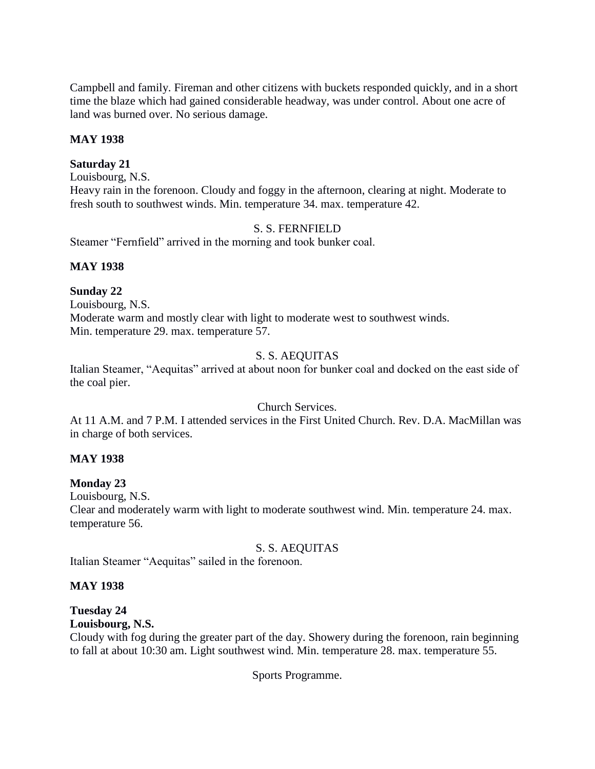Campbell and family. Fireman and other citizens with buckets responded quickly, and in a short time the blaze which had gained considerable headway, was under control. About one acre of land was burned over. No serious damage.

## **MAY 1938**

## **Saturday 21**

Louisbourg, N.S.

Heavy rain in the forenoon. Cloudy and foggy in the afternoon, clearing at night. Moderate to fresh south to southwest winds. Min. temperature 34. max. temperature 42.

# S. S. FERNFIELD

Steamer "Fernfield" arrived in the morning and took bunker coal.

# **MAY 1938**

## **Sunday 22**

Louisbourg, N.S. Moderate warm and mostly clear with light to moderate west to southwest winds. Min. temperature 29. max. temperature 57.

# S. S. AEQUITAS

Italian Steamer, "Aequitas" arrived at about noon for bunker coal and docked on the east side of the coal pier.

## Church Services.

At 11 A.M. and 7 P.M. I attended services in the First United Church. Rev. D.A. MacMillan was in charge of both services.

## **MAY 1938**

## **Monday 23**

Louisbourg, N.S.

Clear and moderately warm with light to moderate southwest wind. Min. temperature 24. max. temperature 56.

# S. S. AEQUITAS

Italian Steamer "Aequitas" sailed in the forenoon.

## **MAY 1938**

# **Tuesday 24**

## **Louisbourg, N.S.**

Cloudy with fog during the greater part of the day. Showery during the forenoon, rain beginning to fall at about 10:30 am. Light southwest wind. Min. temperature 28. max. temperature 55.

Sports Programme.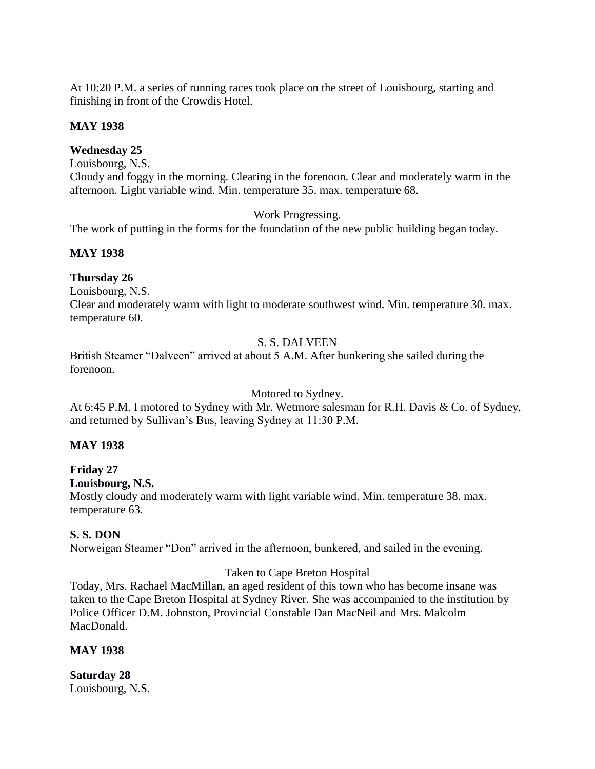At 10:20 P.M. a series of running races took place on the street of Louisbourg, starting and finishing in front of the Crowdis Hotel.

# **MAY 1938**

# **Wednesday 25**

Louisbourg, N.S.

Cloudy and foggy in the morning. Clearing in the forenoon. Clear and moderately warm in the afternoon. Light variable wind. Min. temperature 35. max. temperature 68.

Work Progressing.

The work of putting in the forms for the foundation of the new public building began today.

# **MAY 1938**

# **Thursday 26**

Louisbourg, N.S.

Clear and moderately warm with light to moderate southwest wind. Min. temperature 30. max. temperature 60.

# S. S. DALVEEN

British Steamer "Dalveen" arrived at about 5 A.M. After bunkering she sailed during the forenoon.

## Motored to Sydney.

At 6:45 P.M. I motored to Sydney with Mr. Wetmore salesman for R.H. Davis & Co. of Sydney, and returned by Sullivan's Bus, leaving Sydney at 11:30 P.M.

# **MAY 1938**

# **Friday 27**

# **Louisbourg, N.S.**

Mostly cloudy and moderately warm with light variable wind. Min. temperature 38. max. temperature 63.

# **S. S. DON**

Norweigan Steamer "Don" arrived in the afternoon, bunkered, and sailed in the evening.

# Taken to Cape Breton Hospital

Today, Mrs. Rachael MacMillan, an aged resident of this town who has become insane was taken to the Cape Breton Hospital at Sydney River. She was accompanied to the institution by Police Officer D.M. Johnston, Provincial Constable Dan MacNeil and Mrs. Malcolm MacDonald.

# **MAY 1938**

**Saturday 28** Louisbourg, N.S.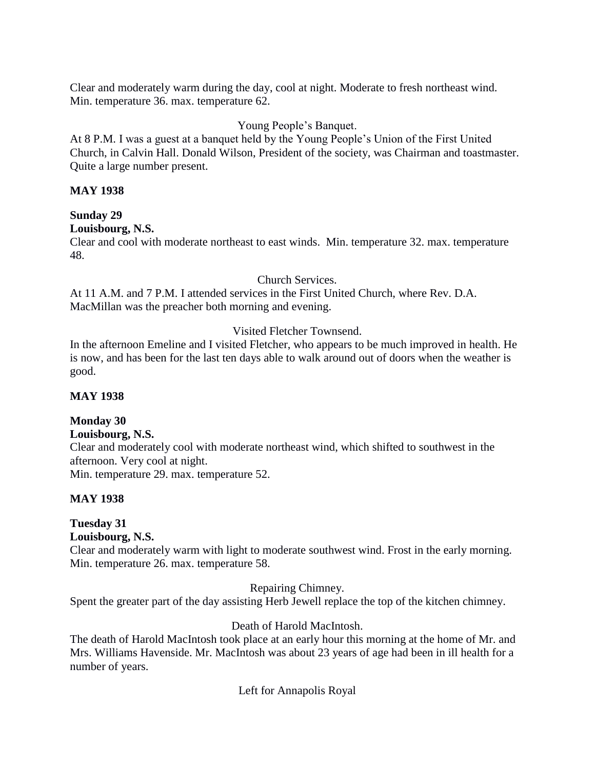Clear and moderately warm during the day, cool at night. Moderate to fresh northeast wind. Min. temperature 36. max. temperature 62.

# Young People's Banquet.

At 8 P.M. I was a guest at a banquet held by the Young People's Union of the First United Church, in Calvin Hall. Donald Wilson, President of the society, was Chairman and toastmaster. Quite a large number present.

## **MAY 1938**

# **Sunday 29**

# **Louisbourg, N.S.**

Clear and cool with moderate northeast to east winds. Min. temperature 32. max. temperature 48.

## Church Services.

At 11 A.M. and 7 P.M. I attended services in the First United Church, where Rev. D.A. MacMillan was the preacher both morning and evening.

# Visited Fletcher Townsend.

In the afternoon Emeline and I visited Fletcher, who appears to be much improved in health. He is now, and has been for the last ten days able to walk around out of doors when the weather is good.

# **MAY 1938**

# **Monday 30**

## **Louisbourg, N.S.**

Clear and moderately cool with moderate northeast wind, which shifted to southwest in the afternoon. Very cool at night. Min. temperature 29. max. temperature 52.

## **MAY 1938**

# **Tuesday 31**

# **Louisbourg, N.S.**

Clear and moderately warm with light to moderate southwest wind. Frost in the early morning. Min. temperature 26. max. temperature 58.

Repairing Chimney.

Spent the greater part of the day assisting Herb Jewell replace the top of the kitchen chimney.

# Death of Harold MacIntosh.

The death of Harold MacIntosh took place at an early hour this morning at the home of Mr. and Mrs. Williams Havenside. Mr. MacIntosh was about 23 years of age had been in ill health for a number of years.

Left for Annapolis Royal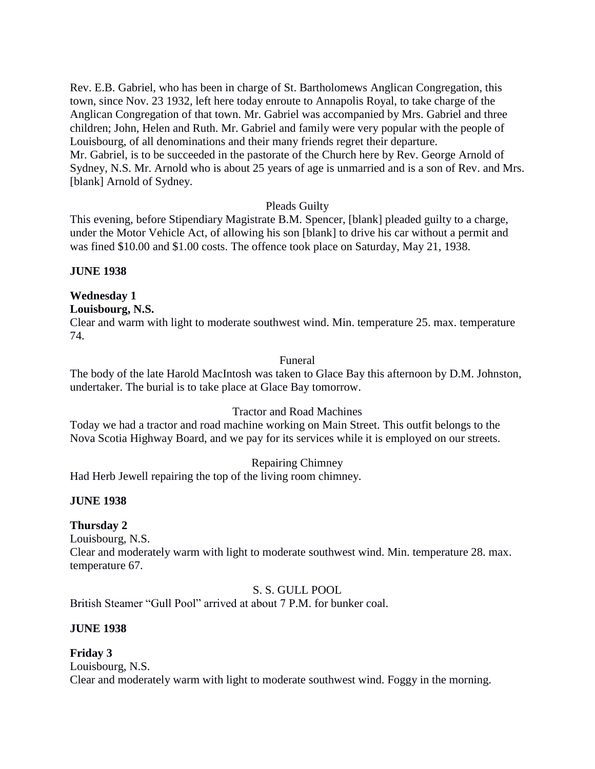Rev. E.B. Gabriel, who has been in charge of St. Bartholomews Anglican Congregation, this town, since Nov. 23 1932, left here today enroute to Annapolis Royal, to take charge of the Anglican Congregation of that town. Mr. Gabriel was accompanied by Mrs. Gabriel and three children; John, Helen and Ruth. Mr. Gabriel and family were very popular with the people of Louisbourg, of all denominations and their many friends regret their departure. Mr. Gabriel, is to be succeeded in the pastorate of the Church here by Rev. George Arnold of Sydney, N.S. Mr. Arnold who is about 25 years of age is unmarried and is a son of Rev. and Mrs. [blank] Arnold of Sydney.

# Pleads Guilty

This evening, before Stipendiary Magistrate B.M. Spencer, [blank] pleaded guilty to a charge, under the Motor Vehicle Act, of allowing his son [blank] to drive his car without a permit and was fined \$10.00 and \$1.00 costs. The offence took place on Saturday, May 21, 1938.

**JUNE 1938**

## **Wednesday 1**

**Louisbourg, N.S.**

Clear and warm with light to moderate southwest wind. Min. temperature 25. max. temperature 74.

## Funeral

The body of the late Harold MacIntosh was taken to Glace Bay this afternoon by D.M. Johnston, undertaker. The burial is to take place at Glace Bay tomorrow.

## Tractor and Road Machines

Today we had a tractor and road machine working on Main Street. This outfit belongs to the Nova Scotia Highway Board, and we pay for its services while it is employed on our streets.

## Repairing Chimney

Had Herb Jewell repairing the top of the living room chimney.

## **JUNE 1938**

## **Thursday 2**

Louisbourg, N.S.

Clear and moderately warm with light to moderate southwest wind. Min. temperature 28. max. temperature 67.

S. S. GULL POOL

British Steamer "Gull Pool" arrived at about 7 P.M. for bunker coal.

## **JUNE 1938**

## **Friday 3**

Louisbourg, N.S. Clear and moderately warm with light to moderate southwest wind. Foggy in the morning.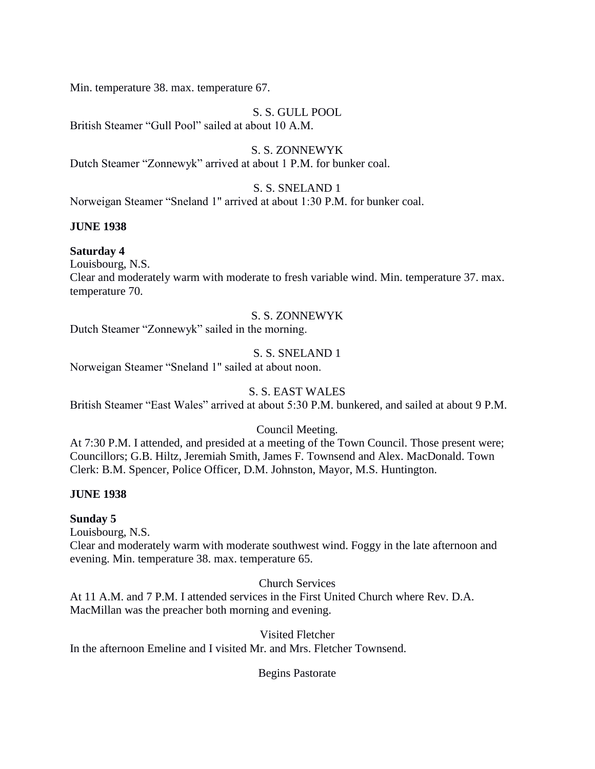Min. temperature 38. max. temperature 67.

# S. S. GULL POOL

British Steamer "Gull Pool" sailed at about 10 A.M.

S. S. ZONNEWYK Dutch Steamer "Zonnewyk" arrived at about 1 P.M. for bunker coal.

# S. S. SNELAND 1

Norweigan Steamer "Sneland 1" arrived at about 1:30 P.M. for bunker coal.

# **JUNE 1938**

# **Saturday 4**

Louisbourg, N.S.

Clear and moderately warm with moderate to fresh variable wind. Min. temperature 37. max. temperature 70.

# S. S. ZONNEWYK

Dutch Steamer "Zonnewyk" sailed in the morning.

# S. S. SNELAND 1

Norweigan Steamer "Sneland 1" sailed at about noon.

# S. S. EAST WALES

British Steamer "East Wales" arrived at about 5:30 P.M. bunkered, and sailed at about 9 P.M.

# Council Meeting.

At 7:30 P.M. I attended, and presided at a meeting of the Town Council. Those present were; Councillors; G.B. Hiltz, Jeremiah Smith, James F. Townsend and Alex. MacDonald. Town Clerk: B.M. Spencer, Police Officer, D.M. Johnston, Mayor, M.S. Huntington.

# **JUNE 1938**

# **Sunday 5**

Louisbourg, N.S.

Clear and moderately warm with moderate southwest wind. Foggy in the late afternoon and evening. Min. temperature 38. max. temperature 65.

Church Services

At 11 A.M. and 7 P.M. I attended services in the First United Church where Rev. D.A. MacMillan was the preacher both morning and evening.

Visited Fletcher In the afternoon Emeline and I visited Mr. and Mrs. Fletcher Townsend.

Begins Pastorate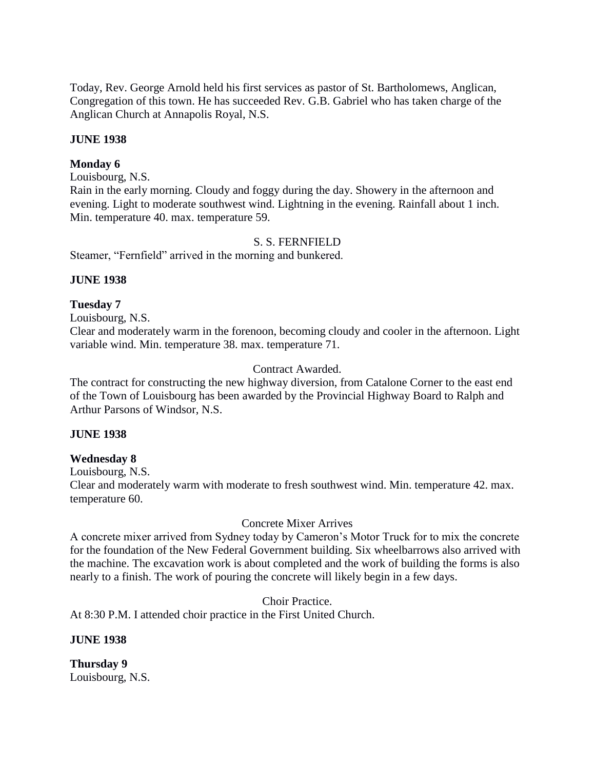Today, Rev. George Arnold held his first services as pastor of St. Bartholomews, Anglican, Congregation of this town. He has succeeded Rev. G.B. Gabriel who has taken charge of the Anglican Church at Annapolis Royal, N.S.

## **JUNE 1938**

#### **Monday 6**

Louisbourg, N.S.

Rain in the early morning. Cloudy and foggy during the day. Showery in the afternoon and evening. Light to moderate southwest wind. Lightning in the evening. Rainfall about 1 inch. Min. temperature 40. max. temperature 59.

#### S. S. FERNFIELD

Steamer, "Fernfield" arrived in the morning and bunkered.

#### **JUNE 1938**

#### **Tuesday 7**

Louisbourg, N.S.

Clear and moderately warm in the forenoon, becoming cloudy and cooler in the afternoon. Light variable wind. Min. temperature 38. max. temperature 71.

#### Contract Awarded.

The contract for constructing the new highway diversion, from Catalone Corner to the east end of the Town of Louisbourg has been awarded by the Provincial Highway Board to Ralph and Arthur Parsons of Windsor, N.S.

#### **JUNE 1938**

#### **Wednesday 8**

Louisbourg, N.S.

Clear and moderately warm with moderate to fresh southwest wind. Min. temperature 42. max. temperature 60.

#### Concrete Mixer Arrives

A concrete mixer arrived from Sydney today by Cameron's Motor Truck for to mix the concrete for the foundation of the New Federal Government building. Six wheelbarrows also arrived with the machine. The excavation work is about completed and the work of building the forms is also nearly to a finish. The work of pouring the concrete will likely begin in a few days.

Choir Practice.

At 8:30 P.M. I attended choir practice in the First United Church.

**JUNE 1938**

**Thursday 9** Louisbourg, N.S.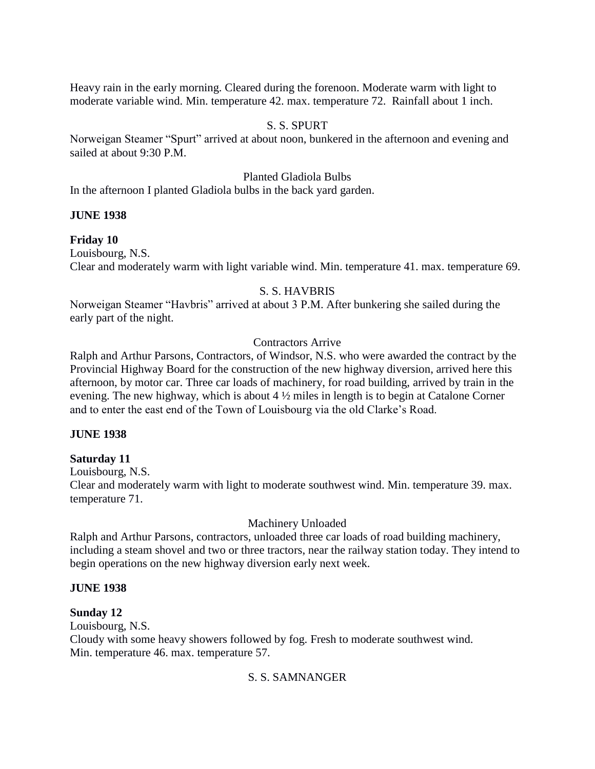Heavy rain in the early morning. Cleared during the forenoon. Moderate warm with light to moderate variable wind. Min. temperature 42. max. temperature 72. Rainfall about 1 inch.

## S. S. SPURT

Norweigan Steamer "Spurt" arrived at about noon, bunkered in the afternoon and evening and sailed at about 9:30 P.M.

## Planted Gladiola Bulbs

In the afternoon I planted Gladiola bulbs in the back yard garden.

## **JUNE 1938**

#### **Friday 10**

Louisbourg, N.S. Clear and moderately warm with light variable wind. Min. temperature 41. max. temperature 69.

# S. S. HAVBRIS

Norweigan Steamer "Havbris" arrived at about 3 P.M. After bunkering she sailed during the early part of the night.

# Contractors Arrive

Ralph and Arthur Parsons, Contractors, of Windsor, N.S. who were awarded the contract by the Provincial Highway Board for the construction of the new highway diversion, arrived here this afternoon, by motor car. Three car loads of machinery, for road building, arrived by train in the evening. The new highway, which is about 4 ½ miles in length is to begin at Catalone Corner and to enter the east end of the Town of Louisbourg via the old Clarke's Road.

## **JUNE 1938**

## **Saturday 11**

Louisbourg, N.S.

Clear and moderately warm with light to moderate southwest wind. Min. temperature 39. max. temperature 71.

## Machinery Unloaded

Ralph and Arthur Parsons, contractors, unloaded three car loads of road building machinery, including a steam shovel and two or three tractors, near the railway station today. They intend to begin operations on the new highway diversion early next week.

# **JUNE 1938**

## **Sunday 12**

Louisbourg, N.S. Cloudy with some heavy showers followed by fog. Fresh to moderate southwest wind. Min. temperature 46. max. temperature 57.

## S. S. SAMNANGER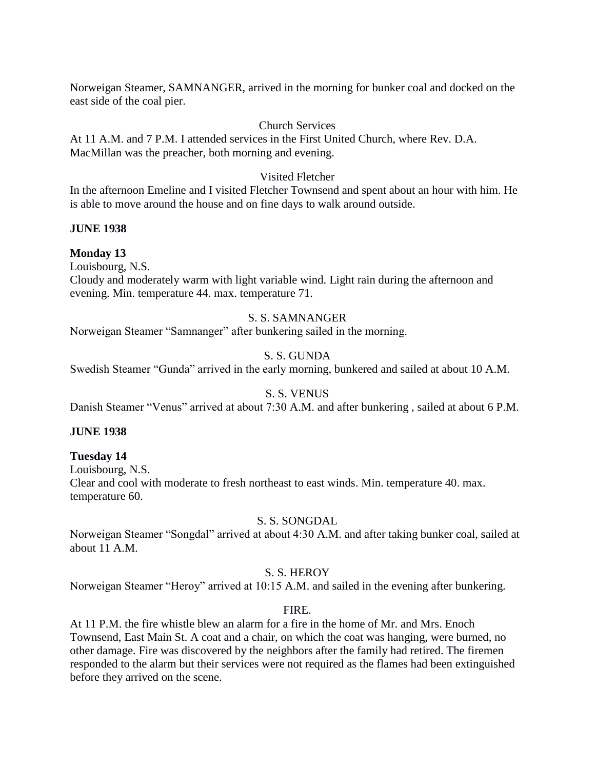Norweigan Steamer, SAMNANGER, arrived in the morning for bunker coal and docked on the east side of the coal pier.

## Church Services

At 11 A.M. and 7 P.M. I attended services in the First United Church, where Rev. D.A. MacMillan was the preacher, both morning and evening.

# Visited Fletcher

In the afternoon Emeline and I visited Fletcher Townsend and spent about an hour with him. He is able to move around the house and on fine days to walk around outside.

## **JUNE 1938**

# **Monday 13**

Louisbourg, N.S.

Cloudy and moderately warm with light variable wind. Light rain during the afternoon and evening. Min. temperature 44. max. temperature 71.

# S. S. SAMNANGER

Norweigan Steamer "Samnanger" after bunkering sailed in the morning.

# S. S. GUNDA

Swedish Steamer "Gunda" arrived in the early morning, bunkered and sailed at about 10 A.M.

# S. S. VENUS

Danish Steamer "Venus" arrived at about 7:30 A.M. and after bunkering , sailed at about 6 P.M.

## **JUNE 1938**

## **Tuesday 14**

Louisbourg, N.S. Clear and cool with moderate to fresh northeast to east winds. Min. temperature 40. max. temperature 60.

## S. S. SONGDAL

Norweigan Steamer "Songdal" arrived at about 4:30 A.M. and after taking bunker coal, sailed at about 11 A.M.

# S. S. HEROY

Norweigan Steamer "Heroy" arrived at 10:15 A.M. and sailed in the evening after bunkering.

# FIRE.

At 11 P.M. the fire whistle blew an alarm for a fire in the home of Mr. and Mrs. Enoch Townsend, East Main St. A coat and a chair, on which the coat was hanging, were burned, no other damage. Fire was discovered by the neighbors after the family had retired. The firemen responded to the alarm but their services were not required as the flames had been extinguished before they arrived on the scene.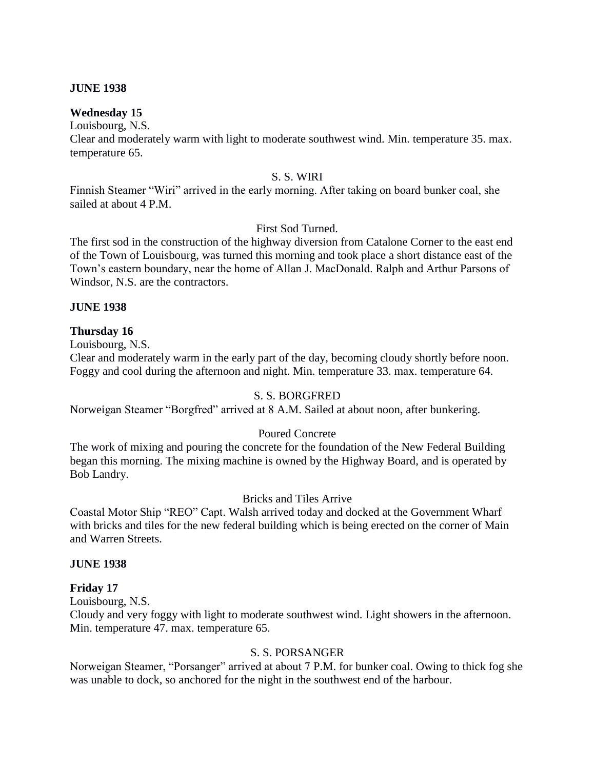#### **JUNE 1938**

#### **Wednesday 15**

Louisbourg, N.S. Clear and moderately warm with light to moderate southwest wind. Min. temperature 35. max. temperature 65.

#### S. S. WIRI

Finnish Steamer "Wiri" arrived in the early morning. After taking on board bunker coal, she sailed at about 4 P.M.

## First Sod Turned.

The first sod in the construction of the highway diversion from Catalone Corner to the east end of the Town of Louisbourg, was turned this morning and took place a short distance east of the Town's eastern boundary, near the home of Allan J. MacDonald. Ralph and Arthur Parsons of Windsor, N.S. are the contractors.

#### **JUNE 1938**

#### **Thursday 16**

Louisbourg, N.S.

Clear and moderately warm in the early part of the day, becoming cloudy shortly before noon. Foggy and cool during the afternoon and night. Min. temperature 33. max. temperature 64.

## S. S. BORGFRED

Norweigan Steamer "Borgfred" arrived at 8 A.M. Sailed at about noon, after bunkering.

## Poured Concrete

The work of mixing and pouring the concrete for the foundation of the New Federal Building began this morning. The mixing machine is owned by the Highway Board, and is operated by Bob Landry.

# Bricks and Tiles Arrive

Coastal Motor Ship "REO" Capt. Walsh arrived today and docked at the Government Wharf with bricks and tiles for the new federal building which is being erected on the corner of Main and Warren Streets.

#### **JUNE 1938**

#### **Friday 17**

Louisbourg, N.S.

Cloudy and very foggy with light to moderate southwest wind. Light showers in the afternoon. Min. temperature 47. max. temperature 65.

## S. S. PORSANGER

Norweigan Steamer, "Porsanger" arrived at about 7 P.M. for bunker coal. Owing to thick fog she was unable to dock, so anchored for the night in the southwest end of the harbour.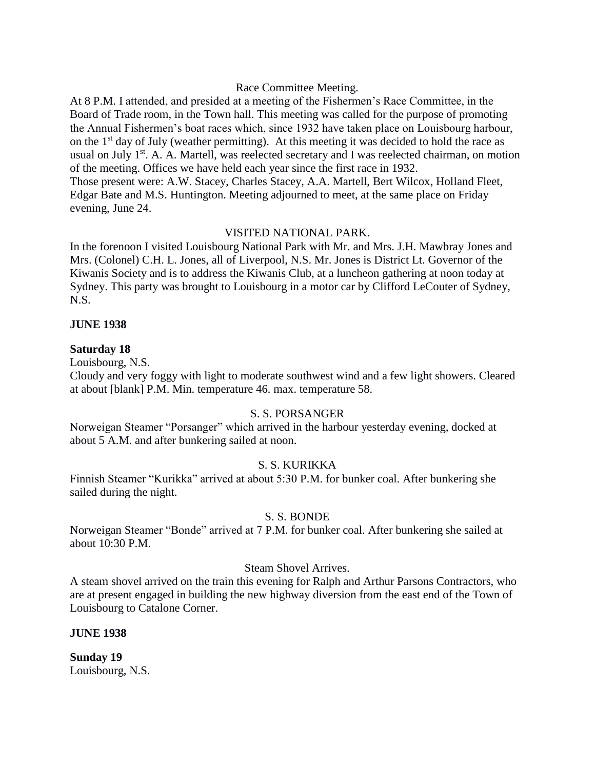## Race Committee Meeting.

At 8 P.M. I attended, and presided at a meeting of the Fishermen's Race Committee, in the Board of Trade room, in the Town hall. This meeting was called for the purpose of promoting the Annual Fishermen's boat races which, since 1932 have taken place on Louisbourg harbour, on the  $1<sup>st</sup>$  day of July (weather permitting). At this meeting it was decided to hold the race as usual on July 1<sup>st</sup>. A. A. Martell, was reelected secretary and I was reelected chairman, on motion of the meeting. Offices we have held each year since the first race in 1932. Those present were: A.W. Stacey, Charles Stacey, A.A. Martell, Bert Wilcox, Holland Fleet, Edgar Bate and M.S. Huntington. Meeting adjourned to meet, at the same place on Friday evening, June 24.

## VISITED NATIONAL PARK.

In the forenoon I visited Louisbourg National Park with Mr. and Mrs. J.H. Mawbray Jones and Mrs. (Colonel) C.H. L. Jones, all of Liverpool, N.S. Mr. Jones is District Lt. Governor of the Kiwanis Society and is to address the Kiwanis Club, at a luncheon gathering at noon today at Sydney. This party was brought to Louisbourg in a motor car by Clifford LeCouter of Sydney, N.S.

#### **JUNE 1938**

#### **Saturday 18**

Louisbourg, N.S.

Cloudy and very foggy with light to moderate southwest wind and a few light showers. Cleared at about [blank] P.M. Min. temperature 46. max. temperature 58.

#### S. S. PORSANGER

Norweigan Steamer "Porsanger" which arrived in the harbour yesterday evening, docked at about 5 A.M. and after bunkering sailed at noon.

## S. S. KURIKKA

Finnish Steamer "Kurikka" arrived at about 5:30 P.M. for bunker coal. After bunkering she sailed during the night.

#### S. S. BONDE

Norweigan Steamer "Bonde" arrived at 7 P.M. for bunker coal. After bunkering she sailed at about 10:30 P.M.

#### Steam Shovel Arrives.

A steam shovel arrived on the train this evening for Ralph and Arthur Parsons Contractors, who are at present engaged in building the new highway diversion from the east end of the Town of Louisbourg to Catalone Corner.

**JUNE 1938**

**Sunday 19** Louisbourg, N.S.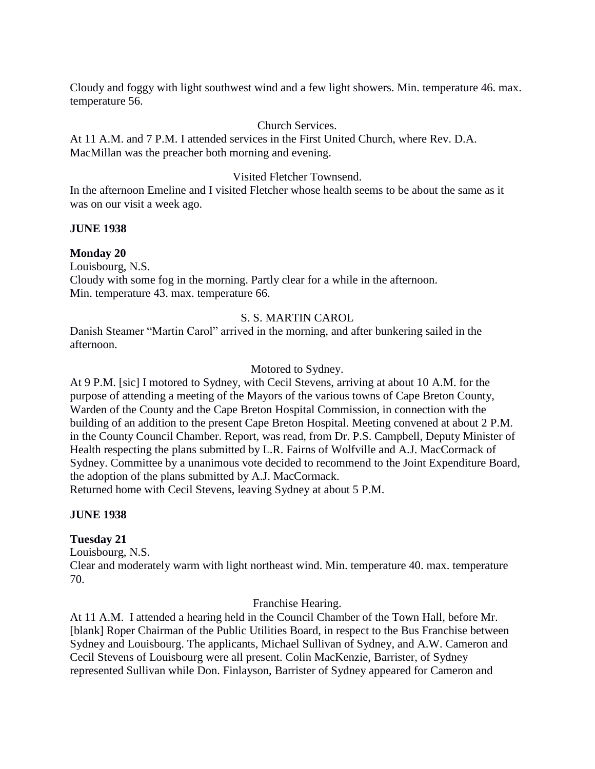Cloudy and foggy with light southwest wind and a few light showers. Min. temperature 46. max. temperature 56.

#### Church Services.

At 11 A.M. and 7 P.M. I attended services in the First United Church, where Rev. D.A. MacMillan was the preacher both morning and evening.

#### Visited Fletcher Townsend.

In the afternoon Emeline and I visited Fletcher whose health seems to be about the same as it was on our visit a week ago.

#### **JUNE 1938**

**Monday 20** Louisbourg, N.S. Cloudy with some fog in the morning. Partly clear for a while in the afternoon. Min. temperature 43. max. temperature 66.

#### S. S. MARTIN CAROL

Danish Steamer "Martin Carol" arrived in the morning, and after bunkering sailed in the afternoon.

#### Motored to Sydney.

At 9 P.M. [sic] I motored to Sydney, with Cecil Stevens, arriving at about 10 A.M. for the purpose of attending a meeting of the Mayors of the various towns of Cape Breton County, Warden of the County and the Cape Breton Hospital Commission, in connection with the building of an addition to the present Cape Breton Hospital. Meeting convened at about 2 P.M. in the County Council Chamber. Report, was read, from Dr. P.S. Campbell, Deputy Minister of Health respecting the plans submitted by L.R. Fairns of Wolfville and A.J. MacCormack of Sydney. Committee by a unanimous vote decided to recommend to the Joint Expenditure Board, the adoption of the plans submitted by A.J. MacCormack.

Returned home with Cecil Stevens, leaving Sydney at about 5 P.M.

#### **JUNE 1938**

## **Tuesday 21**

Louisbourg, N.S.

Clear and moderately warm with light northeast wind. Min. temperature 40. max. temperature 70.

Franchise Hearing.

At 11 A.M. I attended a hearing held in the Council Chamber of the Town Hall, before Mr. [blank] Roper Chairman of the Public Utilities Board, in respect to the Bus Franchise between Sydney and Louisbourg. The applicants, Michael Sullivan of Sydney, and A.W. Cameron and Cecil Stevens of Louisbourg were all present. Colin MacKenzie, Barrister, of Sydney represented Sullivan while Don. Finlayson, Barrister of Sydney appeared for Cameron and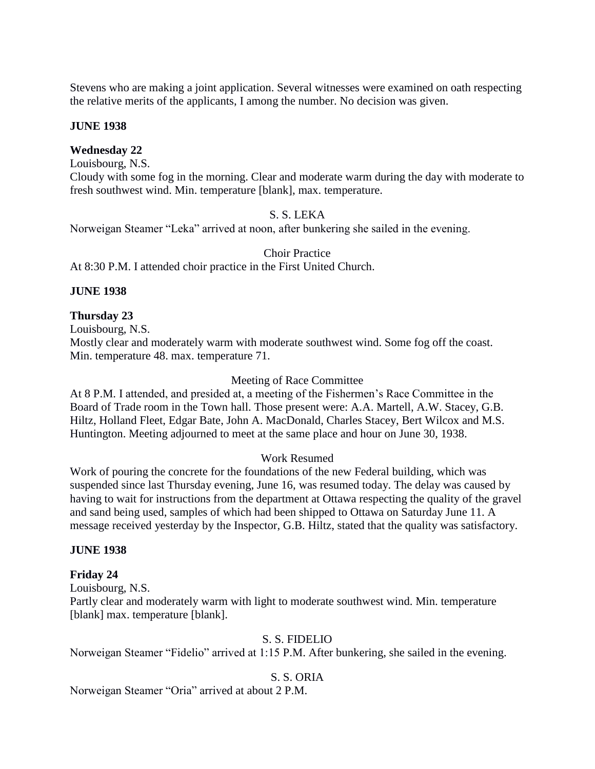Stevens who are making a joint application. Several witnesses were examined on oath respecting the relative merits of the applicants, I among the number. No decision was given.

#### **JUNE 1938**

#### **Wednesday 22**

Louisbourg, N.S.

Cloudy with some fog in the morning. Clear and moderate warm during the day with moderate to fresh southwest wind. Min. temperature [blank], max. temperature.

#### S. S. LEKA

Norweigan Steamer "Leka" arrived at noon, after bunkering she sailed in the evening.

Choir Practice

At 8:30 P.M. I attended choir practice in the First United Church.

#### **JUNE 1938**

#### **Thursday 23**

Louisbourg, N.S.

Mostly clear and moderately warm with moderate southwest wind. Some fog off the coast. Min. temperature 48. max. temperature 71.

#### Meeting of Race Committee

At 8 P.M. I attended, and presided at, a meeting of the Fishermen's Race Committee in the Board of Trade room in the Town hall. Those present were: A.A. Martell, A.W. Stacey, G.B. Hiltz, Holland Fleet, Edgar Bate, John A. MacDonald, Charles Stacey, Bert Wilcox and M.S. Huntington. Meeting adjourned to meet at the same place and hour on June 30, 1938.

#### Work Resumed

Work of pouring the concrete for the foundations of the new Federal building, which was suspended since last Thursday evening, June 16, was resumed today. The delay was caused by having to wait for instructions from the department at Ottawa respecting the quality of the gravel and sand being used, samples of which had been shipped to Ottawa on Saturday June 11. A message received yesterday by the Inspector, G.B. Hiltz, stated that the quality was satisfactory.

#### **JUNE 1938**

## **Friday 24**

Louisbourg, N.S.

Partly clear and moderately warm with light to moderate southwest wind. Min. temperature [blank] max. temperature [blank].

#### S. S. FIDELIO

Norweigan Steamer "Fidelio" arrived at 1:15 P.M. After bunkering, she sailed in the evening.

#### S. S. ORIA

Norweigan Steamer "Oria" arrived at about 2 P.M.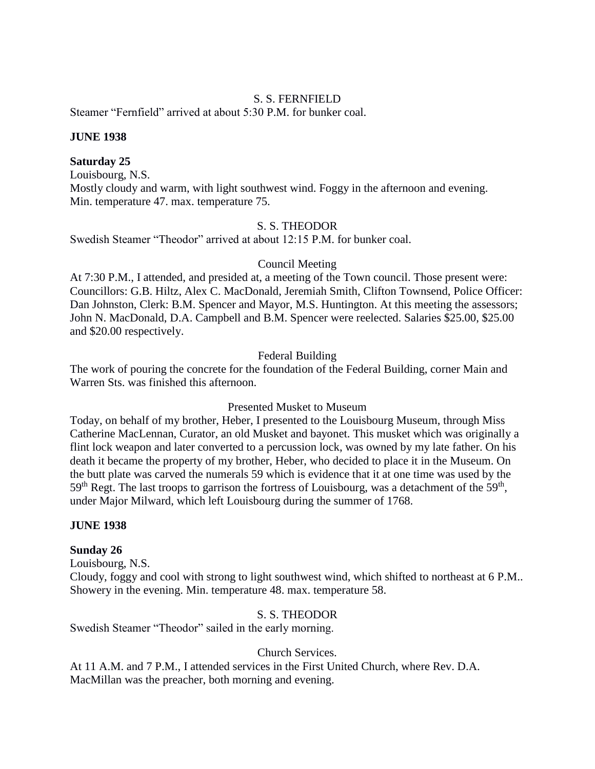## S. S. FERNFIELD

Steamer "Fernfield" arrived at about 5:30 P.M. for bunker coal.

#### **JUNE 1938**

#### **Saturday 25**

Louisbourg, N.S.

Mostly cloudy and warm, with light southwest wind. Foggy in the afternoon and evening. Min. temperature 47. max. temperature 75.

## S. S. THEODOR

Swedish Steamer "Theodor" arrived at about 12:15 P.M. for bunker coal.

## Council Meeting

At 7:30 P.M., I attended, and presided at, a meeting of the Town council. Those present were: Councillors: G.B. Hiltz, Alex C. MacDonald, Jeremiah Smith, Clifton Townsend, Police Officer: Dan Johnston, Clerk: B.M. Spencer and Mayor, M.S. Huntington. At this meeting the assessors; John N. MacDonald, D.A. Campbell and B.M. Spencer were reelected. Salaries \$25.00, \$25.00 and \$20.00 respectively.

## Federal Building

The work of pouring the concrete for the foundation of the Federal Building, corner Main and Warren Sts. was finished this afternoon.

#### Presented Musket to Museum

Today, on behalf of my brother, Heber, I presented to the Louisbourg Museum, through Miss Catherine MacLennan, Curator, an old Musket and bayonet. This musket which was originally a flint lock weapon and later converted to a percussion lock, was owned by my late father. On his death it became the property of my brother, Heber, who decided to place it in the Museum. On the butt plate was carved the numerals 59 which is evidence that it at one time was used by the  $59<sup>th</sup>$  Regt. The last troops to garrison the fortress of Louisbourg, was a detachment of the  $59<sup>th</sup>$ , under Major Milward, which left Louisbourg during the summer of 1768.

#### **JUNE 1938**

#### **Sunday 26**

Louisbourg, N.S.

Cloudy, foggy and cool with strong to light southwest wind, which shifted to northeast at 6 P.M.. Showery in the evening. Min. temperature 48. max. temperature 58.

## S. S. THEODOR

Swedish Steamer "Theodor" sailed in the early morning.

#### Church Services.

At 11 A.M. and 7 P.M., I attended services in the First United Church, where Rev. D.A. MacMillan was the preacher, both morning and evening.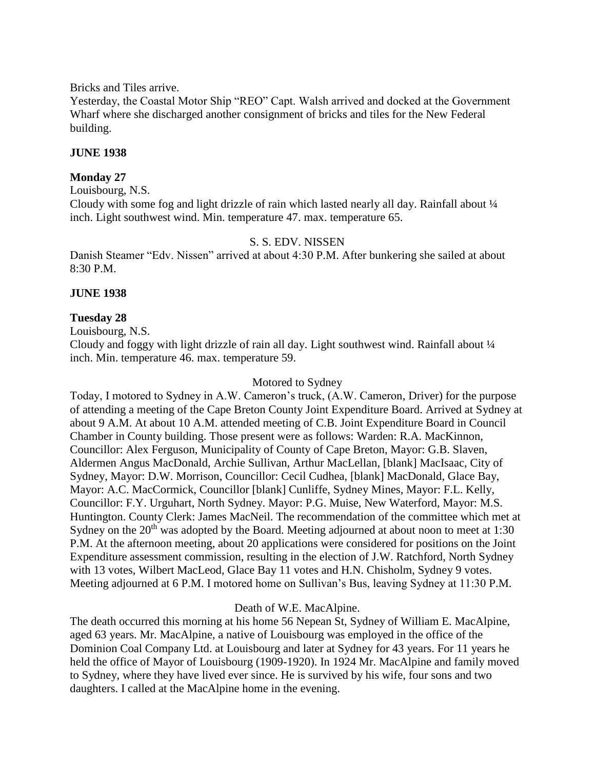Bricks and Tiles arrive.

Yesterday, the Coastal Motor Ship "REO" Capt. Walsh arrived and docked at the Government Wharf where she discharged another consignment of bricks and tiles for the New Federal building.

# **JUNE 1938**

# **Monday 27**

Louisbourg, N.S.

Cloudy with some fog and light drizzle of rain which lasted nearly all day. Rainfall about  $\frac{1}{4}$ inch. Light southwest wind. Min. temperature 47. max. temperature 65.

## S. S. EDV. NISSEN

Danish Steamer "Edv. Nissen" arrived at about 4:30 P.M. After bunkering she sailed at about 8:30 P.M.

## **JUNE 1938**

**Tuesday 28**

Louisbourg, N.S.

Cloudy and foggy with light drizzle of rain all day. Light southwest wind. Rainfall about ¼ inch. Min. temperature 46. max. temperature 59.

#### Motored to Sydney

Today, I motored to Sydney in A.W. Cameron's truck, (A.W. Cameron, Driver) for the purpose of attending a meeting of the Cape Breton County Joint Expenditure Board. Arrived at Sydney at about 9 A.M. At about 10 A.M. attended meeting of C.B. Joint Expenditure Board in Council Chamber in County building. Those present were as follows: Warden: R.A. MacKinnon, Councillor: Alex Ferguson, Municipality of County of Cape Breton, Mayor: G.B. Slaven, Aldermen Angus MacDonald, Archie Sullivan, Arthur MacLellan, [blank] MacIsaac, City of Sydney, Mayor: D.W. Morrison, Councillor: Cecil Cudhea, [blank] MacDonald, Glace Bay, Mayor: A.C. MacCormick, Councillor [blank] Cunliffe, Sydney Mines, Mayor: F.L. Kelly, Councillor: F.Y. Urguhart, North Sydney. Mayor: P.G. Muise, New Waterford, Mayor: M.S. Huntington. County Clerk: James MacNeil. The recommendation of the committee which met at Sydney on the  $20<sup>th</sup>$  was adopted by the Board. Meeting adjourned at about noon to meet at 1:30 P.M. At the afternoon meeting, about 20 applications were considered for positions on the Joint Expenditure assessment commission, resulting in the election of J.W. Ratchford, North Sydney with 13 votes, Wilbert MacLeod, Glace Bay 11 votes and H.N. Chisholm, Sydney 9 votes. Meeting adjourned at 6 P.M. I motored home on Sullivan's Bus, leaving Sydney at 11:30 P.M.

## Death of W.E. MacAlpine.

The death occurred this morning at his home 56 Nepean St, Sydney of William E. MacAlpine, aged 63 years. Mr. MacAlpine, a native of Louisbourg was employed in the office of the Dominion Coal Company Ltd. at Louisbourg and later at Sydney for 43 years. For 11 years he held the office of Mayor of Louisbourg (1909-1920). In 1924 Mr. MacAlpine and family moved to Sydney, where they have lived ever since. He is survived by his wife, four sons and two daughters. I called at the MacAlpine home in the evening.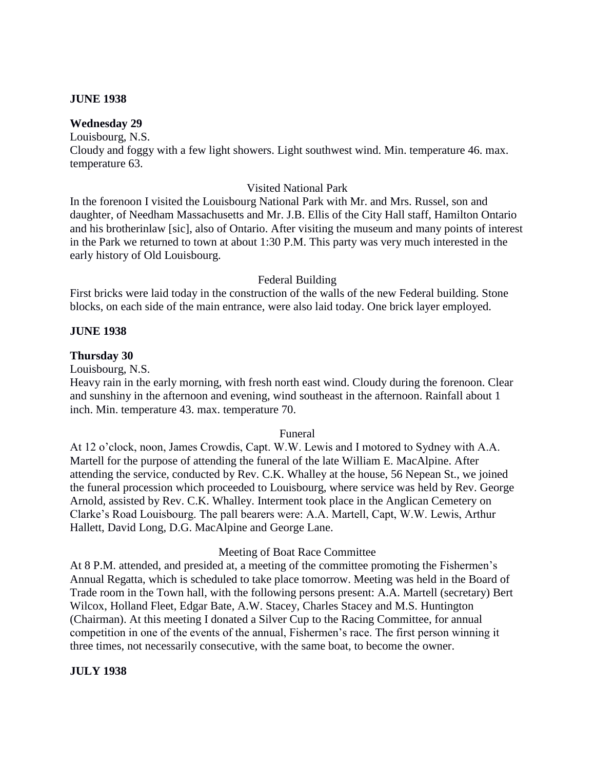#### **JUNE 1938**

#### **Wednesday 29**

Louisbourg, N.S.

Cloudy and foggy with a few light showers. Light southwest wind. Min. temperature 46. max. temperature 63.

#### Visited National Park

In the forenoon I visited the Louisbourg National Park with Mr. and Mrs. Russel, son and daughter, of Needham Massachusetts and Mr. J.B. Ellis of the City Hall staff, Hamilton Ontario and his brotherinlaw [sic], also of Ontario. After visiting the museum and many points of interest in the Park we returned to town at about 1:30 P.M. This party was very much interested in the early history of Old Louisbourg.

#### Federal Building

First bricks were laid today in the construction of the walls of the new Federal building. Stone blocks, on each side of the main entrance, were also laid today. One brick layer employed.

#### **JUNE 1938**

#### **Thursday 30**

Louisbourg, N.S.

Heavy rain in the early morning, with fresh north east wind. Cloudy during the forenoon. Clear and sunshiny in the afternoon and evening, wind southeast in the afternoon. Rainfall about 1 inch. Min. temperature 43. max. temperature 70.

#### Funeral

At 12 o'clock, noon, James Crowdis, Capt. W.W. Lewis and I motored to Sydney with A.A. Martell for the purpose of attending the funeral of the late William E. MacAlpine. After attending the service, conducted by Rev. C.K. Whalley at the house, 56 Nepean St., we joined the funeral procession which proceeded to Louisbourg, where service was held by Rev. George Arnold, assisted by Rev. C.K. Whalley. Interment took place in the Anglican Cemetery on Clarke's Road Louisbourg. The pall bearers were: A.A. Martell, Capt, W.W. Lewis, Arthur Hallett, David Long, D.G. MacAlpine and George Lane.

#### Meeting of Boat Race Committee

At 8 P.M. attended, and presided at, a meeting of the committee promoting the Fishermen's Annual Regatta, which is scheduled to take place tomorrow. Meeting was held in the Board of Trade room in the Town hall, with the following persons present: A.A. Martell (secretary) Bert Wilcox, Holland Fleet, Edgar Bate, A.W. Stacey, Charles Stacey and M.S. Huntington (Chairman). At this meeting I donated a Silver Cup to the Racing Committee, for annual competition in one of the events of the annual, Fishermen's race. The first person winning it three times, not necessarily consecutive, with the same boat, to become the owner.

## **JULY 1938**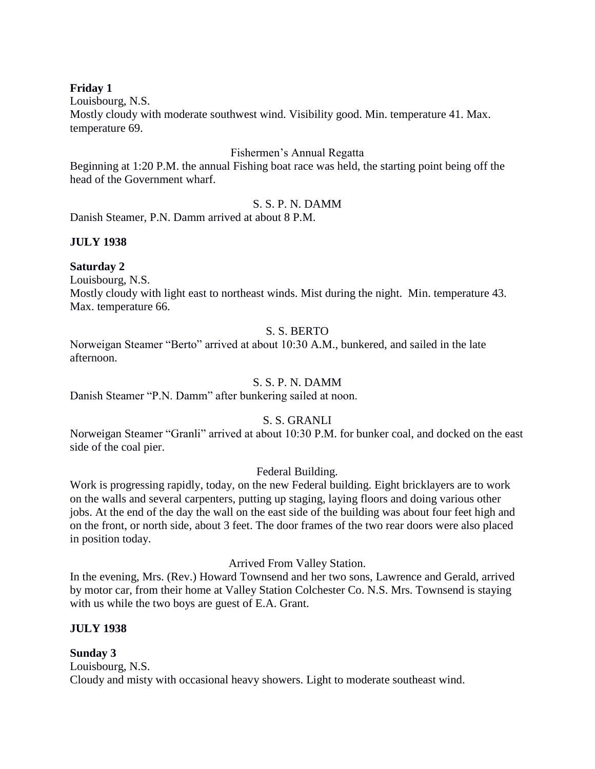# **Friday 1**

Louisbourg, N.S.

Mostly cloudy with moderate southwest wind. Visibility good. Min. temperature 41. Max. temperature 69.

# Fishermen's Annual Regatta

Beginning at 1:20 P.M. the annual Fishing boat race was held, the starting point being off the head of the Government wharf.

## S. S. P. N. DAMM

Danish Steamer, P.N. Damm arrived at about 8 P.M.

## **JULY 1938**

## **Saturday 2**

Louisbourg, N.S.

Mostly cloudy with light east to northeast winds. Mist during the night. Min. temperature 43. Max. temperature 66.

# S. S. BERTO

Norweigan Steamer "Berto" arrived at about 10:30 A.M., bunkered, and sailed in the late afternoon.

## S. S. P. N. DAMM

Danish Steamer "P.N. Damm" after bunkering sailed at noon.

# S. S. GRANLI

Norweigan Steamer "Granli" arrived at about 10:30 P.M. for bunker coal, and docked on the east side of the coal pier.

Federal Building.

Work is progressing rapidly, today, on the new Federal building. Eight bricklayers are to work on the walls and several carpenters, putting up staging, laying floors and doing various other jobs. At the end of the day the wall on the east side of the building was about four feet high and on the front, or north side, about 3 feet. The door frames of the two rear doors were also placed in position today.

Arrived From Valley Station.

In the evening, Mrs. (Rev.) Howard Townsend and her two sons, Lawrence and Gerald, arrived by motor car, from their home at Valley Station Colchester Co. N.S. Mrs. Townsend is staying with us while the two boys are guest of E.A. Grant.

# **JULY 1938**

**Sunday 3** Louisbourg, N.S. Cloudy and misty with occasional heavy showers. Light to moderate southeast wind.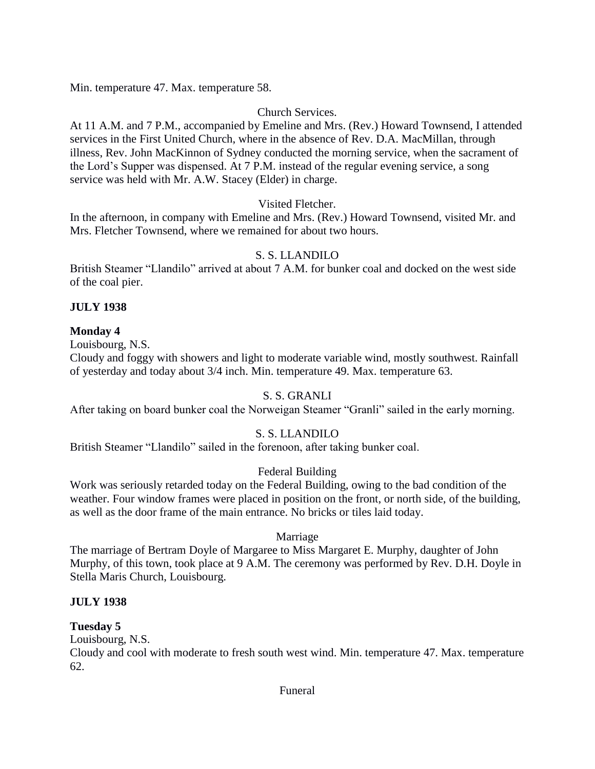Min. temperature 47. Max. temperature 58.

# Church Services.

At 11 A.M. and 7 P.M., accompanied by Emeline and Mrs. (Rev.) Howard Townsend, I attended services in the First United Church, where in the absence of Rev. D.A. MacMillan, through illness, Rev. John MacKinnon of Sydney conducted the morning service, when the sacrament of the Lord's Supper was dispensed. At 7 P.M. instead of the regular evening service, a song service was held with Mr. A.W. Stacey (Elder) in charge.

# Visited Fletcher.

In the afternoon, in company with Emeline and Mrs. (Rev.) Howard Townsend, visited Mr. and Mrs. Fletcher Townsend, where we remained for about two hours.

# S. S. LLANDILO

British Steamer "Llandilo" arrived at about 7 A.M. for bunker coal and docked on the west side of the coal pier.

# **JULY 1938**

# **Monday 4**

Louisbourg, N.S.

Cloudy and foggy with showers and light to moderate variable wind, mostly southwest. Rainfall of yesterday and today about 3/4 inch. Min. temperature 49. Max. temperature 63.

# S. S. GRANLI

After taking on board bunker coal the Norweigan Steamer "Granli" sailed in the early morning.

# S. S. LLANDILO

British Steamer "Llandilo" sailed in the forenoon, after taking bunker coal.

# Federal Building

Work was seriously retarded today on the Federal Building, owing to the bad condition of the weather. Four window frames were placed in position on the front, or north side, of the building, as well as the door frame of the main entrance. No bricks or tiles laid today.

# Marriage

The marriage of Bertram Doyle of Margaree to Miss Margaret E. Murphy, daughter of John Murphy, of this town, took place at 9 A.M. The ceremony was performed by Rev. D.H. Doyle in Stella Maris Church, Louisbourg.

# **JULY 1938**

# **Tuesday 5**

Louisbourg, N.S.

Cloudy and cool with moderate to fresh south west wind. Min. temperature 47. Max. temperature 62.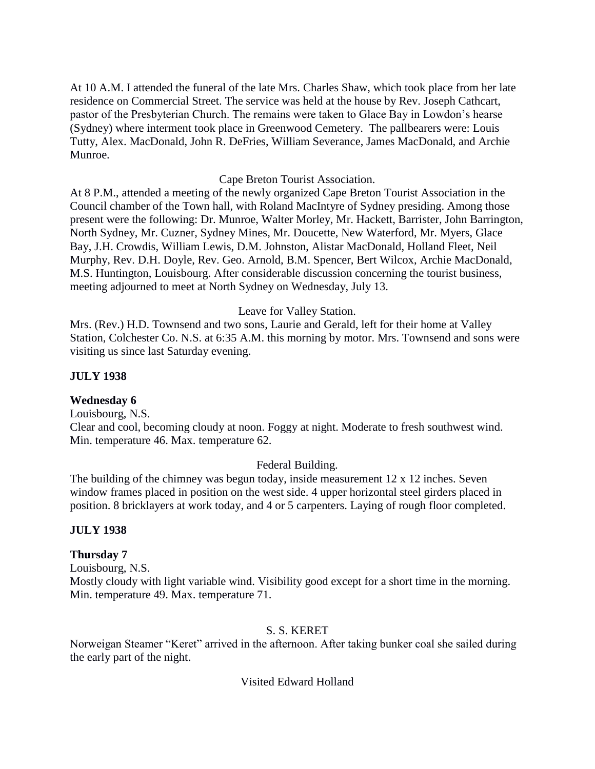At 10 A.M. I attended the funeral of the late Mrs. Charles Shaw, which took place from her late residence on Commercial Street. The service was held at the house by Rev. Joseph Cathcart, pastor of the Presbyterian Church. The remains were taken to Glace Bay in Lowdon's hearse (Sydney) where interment took place in Greenwood Cemetery. The pallbearers were: Louis Tutty, Alex. MacDonald, John R. DeFries, William Severance, James MacDonald, and Archie Munroe.

## Cape Breton Tourist Association.

At 8 P.M., attended a meeting of the newly organized Cape Breton Tourist Association in the Council chamber of the Town hall, with Roland MacIntyre of Sydney presiding. Among those present were the following: Dr. Munroe, Walter Morley, Mr. Hackett, Barrister, John Barrington, North Sydney, Mr. Cuzner, Sydney Mines, Mr. Doucette, New Waterford, Mr. Myers, Glace Bay, J.H. Crowdis, William Lewis, D.M. Johnston, Alistar MacDonald, Holland Fleet, Neil Murphy, Rev. D.H. Doyle, Rev. Geo. Arnold, B.M. Spencer, Bert Wilcox, Archie MacDonald, M.S. Huntington, Louisbourg. After considerable discussion concerning the tourist business, meeting adjourned to meet at North Sydney on Wednesday, July 13.

## Leave for Valley Station.

Mrs. (Rev.) H.D. Townsend and two sons, Laurie and Gerald, left for their home at Valley Station, Colchester Co. N.S. at 6:35 A.M. this morning by motor. Mrs. Townsend and sons were visiting us since last Saturday evening.

## **JULY 1938**

## **Wednesday 6**

Louisbourg, N.S.

Clear and cool, becoming cloudy at noon. Foggy at night. Moderate to fresh southwest wind. Min. temperature 46. Max. temperature 62.

## Federal Building.

The building of the chimney was begun today, inside measurement 12 x 12 inches. Seven window frames placed in position on the west side. 4 upper horizontal steel girders placed in position. 8 bricklayers at work today, and 4 or 5 carpenters. Laying of rough floor completed.

#### **JULY 1938**

## **Thursday 7**

Louisbourg, N.S. Mostly cloudy with light variable wind. Visibility good except for a short time in the morning. Min. temperature 49. Max. temperature 71.

## S. S. KERET

Norweigan Steamer "Keret" arrived in the afternoon. After taking bunker coal she sailed during the early part of the night.

## Visited Edward Holland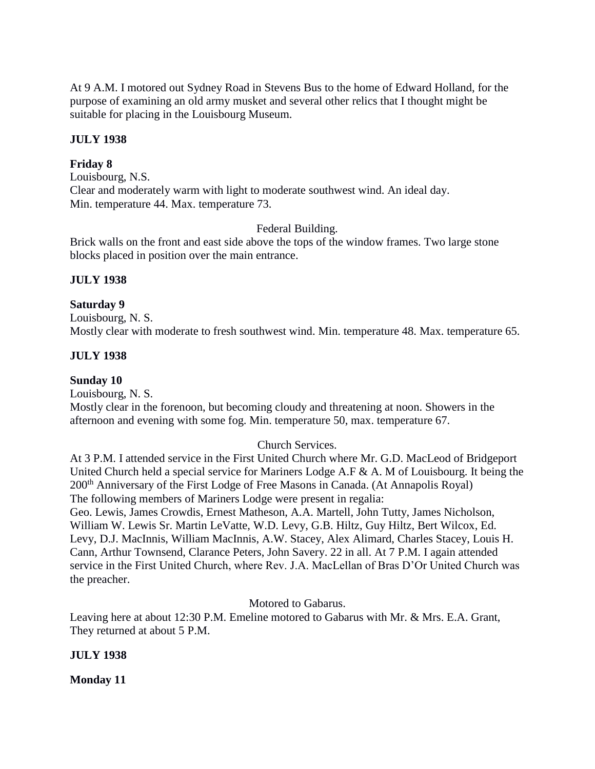At 9 A.M. I motored out Sydney Road in Stevens Bus to the home of Edward Holland, for the purpose of examining an old army musket and several other relics that I thought might be suitable for placing in the Louisbourg Museum.

## **JULY 1938**

## **Friday 8**

Louisbourg, N.S. Clear and moderately warm with light to moderate southwest wind. An ideal day. Min. temperature 44. Max. temperature 73.

Federal Building.

Brick walls on the front and east side above the tops of the window frames. Two large stone blocks placed in position over the main entrance.

## **JULY 1938**

## **Saturday 9**

Louisbourg, N. S. Mostly clear with moderate to fresh southwest wind. Min. temperature 48. Max. temperature 65.

## **JULY 1938**

# **Sunday 10**

Louisbourg, N. S.

Mostly clear in the forenoon, but becoming cloudy and threatening at noon. Showers in the afternoon and evening with some fog. Min. temperature 50, max. temperature 67.

# Church Services.

At 3 P.M. I attended service in the First United Church where Mr. G.D. MacLeod of Bridgeport United Church held a special service for Mariners Lodge A.F & A. M of Louisbourg. It being the 200th Anniversary of the First Lodge of Free Masons in Canada. (At Annapolis Royal) The following members of Mariners Lodge were present in regalia:

Geo. Lewis, James Crowdis, Ernest Matheson, A.A. Martell, John Tutty, James Nicholson, William W. Lewis Sr. Martin LeVatte, W.D. Levy, G.B. Hiltz, Guy Hiltz, Bert Wilcox, Ed. Levy, D.J. MacInnis, William MacInnis, A.W. Stacey, Alex Alimard, Charles Stacey, Louis H. Cann, Arthur Townsend, Clarance Peters, John Savery. 22 in all. At 7 P.M. I again attended service in the First United Church, where Rev. J.A. MacLellan of Bras D'Or United Church was the preacher.

Motored to Gabarus.

Leaving here at about 12:30 P.M. Emeline motored to Gabarus with Mr. & Mrs. E.A. Grant, They returned at about 5 P.M.

## **JULY 1938**

**Monday 11**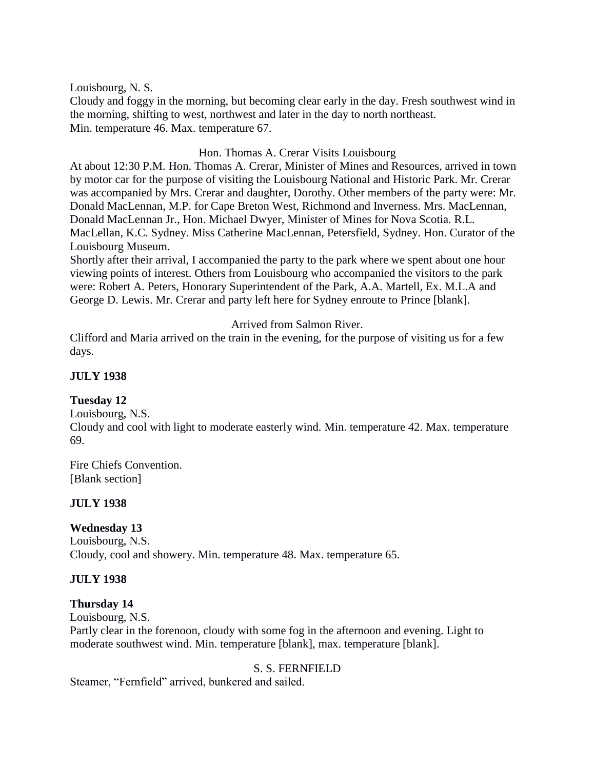Louisbourg, N. S.

Cloudy and foggy in the morning, but becoming clear early in the day. Fresh southwest wind in the morning, shifting to west, northwest and later in the day to north northeast. Min. temperature 46. Max. temperature 67.

# Hon. Thomas A. Crerar Visits Louisbourg

At about 12:30 P.M. Hon. Thomas A. Crerar, Minister of Mines and Resources, arrived in town by motor car for the purpose of visiting the Louisbourg National and Historic Park. Mr. Crerar was accompanied by Mrs. Crerar and daughter, Dorothy. Other members of the party were: Mr. Donald MacLennan, M.P. for Cape Breton West, Richmond and Inverness. Mrs. MacLennan, Donald MacLennan Jr., Hon. Michael Dwyer, Minister of Mines for Nova Scotia. R.L. MacLellan, K.C. Sydney. Miss Catherine MacLennan, Petersfield, Sydney. Hon. Curator of the Louisbourg Museum.

Shortly after their arrival, I accompanied the party to the park where we spent about one hour viewing points of interest. Others from Louisbourg who accompanied the visitors to the park were: Robert A. Peters, Honorary Superintendent of the Park, A.A. Martell, Ex. M.L.A and George D. Lewis. Mr. Crerar and party left here for Sydney enroute to Prince [blank].

Arrived from Salmon River.

Clifford and Maria arrived on the train in the evening, for the purpose of visiting us for a few days.

# **JULY 1938**

## **Tuesday 12**

Louisbourg, N.S. Cloudy and cool with light to moderate easterly wind. Min. temperature 42. Max. temperature 69.

Fire Chiefs Convention. [Blank section]

## **JULY 1938**

# **Wednesday 13**

Louisbourg, N.S. Cloudy, cool and showery. Min. temperature 48. Max. temperature 65.

# **JULY 1938**

# **Thursday 14**

Louisbourg, N.S.

Partly clear in the forenoon, cloudy with some fog in the afternoon and evening. Light to moderate southwest wind. Min. temperature [blank], max. temperature [blank].

# S. S. FERNFIELD

Steamer, "Fernfield" arrived, bunkered and sailed.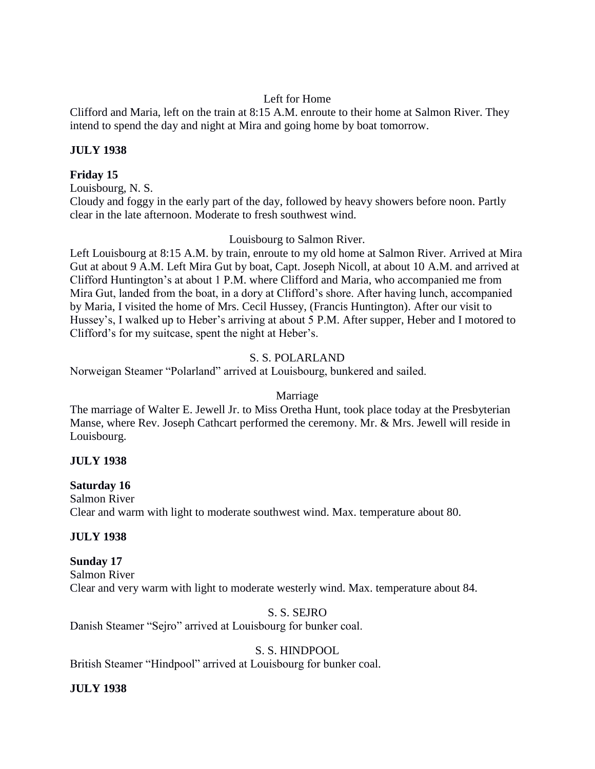# Left for Home

Clifford and Maria, left on the train at 8:15 A.M. enroute to their home at Salmon River. They intend to spend the day and night at Mira and going home by boat tomorrow.

# **JULY 1938**

# **Friday 15**

Louisbourg, N. S.

Cloudy and foggy in the early part of the day, followed by heavy showers before noon. Partly clear in the late afternoon. Moderate to fresh southwest wind.

# Louisbourg to Salmon River.

Left Louisbourg at 8:15 A.M. by train, enroute to my old home at Salmon River. Arrived at Mira Gut at about 9 A.M. Left Mira Gut by boat, Capt. Joseph Nicoll, at about 10 A.M. and arrived at Clifford Huntington's at about 1 P.M. where Clifford and Maria, who accompanied me from Mira Gut, landed from the boat, in a dory at Clifford's shore. After having lunch, accompanied by Maria, I visited the home of Mrs. Cecil Hussey, (Francis Huntington). After our visit to Hussey's, I walked up to Heber's arriving at about 5 P.M. After supper, Heber and I motored to Clifford's for my suitcase, spent the night at Heber's.

# S. S. POLARLAND

Norweigan Steamer "Polarland" arrived at Louisbourg, bunkered and sailed.

# Marriage

The marriage of Walter E. Jewell Jr. to Miss Oretha Hunt, took place today at the Presbyterian Manse, where Rev. Joseph Cathcart performed the ceremony. Mr. & Mrs. Jewell will reside in Louisbourg.

# **JULY 1938**

## **Saturday 16**

Salmon River Clear and warm with light to moderate southwest wind. Max. temperature about 80.

# **JULY 1938**

# **Sunday 17**

Salmon River Clear and very warm with light to moderate westerly wind. Max. temperature about 84.

# S. S. SEJRO

Danish Steamer "Sejro" arrived at Louisbourg for bunker coal.

# S. S. HINDPOOL

British Steamer "Hindpool" arrived at Louisbourg for bunker coal.

# **JULY 1938**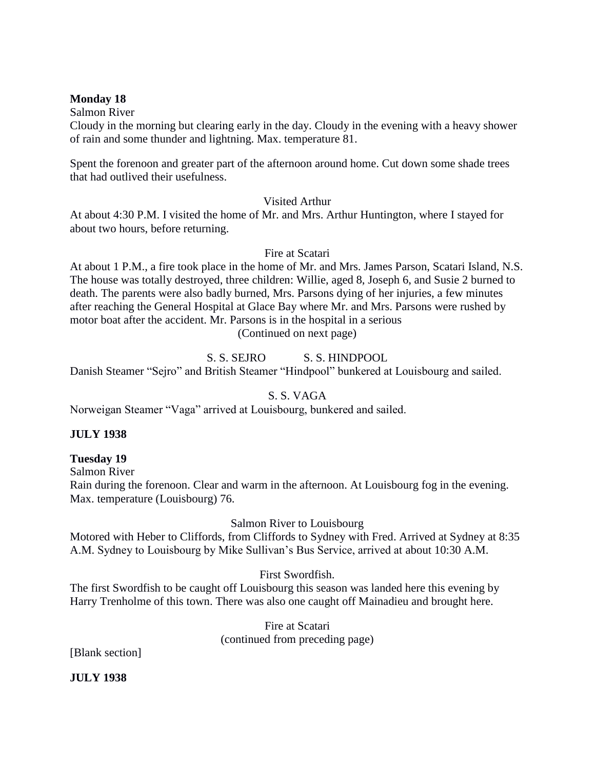## **Monday 18**

Salmon River

Cloudy in the morning but clearing early in the day. Cloudy in the evening with a heavy shower of rain and some thunder and lightning. Max. temperature 81.

Spent the forenoon and greater part of the afternoon around home. Cut down some shade trees that had outlived their usefulness.

Visited Arthur

At about 4:30 P.M. I visited the home of Mr. and Mrs. Arthur Huntington, where I stayed for about two hours, before returning.

Fire at Scatari

At about 1 P.M., a fire took place in the home of Mr. and Mrs. James Parson, Scatari Island, N.S. The house was totally destroyed, three children: Willie, aged 8, Joseph 6, and Susie 2 burned to death. The parents were also badly burned, Mrs. Parsons dying of her injuries, a few minutes after reaching the General Hospital at Glace Bay where Mr. and Mrs. Parsons were rushed by motor boat after the accident. Mr. Parsons is in the hospital in a serious (Continued on next page)

# S. S. SEJRO S. S. HINDPOOL

Danish Steamer "Sejro" and British Steamer "Hindpool" bunkered at Louisbourg and sailed.

# S. S. VAGA

Norweigan Steamer "Vaga" arrived at Louisbourg, bunkered and sailed.

# **JULY 1938**

# **Tuesday 19**

Salmon River

Rain during the forenoon. Clear and warm in the afternoon. At Louisbourg fog in the evening. Max. temperature (Louisbourg) 76.

# Salmon River to Louisbourg

Motored with Heber to Cliffords, from Cliffords to Sydney with Fred. Arrived at Sydney at 8:35 A.M. Sydney to Louisbourg by Mike Sullivan's Bus Service, arrived at about 10:30 A.M.

# First Swordfish.

The first Swordfish to be caught off Louisbourg this season was landed here this evening by Harry Trenholme of this town. There was also one caught off Mainadieu and brought here.

> Fire at Scatari (continued from preceding page)

[Blank section]

**JULY 1938**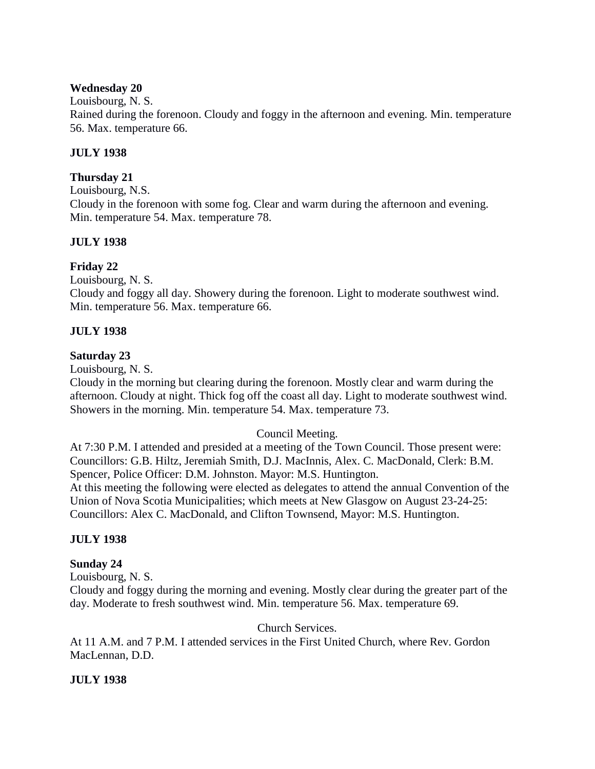## **Wednesday 20**

Louisbourg, N. S. Rained during the forenoon. Cloudy and foggy in the afternoon and evening. Min. temperature 56. Max. temperature 66.

# **JULY 1938**

# **Thursday 21**

Louisbourg, N.S. Cloudy in the forenoon with some fog. Clear and warm during the afternoon and evening. Min. temperature 54. Max. temperature 78.

# **JULY 1938**

# **Friday 22**

Louisbourg, N. S. Cloudy and foggy all day. Showery during the forenoon. Light to moderate southwest wind. Min. temperature 56. Max. temperature 66.

# **JULY 1938**

# **Saturday 23**

Louisbourg, N. S.

Cloudy in the morning but clearing during the forenoon. Mostly clear and warm during the afternoon. Cloudy at night. Thick fog off the coast all day. Light to moderate southwest wind. Showers in the morning. Min. temperature 54. Max. temperature 73.

# Council Meeting.

At 7:30 P.M. I attended and presided at a meeting of the Town Council. Those present were: Councillors: G.B. Hiltz, Jeremiah Smith, D.J. MacInnis, Alex. C. MacDonald, Clerk: B.M. Spencer, Police Officer: D.M. Johnston. Mayor: M.S. Huntington.

At this meeting the following were elected as delegates to attend the annual Convention of the Union of Nova Scotia Municipalities; which meets at New Glasgow on August 23-24-25: Councillors: Alex C. MacDonald, and Clifton Townsend, Mayor: M.S. Huntington.

# **JULY 1938**

# **Sunday 24**

Louisbourg, N. S.

Cloudy and foggy during the morning and evening. Mostly clear during the greater part of the day. Moderate to fresh southwest wind. Min. temperature 56. Max. temperature 69.

Church Services.

At 11 A.M. and 7 P.M. I attended services in the First United Church, where Rev. Gordon MacLennan, D.D.

# **JULY 1938**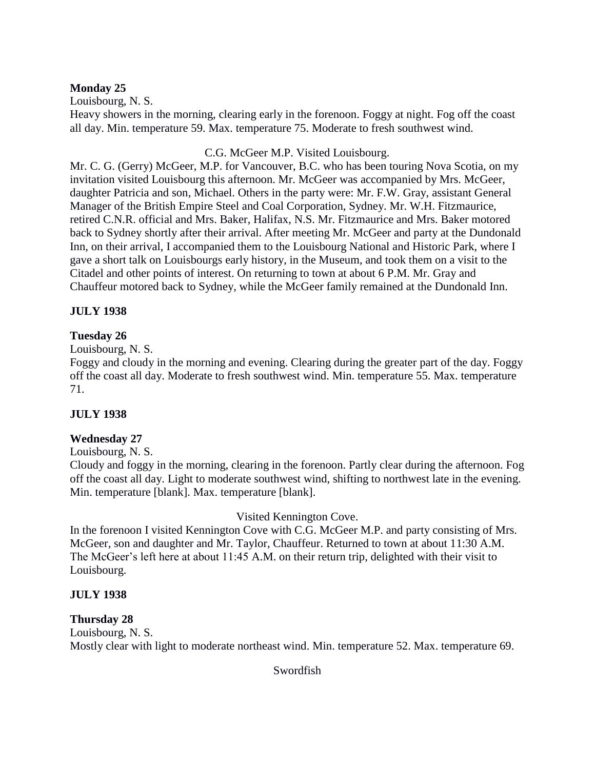# **Monday 25**

Louisbourg, N. S. Heavy showers in the morning, clearing early in the forenoon. Foggy at night. Fog off the coast all day. Min. temperature 59. Max. temperature 75. Moderate to fresh southwest wind.

C.G. McGeer M.P. Visited Louisbourg.

Mr. C. G. (Gerry) McGeer, M.P. for Vancouver, B.C. who has been touring Nova Scotia, on my invitation visited Louisbourg this afternoon. Mr. McGeer was accompanied by Mrs. McGeer, daughter Patricia and son, Michael. Others in the party were: Mr. F.W. Gray, assistant General Manager of the British Empire Steel and Coal Corporation, Sydney. Mr. W.H. Fitzmaurice, retired C.N.R. official and Mrs. Baker, Halifax, N.S. Mr. Fitzmaurice and Mrs. Baker motored back to Sydney shortly after their arrival. After meeting Mr. McGeer and party at the Dundonald Inn, on their arrival, I accompanied them to the Louisbourg National and Historic Park, where I gave a short talk on Louisbourgs early history, in the Museum, and took them on a visit to the Citadel and other points of interest. On returning to town at about 6 P.M. Mr. Gray and Chauffeur motored back to Sydney, while the McGeer family remained at the Dundonald Inn.

# **JULY 1938**

# **Tuesday 26**

Louisbourg, N. S.

Foggy and cloudy in the morning and evening. Clearing during the greater part of the day. Foggy off the coast all day. Moderate to fresh southwest wind. Min. temperature 55. Max. temperature 71.

# **JULY 1938**

# **Wednesday 27**

Louisbourg, N. S.

Cloudy and foggy in the morning, clearing in the forenoon. Partly clear during the afternoon. Fog off the coast all day. Light to moderate southwest wind, shifting to northwest late in the evening. Min. temperature [blank]. Max. temperature [blank].

# Visited Kennington Cove.

In the forenoon I visited Kennington Cove with C.G. McGeer M.P. and party consisting of Mrs. McGeer, son and daughter and Mr. Taylor, Chauffeur. Returned to town at about 11:30 A.M. The McGeer's left here at about 11:45 A.M. on their return trip, delighted with their visit to Louisbourg.

# **JULY 1938**

# **Thursday 28**

Louisbourg, N. S. Mostly clear with light to moderate northeast wind. Min. temperature 52. Max. temperature 69.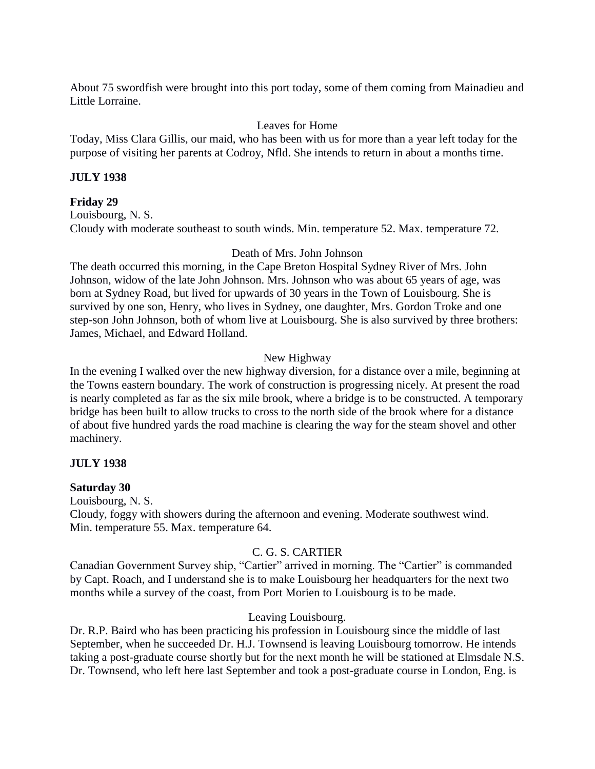About 75 swordfish were brought into this port today, some of them coming from Mainadieu and Little Lorraine.

## Leaves for Home

Today, Miss Clara Gillis, our maid, who has been with us for more than a year left today for the purpose of visiting her parents at Codroy, Nfld. She intends to return in about a months time.

## **JULY 1938**

## **Friday 29**

Louisbourg, N. S. Cloudy with moderate southeast to south winds. Min. temperature 52. Max. temperature 72.

## Death of Mrs. John Johnson

The death occurred this morning, in the Cape Breton Hospital Sydney River of Mrs. John Johnson, widow of the late John Johnson. Mrs. Johnson who was about 65 years of age, was born at Sydney Road, but lived for upwards of 30 years in the Town of Louisbourg. She is survived by one son, Henry, who lives in Sydney, one daughter, Mrs. Gordon Troke and one step-son John Johnson, both of whom live at Louisbourg. She is also survived by three brothers: James, Michael, and Edward Holland.

# New Highway

In the evening I walked over the new highway diversion, for a distance over a mile, beginning at the Towns eastern boundary. The work of construction is progressing nicely. At present the road is nearly completed as far as the six mile brook, where a bridge is to be constructed. A temporary bridge has been built to allow trucks to cross to the north side of the brook where for a distance of about five hundred yards the road machine is clearing the way for the steam shovel and other machinery.

## **JULY 1938**

## **Saturday 30**

Louisbourg, N. S. Cloudy, foggy with showers during the afternoon and evening. Moderate southwest wind. Min. temperature 55. Max. temperature 64.

# C. G. S. CARTIER

Canadian Government Survey ship, "Cartier" arrived in morning. The "Cartier" is commanded by Capt. Roach, and I understand she is to make Louisbourg her headquarters for the next two months while a survey of the coast, from Port Morien to Louisbourg is to be made.

# Leaving Louisbourg.

Dr. R.P. Baird who has been practicing his profession in Louisbourg since the middle of last September, when he succeeded Dr. H.J. Townsend is leaving Louisbourg tomorrow. He intends taking a post-graduate course shortly but for the next month he will be stationed at Elmsdale N.S. Dr. Townsend, who left here last September and took a post-graduate course in London, Eng. is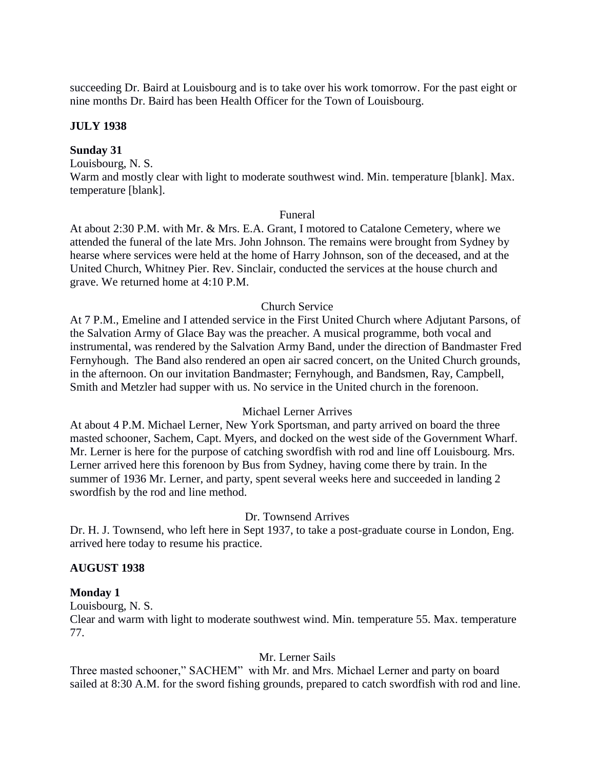succeeding Dr. Baird at Louisbourg and is to take over his work tomorrow. For the past eight or nine months Dr. Baird has been Health Officer for the Town of Louisbourg.

#### **JULY 1938**

#### **Sunday 31**

Louisbourg, N. S. Warm and mostly clear with light to moderate southwest wind. Min. temperature [blank]. Max. temperature [blank].

#### Funeral

At about 2:30 P.M. with Mr. & Mrs. E.A. Grant, I motored to Catalone Cemetery, where we attended the funeral of the late Mrs. John Johnson. The remains were brought from Sydney by hearse where services were held at the home of Harry Johnson, son of the deceased, and at the United Church, Whitney Pier. Rev. Sinclair, conducted the services at the house church and grave. We returned home at 4:10 P.M.

## Church Service

At 7 P.M., Emeline and I attended service in the First United Church where Adjutant Parsons, of the Salvation Army of Glace Bay was the preacher. A musical programme, both vocal and instrumental, was rendered by the Salvation Army Band, under the direction of Bandmaster Fred Fernyhough. The Band also rendered an open air sacred concert, on the United Church grounds, in the afternoon. On our invitation Bandmaster; Fernyhough, and Bandsmen, Ray, Campbell, Smith and Metzler had supper with us. No service in the United church in the forenoon.

## Michael Lerner Arrives

At about 4 P.M. Michael Lerner, New York Sportsman, and party arrived on board the three masted schooner, Sachem, Capt. Myers, and docked on the west side of the Government Wharf. Mr. Lerner is here for the purpose of catching swordfish with rod and line off Louisbourg. Mrs. Lerner arrived here this forenoon by Bus from Sydney, having come there by train. In the summer of 1936 Mr. Lerner, and party, spent several weeks here and succeeded in landing 2 swordfish by the rod and line method.

## Dr. Townsend Arrives

Dr. H. J. Townsend, who left here in Sept 1937, to take a post-graduate course in London, Eng. arrived here today to resume his practice.

## **AUGUST 1938**

#### **Monday 1**

Louisbourg, N. S.

Clear and warm with light to moderate southwest wind. Min. temperature 55. Max. temperature 77.

#### Mr. Lerner Sails

Three masted schooner," SACHEM" with Mr. and Mrs. Michael Lerner and party on board sailed at 8:30 A.M. for the sword fishing grounds, prepared to catch swordfish with rod and line.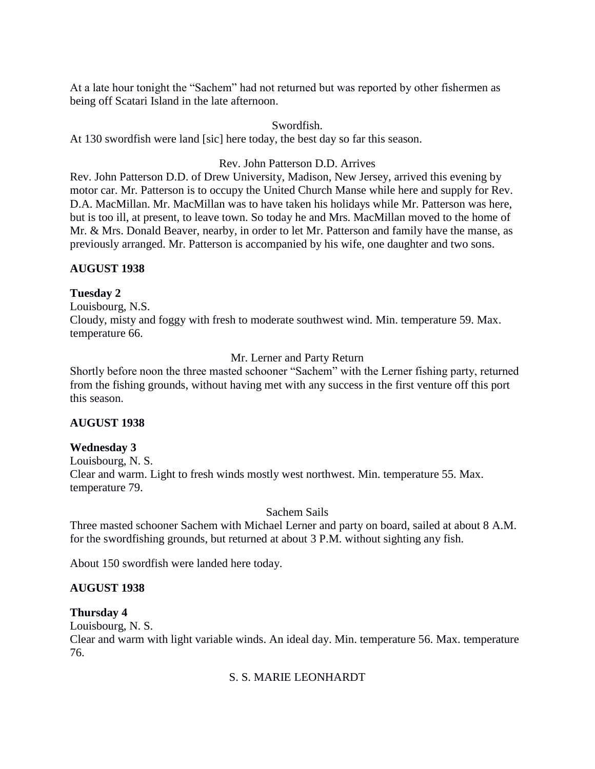At a late hour tonight the "Sachem" had not returned but was reported by other fishermen as being off Scatari Island in the late afternoon.

#### Swordfish.

At 130 swordfish were land [sic] here today, the best day so far this season.

## Rev. John Patterson D.D. Arrives

Rev. John Patterson D.D. of Drew University, Madison, New Jersey, arrived this evening by motor car. Mr. Patterson is to occupy the United Church Manse while here and supply for Rev. D.A. MacMillan. Mr. MacMillan was to have taken his holidays while Mr. Patterson was here, but is too ill, at present, to leave town. So today he and Mrs. MacMillan moved to the home of Mr. & Mrs. Donald Beaver, nearby, in order to let Mr. Patterson and family have the manse, as previously arranged. Mr. Patterson is accompanied by his wife, one daughter and two sons.

## **AUGUST 1938**

## **Tuesday 2**

Louisbourg, N.S. Cloudy, misty and foggy with fresh to moderate southwest wind. Min. temperature 59. Max. temperature 66.

## Mr. Lerner and Party Return

Shortly before noon the three masted schooner "Sachem" with the Lerner fishing party, returned from the fishing grounds, without having met with any success in the first venture off this port this season.

## **AUGUST 1938**

# **Wednesday 3** Louisbourg, N. S.

Clear and warm. Light to fresh winds mostly west northwest. Min. temperature 55. Max. temperature 79.

## Sachem Sails

Three masted schooner Sachem with Michael Lerner and party on board, sailed at about 8 A.M. for the swordfishing grounds, but returned at about 3 P.M. without sighting any fish.

About 150 swordfish were landed here today.

## **AUGUST 1938**

## **Thursday 4**

Louisbourg, N. S.

Clear and warm with light variable winds. An ideal day. Min. temperature 56. Max. temperature 76.

## S. S. MARIE LEONHARDT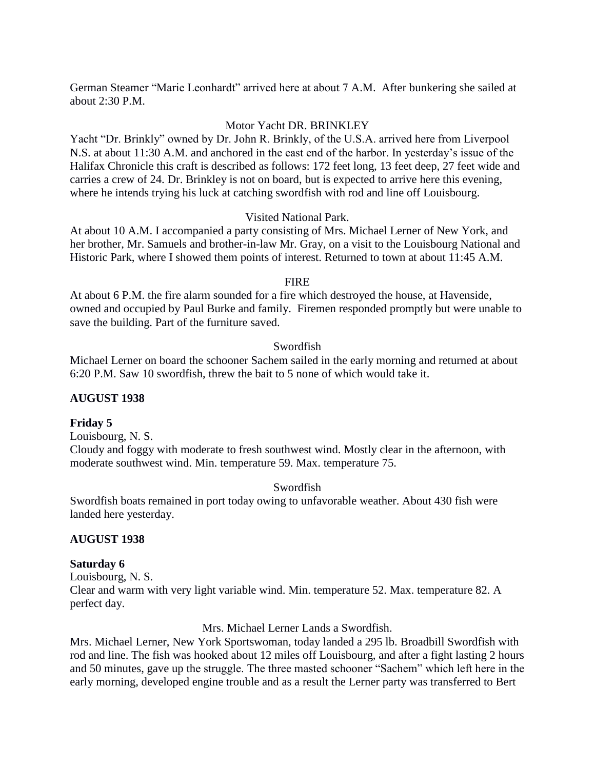German Steamer "Marie Leonhardt" arrived here at about 7 A.M. After bunkering she sailed at about 2:30 P.M.

#### Motor Yacht DR. BRINKLEY

Yacht "Dr. Brinkly" owned by Dr. John R. Brinkly, of the U.S.A. arrived here from Liverpool N.S. at about 11:30 A.M. and anchored in the east end of the harbor. In yesterday's issue of the Halifax Chronicle this craft is described as follows: 172 feet long, 13 feet deep, 27 feet wide and carries a crew of 24. Dr. Brinkley is not on board, but is expected to arrive here this evening, where he intends trying his luck at catching swordfish with rod and line off Louisbourg.

#### Visited National Park.

At about 10 A.M. I accompanied a party consisting of Mrs. Michael Lerner of New York, and her brother, Mr. Samuels and brother-in-law Mr. Gray, on a visit to the Louisbourg National and Historic Park, where I showed them points of interest. Returned to town at about 11:45 A.M.

#### FIRE

At about 6 P.M. the fire alarm sounded for a fire which destroyed the house, at Havenside, owned and occupied by Paul Burke and family. Firemen responded promptly but were unable to save the building. Part of the furniture saved.

#### Swordfish

Michael Lerner on board the schooner Sachem sailed in the early morning and returned at about 6:20 P.M. Saw 10 swordfish, threw the bait to 5 none of which would take it.

#### **AUGUST 1938**

#### **Friday 5**

Louisbourg, N. S.

Cloudy and foggy with moderate to fresh southwest wind. Mostly clear in the afternoon, with moderate southwest wind. Min. temperature 59. Max. temperature 75.

#### Swordfish

Swordfish boats remained in port today owing to unfavorable weather. About 430 fish were landed here yesterday.

#### **AUGUST 1938**

#### **Saturday 6**

Louisbourg, N. S. Clear and warm with very light variable wind. Min. temperature 52. Max. temperature 82. A perfect day.

#### Mrs. Michael Lerner Lands a Swordfish.

Mrs. Michael Lerner, New York Sportswoman, today landed a 295 lb. Broadbill Swordfish with rod and line. The fish was hooked about 12 miles off Louisbourg, and after a fight lasting 2 hours and 50 minutes, gave up the struggle. The three masted schooner "Sachem" which left here in the early morning, developed engine trouble and as a result the Lerner party was transferred to Bert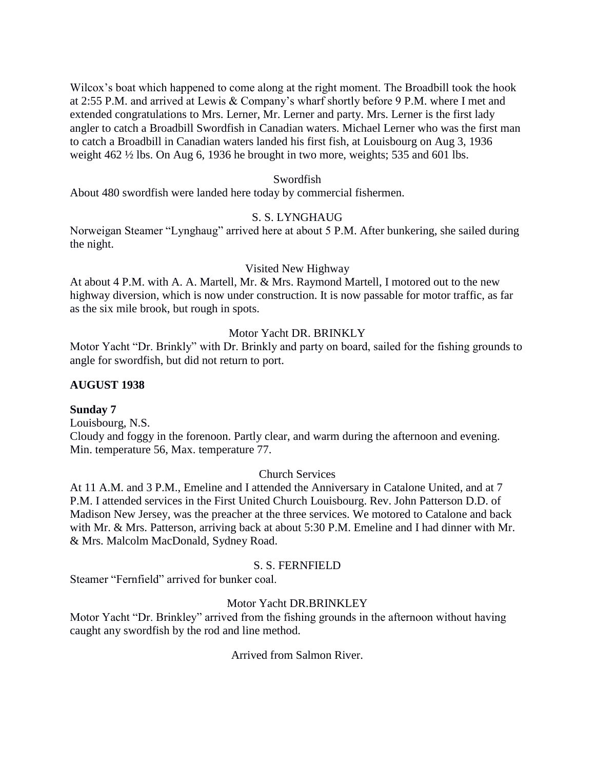Wilcox's boat which happened to come along at the right moment. The Broadbill took the hook at 2:55 P.M. and arrived at Lewis & Company's wharf shortly before 9 P.M. where I met and extended congratulations to Mrs. Lerner, Mr. Lerner and party. Mrs. Lerner is the first lady angler to catch a Broadbill Swordfish in Canadian waters. Michael Lerner who was the first man to catch a Broadbill in Canadian waters landed his first fish, at Louisbourg on Aug 3, 1936 weight 462 ½ lbs. On Aug 6, 1936 he brought in two more, weights; 535 and 601 lbs.

#### Swordfish

About 480 swordfish were landed here today by commercial fishermen.

## S. S. LYNGHAUG

Norweigan Steamer "Lynghaug" arrived here at about 5 P.M. After bunkering, she sailed during the night.

#### Visited New Highway

At about 4 P.M. with A. A. Martell, Mr. & Mrs. Raymond Martell, I motored out to the new highway diversion, which is now under construction. It is now passable for motor traffic, as far as the six mile brook, but rough in spots.

#### Motor Yacht DR. BRINKLY

Motor Yacht "Dr. Brinkly" with Dr. Brinkly and party on board, sailed for the fishing grounds to angle for swordfish, but did not return to port.

#### **AUGUST 1938**

#### **Sunday 7**

Louisbourg, N.S. Cloudy and foggy in the forenoon. Partly clear, and warm during the afternoon and evening. Min. temperature 56, Max. temperature 77.

#### Church Services

At 11 A.M. and 3 P.M., Emeline and I attended the Anniversary in Catalone United, and at 7 P.M. I attended services in the First United Church Louisbourg. Rev. John Patterson D.D. of Madison New Jersey, was the preacher at the three services. We motored to Catalone and back with Mr. & Mrs. Patterson, arriving back at about 5:30 P.M. Emeline and I had dinner with Mr. & Mrs. Malcolm MacDonald, Sydney Road.

#### S. S. FERNFIELD

Steamer "Fernfield" arrived for bunker coal.

## Motor Yacht DR.BRINKLEY

Motor Yacht "Dr. Brinkley" arrived from the fishing grounds in the afternoon without having caught any swordfish by the rod and line method.

Arrived from Salmon River.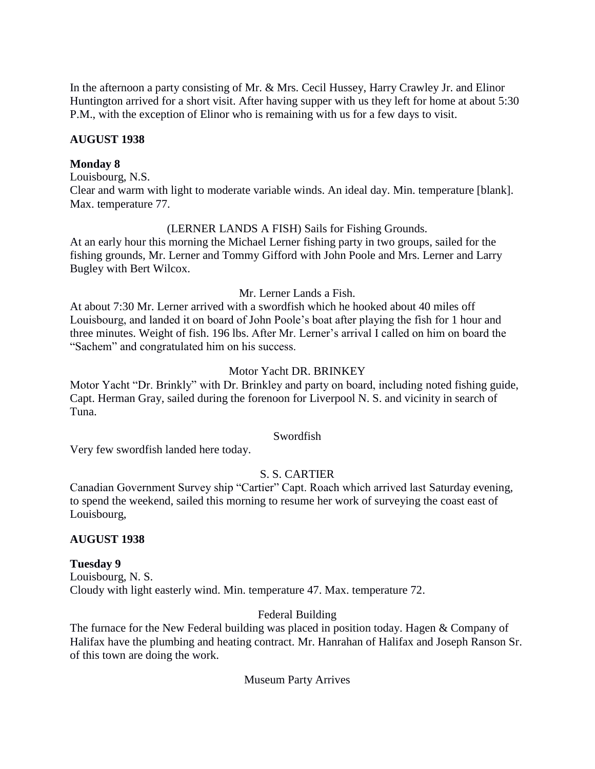In the afternoon a party consisting of Mr. & Mrs. Cecil Hussey, Harry Crawley Jr. and Elinor Huntington arrived for a short visit. After having supper with us they left for home at about 5:30 P.M., with the exception of Elinor who is remaining with us for a few days to visit.

## **AUGUST 1938**

#### **Monday 8**

Louisbourg, N.S. Clear and warm with light to moderate variable winds. An ideal day. Min. temperature [blank]. Max. temperature 77.

## (LERNER LANDS A FISH) Sails for Fishing Grounds.

At an early hour this morning the Michael Lerner fishing party in two groups, sailed for the fishing grounds, Mr. Lerner and Tommy Gifford with John Poole and Mrs. Lerner and Larry Bugley with Bert Wilcox.

## Mr. Lerner Lands a Fish.

At about 7:30 Mr. Lerner arrived with a swordfish which he hooked about 40 miles off Louisbourg, and landed it on board of John Poole's boat after playing the fish for 1 hour and three minutes. Weight of fish. 196 lbs. After Mr. Lerner's arrival I called on him on board the "Sachem" and congratulated him on his success.

## Motor Yacht DR. BRINKEY

Motor Yacht "Dr. Brinkly" with Dr. Brinkley and party on board, including noted fishing guide, Capt. Herman Gray, sailed during the forenoon for Liverpool N. S. and vicinity in search of Tuna.

## Swordfish

Very few swordfish landed here today.

# S. S. CARTIER

Canadian Government Survey ship "Cartier" Capt. Roach which arrived last Saturday evening, to spend the weekend, sailed this morning to resume her work of surveying the coast east of Louisbourg,

## **AUGUST 1938**

## **Tuesday 9**

Louisbourg, N. S. Cloudy with light easterly wind. Min. temperature 47. Max. temperature 72.

## Federal Building

The furnace for the New Federal building was placed in position today. Hagen & Company of Halifax have the plumbing and heating contract. Mr. Hanrahan of Halifax and Joseph Ranson Sr. of this town are doing the work.

## Museum Party Arrives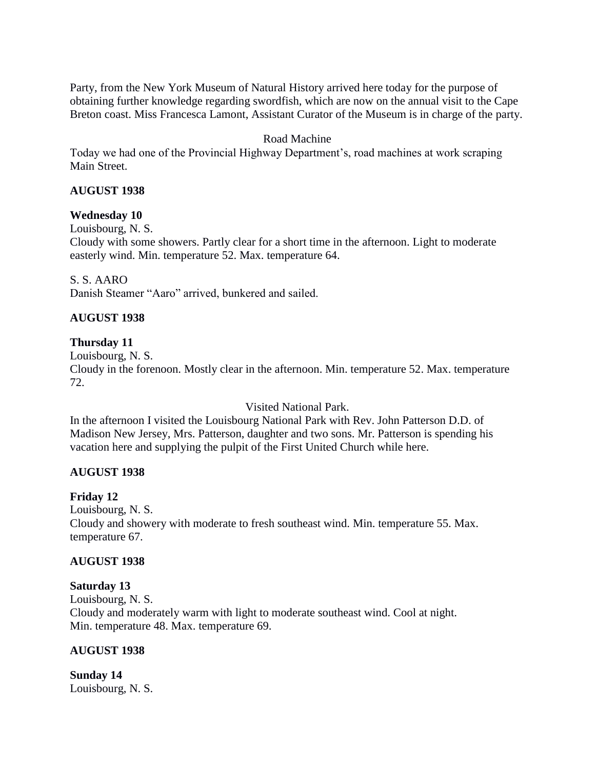Party, from the New York Museum of Natural History arrived here today for the purpose of obtaining further knowledge regarding swordfish, which are now on the annual visit to the Cape Breton coast. Miss Francesca Lamont, Assistant Curator of the Museum is in charge of the party.

## Road Machine

Today we had one of the Provincial Highway Department's, road machines at work scraping Main Street.

## **AUGUST 1938**

#### **Wednesday 10**

Louisbourg, N. S.

Cloudy with some showers. Partly clear for a short time in the afternoon. Light to moderate easterly wind. Min. temperature 52. Max. temperature 64.

#### S. S. AARO

Danish Steamer "Aaro" arrived, bunkered and sailed.

## **AUGUST 1938**

#### **Thursday 11**

Louisbourg, N. S.

Cloudy in the forenoon. Mostly clear in the afternoon. Min. temperature 52. Max. temperature 72.

Visited National Park.

In the afternoon I visited the Louisbourg National Park with Rev. John Patterson D.D. of Madison New Jersey, Mrs. Patterson, daughter and two sons. Mr. Patterson is spending his vacation here and supplying the pulpit of the First United Church while here.

## **AUGUST 1938**

#### **Friday 12**

Louisbourg, N. S. Cloudy and showery with moderate to fresh southeast wind. Min. temperature 55. Max. temperature 67.

#### **AUGUST 1938**

#### **Saturday 13**

Louisbourg, N. S. Cloudy and moderately warm with light to moderate southeast wind. Cool at night. Min. temperature 48. Max. temperature 69.

## **AUGUST 1938**

**Sunday 14** Louisbourg, N. S.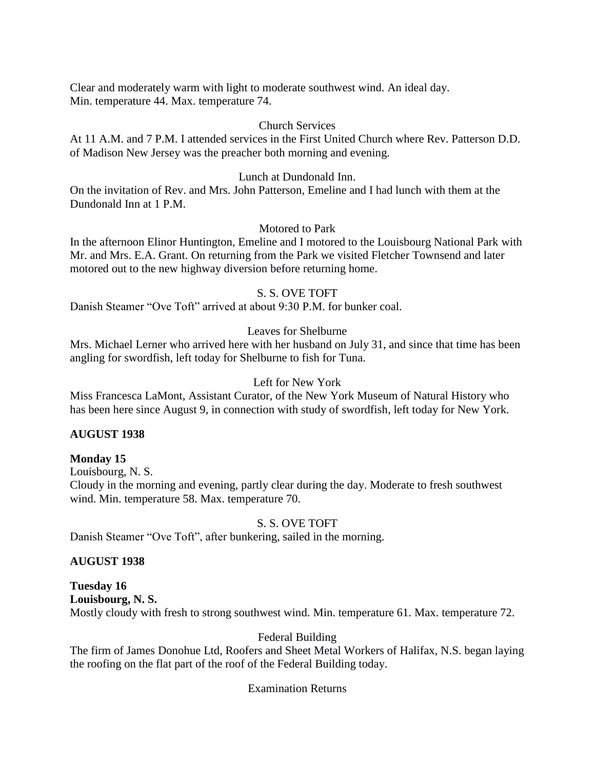Clear and moderately warm with light to moderate southwest wind. An ideal day. Min. temperature 44. Max. temperature 74.

## Church Services

At 11 A.M. and 7 P.M. I attended services in the First United Church where Rev. Patterson D.D. of Madison New Jersey was the preacher both morning and evening.

# Lunch at Dundonald Inn.

On the invitation of Rev. and Mrs. John Patterson, Emeline and I had lunch with them at the Dundonald Inn at 1 P.M.

## Motored to Park

In the afternoon Elinor Huntington, Emeline and I motored to the Louisbourg National Park with Mr. and Mrs. E.A. Grant. On returning from the Park we visited Fletcher Townsend and later motored out to the new highway diversion before returning home.

# S. S. OVE TOFT

Danish Steamer "Ove Toft" arrived at about 9:30 P.M. for bunker coal.

# Leaves for Shelburne

Mrs. Michael Lerner who arrived here with her husband on July 31, and since that time has been angling for swordfish, left today for Shelburne to fish for Tuna.

# Left for New York

Miss Francesca LaMont, Assistant Curator, of the New York Museum of Natural History who has been here since August 9, in connection with study of swordfish, left today for New York.

# **AUGUST 1938**

# **Monday 15**

Louisbourg, N. S.

Cloudy in the morning and evening, partly clear during the day. Moderate to fresh southwest wind. Min. temperature 58. Max. temperature 70.

# S. S. OVE TOFT

Danish Steamer "Ove Toft", after bunkering, sailed in the morning.

# **AUGUST 1938**

**Tuesday 16 Louisbourg, N. S.** Mostly cloudy with fresh to strong southwest wind. Min. temperature 61. Max. temperature 72.

# Federal Building

The firm of James Donohue Ltd, Roofers and Sheet Metal Workers of Halifax, N.S. began laying the roofing on the flat part of the roof of the Federal Building today.

## Examination Returns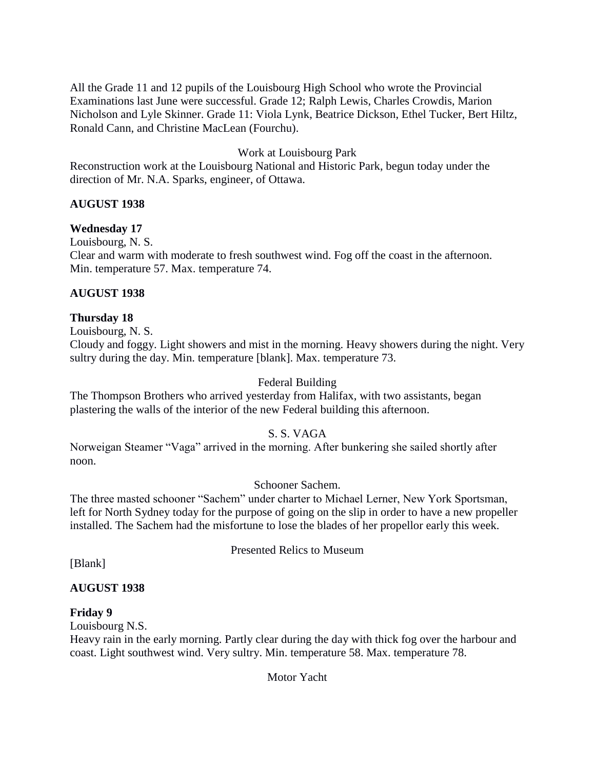All the Grade 11 and 12 pupils of the Louisbourg High School who wrote the Provincial Examinations last June were successful. Grade 12; Ralph Lewis, Charles Crowdis, Marion Nicholson and Lyle Skinner. Grade 11: Viola Lynk, Beatrice Dickson, Ethel Tucker, Bert Hiltz, Ronald Cann, and Christine MacLean (Fourchu).

# Work at Louisbourg Park

Reconstruction work at the Louisbourg National and Historic Park, begun today under the direction of Mr. N.A. Sparks, engineer, of Ottawa.

## **AUGUST 1938**

## **Wednesday 17**

Louisbourg, N. S.

Clear and warm with moderate to fresh southwest wind. Fog off the coast in the afternoon. Min. temperature 57. Max. temperature 74.

## **AUGUST 1938**

**Thursday 18**

Louisbourg, N. S. Cloudy and foggy. Light showers and mist in the morning. Heavy showers during the night. Very sultry during the day. Min. temperature [blank]. Max. temperature 73.

## Federal Building

The Thompson Brothers who arrived yesterday from Halifax, with two assistants, began plastering the walls of the interior of the new Federal building this afternoon.

## S. S. VAGA

Norweigan Steamer "Vaga" arrived in the morning. After bunkering she sailed shortly after noon.

## Schooner Sachem.

The three masted schooner "Sachem" under charter to Michael Lerner, New York Sportsman, left for North Sydney today for the purpose of going on the slip in order to have a new propeller installed. The Sachem had the misfortune to lose the blades of her propellor early this week.

Presented Relics to Museum

[Blank]

## **AUGUST 1938**

## **Friday 9**

Louisbourg N.S.

Heavy rain in the early morning. Partly clear during the day with thick fog over the harbour and coast. Light southwest wind. Very sultry. Min. temperature 58. Max. temperature 78.

Motor Yacht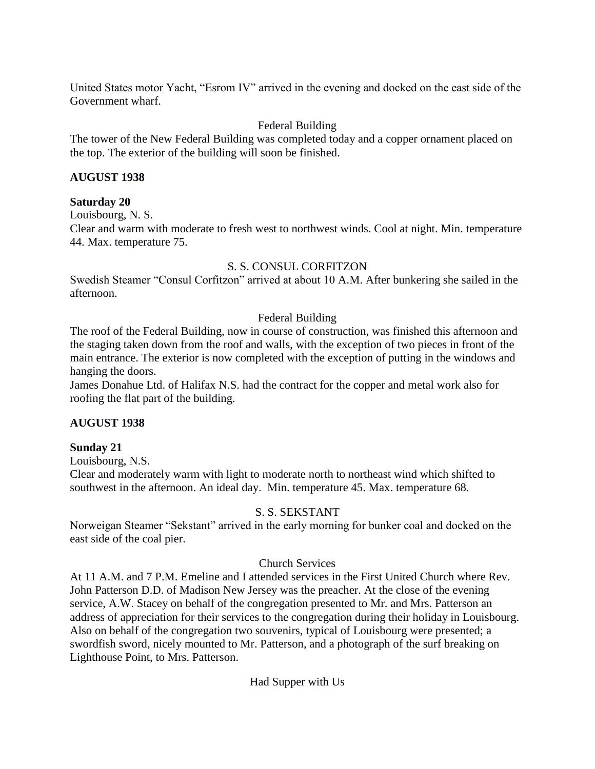United States motor Yacht, "Esrom IV" arrived in the evening and docked on the east side of the Government wharf.

# Federal Building

The tower of the New Federal Building was completed today and a copper ornament placed on the top. The exterior of the building will soon be finished.

## **AUGUST 1938**

## **Saturday 20**

Louisbourg, N. S.

Clear and warm with moderate to fresh west to northwest winds. Cool at night. Min. temperature 44. Max. temperature 75.

## S. S. CONSUL CORFITZON

Swedish Steamer "Consul Corfitzon" arrived at about 10 A.M. After bunkering she sailed in the afternoon.

## Federal Building

The roof of the Federal Building, now in course of construction, was finished this afternoon and the staging taken down from the roof and walls, with the exception of two pieces in front of the main entrance. The exterior is now completed with the exception of putting in the windows and hanging the doors.

James Donahue Ltd. of Halifax N.S. had the contract for the copper and metal work also for roofing the flat part of the building.

# **AUGUST 1938**

# **Sunday 21**

Louisbourg, N.S.

Clear and moderately warm with light to moderate north to northeast wind which shifted to southwest in the afternoon. An ideal day. Min. temperature 45. Max. temperature 68.

# S. S. SEKSTANT

Norweigan Steamer "Sekstant" arrived in the early morning for bunker coal and docked on the east side of the coal pier.

## Church Services

At 11 A.M. and 7 P.M. Emeline and I attended services in the First United Church where Rev. John Patterson D.D. of Madison New Jersey was the preacher. At the close of the evening service, A.W. Stacey on behalf of the congregation presented to Mr. and Mrs. Patterson an address of appreciation for their services to the congregation during their holiday in Louisbourg. Also on behalf of the congregation two souvenirs, typical of Louisbourg were presented; a swordfish sword, nicely mounted to Mr. Patterson, and a photograph of the surf breaking on Lighthouse Point, to Mrs. Patterson.

Had Supper with Us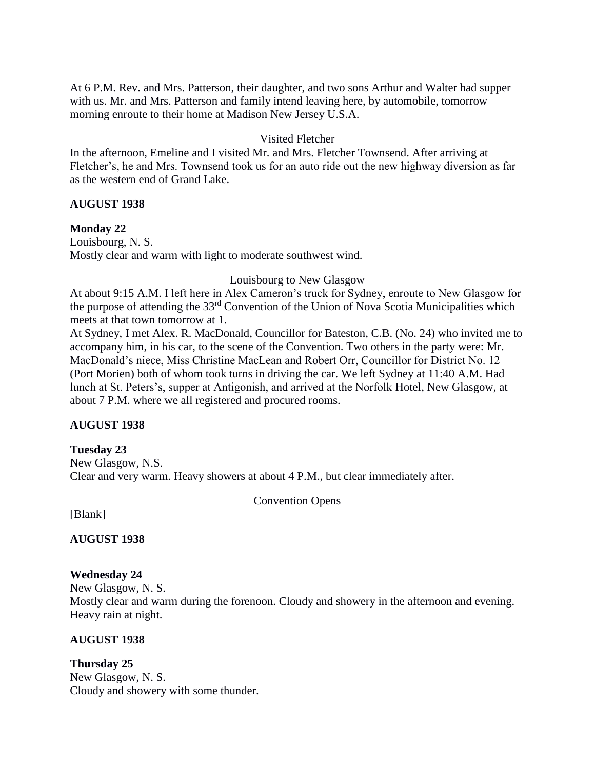At 6 P.M. Rev. and Mrs. Patterson, their daughter, and two sons Arthur and Walter had supper with us. Mr. and Mrs. Patterson and family intend leaving here, by automobile, tomorrow morning enroute to their home at Madison New Jersey U.S.A.

## Visited Fletcher

In the afternoon, Emeline and I visited Mr. and Mrs. Fletcher Townsend. After arriving at Fletcher's, he and Mrs. Townsend took us for an auto ride out the new highway diversion as far as the western end of Grand Lake.

## **AUGUST 1938**

## **Monday 22**

Louisbourg, N. S. Mostly clear and warm with light to moderate southwest wind.

## Louisbourg to New Glasgow

At about 9:15 A.M. I left here in Alex Cameron's truck for Sydney, enroute to New Glasgow for the purpose of attending the 33rd Convention of the Union of Nova Scotia Municipalities which meets at that town tomorrow at 1.

At Sydney, I met Alex. R. MacDonald, Councillor for Bateston, C.B. (No. 24) who invited me to accompany him, in his car, to the scene of the Convention. Two others in the party were: Mr. MacDonald's niece, Miss Christine MacLean and Robert Orr, Councillor for District No. 12 (Port Morien) both of whom took turns in driving the car. We left Sydney at 11:40 A.M. Had lunch at St. Peters's, supper at Antigonish, and arrived at the Norfolk Hotel, New Glasgow, at about 7 P.M. where we all registered and procured rooms.

# **AUGUST 1938**

**Tuesday 23** New Glasgow, N.S. Clear and very warm. Heavy showers at about 4 P.M., but clear immediately after.

Convention Opens

[Blank]

**AUGUST 1938**

# **Wednesday 24**

New Glasgow, N. S. Mostly clear and warm during the forenoon. Cloudy and showery in the afternoon and evening. Heavy rain at night.

# **AUGUST 1938**

**Thursday 25** New Glasgow, N. S. Cloudy and showery with some thunder.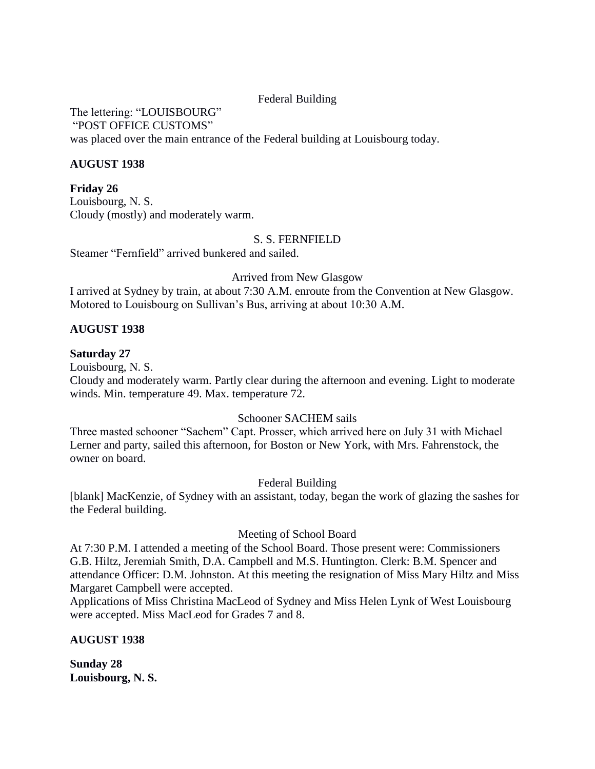## Federal Building

The lettering: "LOUISBOURG" "POST OFFICE CUSTOMS" was placed over the main entrance of the Federal building at Louisbourg today.

## **AUGUST 1938**

**Friday 26** Louisbourg, N. S. Cloudy (mostly) and moderately warm.

## S. S. FERNFIELD

Steamer "Fernfield" arrived bunkered and sailed.

Arrived from New Glasgow

I arrived at Sydney by train, at about 7:30 A.M. enroute from the Convention at New Glasgow. Motored to Louisbourg on Sullivan's Bus, arriving at about 10:30 A.M.

## **AUGUST 1938**

## **Saturday 27**

Louisbourg, N. S.

Cloudy and moderately warm. Partly clear during the afternoon and evening. Light to moderate winds. Min. temperature 49. Max. temperature 72.

## Schooner SACHEM sails

Three masted schooner "Sachem" Capt. Prosser, which arrived here on July 31 with Michael Lerner and party, sailed this afternoon, for Boston or New York, with Mrs. Fahrenstock, the owner on board.

Federal Building

[blank] MacKenzie, of Sydney with an assistant, today, began the work of glazing the sashes for the Federal building.

# Meeting of School Board

At 7:30 P.M. I attended a meeting of the School Board. Those present were: Commissioners G.B. Hiltz, Jeremiah Smith, D.A. Campbell and M.S. Huntington. Clerk: B.M. Spencer and attendance Officer: D.M. Johnston. At this meeting the resignation of Miss Mary Hiltz and Miss Margaret Campbell were accepted.

Applications of Miss Christina MacLeod of Sydney and Miss Helen Lynk of West Louisbourg were accepted. Miss MacLeod for Grades 7 and 8.

## **AUGUST 1938**

**Sunday 28 Louisbourg, N. S.**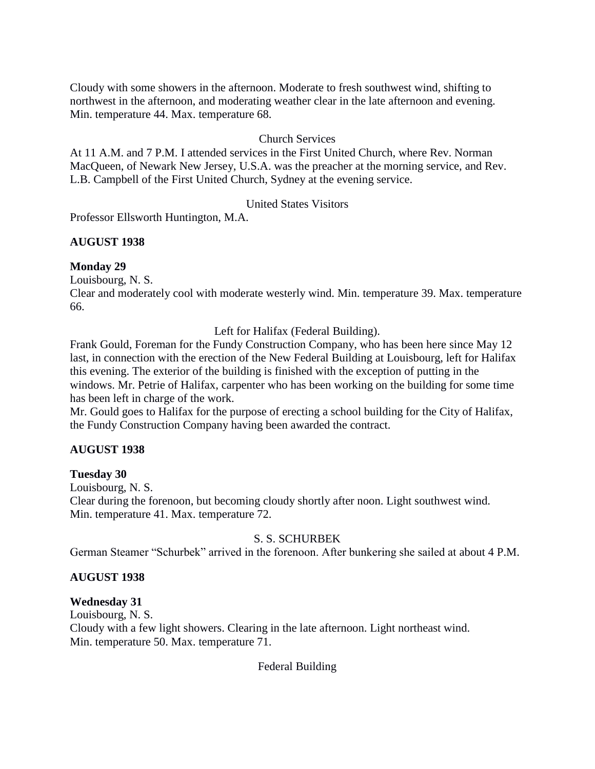Cloudy with some showers in the afternoon. Moderate to fresh southwest wind, shifting to northwest in the afternoon, and moderating weather clear in the late afternoon and evening. Min. temperature 44. Max. temperature 68.

## Church Services

At 11 A.M. and 7 P.M. I attended services in the First United Church, where Rev. Norman MacQueen, of Newark New Jersey, U.S.A. was the preacher at the morning service, and Rev. L.B. Campbell of the First United Church, Sydney at the evening service.

## United States Visitors

Professor Ellsworth Huntington, M.A.

## **AUGUST 1938**

## **Monday 29**

Louisbourg, N. S.

Clear and moderately cool with moderate westerly wind. Min. temperature 39. Max. temperature 66.

Left for Halifax (Federal Building).

Frank Gould, Foreman for the Fundy Construction Company, who has been here since May 12 last, in connection with the erection of the New Federal Building at Louisbourg, left for Halifax this evening. The exterior of the building is finished with the exception of putting in the windows. Mr. Petrie of Halifax, carpenter who has been working on the building for some time has been left in charge of the work.

Mr. Gould goes to Halifax for the purpose of erecting a school building for the City of Halifax, the Fundy Construction Company having been awarded the contract.

## **AUGUST 1938**

## **Tuesday 30**

Louisbourg, N. S. Clear during the forenoon, but becoming cloudy shortly after noon. Light southwest wind. Min. temperature 41. Max. temperature 72.

## S. S. SCHURBEK

German Steamer "Schurbek" arrived in the forenoon. After bunkering she sailed at about 4 P.M.

# **AUGUST 1938**

## **Wednesday 31**

Louisbourg, N. S. Cloudy with a few light showers. Clearing in the late afternoon. Light northeast wind. Min. temperature 50. Max. temperature 71.

## Federal Building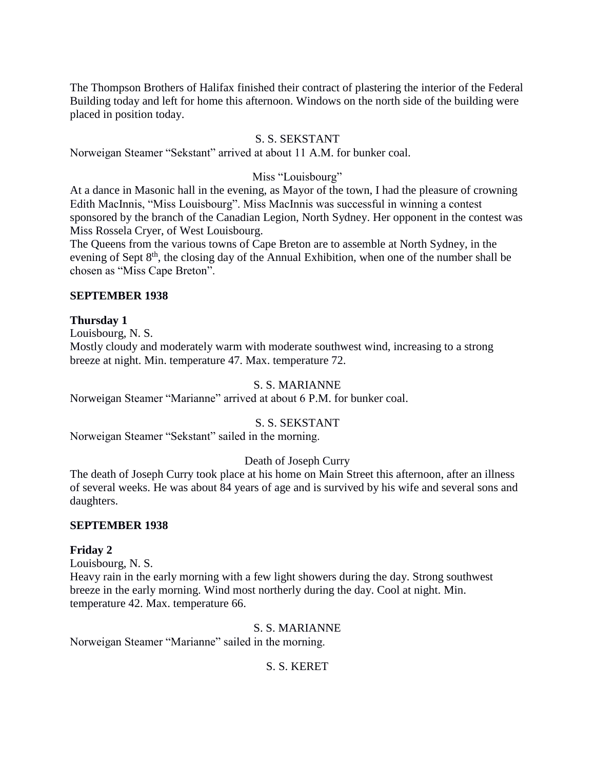The Thompson Brothers of Halifax finished their contract of plastering the interior of the Federal Building today and left for home this afternoon. Windows on the north side of the building were placed in position today.

# S. S. SEKSTANT

Norweigan Steamer "Sekstant" arrived at about 11 A.M. for bunker coal.

# Miss "Louisbourg"

At a dance in Masonic hall in the evening, as Mayor of the town, I had the pleasure of crowning Edith MacInnis, "Miss Louisbourg". Miss MacInnis was successful in winning a contest sponsored by the branch of the Canadian Legion, North Sydney. Her opponent in the contest was Miss Rossela Cryer, of West Louisbourg.

The Queens from the various towns of Cape Breton are to assemble at North Sydney, in the evening of Sept 8<sup>th</sup>, the closing day of the Annual Exhibition, when one of the number shall be chosen as "Miss Cape Breton".

## **SEPTEMBER 1938**

## **Thursday 1**

Louisbourg, N. S.

Mostly cloudy and moderately warm with moderate southwest wind, increasing to a strong breeze at night. Min. temperature 47. Max. temperature 72.

## S. S. MARIANNE

Norweigan Steamer "Marianne" arrived at about 6 P.M. for bunker coal.

# S. S. SEKSTANT

Norweigan Steamer "Sekstant" sailed in the morning.

# Death of Joseph Curry

The death of Joseph Curry took place at his home on Main Street this afternoon, after an illness of several weeks. He was about 84 years of age and is survived by his wife and several sons and daughters.

## **SEPTEMBER 1938**

## **Friday 2**

Louisbourg, N. S.

Heavy rain in the early morning with a few light showers during the day. Strong southwest breeze in the early morning. Wind most northerly during the day. Cool at night. Min. temperature 42. Max. temperature 66.

S. S. MARIANNE

Norweigan Steamer "Marianne" sailed in the morning.

# S. S. KERET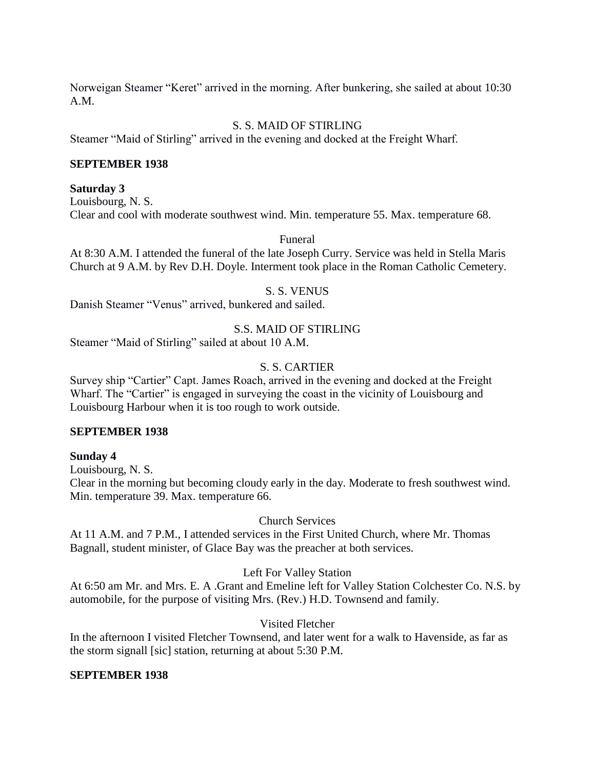Norweigan Steamer "Keret" arrived in the morning. After bunkering, she sailed at about 10:30 A.M.

## S. S. MAID OF STIRLING

Steamer "Maid of Stirling" arrived in the evening and docked at the Freight Wharf.

## **SEPTEMBER 1938**

#### **Saturday 3**

Louisbourg, N. S. Clear and cool with moderate southwest wind. Min. temperature 55. Max. temperature 68.

Funeral

At 8:30 A.M. I attended the funeral of the late Joseph Curry. Service was held in Stella Maris Church at 9 A.M. by Rev D.H. Doyle. Interment took place in the Roman Catholic Cemetery.

#### S. S. VENUS

Danish Steamer "Venus" arrived, bunkered and sailed.

## S.S. MAID OF STIRLING

Steamer "Maid of Stirling" sailed at about 10 A.M.

## S. S. CARTIER

Survey ship "Cartier" Capt. James Roach, arrived in the evening and docked at the Freight Wharf. The "Cartier" is engaged in surveying the coast in the vicinity of Louisbourg and Louisbourg Harbour when it is too rough to work outside.

#### **SEPTEMBER 1938**

## **Sunday 4**

Louisbourg, N. S.

Clear in the morning but becoming cloudy early in the day. Moderate to fresh southwest wind. Min. temperature 39. Max. temperature 66.

## Church Services

At 11 A.M. and 7 P.M., I attended services in the First United Church, where Mr. Thomas Bagnall, student minister, of Glace Bay was the preacher at both services.

## Left For Valley Station

At 6:50 am Mr. and Mrs. E. A .Grant and Emeline left for Valley Station Colchester Co. N.S. by automobile, for the purpose of visiting Mrs. (Rev.) H.D. Townsend and family.

## Visited Fletcher

In the afternoon I visited Fletcher Townsend, and later went for a walk to Havenside, as far as the storm signall [sic] station, returning at about 5:30 P.M.

## **SEPTEMBER 1938**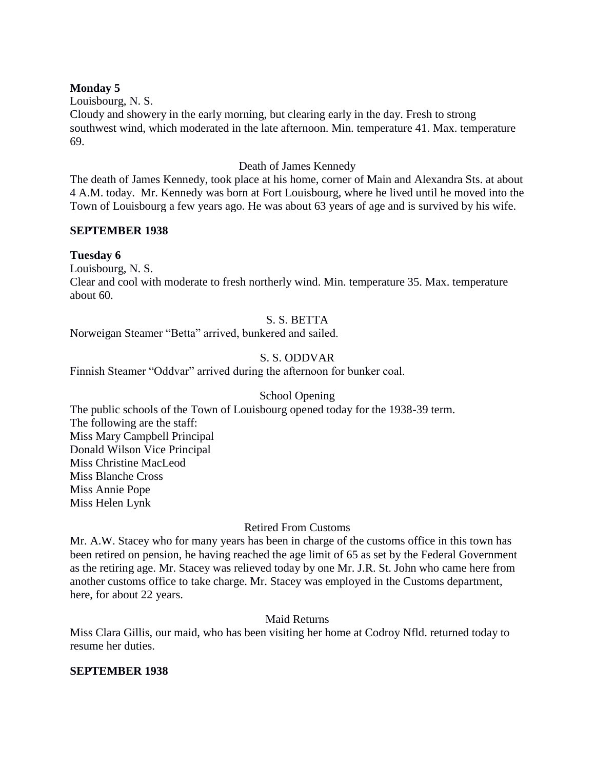## **Monday 5**

Louisbourg, N. S. Cloudy and showery in the early morning, but clearing early in the day. Fresh to strong southwest wind, which moderated in the late afternoon. Min. temperature 41. Max. temperature 69.

# Death of James Kennedy

The death of James Kennedy, took place at his home, corner of Main and Alexandra Sts. at about 4 A.M. today. Mr. Kennedy was born at Fort Louisbourg, where he lived until he moved into the Town of Louisbourg a few years ago. He was about 63 years of age and is survived by his wife.

## **SEPTEMBER 1938**

## **Tuesday 6**

Louisbourg, N. S.

Clear and cool with moderate to fresh northerly wind. Min. temperature 35. Max. temperature about 60.

# S. S. BETTA

Norweigan Steamer "Betta" arrived, bunkered and sailed.

## S. S. ODDVAR

Finnish Steamer "Oddvar" arrived during the afternoon for bunker coal.

## School Opening

The public schools of the Town of Louisbourg opened today for the 1938-39 term. The following are the staff: Miss Mary Campbell Principal Donald Wilson Vice Principal Miss Christine MacLeod Miss Blanche Cross Miss Annie Pope Miss Helen Lynk

## Retired From Customs

Mr. A.W. Stacey who for many years has been in charge of the customs office in this town has been retired on pension, he having reached the age limit of 65 as set by the Federal Government as the retiring age. Mr. Stacey was relieved today by one Mr. J.R. St. John who came here from another customs office to take charge. Mr. Stacey was employed in the Customs department, here, for about 22 years.

## Maid Returns

Miss Clara Gillis, our maid, who has been visiting her home at Codroy Nfld. returned today to resume her duties.

## **SEPTEMBER 1938**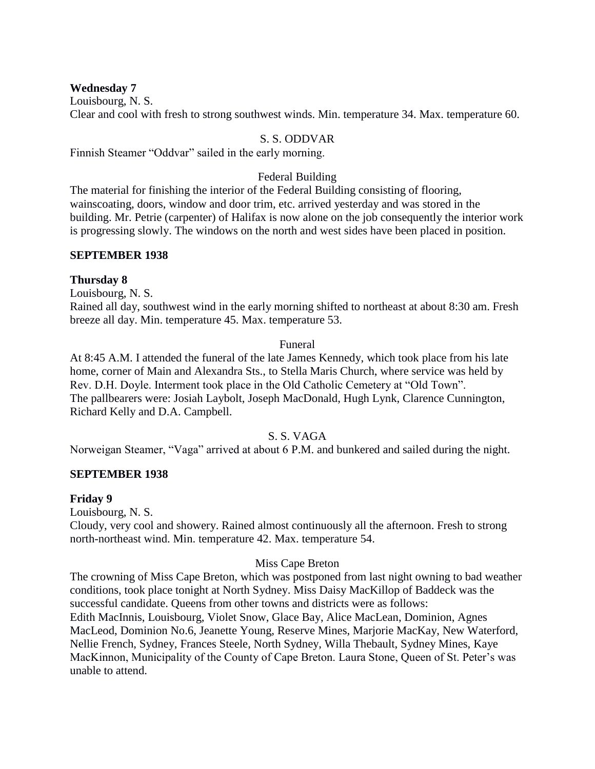## **Wednesday 7**

Louisbourg, N. S.

Clear and cool with fresh to strong southwest winds. Min. temperature 34. Max. temperature 60.

## S. S. ODDVAR

Finnish Steamer "Oddvar" sailed in the early morning.

# Federal Building

The material for finishing the interior of the Federal Building consisting of flooring, wainscoating, doors, window and door trim, etc. arrived yesterday and was stored in the building. Mr. Petrie (carpenter) of Halifax is now alone on the job consequently the interior work is progressing slowly. The windows on the north and west sides have been placed in position.

## **SEPTEMBER 1938**

## **Thursday 8**

Louisbourg, N. S.

Rained all day, southwest wind in the early morning shifted to northeast at about 8:30 am. Fresh breeze all day. Min. temperature 45. Max. temperature 53.

#### Funeral

At 8:45 A.M. I attended the funeral of the late James Kennedy, which took place from his late home, corner of Main and Alexandra Sts., to Stella Maris Church, where service was held by Rev. D.H. Doyle. Interment took place in the Old Catholic Cemetery at "Old Town". The pallbearers were: Josiah Laybolt, Joseph MacDonald, Hugh Lynk, Clarence Cunnington, Richard Kelly and D.A. Campbell.

## S. S. VAGA

Norweigan Steamer, "Vaga" arrived at about 6 P.M. and bunkered and sailed during the night.

## **SEPTEMBER 1938**

## **Friday 9**

Louisbourg, N. S.

Cloudy, very cool and showery. Rained almost continuously all the afternoon. Fresh to strong north-northeast wind. Min. temperature 42. Max. temperature 54.

## Miss Cape Breton

The crowning of Miss Cape Breton, which was postponed from last night owning to bad weather conditions, took place tonight at North Sydney. Miss Daisy MacKillop of Baddeck was the successful candidate. Queens from other towns and districts were as follows: Edith MacInnis, Louisbourg, Violet Snow, Glace Bay, Alice MacLean, Dominion, Agnes MacLeod, Dominion No.6, Jeanette Young, Reserve Mines, Marjorie MacKay, New Waterford, Nellie French, Sydney, Frances Steele, North Sydney, Willa Thebault, Sydney Mines, Kaye MacKinnon, Municipality of the County of Cape Breton. Laura Stone, Queen of St. Peter's was unable to attend.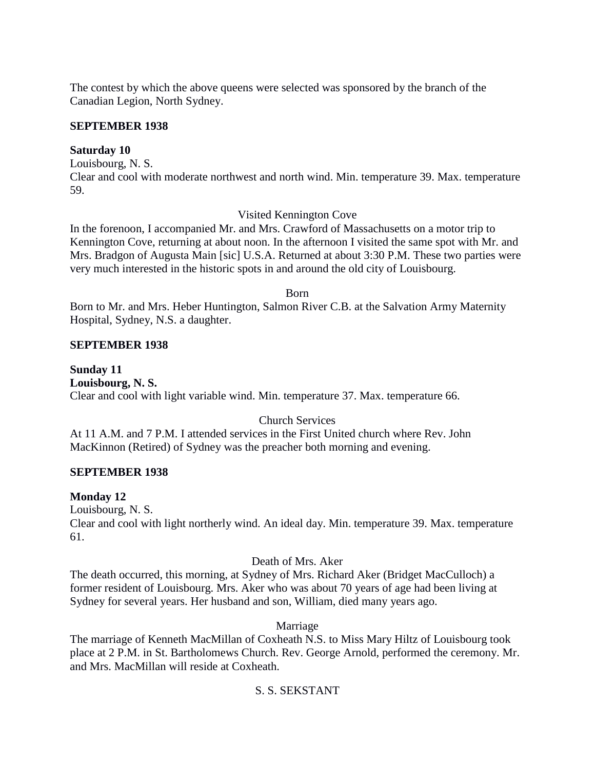The contest by which the above queens were selected was sponsored by the branch of the Canadian Legion, North Sydney.

## **SEPTEMBER 1938**

## **Saturday 10**

Louisbourg, N. S.

Clear and cool with moderate northwest and north wind. Min. temperature 39. Max. temperature 59.

# Visited Kennington Cove

In the forenoon, I accompanied Mr. and Mrs. Crawford of Massachusetts on a motor trip to Kennington Cove, returning at about noon. In the afternoon I visited the same spot with Mr. and Mrs. Bradgon of Augusta Main [sic] U.S.A. Returned at about 3:30 P.M. These two parties were very much interested in the historic spots in and around the old city of Louisbourg.

Born

Born to Mr. and Mrs. Heber Huntington, Salmon River C.B. at the Salvation Army Maternity Hospital, Sydney, N.S. a daughter.

## **SEPTEMBER 1938**

**Sunday 11 Louisbourg, N. S.** Clear and cool with light variable wind. Min. temperature 37. Max. temperature 66.

# Church Services

At 11 A.M. and 7 P.M. I attended services in the First United church where Rev. John MacKinnon (Retired) of Sydney was the preacher both morning and evening.

# **SEPTEMBER 1938**

# **Monday 12**

Louisbourg, N. S. Clear and cool with light northerly wind. An ideal day. Min. temperature 39. Max. temperature 61.

# Death of Mrs. Aker

The death occurred, this morning, at Sydney of Mrs. Richard Aker (Bridget MacCulloch) a former resident of Louisbourg. Mrs. Aker who was about 70 years of age had been living at Sydney for several years. Her husband and son, William, died many years ago.

# Marriage

The marriage of Kenneth MacMillan of Coxheath N.S. to Miss Mary Hiltz of Louisbourg took place at 2 P.M. in St. Bartholomews Church. Rev. George Arnold, performed the ceremony. Mr. and Mrs. MacMillan will reside at Coxheath.

# S. S. SEKSTANT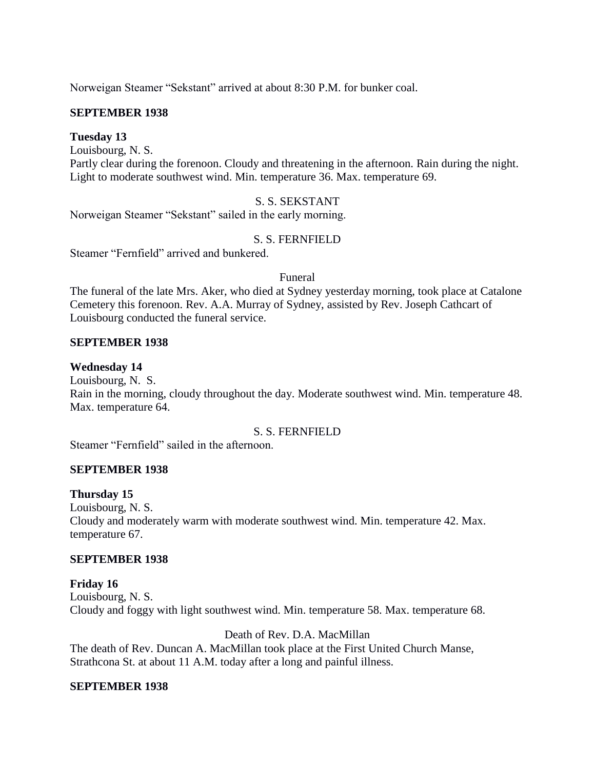Norweigan Steamer "Sekstant" arrived at about 8:30 P.M. for bunker coal.

## **SEPTEMBER 1938**

## **Tuesday 13**

Louisbourg, N. S.

Partly clear during the forenoon. Cloudy and threatening in the afternoon. Rain during the night. Light to moderate southwest wind. Min. temperature 36. Max. temperature 69.

# S. S. SEKSTANT

Norweigan Steamer "Sekstant" sailed in the early morning.

## S. S. FERNFIELD

Steamer "Fernfield" arrived and bunkered.

#### Funeral

The funeral of the late Mrs. Aker, who died at Sydney yesterday morning, took place at Catalone Cemetery this forenoon. Rev. A.A. Murray of Sydney, assisted by Rev. Joseph Cathcart of Louisbourg conducted the funeral service.

## **SEPTEMBER 1938**

## **Wednesday 14**

Louisbourg, N. S. Rain in the morning, cloudy throughout the day. Moderate southwest wind. Min. temperature 48. Max. temperature 64.

## S. S. FERNFIELD

Steamer "Fernfield" sailed in the afternoon.

## **SEPTEMBER 1938**

## **Thursday 15**

Louisbourg, N. S. Cloudy and moderately warm with moderate southwest wind. Min. temperature 42. Max. temperature 67.

## **SEPTEMBER 1938**

**Friday 16** Louisbourg, N. S. Cloudy and foggy with light southwest wind. Min. temperature 58. Max. temperature 68.

Death of Rev. D.A. MacMillan The death of Rev. Duncan A. MacMillan took place at the First United Church Manse, Strathcona St. at about 11 A.M. today after a long and painful illness.

## **SEPTEMBER 1938**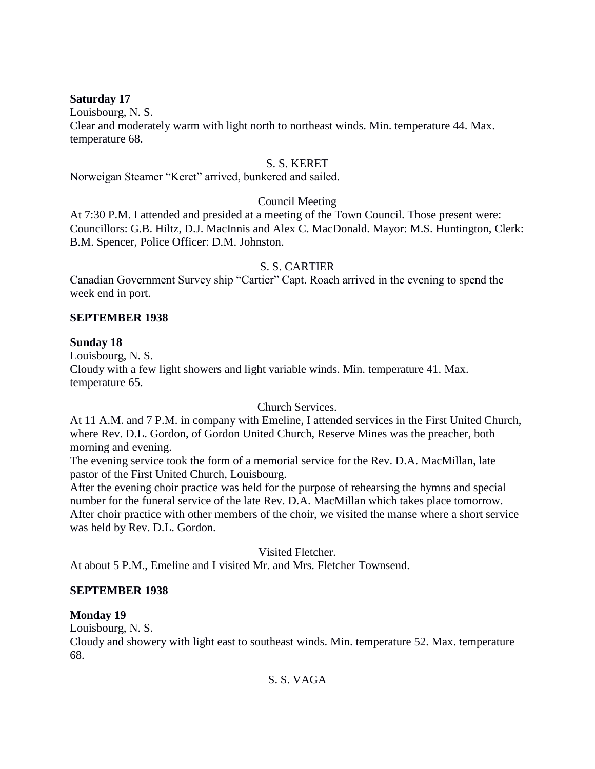## **Saturday 17**

Louisbourg, N. S.

Clear and moderately warm with light north to northeast winds. Min. temperature 44. Max. temperature 68.

# S. S. KERET

Norweigan Steamer "Keret" arrived, bunkered and sailed.

# Council Meeting

At 7:30 P.M. I attended and presided at a meeting of the Town Council. Those present were: Councillors: G.B. Hiltz, D.J. MacInnis and Alex C. MacDonald. Mayor: M.S. Huntington, Clerk: B.M. Spencer, Police Officer: D.M. Johnston.

# S. S. CARTIER

Canadian Government Survey ship "Cartier" Capt. Roach arrived in the evening to spend the week end in port.

# **SEPTEMBER 1938**

# **Sunday 18**

Louisbourg, N. S. Cloudy with a few light showers and light variable winds. Min. temperature 41. Max. temperature 65.

# Church Services.

At 11 A.M. and 7 P.M. in company with Emeline, I attended services in the First United Church, where Rev. D.L. Gordon, of Gordon United Church, Reserve Mines was the preacher, both morning and evening.

The evening service took the form of a memorial service for the Rev. D.A. MacMillan, late pastor of the First United Church, Louisbourg.

After the evening choir practice was held for the purpose of rehearsing the hymns and special number for the funeral service of the late Rev. D.A. MacMillan which takes place tomorrow. After choir practice with other members of the choir, we visited the manse where a short service was held by Rev. D.L. Gordon.

Visited Fletcher.

At about 5 P.M., Emeline and I visited Mr. and Mrs. Fletcher Townsend.

# **SEPTEMBER 1938**

# **Monday 19**

Louisbourg, N. S.

Cloudy and showery with light east to southeast winds. Min. temperature 52. Max. temperature 68.

S. S. VAGA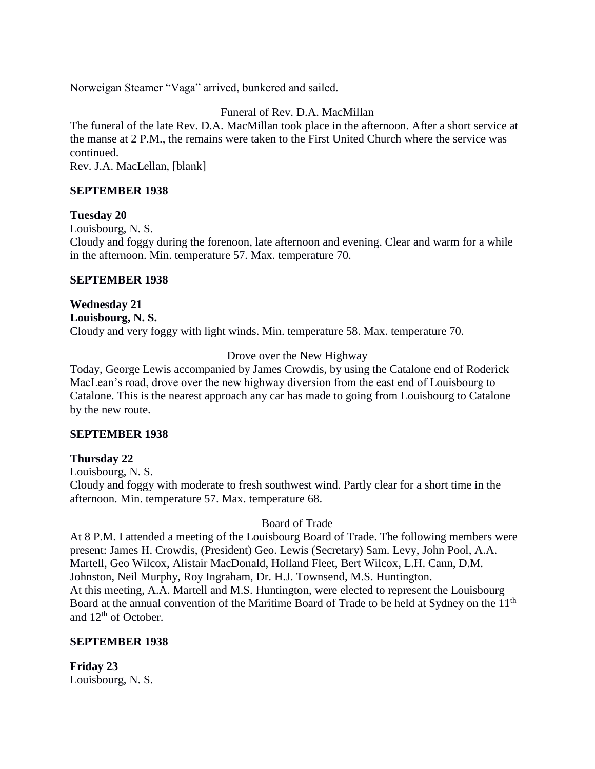Norweigan Steamer "Vaga" arrived, bunkered and sailed.

# Funeral of Rev. D.A. MacMillan

The funeral of the late Rev. D.A. MacMillan took place in the afternoon. After a short service at the manse at 2 P.M., the remains were taken to the First United Church where the service was continued.

Rev. J.A. MacLellan, [blank]

## **SEPTEMBER 1938**

## **Tuesday 20**

Louisbourg, N. S.

Cloudy and foggy during the forenoon, late afternoon and evening. Clear and warm for a while in the afternoon. Min. temperature 57. Max. temperature 70.

## **SEPTEMBER 1938**

**Wednesday 21 Louisbourg, N. S.** Cloudy and very foggy with light winds. Min. temperature 58. Max. temperature 70.

# Drove over the New Highway

Today, George Lewis accompanied by James Crowdis, by using the Catalone end of Roderick MacLean's road, drove over the new highway diversion from the east end of Louisbourg to Catalone. This is the nearest approach any car has made to going from Louisbourg to Catalone by the new route.

## **SEPTEMBER 1938**

# **Thursday 22**

Louisbourg, N. S.

Cloudy and foggy with moderate to fresh southwest wind. Partly clear for a short time in the afternoon. Min. temperature 57. Max. temperature 68.

Board of Trade

At 8 P.M. I attended a meeting of the Louisbourg Board of Trade. The following members were present: James H. Crowdis, (President) Geo. Lewis (Secretary) Sam. Levy, John Pool, A.A. Martell, Geo Wilcox, Alistair MacDonald, Holland Fleet, Bert Wilcox, L.H. Cann, D.M. Johnston, Neil Murphy, Roy Ingraham, Dr. H.J. Townsend, M.S. Huntington. At this meeting, A.A. Martell and M.S. Huntington, were elected to represent the Louisbourg Board at the annual convention of the Maritime Board of Trade to be held at Sydney on the 11<sup>th</sup> and 12<sup>th</sup> of October.

# **SEPTEMBER 1938**

**Friday 23** Louisbourg, N. S.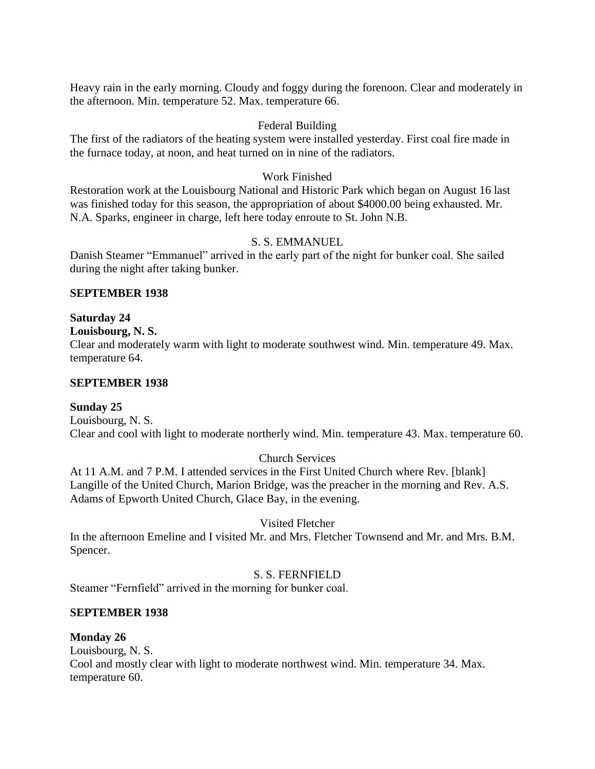Heavy rain in the early morning. Cloudy and foggy during the forenoon. Clear and moderately in the afternoon. Min. temperature 52. Max. temperature 66.

#### Federal Building

The first of the radiators of the heating system were installed yesterday. First coal fire made in the furnace today, at noon, and heat turned on in nine of the radiators.

#### Work Finished

Restoration work at the Louisbourg National and Historic Park which began on August 16 last was finished today for this season, the appropriation of about \$4000.00 being exhausted. Mr. N.A. Sparks, engineer in charge, left here today enroute to St. John N.B.

#### S. S. EMMANUEL

Danish Steamer "Emmanuel" arrived in the early part of the night for bunker coal. She sailed during the night after taking bunker.

#### **SEPTEMBER 1938**

## **Saturday 24**

**Louisbourg, N. S.**

Clear and moderately warm with light to moderate southwest wind. Min. temperature 49. Max. temperature 64.

#### **SEPTEMBER 1938**

## **Sunday 25**

Louisbourg, N. S. Clear and cool with light to moderate northerly wind. Min. temperature 43. Max. temperature 60.

## Church Services

At 11 A.M. and 7 P.M. I attended services in the First United Church where Rev. [blank] Langille of the United Church, Marion Bridge, was the preacher in the morning and Rev. A.S. Adams of Epworth United Church, Glace Bay, in the evening.

## Visited Fletcher

In the afternoon Emeline and I visited Mr. and Mrs. Fletcher Townsend and Mr. and Mrs. B.M. Spencer.

## S. S. FERNFIELD

Steamer "Fernfield" arrived in the morning for bunker coal.

## **SEPTEMBER 1938**

#### **Monday 26**

Louisbourg, N. S. Cool and mostly clear with light to moderate northwest wind. Min. temperature 34. Max. temperature 60.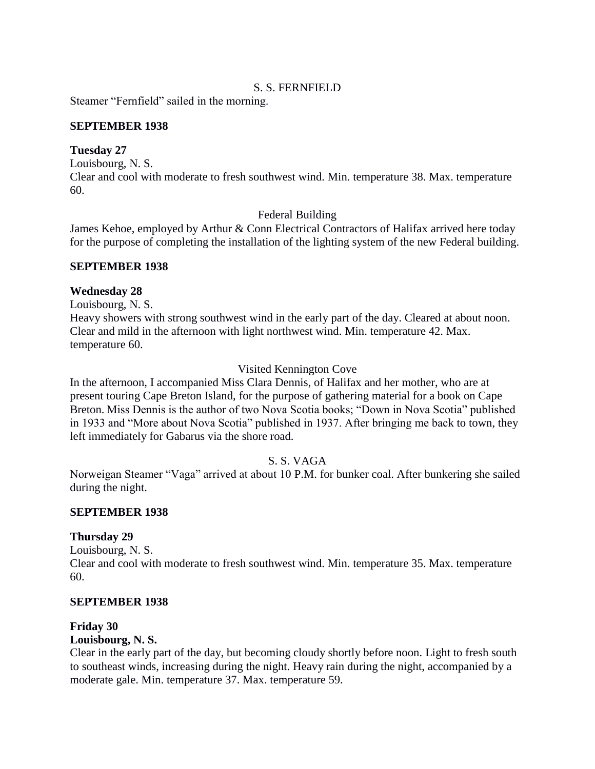## S. S. FERNFIELD

Steamer "Fernfield" sailed in the morning.

## **SEPTEMBER 1938**

## **Tuesday 27**

Louisbourg, N. S.

Clear and cool with moderate to fresh southwest wind. Min. temperature 38. Max. temperature 60.

## Federal Building

James Kehoe, employed by Arthur & Conn Electrical Contractors of Halifax arrived here today for the purpose of completing the installation of the lighting system of the new Federal building.

## **SEPTEMBER 1938**

## **Wednesday 28**

Louisbourg, N. S.

Heavy showers with strong southwest wind in the early part of the day. Cleared at about noon. Clear and mild in the afternoon with light northwest wind. Min. temperature 42. Max. temperature 60.

# Visited Kennington Cove

In the afternoon, I accompanied Miss Clara Dennis, of Halifax and her mother, who are at present touring Cape Breton Island, for the purpose of gathering material for a book on Cape Breton. Miss Dennis is the author of two Nova Scotia books; "Down in Nova Scotia" published in 1933 and "More about Nova Scotia" published in 1937. After bringing me back to town, they left immediately for Gabarus via the shore road.

# S. S. VAGA

Norweigan Steamer "Vaga" arrived at about 10 P.M. for bunker coal. After bunkering she sailed during the night.

## **SEPTEMBER 1938**

# **Thursday 29**

Louisbourg, N. S. Clear and cool with moderate to fresh southwest wind. Min. temperature 35. Max. temperature 60.

## **SEPTEMBER 1938**

# **Friday 30**

## **Louisbourg, N. S.**

Clear in the early part of the day, but becoming cloudy shortly before noon. Light to fresh south to southeast winds, increasing during the night. Heavy rain during the night, accompanied by a moderate gale. Min. temperature 37. Max. temperature 59.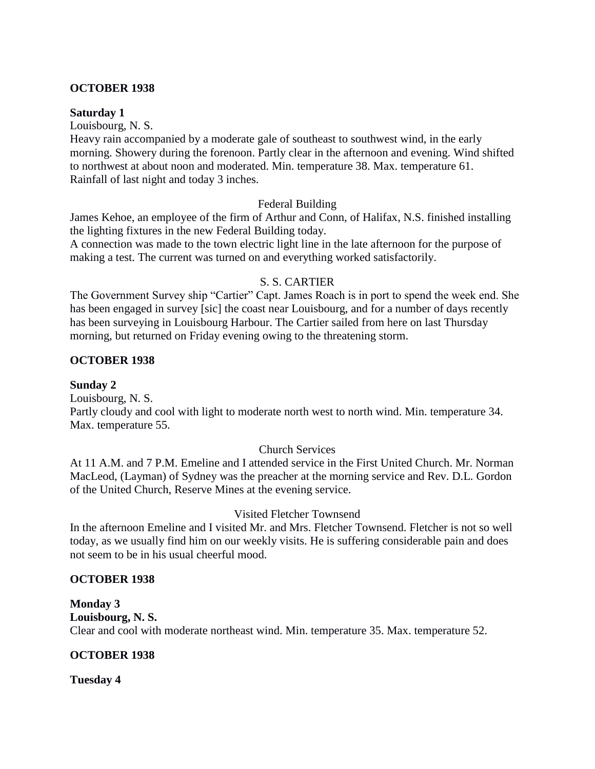## **OCTOBER 1938**

#### **Saturday 1**

Louisbourg, N. S.

Heavy rain accompanied by a moderate gale of southeast to southwest wind, in the early morning. Showery during the forenoon. Partly clear in the afternoon and evening. Wind shifted to northwest at about noon and moderated. Min. temperature 38. Max. temperature 61. Rainfall of last night and today 3 inches.

## Federal Building

James Kehoe, an employee of the firm of Arthur and Conn, of Halifax, N.S. finished installing the lighting fixtures in the new Federal Building today.

A connection was made to the town electric light line in the late afternoon for the purpose of making a test. The current was turned on and everything worked satisfactorily.

## S. S. CARTIER

The Government Survey ship "Cartier" Capt. James Roach is in port to spend the week end. She has been engaged in survey [sic] the coast near Louisbourg, and for a number of days recently has been surveying in Louisbourg Harbour. The Cartier sailed from here on last Thursday morning, but returned on Friday evening owing to the threatening storm.

## **OCTOBER 1938**

## **Sunday 2**

Louisbourg, N. S. Partly cloudy and cool with light to moderate north west to north wind. Min. temperature 34. Max. temperature 55.

# Church Services

At 11 A.M. and 7 P.M. Emeline and I attended service in the First United Church. Mr. Norman MacLeod, (Layman) of Sydney was the preacher at the morning service and Rev. D.L. Gordon of the United Church, Reserve Mines at the evening service.

# Visited Fletcher Townsend

In the afternoon Emeline and I visited Mr. and Mrs. Fletcher Townsend. Fletcher is not so well today, as we usually find him on our weekly visits. He is suffering considerable pain and does not seem to be in his usual cheerful mood.

## **OCTOBER 1938**

**Monday 3 Louisbourg, N. S.** Clear and cool with moderate northeast wind. Min. temperature 35. Max. temperature 52.

# **OCTOBER 1938**

**Tuesday 4**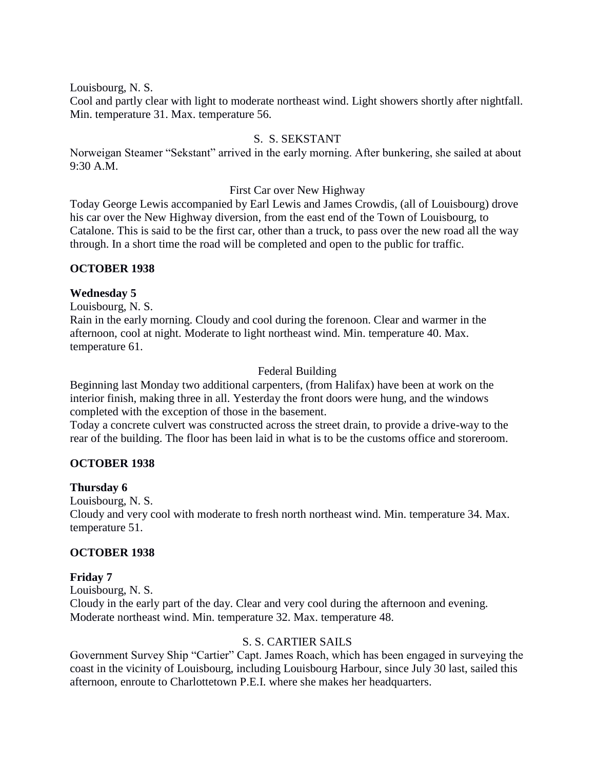Louisbourg, N. S.

Cool and partly clear with light to moderate northeast wind. Light showers shortly after nightfall. Min. temperature 31. Max. temperature 56.

# S. S. SEKSTANT

Norweigan Steamer "Sekstant" arrived in the early morning. After bunkering, she sailed at about 9:30 A.M.

## First Car over New Highway

Today George Lewis accompanied by Earl Lewis and James Crowdis, (all of Louisbourg) drove his car over the New Highway diversion, from the east end of the Town of Louisbourg, to Catalone. This is said to be the first car, other than a truck, to pass over the new road all the way through. In a short time the road will be completed and open to the public for traffic.

## **OCTOBER 1938**

# **Wednesday 5**

Louisbourg, N. S. Rain in the early morning. Cloudy and cool during the forenoon. Clear and warmer in the afternoon, cool at night. Moderate to light northeast wind. Min. temperature 40. Max. temperature 61.

# Federal Building

Beginning last Monday two additional carpenters, (from Halifax) have been at work on the interior finish, making three in all. Yesterday the front doors were hung, and the windows completed with the exception of those in the basement.

Today a concrete culvert was constructed across the street drain, to provide a drive-way to the rear of the building. The floor has been laid in what is to be the customs office and storeroom.

# **OCTOBER 1938**

## **Thursday 6**

Louisbourg, N. S.

Cloudy and very cool with moderate to fresh north northeast wind. Min. temperature 34. Max. temperature 51.

# **OCTOBER 1938**

# **Friday 7**

Louisbourg, N. S. Cloudy in the early part of the day. Clear and very cool during the afternoon and evening. Moderate northeast wind. Min. temperature 32. Max. temperature 48.

# S. S. CARTIER SAILS

Government Survey Ship "Cartier" Capt. James Roach, which has been engaged in surveying the coast in the vicinity of Louisbourg, including Louisbourg Harbour, since July 30 last, sailed this afternoon, enroute to Charlottetown P.E.I. where she makes her headquarters.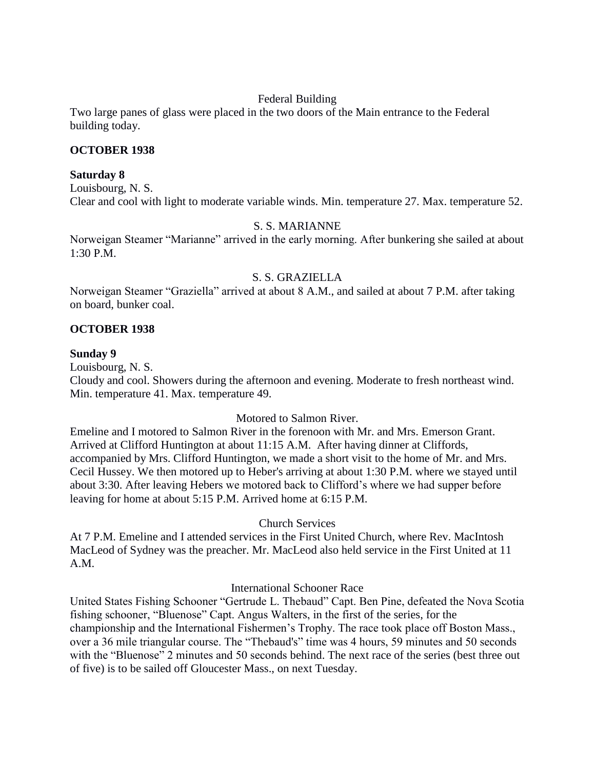# Federal Building

Two large panes of glass were placed in the two doors of the Main entrance to the Federal building today.

## **OCTOBER 1938**

#### **Saturday 8**

Louisbourg, N. S. Clear and cool with light to moderate variable winds. Min. temperature 27. Max. temperature 52.

## S. S. MARIANNE

Norweigan Steamer "Marianne" arrived in the early morning. After bunkering she sailed at about 1:30 P.M.

#### S. S. GRAZIELLA

Norweigan Steamer "Graziella" arrived at about 8 A.M., and sailed at about 7 P.M. after taking on board, bunker coal.

#### **OCTOBER 1938**

#### **Sunday 9**

Louisbourg, N. S.

Cloudy and cool. Showers during the afternoon and evening. Moderate to fresh northeast wind. Min. temperature 41. Max. temperature 49.

## Motored to Salmon River.

Emeline and I motored to Salmon River in the forenoon with Mr. and Mrs. Emerson Grant. Arrived at Clifford Huntington at about 11:15 A.M. After having dinner at Cliffords, accompanied by Mrs. Clifford Huntington, we made a short visit to the home of Mr. and Mrs. Cecil Hussey. We then motored up to Heber's arriving at about 1:30 P.M. where we stayed until about 3:30. After leaving Hebers we motored back to Clifford's where we had supper before leaving for home at about 5:15 P.M. Arrived home at 6:15 P.M.

#### Church Services

At 7 P.M. Emeline and I attended services in the First United Church, where Rev. MacIntosh MacLeod of Sydney was the preacher. Mr. MacLeod also held service in the First United at 11 A.M.

#### International Schooner Race

United States Fishing Schooner "Gertrude L. Thebaud" Capt. Ben Pine, defeated the Nova Scotia fishing schooner, "Bluenose" Capt. Angus Walters, in the first of the series, for the championship and the International Fishermen's Trophy. The race took place off Boston Mass., over a 36 mile triangular course. The "Thebaud's" time was 4 hours, 59 minutes and 50 seconds with the "Bluenose" 2 minutes and 50 seconds behind. The next race of the series (best three out of five) is to be sailed off Gloucester Mass., on next Tuesday.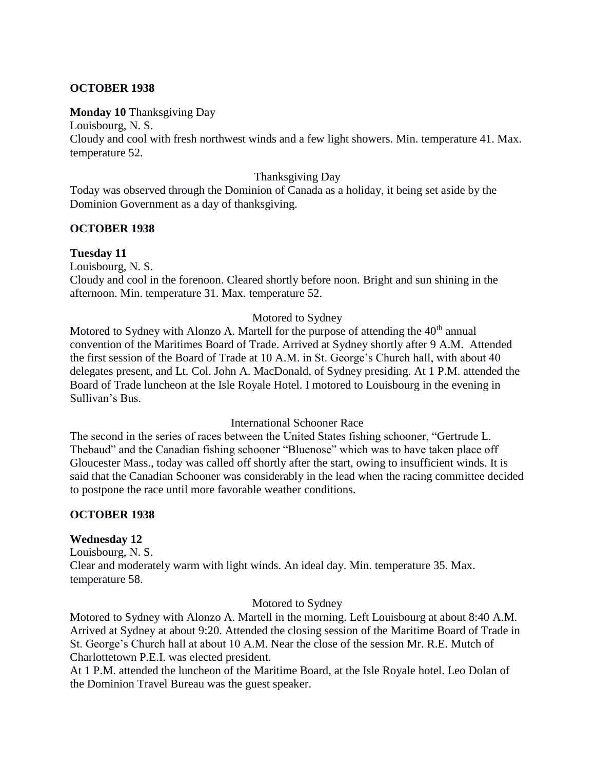## **OCTOBER 1938**

## **Monday 10** Thanksgiving Day

Louisbourg, N. S. Cloudy and cool with fresh northwest winds and a few light showers. Min. temperature 41. Max. temperature 52.

## Thanksgiving Day

Today was observed through the Dominion of Canada as a holiday, it being set aside by the Dominion Government as a day of thanksgiving.

## **OCTOBER 1938**

# **Tuesday 11**

Louisbourg, N. S. Cloudy and cool in the forenoon. Cleared shortly before noon. Bright and sun shining in the afternoon. Min. temperature 31. Max. temperature 52.

## Motored to Sydney

Motored to Sydney with Alonzo A. Martell for the purpose of attending the  $40<sup>th</sup>$  annual convention of the Maritimes Board of Trade. Arrived at Sydney shortly after 9 A.M. Attended the first session of the Board of Trade at 10 A.M. in St. George's Church hall, with about 40 delegates present, and Lt. Col. John A. MacDonald, of Sydney presiding. At 1 P.M. attended the Board of Trade luncheon at the Isle Royale Hotel. I motored to Louisbourg in the evening in Sullivan's Bus.

## International Schooner Race

The second in the series of races between the United States fishing schooner, "Gertrude L. Thebaud" and the Canadian fishing schooner "Bluenose" which was to have taken place off Gloucester Mass., today was called off shortly after the start, owing to insufficient winds. It is said that the Canadian Schooner was considerably in the lead when the racing committee decided to postpone the race until more favorable weather conditions.

## **OCTOBER 1938**

## **Wednesday 12**

Louisbourg, N. S. Clear and moderately warm with light winds. An ideal day. Min. temperature 35. Max. temperature 58.

## Motored to Sydney

Motored to Sydney with Alonzo A. Martell in the morning. Left Louisbourg at about 8:40 A.M. Arrived at Sydney at about 9:20. Attended the closing session of the Maritime Board of Trade in St. George's Church hall at about 10 A.M. Near the close of the session Mr. R.E. Mutch of Charlottetown P.E.I. was elected president.

At 1 P.M. attended the luncheon of the Maritime Board, at the Isle Royale hotel. Leo Dolan of the Dominion Travel Bureau was the guest speaker.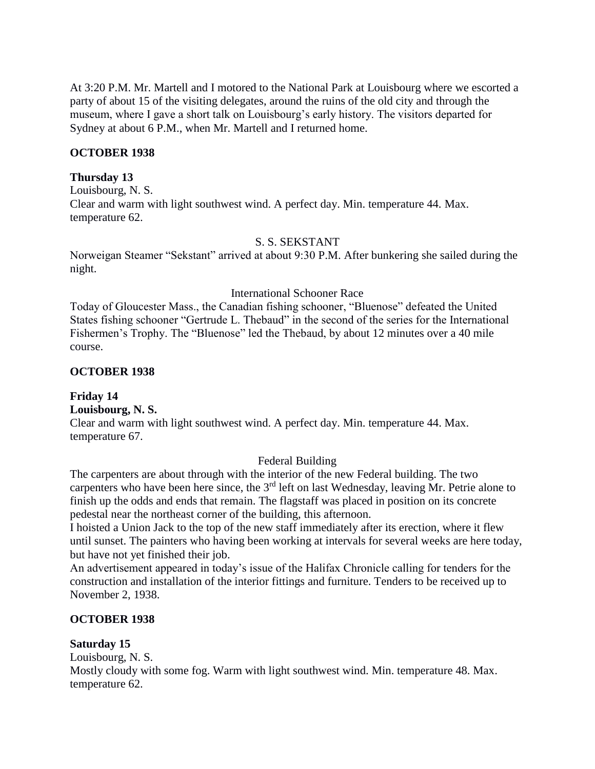At 3:20 P.M. Mr. Martell and I motored to the National Park at Louisbourg where we escorted a party of about 15 of the visiting delegates, around the ruins of the old city and through the museum, where I gave a short talk on Louisbourg's early history. The visitors departed for Sydney at about 6 P.M., when Mr. Martell and I returned home.

#### **OCTOBER 1938**

#### **Thursday 13**

Louisbourg, N. S. Clear and warm with light southwest wind. A perfect day. Min. temperature 44. Max. temperature 62.

#### S. S. SEKSTANT

Norweigan Steamer "Sekstant" arrived at about 9:30 P.M. After bunkering she sailed during the night.

#### International Schooner Race

Today of Gloucester Mass., the Canadian fishing schooner, "Bluenose" defeated the United States fishing schooner "Gertrude L. Thebaud" in the second of the series for the International Fishermen's Trophy. The "Bluenose" led the Thebaud, by about 12 minutes over a 40 mile course.

#### **OCTOBER 1938**

#### **Friday 14**

**Louisbourg, N. S.**

Clear and warm with light southwest wind. A perfect day. Min. temperature 44. Max. temperature 67.

#### Federal Building

The carpenters are about through with the interior of the new Federal building. The two carpenters who have been here since, the 3<sup>rd</sup> left on last Wednesday, leaving Mr. Petrie alone to finish up the odds and ends that remain. The flagstaff was placed in position on its concrete pedestal near the northeast corner of the building, this afternoon.

I hoisted a Union Jack to the top of the new staff immediately after its erection, where it flew until sunset. The painters who having been working at intervals for several weeks are here today, but have not yet finished their job.

An advertisement appeared in today's issue of the Halifax Chronicle calling for tenders for the construction and installation of the interior fittings and furniture. Tenders to be received up to November 2, 1938.

#### **OCTOBER 1938**

#### **Saturday 15**

Louisbourg, N. S.

Mostly cloudy with some fog. Warm with light southwest wind. Min. temperature 48. Max. temperature 62.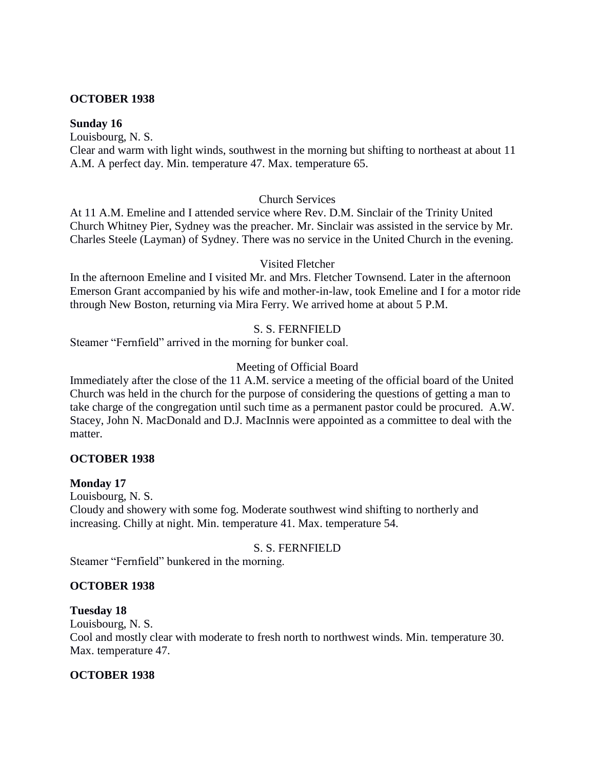## **OCTOBER 1938**

## **Sunday 16**

Louisbourg, N. S.

Clear and warm with light winds, southwest in the morning but shifting to northeast at about 11 A.M. A perfect day. Min. temperature 47. Max. temperature 65.

## Church Services

At 11 A.M. Emeline and I attended service where Rev. D.M. Sinclair of the Trinity United Church Whitney Pier, Sydney was the preacher. Mr. Sinclair was assisted in the service by Mr. Charles Steele (Layman) of Sydney. There was no service in the United Church in the evening.

## Visited Fletcher

In the afternoon Emeline and I visited Mr. and Mrs. Fletcher Townsend. Later in the afternoon Emerson Grant accompanied by his wife and mother-in-law, took Emeline and I for a motor ride through New Boston, returning via Mira Ferry. We arrived home at about 5 P.M.

## S. S. FERNFIELD

Steamer "Fernfield" arrived in the morning for bunker coal.

## Meeting of Official Board

Immediately after the close of the 11 A.M. service a meeting of the official board of the United Church was held in the church for the purpose of considering the questions of getting a man to take charge of the congregation until such time as a permanent pastor could be procured. A.W. Stacey, John N. MacDonald and D.J. MacInnis were appointed as a committee to deal with the matter.

## **OCTOBER 1938**

## **Monday 17**

Louisbourg, N. S. Cloudy and showery with some fog. Moderate southwest wind shifting to northerly and increasing. Chilly at night. Min. temperature 41. Max. temperature 54.

## S. S. FERNFIELD

Steamer "Fernfield" bunkered in the morning.

## **OCTOBER 1938**

## **Tuesday 18**

Louisbourg, N. S. Cool and mostly clear with moderate to fresh north to northwest winds. Min. temperature 30. Max. temperature 47.

## **OCTOBER 1938**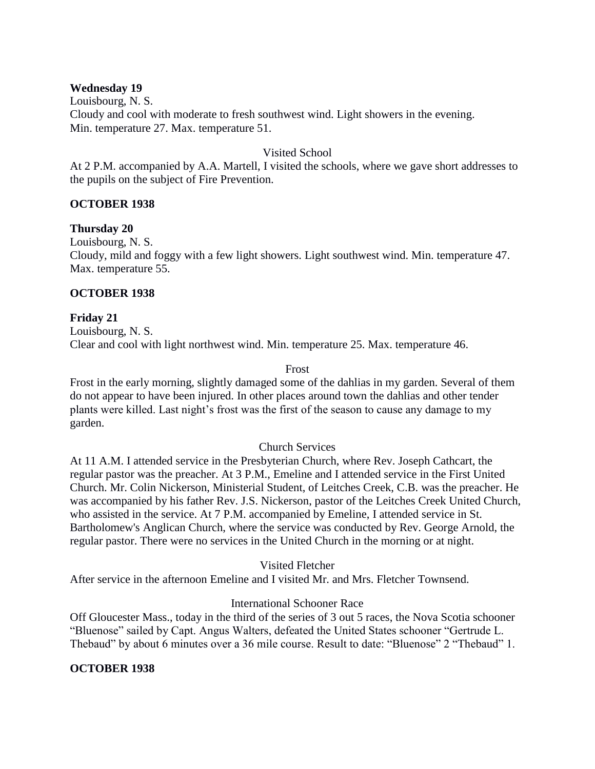## **Wednesday 19**

Louisbourg, N. S. Cloudy and cool with moderate to fresh southwest wind. Light showers in the evening. Min. temperature 27. Max. temperature 51.

## Visited School

At 2 P.M. accompanied by A.A. Martell, I visited the schools, where we gave short addresses to the pupils on the subject of Fire Prevention.

# **OCTOBER 1938**

## **Thursday 20**

Louisbourg, N. S.

Cloudy, mild and foggy with a few light showers. Light southwest wind. Min. temperature 47. Max. temperature 55.

## **OCTOBER 1938**

**Friday 21** Louisbourg, N. S. Clear and cool with light northwest wind. Min. temperature 25. Max. temperature 46.

## Frost

Frost in the early morning, slightly damaged some of the dahlias in my garden. Several of them do not appear to have been injured. In other places around town the dahlias and other tender plants were killed. Last night's frost was the first of the season to cause any damage to my garden.

## Church Services

At 11 A.M. I attended service in the Presbyterian Church, where Rev. Joseph Cathcart, the regular pastor was the preacher. At 3 P.M., Emeline and I attended service in the First United Church. Mr. Colin Nickerson, Ministerial Student, of Leitches Creek, C.B. was the preacher. He was accompanied by his father Rev. J.S. Nickerson, pastor of the Leitches Creek United Church, who assisted in the service. At 7 P.M. accompanied by Emeline, I attended service in St. Bartholomew's Anglican Church, where the service was conducted by Rev. George Arnold, the regular pastor. There were no services in the United Church in the morning or at night.

Visited Fletcher

After service in the afternoon Emeline and I visited Mr. and Mrs. Fletcher Townsend.

# International Schooner Race

Off Gloucester Mass., today in the third of the series of 3 out 5 races, the Nova Scotia schooner "Bluenose" sailed by Capt. Angus Walters, defeated the United States schooner "Gertrude L. Thebaud" by about 6 minutes over a 36 mile course. Result to date: "Bluenose" 2 "Thebaud" 1.

# **OCTOBER 1938**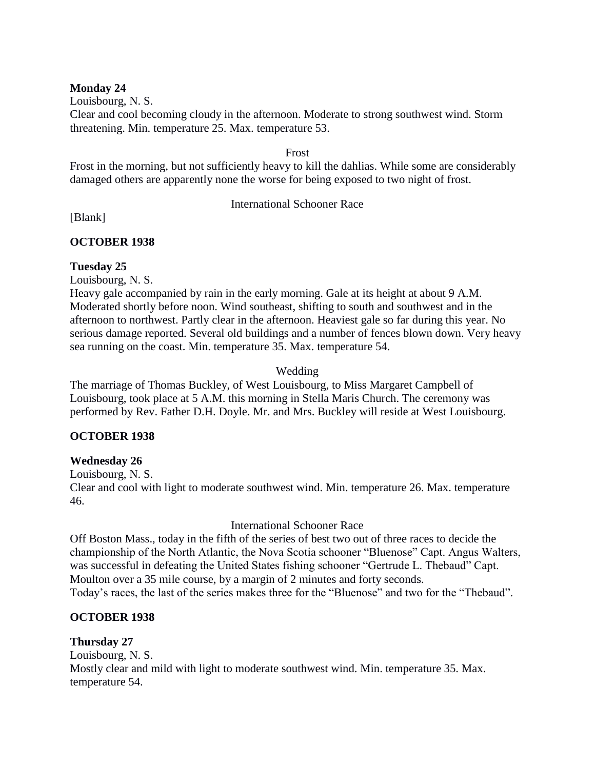## **Monday 24**

Louisbourg, N. S. Clear and cool becoming cloudy in the afternoon. Moderate to strong southwest wind. Storm threatening. Min. temperature 25. Max. temperature 53.

Frost

Frost in the morning, but not sufficiently heavy to kill the dahlias. While some are considerably damaged others are apparently none the worse for being exposed to two night of frost.

## International Schooner Race

[Blank]

# **OCTOBER 1938**

# **Tuesday 25**

Louisbourg, N. S.

Heavy gale accompanied by rain in the early morning. Gale at its height at about 9 A.M. Moderated shortly before noon. Wind southeast, shifting to south and southwest and in the afternoon to northwest. Partly clear in the afternoon. Heaviest gale so far during this year. No serious damage reported. Several old buildings and a number of fences blown down. Very heavy sea running on the coast. Min. temperature 35. Max. temperature 54.

# Wedding

The marriage of Thomas Buckley, of West Louisbourg, to Miss Margaret Campbell of Louisbourg, took place at 5 A.M. this morning in Stella Maris Church. The ceremony was performed by Rev. Father D.H. Doyle. Mr. and Mrs. Buckley will reside at West Louisbourg.

# **OCTOBER 1938**

# **Wednesday 26**

Louisbourg, N. S. Clear and cool with light to moderate southwest wind. Min. temperature 26. Max. temperature 46.

International Schooner Race

Off Boston Mass., today in the fifth of the series of best two out of three races to decide the championship of the North Atlantic, the Nova Scotia schooner "Bluenose" Capt. Angus Walters, was successful in defeating the United States fishing schooner "Gertrude L. Thebaud" Capt. Moulton over a 35 mile course, by a margin of 2 minutes and forty seconds.

Today's races, the last of the series makes three for the "Bluenose" and two for the "Thebaud".

# **OCTOBER 1938**

**Thursday 27** Louisbourg, N. S. Mostly clear and mild with light to moderate southwest wind. Min. temperature 35. Max. temperature 54.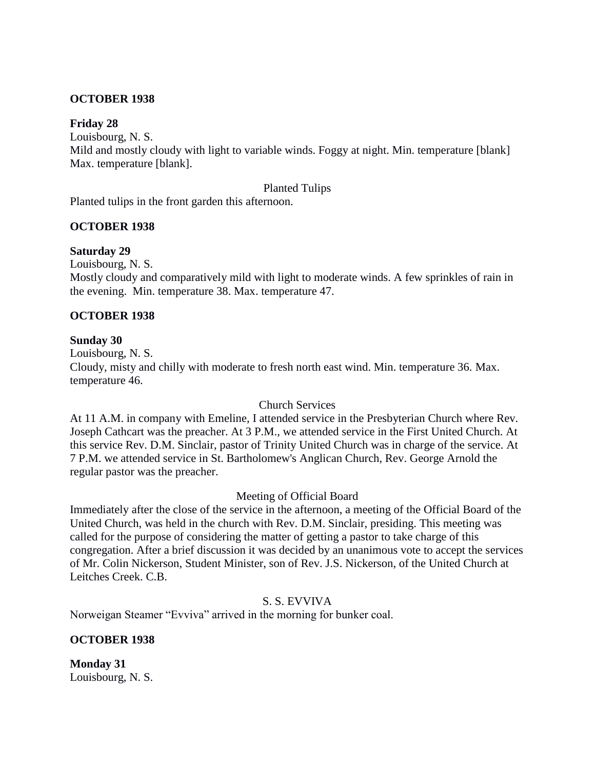## **OCTOBER 1938**

## **Friday 28**

Louisbourg, N. S.

Mild and mostly cloudy with light to variable winds. Foggy at night. Min. temperature [blank] Max. temperature [blank].

#### Planted Tulips

Planted tulips in the front garden this afternoon.

## **OCTOBER 1938**

## **Saturday 29**

Louisbourg, N. S.

Mostly cloudy and comparatively mild with light to moderate winds. A few sprinkles of rain in the evening. Min. temperature 38. Max. temperature 47.

## **OCTOBER 1938**

## **Sunday 30**

Louisbourg, N. S. Cloudy, misty and chilly with moderate to fresh north east wind. Min. temperature 36. Max. temperature 46.

## Church Services

At 11 A.M. in company with Emeline, I attended service in the Presbyterian Church where Rev. Joseph Cathcart was the preacher. At 3 P.M., we attended service in the First United Church. At this service Rev. D.M. Sinclair, pastor of Trinity United Church was in charge of the service. At 7 P.M. we attended service in St. Bartholomew's Anglican Church, Rev. George Arnold the regular pastor was the preacher.

## Meeting of Official Board

Immediately after the close of the service in the afternoon, a meeting of the Official Board of the United Church, was held in the church with Rev. D.M. Sinclair, presiding. This meeting was called for the purpose of considering the matter of getting a pastor to take charge of this congregation. After a brief discussion it was decided by an unanimous vote to accept the services of Mr. Colin Nickerson, Student Minister, son of Rev. J.S. Nickerson, of the United Church at Leitches Creek. C.B.

## S. S. EVVIVA

Norweigan Steamer "Evviva" arrived in the morning for bunker coal.

## **OCTOBER 1938**

**Monday 31** Louisbourg, N. S.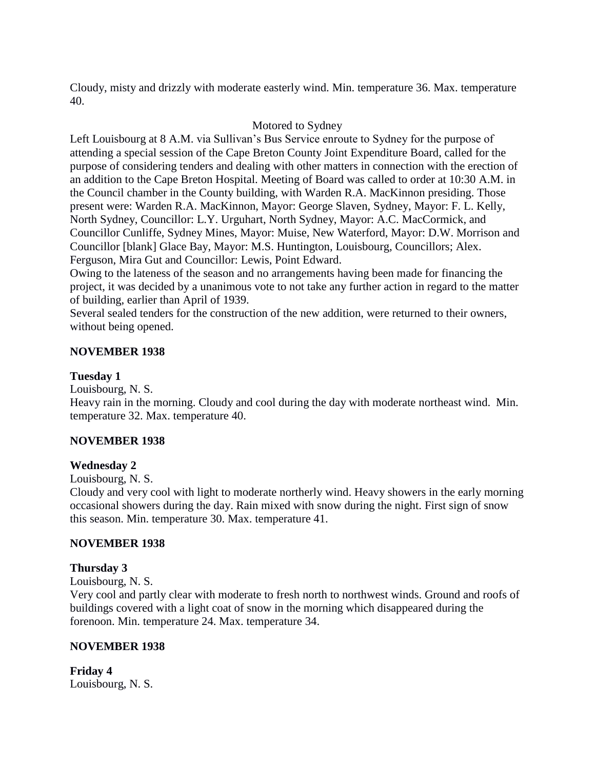Cloudy, misty and drizzly with moderate easterly wind. Min. temperature 36. Max. temperature 40.

## Motored to Sydney

Left Louisbourg at 8 A.M. via Sullivan's Bus Service enroute to Sydney for the purpose of attending a special session of the Cape Breton County Joint Expenditure Board, called for the purpose of considering tenders and dealing with other matters in connection with the erection of an addition to the Cape Breton Hospital. Meeting of Board was called to order at 10:30 A.M. in the Council chamber in the County building, with Warden R.A. MacKinnon presiding. Those present were: Warden R.A. MacKinnon, Mayor: George Slaven, Sydney, Mayor: F. L. Kelly, North Sydney, Councillor: L.Y. Urguhart, North Sydney, Mayor: A.C. MacCormick, and Councillor Cunliffe, Sydney Mines, Mayor: Muise, New Waterford, Mayor: D.W. Morrison and Councillor [blank] Glace Bay, Mayor: M.S. Huntington, Louisbourg, Councillors; Alex. Ferguson, Mira Gut and Councillor: Lewis, Point Edward.

Owing to the lateness of the season and no arrangements having been made for financing the project, it was decided by a unanimous vote to not take any further action in regard to the matter of building, earlier than April of 1939.

Several sealed tenders for the construction of the new addition, were returned to their owners, without being opened.

## **NOVEMBER 1938**

## **Tuesday 1**

Louisbourg, N. S.

Heavy rain in the morning. Cloudy and cool during the day with moderate northeast wind. Min. temperature 32. Max. temperature 40.

# **NOVEMBER 1938**

## **Wednesday 2**

Louisbourg, N. S.

Cloudy and very cool with light to moderate northerly wind. Heavy showers in the early morning occasional showers during the day. Rain mixed with snow during the night. First sign of snow this season. Min. temperature 30. Max. temperature 41.

## **NOVEMBER 1938**

## **Thursday 3**

Louisbourg, N. S.

Very cool and partly clear with moderate to fresh north to northwest winds. Ground and roofs of buildings covered with a light coat of snow in the morning which disappeared during the forenoon. Min. temperature 24. Max. temperature 34.

## **NOVEMBER 1938**

**Friday 4** Louisbourg, N. S.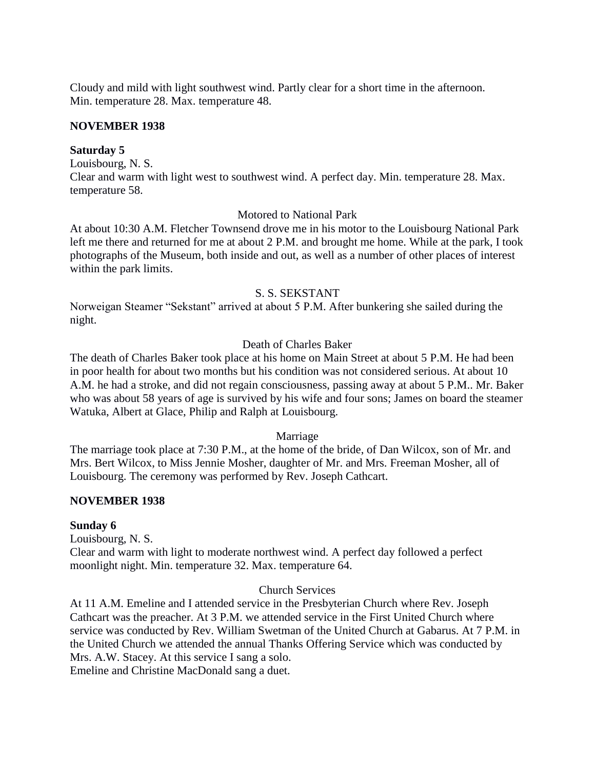Cloudy and mild with light southwest wind. Partly clear for a short time in the afternoon. Min. temperature 28. Max. temperature 48.

#### **NOVEMBER 1938**

#### **Saturday 5**

Louisbourg, N. S. Clear and warm with light west to southwest wind. A perfect day. Min. temperature 28. Max. temperature 58.

#### Motored to National Park

At about 10:30 A.M. Fletcher Townsend drove me in his motor to the Louisbourg National Park left me there and returned for me at about 2 P.M. and brought me home. While at the park, I took photographs of the Museum, both inside and out, as well as a number of other places of interest within the park limits.

#### S. S. SEKSTANT

Norweigan Steamer "Sekstant" arrived at about 5 P.M. After bunkering she sailed during the night.

## Death of Charles Baker

The death of Charles Baker took place at his home on Main Street at about 5 P.M. He had been in poor health for about two months but his condition was not considered serious. At about 10 A.M. he had a stroke, and did not regain consciousness, passing away at about 5 P.M.. Mr. Baker who was about 58 years of age is survived by his wife and four sons; James on board the steamer Watuka, Albert at Glace, Philip and Ralph at Louisbourg.

## Marriage

The marriage took place at 7:30 P.M., at the home of the bride, of Dan Wilcox, son of Mr. and Mrs. Bert Wilcox, to Miss Jennie Mosher, daughter of Mr. and Mrs. Freeman Mosher, all of Louisbourg. The ceremony was performed by Rev. Joseph Cathcart.

#### **NOVEMBER 1938**

## **Sunday 6**

Louisbourg, N. S. Clear and warm with light to moderate northwest wind. A perfect day followed a perfect moonlight night. Min. temperature 32. Max. temperature 64.

# Church Services

At 11 A.M. Emeline and I attended service in the Presbyterian Church where Rev. Joseph Cathcart was the preacher. At 3 P.M. we attended service in the First United Church where service was conducted by Rev. William Swetman of the United Church at Gabarus. At 7 P.M. in the United Church we attended the annual Thanks Offering Service which was conducted by Mrs. A.W. Stacey. At this service I sang a solo.

Emeline and Christine MacDonald sang a duet.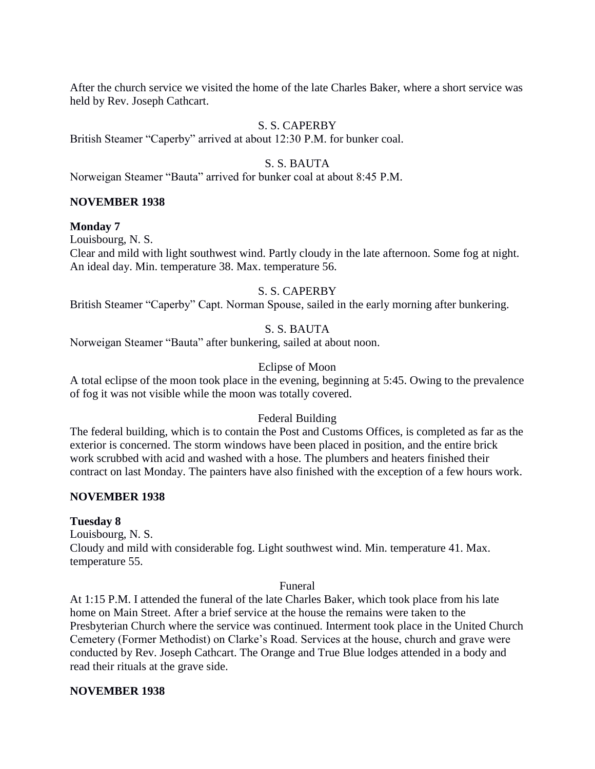After the church service we visited the home of the late Charles Baker, where a short service was held by Rev. Joseph Cathcart.

## S. S. CAPERBY

British Steamer "Caperby" arrived at about 12:30 P.M. for bunker coal.

#### S. S. BAUTA

Norweigan Steamer "Bauta" arrived for bunker coal at about 8:45 P.M.

#### **NOVEMBER 1938**

#### **Monday 7**

Louisbourg, N. S.

Clear and mild with light southwest wind. Partly cloudy in the late afternoon. Some fog at night. An ideal day. Min. temperature 38. Max. temperature 56.

## S. S. CAPERBY

British Steamer "Caperby" Capt. Norman Spouse, sailed in the early morning after bunkering.

## S. S. BAUTA

Norweigan Steamer "Bauta" after bunkering, sailed at about noon.

#### Eclipse of Moon

A total eclipse of the moon took place in the evening, beginning at 5:45. Owing to the prevalence of fog it was not visible while the moon was totally covered.

#### Federal Building

The federal building, which is to contain the Post and Customs Offices, is completed as far as the exterior is concerned. The storm windows have been placed in position, and the entire brick work scrubbed with acid and washed with a hose. The plumbers and heaters finished their contract on last Monday. The painters have also finished with the exception of a few hours work.

#### **NOVEMBER 1938**

#### **Tuesday 8**

Louisbourg, N. S. Cloudy and mild with considerable fog. Light southwest wind. Min. temperature 41. Max. temperature 55.

#### Funeral

At 1:15 P.M. I attended the funeral of the late Charles Baker, which took place from his late home on Main Street. After a brief service at the house the remains were taken to the Presbyterian Church where the service was continued. Interment took place in the United Church Cemetery (Former Methodist) on Clarke's Road. Services at the house, church and grave were conducted by Rev. Joseph Cathcart. The Orange and True Blue lodges attended in a body and read their rituals at the grave side.

#### **NOVEMBER 1938**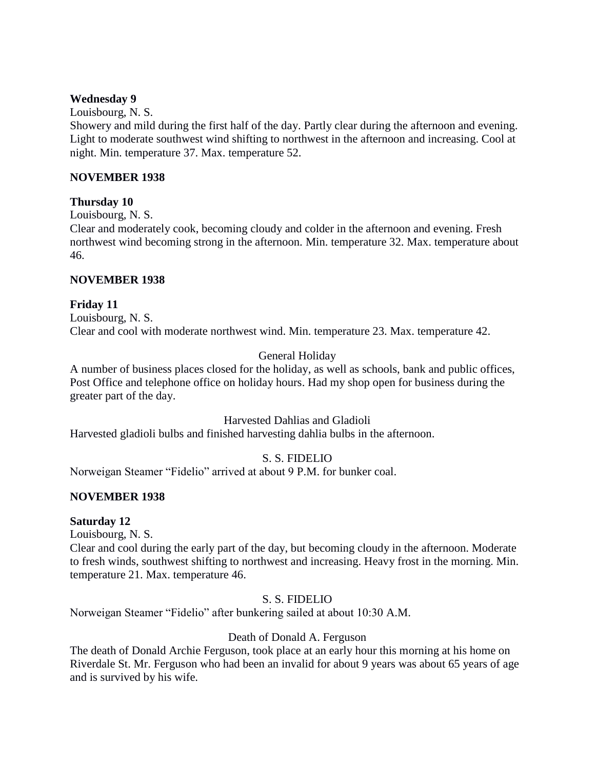## **Wednesday 9**

Louisbourg, N. S.

Showery and mild during the first half of the day. Partly clear during the afternoon and evening. Light to moderate southwest wind shifting to northwest in the afternoon and increasing. Cool at night. Min. temperature 37. Max. temperature 52.

## **NOVEMBER 1938**

## **Thursday 10**

Louisbourg, N. S.

Clear and moderately cook, becoming cloudy and colder in the afternoon and evening. Fresh northwest wind becoming strong in the afternoon. Min. temperature 32. Max. temperature about 46.

## **NOVEMBER 1938**

## **Friday 11**

Louisbourg, N. S. Clear and cool with moderate northwest wind. Min. temperature 23. Max. temperature 42.

# General Holiday

A number of business places closed for the holiday, as well as schools, bank and public offices, Post Office and telephone office on holiday hours. Had my shop open for business during the greater part of the day.

## Harvested Dahlias and Gladioli

Harvested gladioli bulbs and finished harvesting dahlia bulbs in the afternoon.

# S. S. FIDELIO

Norweigan Steamer "Fidelio" arrived at about 9 P.M. for bunker coal.

# **NOVEMBER 1938**

## **Saturday 12**

Louisbourg, N. S.

Clear and cool during the early part of the day, but becoming cloudy in the afternoon. Moderate to fresh winds, southwest shifting to northwest and increasing. Heavy frost in the morning. Min. temperature 21. Max. temperature 46.

# S. S. FIDELIO

Norweigan Steamer "Fidelio" after bunkering sailed at about 10:30 A.M.

# Death of Donald A. Ferguson

The death of Donald Archie Ferguson, took place at an early hour this morning at his home on Riverdale St. Mr. Ferguson who had been an invalid for about 9 years was about 65 years of age and is survived by his wife.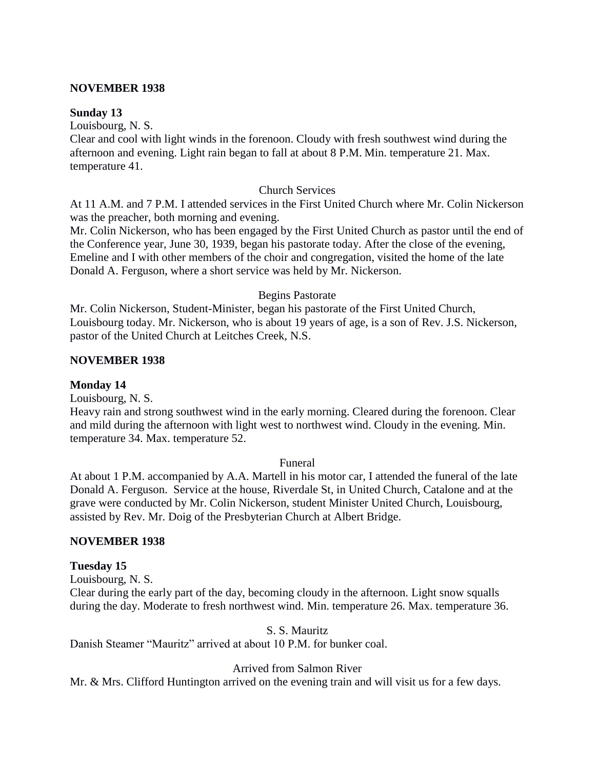#### **NOVEMBER 1938**

#### **Sunday 13**

Louisbourg, N. S.

Clear and cool with light winds in the forenoon. Cloudy with fresh southwest wind during the afternoon and evening. Light rain began to fall at about 8 P.M. Min. temperature 21. Max. temperature 41.

#### Church Services

At 11 A.M. and 7 P.M. I attended services in the First United Church where Mr. Colin Nickerson was the preacher, both morning and evening.

Mr. Colin Nickerson, who has been engaged by the First United Church as pastor until the end of the Conference year, June 30, 1939, began his pastorate today. After the close of the evening, Emeline and I with other members of the choir and congregation, visited the home of the late Donald A. Ferguson, where a short service was held by Mr. Nickerson.

## Begins Pastorate

Mr. Colin Nickerson, Student-Minister, began his pastorate of the First United Church, Louisbourg today. Mr. Nickerson, who is about 19 years of age, is a son of Rev. J.S. Nickerson, pastor of the United Church at Leitches Creek, N.S.

## **NOVEMBER 1938**

## **Monday 14**

Louisbourg, N. S.

Heavy rain and strong southwest wind in the early morning. Cleared during the forenoon. Clear and mild during the afternoon with light west to northwest wind. Cloudy in the evening. Min. temperature 34. Max. temperature 52.

#### Funeral

At about 1 P.M. accompanied by A.A. Martell in his motor car, I attended the funeral of the late Donald A. Ferguson. Service at the house, Riverdale St, in United Church, Catalone and at the grave were conducted by Mr. Colin Nickerson, student Minister United Church, Louisbourg, assisted by Rev. Mr. Doig of the Presbyterian Church at Albert Bridge.

## **NOVEMBER 1938**

## **Tuesday 15**

Louisbourg, N. S.

Clear during the early part of the day, becoming cloudy in the afternoon. Light snow squalls during the day. Moderate to fresh northwest wind. Min. temperature 26. Max. temperature 36.

#### S. S. Mauritz

Danish Steamer "Mauritz" arrived at about 10 P.M. for bunker coal.

## Arrived from Salmon River

Mr. & Mrs. Clifford Huntington arrived on the evening train and will visit us for a few days.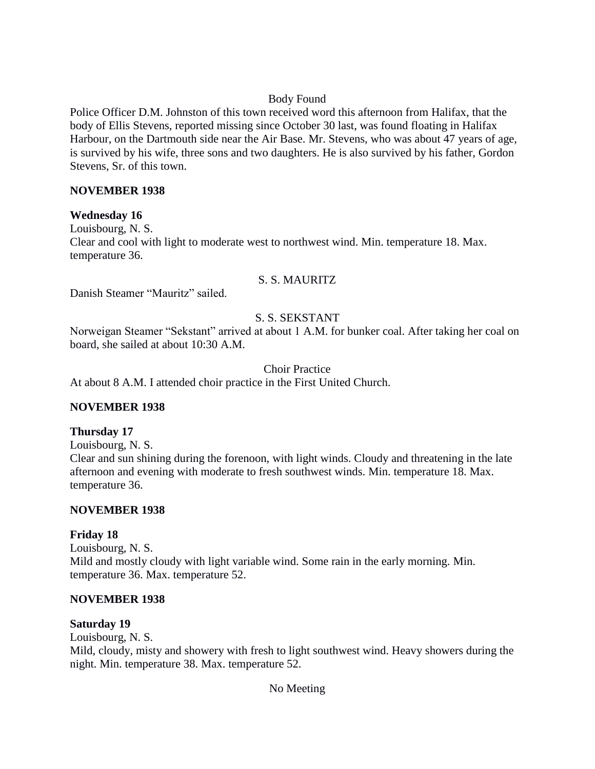# Body Found

Police Officer D.M. Johnston of this town received word this afternoon from Halifax, that the body of Ellis Stevens, reported missing since October 30 last, was found floating in Halifax Harbour, on the Dartmouth side near the Air Base. Mr. Stevens, who was about 47 years of age, is survived by his wife, three sons and two daughters. He is also survived by his father, Gordon Stevens, Sr. of this town.

## **NOVEMBER 1938**

## **Wednesday 16**

Louisbourg, N. S. Clear and cool with light to moderate west to northwest wind. Min. temperature 18. Max. temperature 36.

## S. S. MAURITZ

Danish Steamer "Mauritz" sailed.

# S. S. SEKSTANT

Norweigan Steamer "Sekstant" arrived at about 1 A.M. for bunker coal. After taking her coal on board, she sailed at about 10:30 A.M.

Choir Practice

At about 8 A.M. I attended choir practice in the First United Church.

# **NOVEMBER 1938**

## **Thursday 17**

Louisbourg, N. S.

Clear and sun shining during the forenoon, with light winds. Cloudy and threatening in the late afternoon and evening with moderate to fresh southwest winds. Min. temperature 18. Max. temperature 36.

## **NOVEMBER 1938**

# **Friday 18**

Louisbourg, N. S. Mild and mostly cloudy with light variable wind. Some rain in the early morning. Min. temperature 36. Max. temperature 52.

# **NOVEMBER 1938**

## **Saturday 19**

Louisbourg, N. S. Mild, cloudy, misty and showery with fresh to light southwest wind. Heavy showers during the night. Min. temperature 38. Max. temperature 52.

No Meeting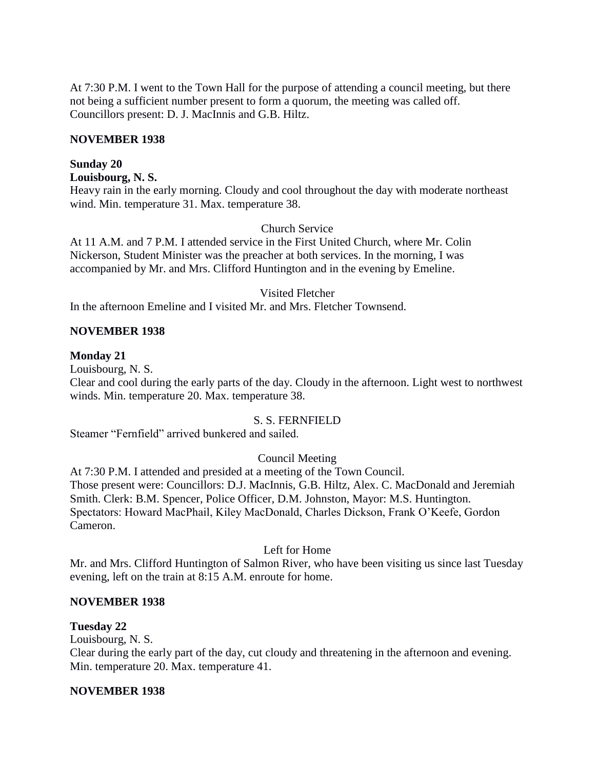At 7:30 P.M. I went to the Town Hall for the purpose of attending a council meeting, but there not being a sufficient number present to form a quorum, the meeting was called off. Councillors present: D. J. MacInnis and G.B. Hiltz.

#### **NOVEMBER 1938**

#### **Sunday 20**

#### **Louisbourg, N. S.**

Heavy rain in the early morning. Cloudy and cool throughout the day with moderate northeast wind. Min. temperature 31. Max. temperature 38.

#### Church Service

At 11 A.M. and 7 P.M. I attended service in the First United Church, where Mr. Colin Nickerson, Student Minister was the preacher at both services. In the morning, I was accompanied by Mr. and Mrs. Clifford Huntington and in the evening by Emeline.

#### Visited Fletcher

In the afternoon Emeline and I visited Mr. and Mrs. Fletcher Townsend.

#### **NOVEMBER 1938**

#### **Monday 21**

Louisbourg, N. S.

Clear and cool during the early parts of the day. Cloudy in the afternoon. Light west to northwest winds. Min. temperature 20. Max. temperature 38.

#### S. S. FERNFIELD

Steamer "Fernfield" arrived bunkered and sailed.

## Council Meeting

At 7:30 P.M. I attended and presided at a meeting of the Town Council. Those present were: Councillors: D.J. MacInnis, G.B. Hiltz, Alex. C. MacDonald and Jeremiah Smith. Clerk: B.M. Spencer, Police Officer, D.M. Johnston, Mayor: M.S. Huntington. Spectators: Howard MacPhail, Kiley MacDonald, Charles Dickson, Frank O'Keefe, Gordon Cameron.

## Left for Home

Mr. and Mrs. Clifford Huntington of Salmon River, who have been visiting us since last Tuesday evening, left on the train at 8:15 A.M. enroute for home.

## **NOVEMBER 1938**

## **Tuesday 22**

Louisbourg, N. S.

Clear during the early part of the day, cut cloudy and threatening in the afternoon and evening. Min. temperature 20. Max. temperature 41.

#### **NOVEMBER 1938**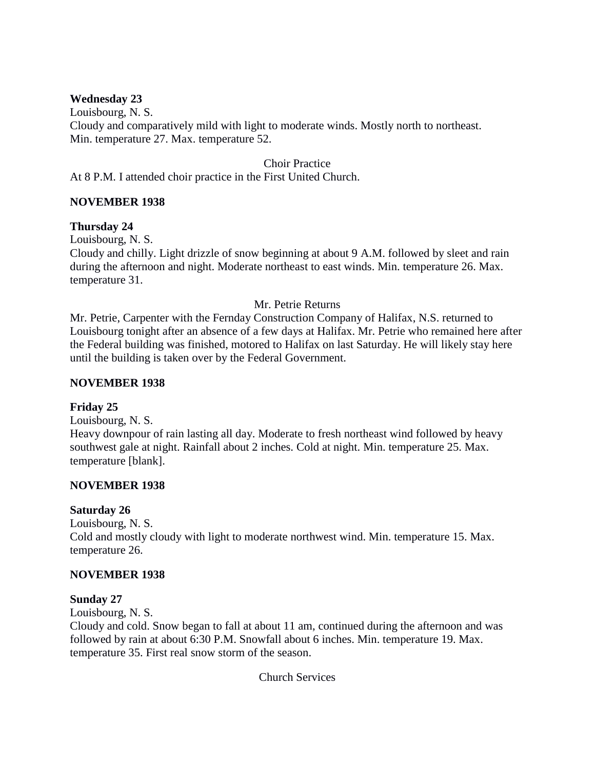# **Wednesday 23**

Louisbourg, N. S. Cloudy and comparatively mild with light to moderate winds. Mostly north to northeast. Min. temperature 27. Max. temperature 52.

Choir Practice

At 8 P.M. I attended choir practice in the First United Church.

## **NOVEMBER 1938**

## **Thursday 24**

Louisbourg, N. S.

Cloudy and chilly. Light drizzle of snow beginning at about 9 A.M. followed by sleet and rain during the afternoon and night. Moderate northeast to east winds. Min. temperature 26. Max. temperature 31.

## Mr. Petrie Returns

Mr. Petrie, Carpenter with the Fernday Construction Company of Halifax, N.S. returned to Louisbourg tonight after an absence of a few days at Halifax. Mr. Petrie who remained here after the Federal building was finished, motored to Halifax on last Saturday. He will likely stay here until the building is taken over by the Federal Government.

#### **NOVEMBER 1938**

## **Friday 25**

Louisbourg, N. S. Heavy downpour of rain lasting all day. Moderate to fresh northeast wind followed by heavy southwest gale at night. Rainfall about 2 inches. Cold at night. Min. temperature 25. Max. temperature [blank].

## **NOVEMBER 1938**

## **Saturday 26**

Louisbourg, N. S. Cold and mostly cloudy with light to moderate northwest wind. Min. temperature 15. Max. temperature 26.

## **NOVEMBER 1938**

## **Sunday 27**

Louisbourg, N. S.

Cloudy and cold. Snow began to fall at about 11 am, continued during the afternoon and was followed by rain at about 6:30 P.M. Snowfall about 6 inches. Min. temperature 19. Max. temperature 35. First real snow storm of the season.

Church Services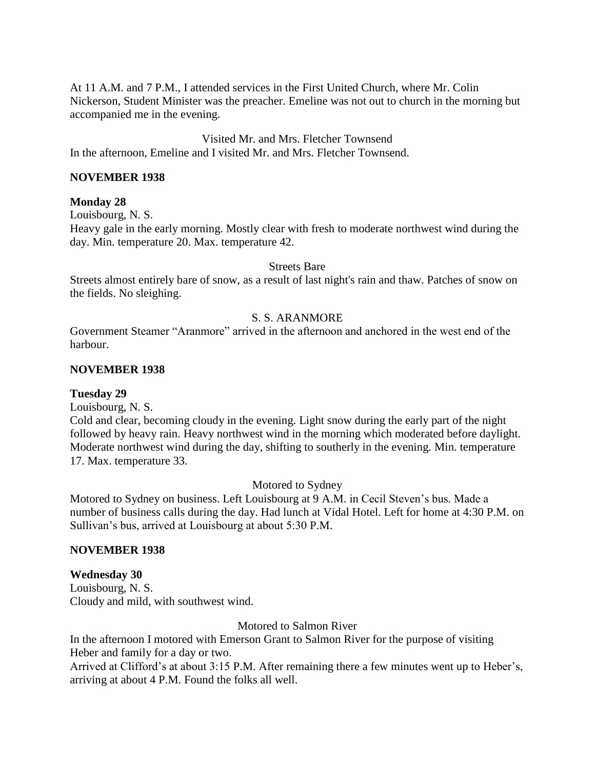At 11 A.M. and 7 P.M., I attended services in the First United Church, where Mr. Colin Nickerson, Student Minister was the preacher. Emeline was not out to church in the morning but accompanied me in the evening.

Visited Mr. and Mrs. Fletcher Townsend In the afternoon, Emeline and I visited Mr. and Mrs. Fletcher Townsend.

#### **NOVEMBER 1938**

#### **Monday 28**

Louisbourg, N. S.

Heavy gale in the early morning. Mostly clear with fresh to moderate northwest wind during the day. Min. temperature 20. Max. temperature 42.

#### Streets Bare

Streets almost entirely bare of snow, as a result of last night's rain and thaw. Patches of snow on the fields. No sleighing.

#### S. S. ARANMORE

Government Steamer "Aranmore" arrived in the afternoon and anchored in the west end of the harbour.

#### **NOVEMBER 1938**

#### **Tuesday 29**

Louisbourg, N. S.

Cold and clear, becoming cloudy in the evening. Light snow during the early part of the night followed by heavy rain. Heavy northwest wind in the morning which moderated before daylight. Moderate northwest wind during the day, shifting to southerly in the evening. Min. temperature 17. Max. temperature 33.

Motored to Sydney

Motored to Sydney on business. Left Louisbourg at 9 A.M. in Cecil Steven's bus. Made a number of business calls during the day. Had lunch at Vidal Hotel. Left for home at 4:30 P.M. on Sullivan's bus, arrived at Louisbourg at about 5:30 P.M.

## **NOVEMBER 1938**

**Wednesday 30** Louisbourg, N. S. Cloudy and mild, with southwest wind.

Motored to Salmon River

In the afternoon I motored with Emerson Grant to Salmon River for the purpose of visiting Heber and family for a day or two.

Arrived at Clifford's at about 3:15 P.M. After remaining there a few minutes went up to Heber's, arriving at about 4 P.M. Found the folks all well.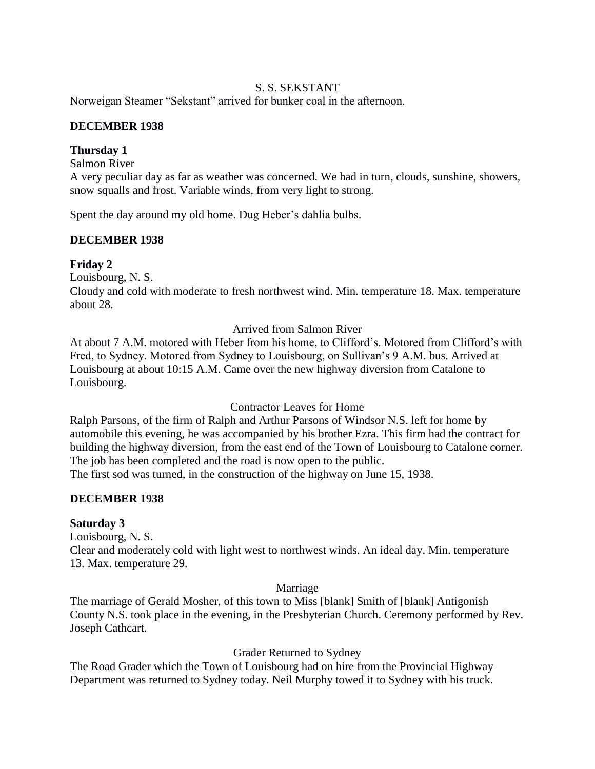# S. S. SEKSTANT

Norweigan Steamer "Sekstant" arrived for bunker coal in the afternoon.

## **DECEMBER 1938**

## **Thursday 1**

Salmon River

A very peculiar day as far as weather was concerned. We had in turn, clouds, sunshine, showers, snow squalls and frost. Variable winds, from very light to strong.

Spent the day around my old home. Dug Heber's dahlia bulbs.

# **DECEMBER 1938**

## **Friday 2**

Louisbourg, N. S.

Cloudy and cold with moderate to fresh northwest wind. Min. temperature 18. Max. temperature about 28.

Arrived from Salmon River

At about 7 A.M. motored with Heber from his home, to Clifford's. Motored from Clifford's with Fred, to Sydney. Motored from Sydney to Louisbourg, on Sullivan's 9 A.M. bus. Arrived at Louisbourg at about 10:15 A.M. Came over the new highway diversion from Catalone to Louisbourg.

## Contractor Leaves for Home

Ralph Parsons, of the firm of Ralph and Arthur Parsons of Windsor N.S. left for home by automobile this evening, he was accompanied by his brother Ezra. This firm had the contract for building the highway diversion, from the east end of the Town of Louisbourg to Catalone corner. The job has been completed and the road is now open to the public. The first sod was turned, in the construction of the highway on June 15, 1938.

## **DECEMBER 1938**

## **Saturday 3**

Louisbourg, N. S.

Clear and moderately cold with light west to northwest winds. An ideal day. Min. temperature 13. Max. temperature 29.

Marriage

The marriage of Gerald Mosher, of this town to Miss [blank] Smith of [blank] Antigonish County N.S. took place in the evening, in the Presbyterian Church. Ceremony performed by Rev. Joseph Cathcart.

## Grader Returned to Sydney

The Road Grader which the Town of Louisbourg had on hire from the Provincial Highway Department was returned to Sydney today. Neil Murphy towed it to Sydney with his truck.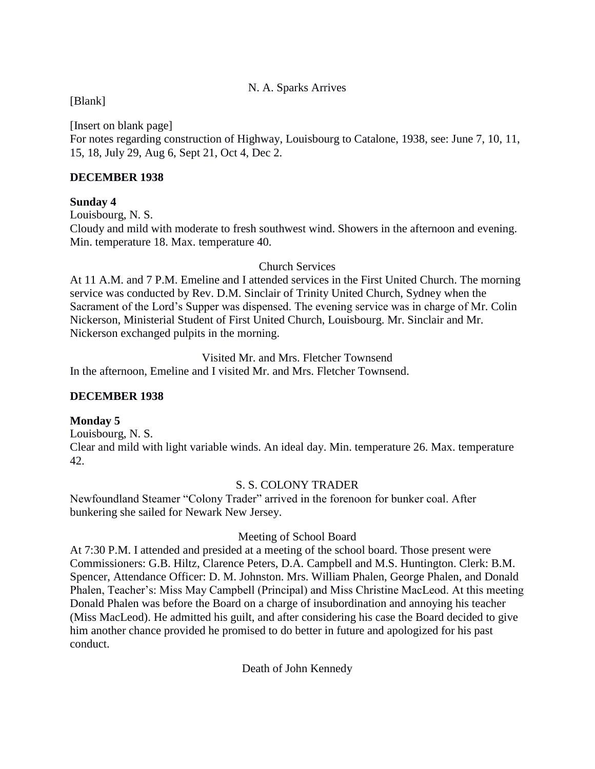# N. A. Sparks Arrives

# [Blank]

[Insert on blank page] For notes regarding construction of Highway, Louisbourg to Catalone, 1938, see: June 7, 10, 11, 15, 18, July 29, Aug 6, Sept 21, Oct 4, Dec 2.

## **DECEMBER 1938**

## **Sunday 4**

Louisbourg, N. S.

Cloudy and mild with moderate to fresh southwest wind. Showers in the afternoon and evening. Min. temperature 18. Max. temperature 40.

Church Services

At 11 A.M. and 7 P.M. Emeline and I attended services in the First United Church. The morning service was conducted by Rev. D.M. Sinclair of Trinity United Church, Sydney when the Sacrament of the Lord's Supper was dispensed. The evening service was in charge of Mr. Colin Nickerson, Ministerial Student of First United Church, Louisbourg. Mr. Sinclair and Mr. Nickerson exchanged pulpits in the morning.

Visited Mr. and Mrs. Fletcher Townsend In the afternoon, Emeline and I visited Mr. and Mrs. Fletcher Townsend.

# **DECEMBER 1938**

# **Monday 5**

Louisbourg, N. S. Clear and mild with light variable winds. An ideal day. Min. temperature 26. Max. temperature 42.

## S. S. COLONY TRADER

Newfoundland Steamer "Colony Trader" arrived in the forenoon for bunker coal. After bunkering she sailed for Newark New Jersey.

# Meeting of School Board

At 7:30 P.M. I attended and presided at a meeting of the school board. Those present were Commissioners: G.B. Hiltz, Clarence Peters, D.A. Campbell and M.S. Huntington. Clerk: B.M. Spencer, Attendance Officer: D. M. Johnston. Mrs. William Phalen, George Phalen, and Donald Phalen, Teacher's: Miss May Campbell (Principal) and Miss Christine MacLeod. At this meeting Donald Phalen was before the Board on a charge of insubordination and annoying his teacher (Miss MacLeod). He admitted his guilt, and after considering his case the Board decided to give him another chance provided he promised to do better in future and apologized for his past conduct.

Death of John Kennedy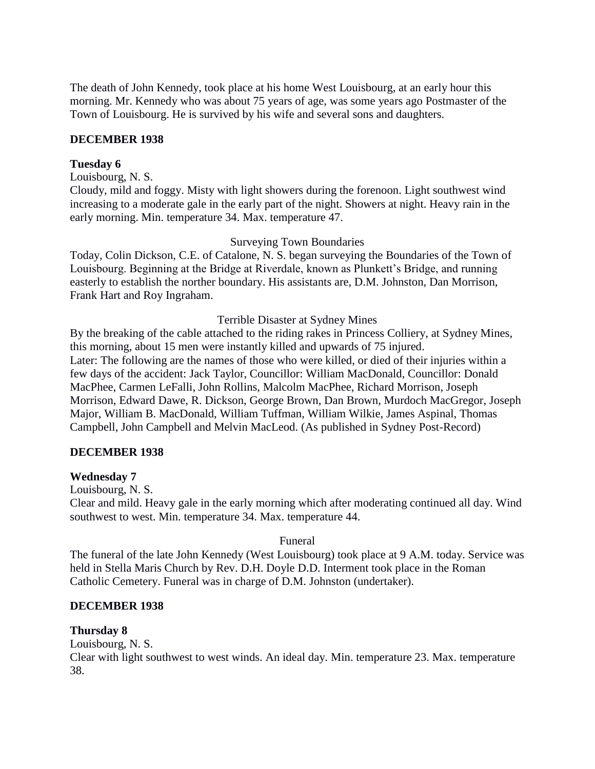The death of John Kennedy, took place at his home West Louisbourg, at an early hour this morning. Mr. Kennedy who was about 75 years of age, was some years ago Postmaster of the Town of Louisbourg. He is survived by his wife and several sons and daughters.

#### **DECEMBER 1938**

#### **Tuesday 6**

Louisbourg, N. S.

Cloudy, mild and foggy. Misty with light showers during the forenoon. Light southwest wind increasing to a moderate gale in the early part of the night. Showers at night. Heavy rain in the early morning. Min. temperature 34. Max. temperature 47.

#### Surveying Town Boundaries

Today, Colin Dickson, C.E. of Catalone, N. S. began surveying the Boundaries of the Town of Louisbourg. Beginning at the Bridge at Riverdale, known as Plunkett's Bridge, and running easterly to establish the norther boundary. His assistants are, D.M. Johnston, Dan Morrison, Frank Hart and Roy Ingraham.

#### Terrible Disaster at Sydney Mines

By the breaking of the cable attached to the riding rakes in Princess Colliery, at Sydney Mines, this morning, about 15 men were instantly killed and upwards of 75 injured. Later: The following are the names of those who were killed, or died of their injuries within a few days of the accident: Jack Taylor, Councillor: William MacDonald, Councillor: Donald MacPhee, Carmen LeFalli, John Rollins, Malcolm MacPhee, Richard Morrison, Joseph Morrison, Edward Dawe, R. Dickson, George Brown, Dan Brown, Murdoch MacGregor, Joseph Major, William B. MacDonald, William Tuffman, William Wilkie, James Aspinal, Thomas Campbell, John Campbell and Melvin MacLeod. (As published in Sydney Post-Record)

#### **DECEMBER 1938**

#### **Wednesday 7**

Louisbourg, N. S.

Clear and mild. Heavy gale in the early morning which after moderating continued all day. Wind southwest to west. Min. temperature 34. Max. temperature 44.

#### Funeral

The funeral of the late John Kennedy (West Louisbourg) took place at 9 A.M. today. Service was held in Stella Maris Church by Rev. D.H. Doyle D.D. Interment took place in the Roman Catholic Cemetery. Funeral was in charge of D.M. Johnston (undertaker).

#### **DECEMBER 1938**

#### **Thursday 8**

Louisbourg, N. S.

Clear with light southwest to west winds. An ideal day. Min. temperature 23. Max. temperature 38.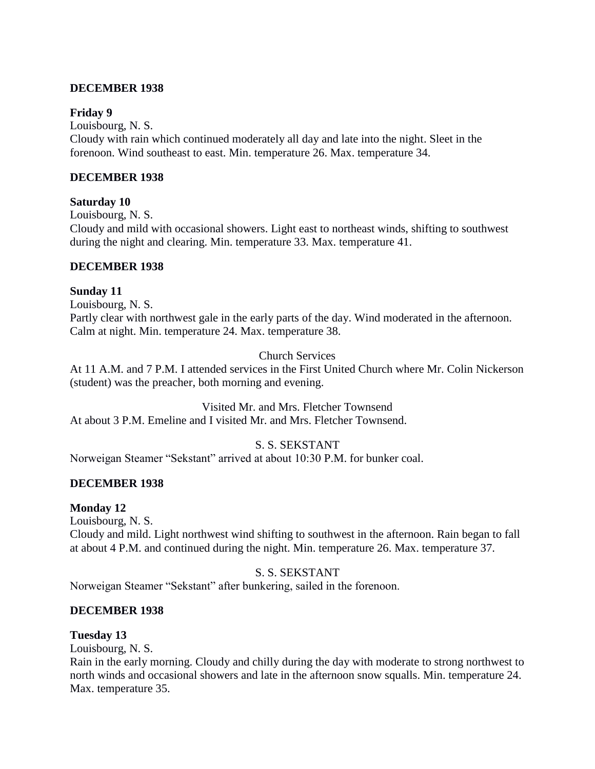## **DECEMBER 1938**

## **Friday 9**

Louisbourg, N. S. Cloudy with rain which continued moderately all day and late into the night. Sleet in the forenoon. Wind southeast to east. Min. temperature 26. Max. temperature 34.

## **DECEMBER 1938**

## **Saturday 10**

Louisbourg, N. S. Cloudy and mild with occasional showers. Light east to northeast winds, shifting to southwest during the night and clearing. Min. temperature 33. Max. temperature 41.

## **DECEMBER 1938**

## **Sunday 11**

Louisbourg, N. S. Partly clear with northwest gale in the early parts of the day. Wind moderated in the afternoon. Calm at night. Min. temperature 24. Max. temperature 38.

# Church Services

At 11 A.M. and 7 P.M. I attended services in the First United Church where Mr. Colin Nickerson (student) was the preacher, both morning and evening.

Visited Mr. and Mrs. Fletcher Townsend At about 3 P.M. Emeline and I visited Mr. and Mrs. Fletcher Townsend.

# S. S. SEKSTANT

Norweigan Steamer "Sekstant" arrived at about 10:30 P.M. for bunker coal.

# **DECEMBER 1938**

# **Monday 12**

Louisbourg, N. S.

Cloudy and mild. Light northwest wind shifting to southwest in the afternoon. Rain began to fall at about 4 P.M. and continued during the night. Min. temperature 26. Max. temperature 37.

# S. S. SEKSTANT

Norweigan Steamer "Sekstant" after bunkering, sailed in the forenoon.

# **DECEMBER 1938**

# **Tuesday 13**

Louisbourg, N. S.

Rain in the early morning. Cloudy and chilly during the day with moderate to strong northwest to north winds and occasional showers and late in the afternoon snow squalls. Min. temperature 24. Max. temperature 35.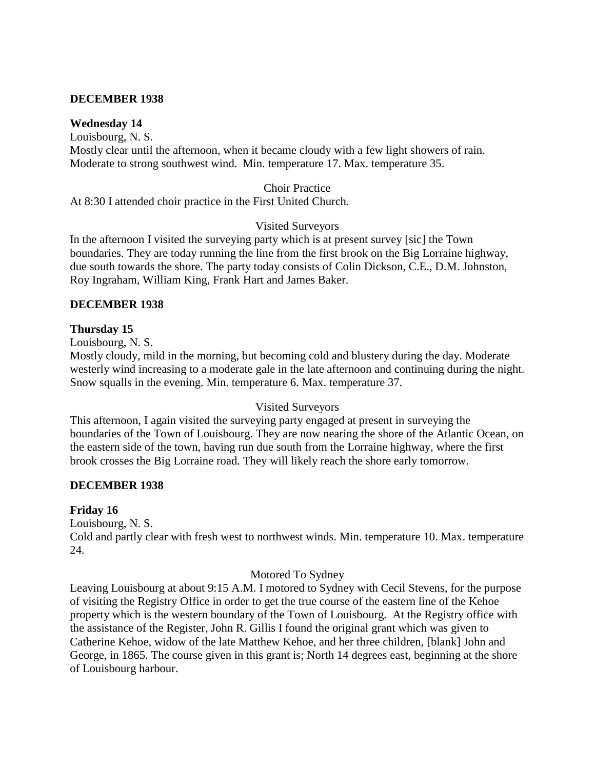## **DECEMBER 1938**

## **Wednesday 14**

Louisbourg, N. S. Mostly clear until the afternoon, when it became cloudy with a few light showers of rain. Moderate to strong southwest wind. Min. temperature 17. Max. temperature 35.

## Choir Practice

At 8:30 I attended choir practice in the First United Church.

## Visited Surveyors

In the afternoon I visited the surveying party which is at present survey [sic] the Town boundaries. They are today running the line from the first brook on the Big Lorraine highway, due south towards the shore. The party today consists of Colin Dickson, C.E., D.M. Johnston, Roy Ingraham, William King, Frank Hart and James Baker.

## **DECEMBER 1938**

## **Thursday 15**

Louisbourg, N. S.

Mostly cloudy, mild in the morning, but becoming cold and blustery during the day. Moderate westerly wind increasing to a moderate gale in the late afternoon and continuing during the night. Snow squalls in the evening. Min. temperature 6. Max. temperature 37.

## Visited Surveyors

This afternoon, I again visited the surveying party engaged at present in surveying the boundaries of the Town of Louisbourg. They are now nearing the shore of the Atlantic Ocean, on the eastern side of the town, having run due south from the Lorraine highway, where the first brook crosses the Big Lorraine road. They will likely reach the shore early tomorrow.

## **DECEMBER 1938**

# **Friday 16**

Louisbourg, N. S. Cold and partly clear with fresh west to northwest winds. Min. temperature 10. Max. temperature 24.

## Motored To Sydney

Leaving Louisbourg at about 9:15 A.M. I motored to Sydney with Cecil Stevens, for the purpose of visiting the Registry Office in order to get the true course of the eastern line of the Kehoe property which is the western boundary of the Town of Louisbourg. At the Registry office with the assistance of the Register, John R. Gillis I found the original grant which was given to Catherine Kehoe, widow of the late Matthew Kehoe, and her three children, [blank] John and George, in 1865. The course given in this grant is; North 14 degrees east, beginning at the shore of Louisbourg harbour.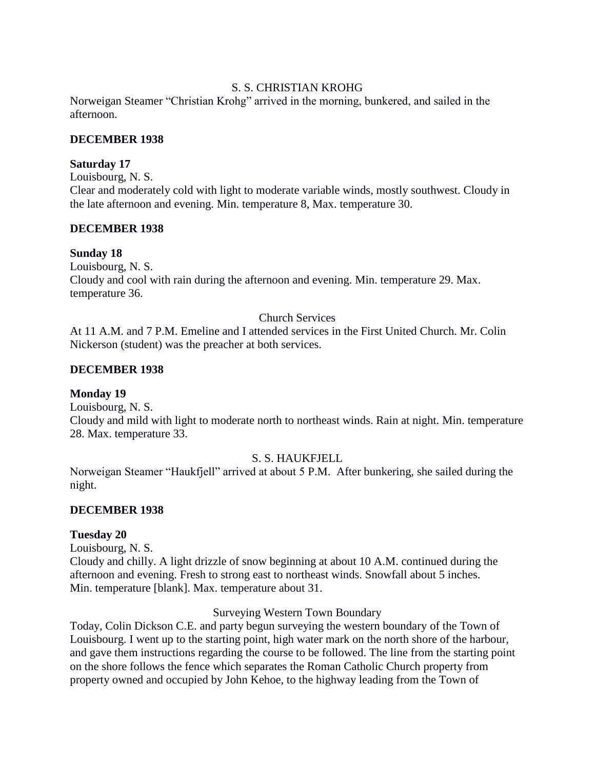## S. S. CHRISTIAN KROHG

Norweigan Steamer "Christian Krohg" arrived in the morning, bunkered, and sailed in the afternoon.

## **DECEMBER 1938**

## **Saturday 17**

Louisbourg, N. S.

Clear and moderately cold with light to moderate variable winds, mostly southwest. Cloudy in the late afternoon and evening. Min. temperature 8, Max. temperature 30.

## **DECEMBER 1938**

## **Sunday 18**

Louisbourg, N. S. Cloudy and cool with rain during the afternoon and evening. Min. temperature 29. Max. temperature 36.

## Church Services

At 11 A.M. and 7 P.M. Emeline and I attended services in the First United Church. Mr. Colin Nickerson (student) was the preacher at both services.

## **DECEMBER 1938**

## **Monday 19**

Louisbourg, N. S.

Cloudy and mild with light to moderate north to northeast winds. Rain at night. Min. temperature 28. Max. temperature 33.

## S. S. HAUKFJELL

Norweigan Steamer "Haukfjell" arrived at about 5 P.M. After bunkering, she sailed during the night.

## **DECEMBER 1938**

## **Tuesday 20**

Louisbourg, N. S.

Cloudy and chilly. A light drizzle of snow beginning at about 10 A.M. continued during the afternoon and evening. Fresh to strong east to northeast winds. Snowfall about 5 inches. Min. temperature [blank]. Max. temperature about 31.

## Surveying Western Town Boundary

Today, Colin Dickson C.E. and party begun surveying the western boundary of the Town of Louisbourg. I went up to the starting point, high water mark on the north shore of the harbour, and gave them instructions regarding the course to be followed. The line from the starting point on the shore follows the fence which separates the Roman Catholic Church property from property owned and occupied by John Kehoe, to the highway leading from the Town of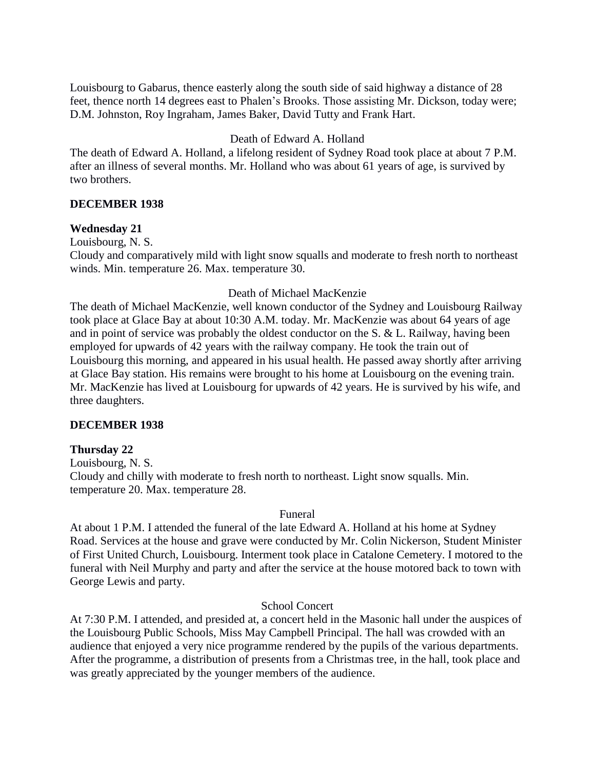Louisbourg to Gabarus, thence easterly along the south side of said highway a distance of 28 feet, thence north 14 degrees east to Phalen's Brooks. Those assisting Mr. Dickson, today were; D.M. Johnston, Roy Ingraham, James Baker, David Tutty and Frank Hart.

# Death of Edward A. Holland

The death of Edward A. Holland, a lifelong resident of Sydney Road took place at about 7 P.M. after an illness of several months. Mr. Holland who was about 61 years of age, is survived by two brothers.

## **DECEMBER 1938**

## **Wednesday 21**

Louisbourg, N. S.

Cloudy and comparatively mild with light snow squalls and moderate to fresh north to northeast winds. Min. temperature 26. Max. temperature 30.

## Death of Michael MacKenzie

The death of Michael MacKenzie, well known conductor of the Sydney and Louisbourg Railway took place at Glace Bay at about 10:30 A.M. today. Mr. MacKenzie was about 64 years of age and in point of service was probably the oldest conductor on the S. & L. Railway, having been employed for upwards of 42 years with the railway company. He took the train out of Louisbourg this morning, and appeared in his usual health. He passed away shortly after arriving at Glace Bay station. His remains were brought to his home at Louisbourg on the evening train. Mr. MacKenzie has lived at Louisbourg for upwards of 42 years. He is survived by his wife, and three daughters.

## **DECEMBER 1938**

## **Thursday 22**

Louisbourg, N. S. Cloudy and chilly with moderate to fresh north to northeast. Light snow squalls. Min. temperature 20. Max. temperature 28.

## Funeral

At about 1 P.M. I attended the funeral of the late Edward A. Holland at his home at Sydney Road. Services at the house and grave were conducted by Mr. Colin Nickerson, Student Minister of First United Church, Louisbourg. Interment took place in Catalone Cemetery. I motored to the funeral with Neil Murphy and party and after the service at the house motored back to town with George Lewis and party.

## School Concert

At 7:30 P.M. I attended, and presided at, a concert held in the Masonic hall under the auspices of the Louisbourg Public Schools, Miss May Campbell Principal. The hall was crowded with an audience that enjoyed a very nice programme rendered by the pupils of the various departments. After the programme, a distribution of presents from a Christmas tree, in the hall, took place and was greatly appreciated by the younger members of the audience.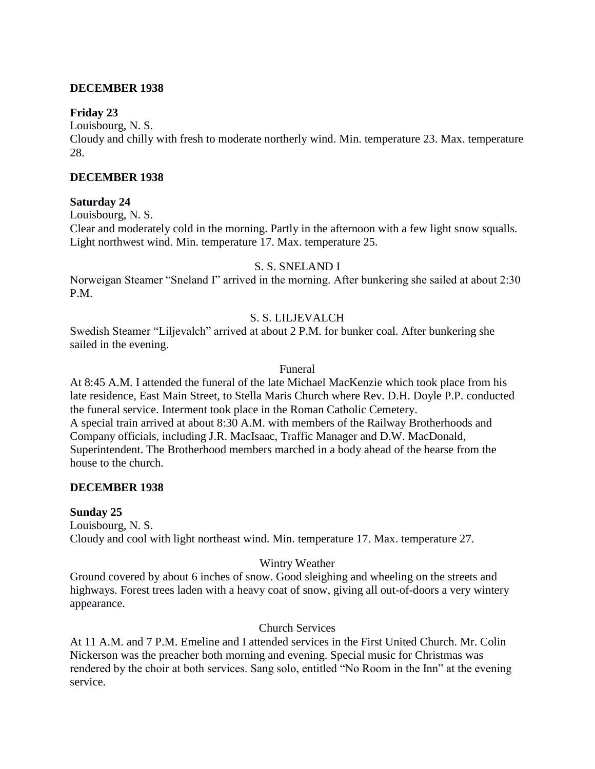## **DECEMBER 1938**

## **Friday 23**

Louisbourg, N. S.

Cloudy and chilly with fresh to moderate northerly wind. Min. temperature 23. Max. temperature 28.

## **DECEMBER 1938**

## **Saturday 24**

Louisbourg, N. S.

Clear and moderately cold in the morning. Partly in the afternoon with a few light snow squalls. Light northwest wind. Min. temperature 17. Max. temperature 25.

# S. S. SNELAND I

Norweigan Steamer "Sneland I" arrived in the morning. After bunkering she sailed at about 2:30 P.M.

# S. S. LILJEVALCH

Swedish Steamer "Liljevalch" arrived at about 2 P.M. for bunker coal. After bunkering she sailed in the evening.

## Funeral

At 8:45 A.M. I attended the funeral of the late Michael MacKenzie which took place from his late residence, East Main Street, to Stella Maris Church where Rev. D.H. Doyle P.P. conducted the funeral service. Interment took place in the Roman Catholic Cemetery. A special train arrived at about 8:30 A.M. with members of the Railway Brotherhoods and Company officials, including J.R. MacIsaac, Traffic Manager and D.W. MacDonald, Superintendent. The Brotherhood members marched in a body ahead of the hearse from the house to the church.

# **DECEMBER 1938**

## **Sunday 25**

Louisbourg, N. S. Cloudy and cool with light northeast wind. Min. temperature 17. Max. temperature 27.

# Wintry Weather

Ground covered by about 6 inches of snow. Good sleighing and wheeling on the streets and highways. Forest trees laden with a heavy coat of snow, giving all out-of-doors a very wintery appearance.

# Church Services

At 11 A.M. and 7 P.M. Emeline and I attended services in the First United Church. Mr. Colin Nickerson was the preacher both morning and evening. Special music for Christmas was rendered by the choir at both services. Sang solo, entitled "No Room in the Inn" at the evening service.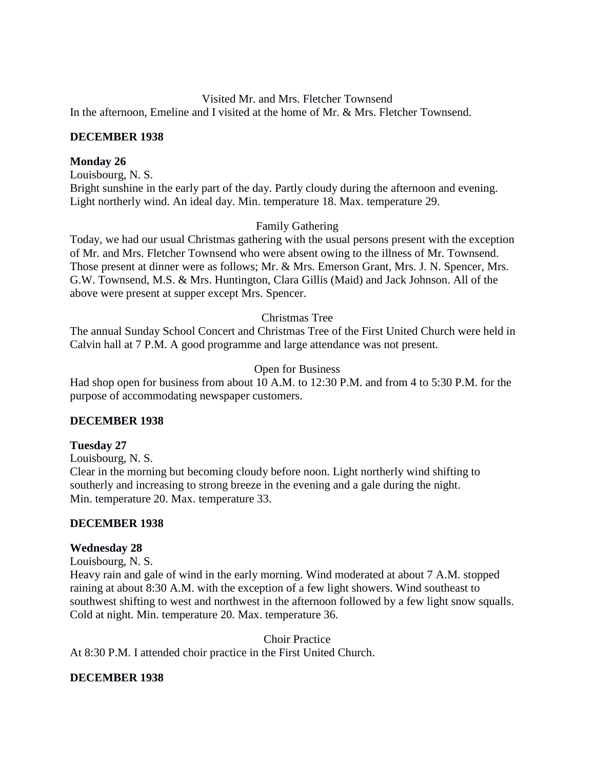Visited Mr. and Mrs. Fletcher Townsend In the afternoon, Emeline and I visited at the home of Mr. & Mrs. Fletcher Townsend.

## **DECEMBER 1938**

#### **Monday 26**

Louisbourg, N. S.

Bright sunshine in the early part of the day. Partly cloudy during the afternoon and evening. Light northerly wind. An ideal day. Min. temperature 18. Max. temperature 29.

#### Family Gathering

Today, we had our usual Christmas gathering with the usual persons present with the exception of Mr. and Mrs. Fletcher Townsend who were absent owing to the illness of Mr. Townsend. Those present at dinner were as follows; Mr. & Mrs. Emerson Grant, Mrs. J. N. Spencer, Mrs. G.W. Townsend, M.S. & Mrs. Huntington, Clara Gillis (Maid) and Jack Johnson. All of the above were present at supper except Mrs. Spencer.

#### Christmas Tree

The annual Sunday School Concert and Christmas Tree of the First United Church were held in Calvin hall at 7 P.M. A good programme and large attendance was not present.

#### Open for Business

Had shop open for business from about 10 A.M. to 12:30 P.M. and from 4 to 5:30 P.M. for the purpose of accommodating newspaper customers.

#### **DECEMBER 1938**

#### **Tuesday 27**

Louisbourg, N. S.

Clear in the morning but becoming cloudy before noon. Light northerly wind shifting to southerly and increasing to strong breeze in the evening and a gale during the night. Min. temperature 20. Max. temperature 33.

#### **DECEMBER 1938**

#### **Wednesday 28**

Louisbourg, N. S.

Heavy rain and gale of wind in the early morning. Wind moderated at about 7 A.M. stopped raining at about 8:30 A.M. with the exception of a few light showers. Wind southeast to southwest shifting to west and northwest in the afternoon followed by a few light snow squalls. Cold at night. Min. temperature 20. Max. temperature 36.

Choir Practice At 8:30 P.M. I attended choir practice in the First United Church.

## **DECEMBER 1938**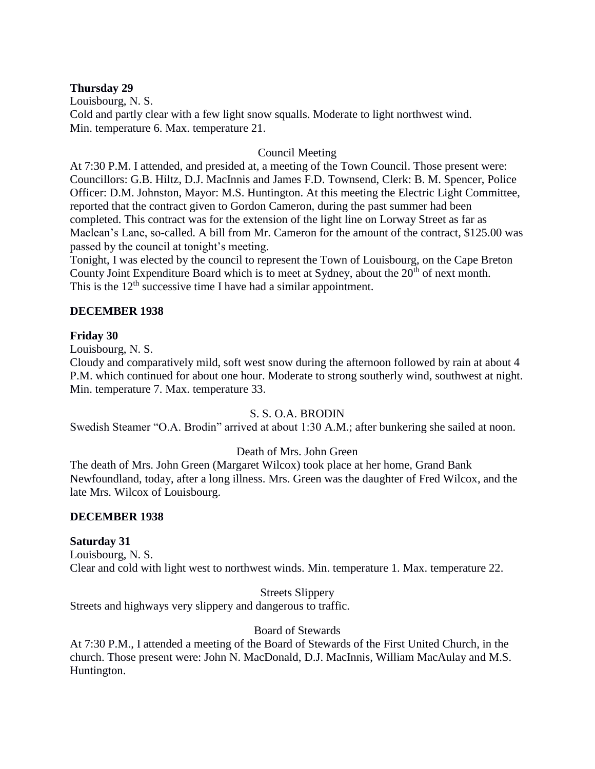## **Thursday 29**

Louisbourg, N. S. Cold and partly clear with a few light snow squalls. Moderate to light northwest wind. Min. temperature 6. Max. temperature 21.

# Council Meeting

At 7:30 P.M. I attended, and presided at, a meeting of the Town Council. Those present were: Councillors: G.B. Hiltz, D.J. MacInnis and James F.D. Townsend, Clerk: B. M. Spencer, Police Officer: D.M. Johnston, Mayor: M.S. Huntington. At this meeting the Electric Light Committee, reported that the contract given to Gordon Cameron, during the past summer had been completed. This contract was for the extension of the light line on Lorway Street as far as Maclean's Lane, so-called. A bill from Mr. Cameron for the amount of the contract, \$125.00 was passed by the council at tonight's meeting.

Tonight, I was elected by the council to represent the Town of Louisbourg, on the Cape Breton County Joint Expenditure Board which is to meet at Sydney, about the 20<sup>th</sup> of next month. This is the  $12<sup>th</sup>$  successive time I have had a similar appointment.

## **DECEMBER 1938**

## **Friday 30**

Louisbourg, N. S.

Cloudy and comparatively mild, soft west snow during the afternoon followed by rain at about 4 P.M. which continued for about one hour. Moderate to strong southerly wind, southwest at night. Min. temperature 7. Max. temperature 33.

# S. S. O.A. BRODIN

Swedish Steamer "O.A. Brodin" arrived at about 1:30 A.M.; after bunkering she sailed at noon.

# Death of Mrs. John Green

The death of Mrs. John Green (Margaret Wilcox) took place at her home, Grand Bank Newfoundland, today, after a long illness. Mrs. Green was the daughter of Fred Wilcox, and the late Mrs. Wilcox of Louisbourg.

## **DECEMBER 1938**

## **Saturday 31**

Louisbourg, N. S. Clear and cold with light west to northwest winds. Min. temperature 1. Max. temperature 22.

Streets Slippery

Streets and highways very slippery and dangerous to traffic.

# Board of Stewards

At 7:30 P.M., I attended a meeting of the Board of Stewards of the First United Church, in the church. Those present were: John N. MacDonald, D.J. MacInnis, William MacAulay and M.S. Huntington.